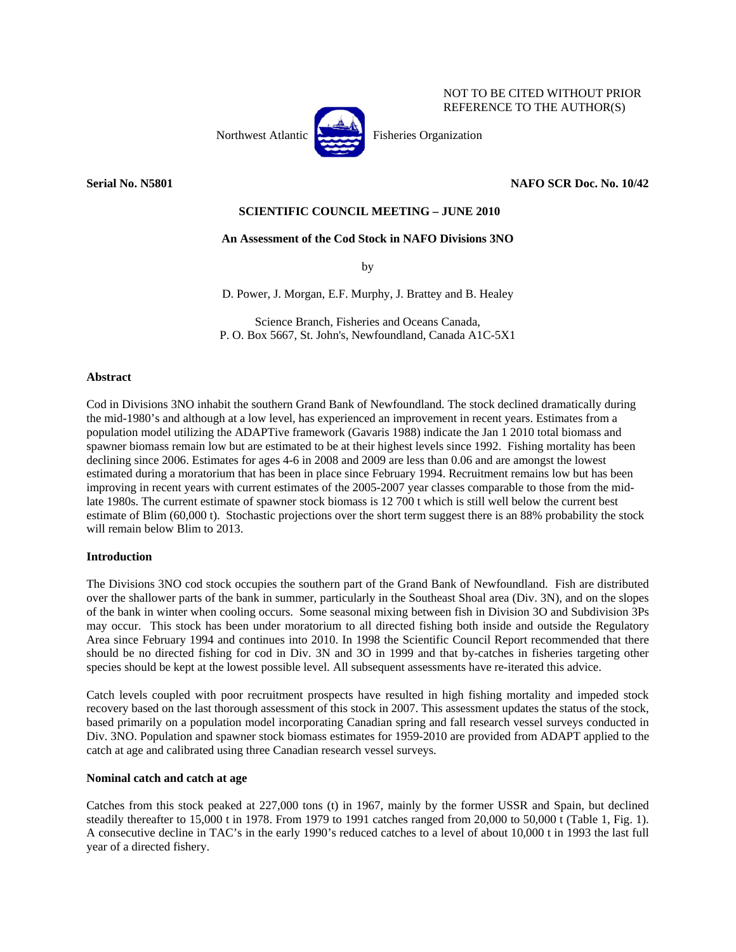

# NOT TO BE CITED WITHOUT PRIOR REFERENCE TO THE AUTHOR(S)

# **Serial No. N5801** NAFO SCR Doc. No. 10/42

# **SCIENTIFIC COUNCIL MEETING – JUNE 2010**

## **An Assessment of the Cod Stock in NAFO Divisions 3NO**

by

D. Power, J. Morgan, E.F. Murphy, J. Brattey and B. Healey

Science Branch, Fisheries and Oceans Canada, P. O. Box 5667, St. John's, Newfoundland, Canada A1C-5X1

## **Abstract**

Cod in Divisions 3NO inhabit the southern Grand Bank of Newfoundland. The stock declined dramatically during the mid-1980's and although at a low level, has experienced an improvement in recent years. Estimates from a population model utilizing the ADAPTive framework (Gavaris 1988) indicate the Jan 1 2010 total biomass and spawner biomass remain low but are estimated to be at their highest levels since 1992. Fishing mortality has been declining since 2006. Estimates for ages 4-6 in 2008 and 2009 are less than 0.06 and are amongst the lowest estimated during a moratorium that has been in place since February 1994. Recruitment remains low but has been improving in recent years with current estimates of the 2005-2007 year classes comparable to those from the midlate 1980s. The current estimate of spawner stock biomass is 12 700 t which is still well below the current best estimate of Blim (60,000 t). Stochastic projections over the short term suggest there is an 88% probability the stock will remain below Blim to 2013.

## **Introduction**

The Divisions 3NO cod stock occupies the southern part of the Grand Bank of Newfoundland. Fish are distributed over the shallower parts of the bank in summer, particularly in the Southeast Shoal area (Div. 3N), and on the slopes of the bank in winter when cooling occurs. Some seasonal mixing between fish in Division 3O and Subdivision 3Ps may occur. This stock has been under moratorium to all directed fishing both inside and outside the Regulatory Area since February 1994 and continues into 2010. In 1998 the Scientific Council Report recommended that there should be no directed fishing for cod in Div. 3N and 3O in 1999 and that by-catches in fisheries targeting other species should be kept at the lowest possible level. All subsequent assessments have re-iterated this advice.

Catch levels coupled with poor recruitment prospects have resulted in high fishing mortality and impeded stock recovery based on the last thorough assessment of this stock in 2007. This assessment updates the status of the stock, based primarily on a population model incorporating Canadian spring and fall research vessel surveys conducted in Div. 3NO. Population and spawner stock biomass estimates for 1959-2010 are provided from ADAPT applied to the catch at age and calibrated using three Canadian research vessel surveys.

## **Nominal catch and catch at age**

Catches from this stock peaked at 227,000 tons (t) in 1967, mainly by the former USSR and Spain, but declined steadily thereafter to 15,000 t in 1978. From 1979 to 1991 catches ranged from 20,000 to 50,000 t (Table 1, Fig. 1). A consecutive decline in TAC's in the early 1990's reduced catches to a level of about 10,000 t in 1993 the last full year of a directed fishery.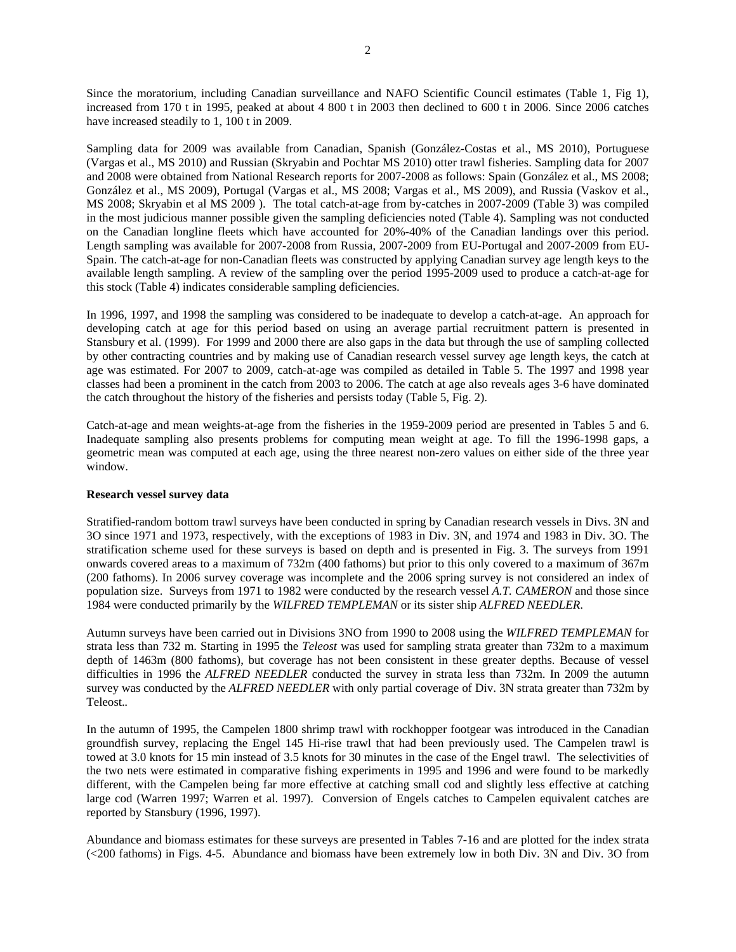Since the moratorium, including Canadian surveillance and NAFO Scientific Council estimates (Table 1, Fig 1), increased from 170 t in 1995, peaked at about 4 800 t in 2003 then declined to 600 t in 2006. Since 2006 catches have increased steadily to 1, 100 t in 2009.

Sampling data for 2009 was available from Canadian, Spanish (González-Costas et al., MS 2010), Portuguese (Vargas et al., MS 2010) and Russian (Skryabin and Pochtar MS 2010) otter trawl fisheries. Sampling data for 2007 and 2008 were obtained from National Research reports for 2007-2008 as follows: Spain (González et al., MS 2008; González et al., MS 2009), Portugal (Vargas et al., MS 2008; Vargas et al., MS 2009), and Russia (Vaskov et al., MS 2008; Skryabin et al MS 2009 ). The total catch-at-age from by-catches in 2007-2009 (Table 3) was compiled in the most judicious manner possible given the sampling deficiencies noted (Table 4). Sampling was not conducted on the Canadian longline fleets which have accounted for 20%-40% of the Canadian landings over this period. Length sampling was available for 2007-2008 from Russia, 2007-2009 from EU-Portugal and 2007-2009 from EU-Spain. The catch-at-age for non-Canadian fleets was constructed by applying Canadian survey age length keys to the available length sampling. A review of the sampling over the period 1995-2009 used to produce a catch-at-age for this stock (Table 4) indicates considerable sampling deficiencies.

In 1996, 1997, and 1998 the sampling was considered to be inadequate to develop a catch-at-age. An approach for developing catch at age for this period based on using an average partial recruitment pattern is presented in Stansbury et al. (1999). For 1999 and 2000 there are also gaps in the data but through the use of sampling collected by other contracting countries and by making use of Canadian research vessel survey age length keys, the catch at age was estimated. For 2007 to 2009, catch-at-age was compiled as detailed in Table 5. The 1997 and 1998 year classes had been a prominent in the catch from 2003 to 2006. The catch at age also reveals ages 3-6 have dominated the catch throughout the history of the fisheries and persists today (Table 5, Fig. 2).

Catch-at-age and mean weights-at-age from the fisheries in the 1959-2009 period are presented in Tables 5 and 6. Inadequate sampling also presents problems for computing mean weight at age. To fill the 1996-1998 gaps, a geometric mean was computed at each age, using the three nearest non-zero values on either side of the three year window.

## **Research vessel survey data**

Stratified-random bottom trawl surveys have been conducted in spring by Canadian research vessels in Divs. 3N and 3O since 1971 and 1973, respectively, with the exceptions of 1983 in Div. 3N, and 1974 and 1983 in Div. 3O. The stratification scheme used for these surveys is based on depth and is presented in Fig. 3. The surveys from 1991 onwards covered areas to a maximum of 732m (400 fathoms) but prior to this only covered to a maximum of 367m (200 fathoms). In 2006 survey coverage was incomplete and the 2006 spring survey is not considered an index of population size. Surveys from 1971 to 1982 were conducted by the research vessel *A.T. CAMERON* and those since 1984 were conducted primarily by the *WILFRED TEMPLEMAN* or its sister ship *ALFRED NEEDLER*.

Autumn surveys have been carried out in Divisions 3NO from 1990 to 2008 using the *WILFRED TEMPLEMAN* for strata less than 732 m. Starting in 1995 the *Teleost* was used for sampling strata greater than 732m to a maximum depth of 1463m (800 fathoms), but coverage has not been consistent in these greater depths. Because of vessel difficulties in 1996 the *ALFRED NEEDLER* conducted the survey in strata less than 732m. In 2009 the autumn survey was conducted by the *ALFRED NEEDLER* with only partial coverage of Div. 3N strata greater than 732m by Teleost.*.*

In the autumn of 1995, the Campelen 1800 shrimp trawl with rockhopper footgear was introduced in the Canadian groundfish survey, replacing the Engel 145 Hi-rise trawl that had been previously used. The Campelen trawl is towed at 3.0 knots for 15 min instead of 3.5 knots for 30 minutes in the case of the Engel trawl. The selectivities of the two nets were estimated in comparative fishing experiments in 1995 and 1996 and were found to be markedly different, with the Campelen being far more effective at catching small cod and slightly less effective at catching large cod (Warren 1997; Warren et al. 1997). Conversion of Engels catches to Campelen equivalent catches are reported by Stansbury (1996, 1997).

Abundance and biomass estimates for these surveys are presented in Tables 7-16 and are plotted for the index strata (<200 fathoms) in Figs. 4-5. Abundance and biomass have been extremely low in both Div. 3N and Div. 3O from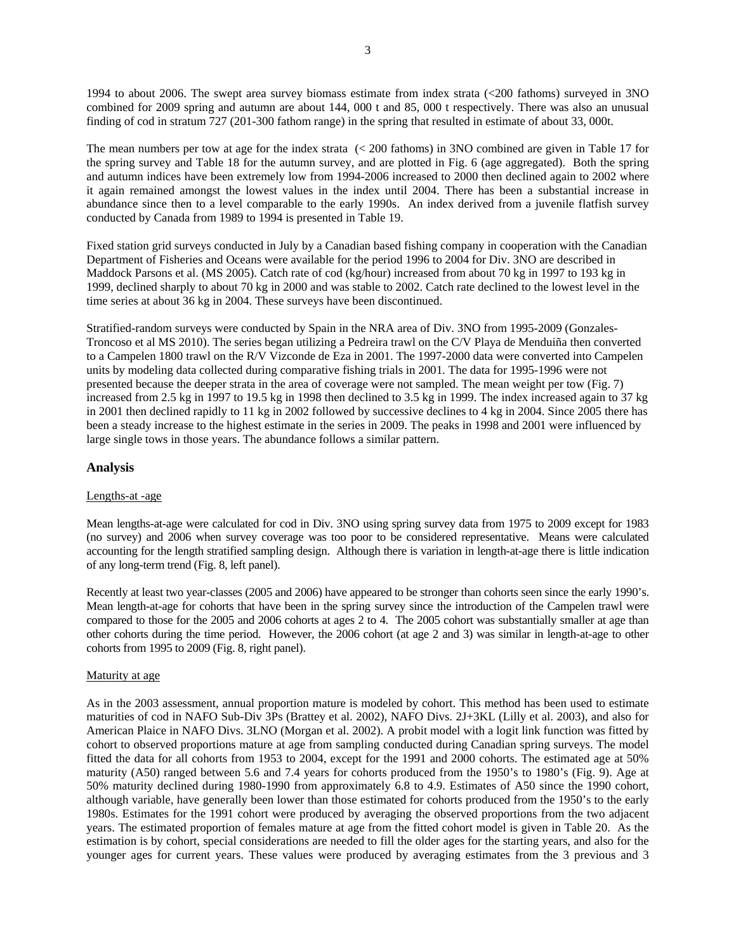1994 to about 2006. The swept area survey biomass estimate from index strata (<200 fathoms) surveyed in 3NO combined for 2009 spring and autumn are about 144, 000 t and 85, 000 t respectively. There was also an unusual finding of cod in stratum 727 (201-300 fathom range) in the spring that resulted in estimate of about 33, 000t.

The mean numbers per tow at age for the index strata (< 200 fathoms) in 3NO combined are given in Table 17 for the spring survey and Table 18 for the autumn survey, and are plotted in Fig. 6 (age aggregated). Both the spring and autumn indices have been extremely low from 1994-2006 increased to 2000 then declined again to 2002 where it again remained amongst the lowest values in the index until 2004. There has been a substantial increase in abundance since then to a level comparable to the early 1990s. An index derived from a juvenile flatfish survey conducted by Canada from 1989 to 1994 is presented in Table 19.

Fixed station grid surveys conducted in July by a Canadian based fishing company in cooperation with the Canadian Department of Fisheries and Oceans were available for the period 1996 to 2004 for Div. 3NO are described in Maddock Parsons et al. (MS 2005). Catch rate of cod (kg/hour) increased from about 70 kg in 1997 to 193 kg in 1999, declined sharply to about 70 kg in 2000 and was stable to 2002. Catch rate declined to the lowest level in the time series at about 36 kg in 2004. These surveys have been discontinued.

Stratified-random surveys were conducted by Spain in the NRA area of Div. 3NO from 1995-2009 (Gonzales-Troncoso et al MS 2010). The series began utilizing a Pedreira trawl on the C/V Playa de Menduiña then converted to a Campelen 1800 trawl on the R/V Vizconde de Eza in 2001. The 1997-2000 data were converted into Campelen units by modeling data collected during comparative fishing trials in 2001. The data for 1995-1996 were not presented because the deeper strata in the area of coverage were not sampled. The mean weight per tow (Fig. 7) increased from 2.5 kg in 1997 to 19.5 kg in 1998 then declined to 3.5 kg in 1999. The index increased again to 37 kg in 2001 then declined rapidly to 11 kg in 2002 followed by successive declines to 4 kg in 2004. Since 2005 there has been a steady increase to the highest estimate in the series in 2009. The peaks in 1998 and 2001 were influenced by large single tows in those years. The abundance follows a similar pattern.

# **Analysis**

# Lengths-at -age

Mean lengths-at-age were calculated for cod in Div. 3NO using spring survey data from 1975 to 2009 except for 1983 (no survey) and 2006 when survey coverage was too poor to be considered representative. Means were calculated accounting for the length stratified sampling design. Although there is variation in length-at-age there is little indication of any long-term trend (Fig. 8, left panel).

Recently at least two year-classes (2005 and 2006) have appeared to be stronger than cohorts seen since the early 1990's. Mean length-at-age for cohorts that have been in the spring survey since the introduction of the Campelen trawl were compared to those for the 2005 and 2006 cohorts at ages 2 to 4. The 2005 cohort was substantially smaller at age than other cohorts during the time period. However, the 2006 cohort (at age 2 and 3) was similar in length-at-age to other cohorts from 1995 to 2009 (Fig. 8, right panel).

#### Maturity at age

As in the 2003 assessment, annual proportion mature is modeled by cohort. This method has been used to estimate maturities of cod in NAFO Sub-Div 3Ps (Brattey et al. 2002), NAFO Divs. 2J+3KL (Lilly et al. 2003), and also for American Plaice in NAFO Divs. 3LNO (Morgan et al. 2002). A probit model with a logit link function was fitted by cohort to observed proportions mature at age from sampling conducted during Canadian spring surveys. The model fitted the data for all cohorts from 1953 to 2004, except for the 1991 and 2000 cohorts. The estimated age at 50% maturity (A50) ranged between 5.6 and 7.4 years for cohorts produced from the 1950's to 1980's (Fig. 9). Age at 50% maturity declined during 1980-1990 from approximately 6.8 to 4.9. Estimates of A50 since the 1990 cohort, although variable, have generally been lower than those estimated for cohorts produced from the 1950's to the early 1980s. Estimates for the 1991 cohort were produced by averaging the observed proportions from the two adjacent years. The estimated proportion of females mature at age from the fitted cohort model is given in Table 20. As the estimation is by cohort, special considerations are needed to fill the older ages for the starting years, and also for the younger ages for current years. These values were produced by averaging estimates from the 3 previous and 3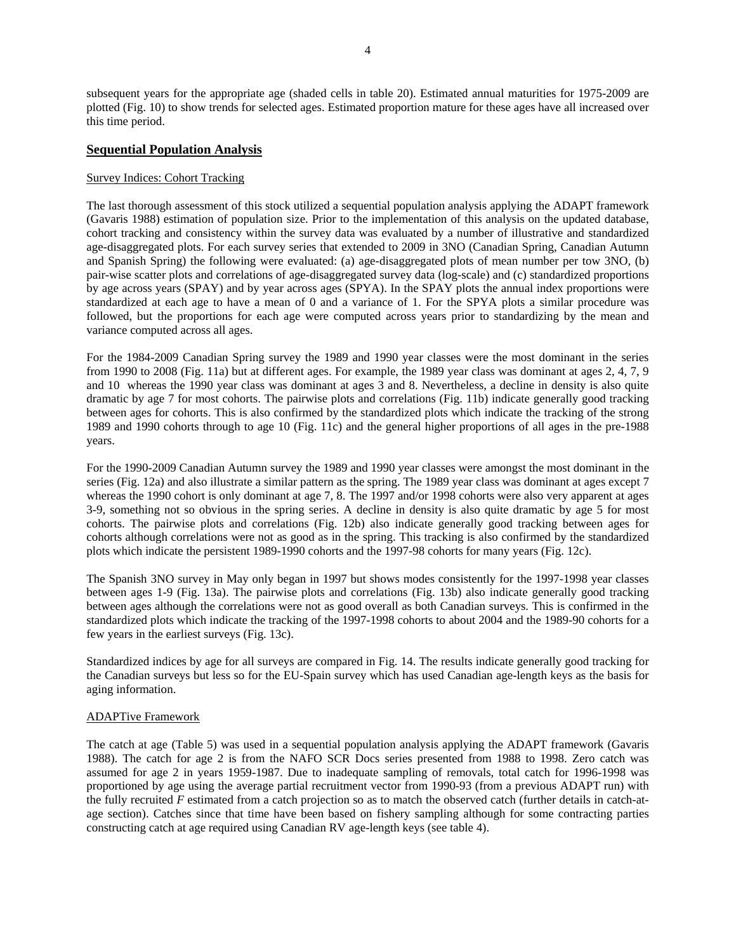subsequent years for the appropriate age (shaded cells in table 20). Estimated annual maturities for 1975-2009 are plotted (Fig. 10) to show trends for selected ages. Estimated proportion mature for these ages have all increased over this time period.

# **Sequential Population Analysis**

# Survey Indices: Cohort Tracking

The last thorough assessment of this stock utilized a sequential population analysis applying the ADAPT framework (Gavaris 1988) estimation of population size. Prior to the implementation of this analysis on the updated database, cohort tracking and consistency within the survey data was evaluated by a number of illustrative and standardized age-disaggregated plots. For each survey series that extended to 2009 in 3NO (Canadian Spring, Canadian Autumn and Spanish Spring) the following were evaluated: (a) age-disaggregated plots of mean number per tow 3NO, (b) pair-wise scatter plots and correlations of age-disaggregated survey data (log-scale) and (c) standardized proportions by age across years (SPAY) and by year across ages (SPYA). In the SPAY plots the annual index proportions were standardized at each age to have a mean of 0 and a variance of 1. For the SPYA plots a similar procedure was followed, but the proportions for each age were computed across years prior to standardizing by the mean and variance computed across all ages.

For the 1984-2009 Canadian Spring survey the 1989 and 1990 year classes were the most dominant in the series from 1990 to 2008 (Fig. 11a) but at different ages. For example, the 1989 year class was dominant at ages 2, 4, 7, 9 and 10 whereas the 1990 year class was dominant at ages 3 and 8. Nevertheless, a decline in density is also quite dramatic by age 7 for most cohorts. The pairwise plots and correlations (Fig. 11b) indicate generally good tracking between ages for cohorts. This is also confirmed by the standardized plots which indicate the tracking of the strong 1989 and 1990 cohorts through to age 10 (Fig. 11c) and the general higher proportions of all ages in the pre-1988 years.

For the 1990-2009 Canadian Autumn survey the 1989 and 1990 year classes were amongst the most dominant in the series (Fig. 12a) and also illustrate a similar pattern as the spring. The 1989 year class was dominant at ages except 7 whereas the 1990 cohort is only dominant at age 7, 8. The 1997 and/or 1998 cohorts were also very apparent at ages 3-9, something not so obvious in the spring series. A decline in density is also quite dramatic by age 5 for most cohorts. The pairwise plots and correlations (Fig. 12b) also indicate generally good tracking between ages for cohorts although correlations were not as good as in the spring. This tracking is also confirmed by the standardized plots which indicate the persistent 1989-1990 cohorts and the 1997-98 cohorts for many years (Fig. 12c).

The Spanish 3NO survey in May only began in 1997 but shows modes consistently for the 1997-1998 year classes between ages 1-9 (Fig. 13a). The pairwise plots and correlations (Fig. 13b) also indicate generally good tracking between ages although the correlations were not as good overall as both Canadian surveys. This is confirmed in the standardized plots which indicate the tracking of the 1997-1998 cohorts to about 2004 and the 1989-90 cohorts for a few years in the earliest surveys (Fig. 13c).

Standardized indices by age for all surveys are compared in Fig. 14. The results indicate generally good tracking for the Canadian surveys but less so for the EU-Spain survey which has used Canadian age-length keys as the basis for aging information.

## ADAPTive Framework

The catch at age (Table 5) was used in a sequential population analysis applying the ADAPT framework (Gavaris 1988). The catch for age 2 is from the NAFO SCR Docs series presented from 1988 to 1998. Zero catch was assumed for age 2 in years 1959-1987. Due to inadequate sampling of removals, total catch for 1996-1998 was proportioned by age using the average partial recruitment vector from 1990-93 (from a previous ADAPT run) with the fully recruited *F* estimated from a catch projection so as to match the observed catch (further details in catch-atage section). Catches since that time have been based on fishery sampling although for some contracting parties constructing catch at age required using Canadian RV age-length keys (see table 4).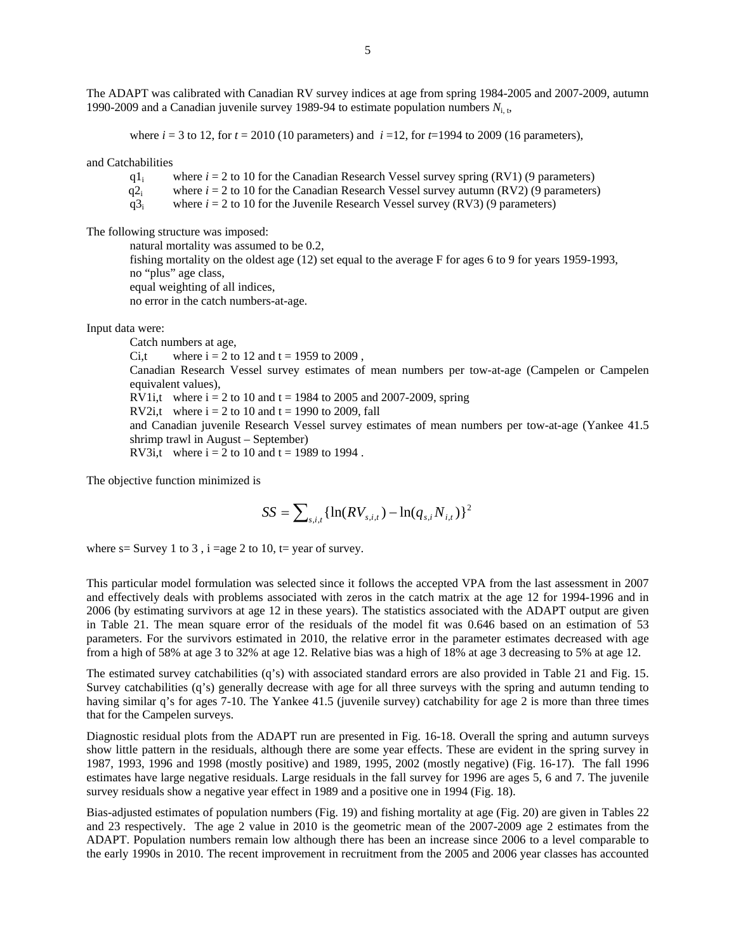The ADAPT was calibrated with Canadian RV survey indices at age from spring 1984-2005 and 2007-2009, autumn 1990-2009 and a Canadian juvenile survey 1989-94 to estimate population numbers *N*i, t,

where  $i = 3$  to 12, for  $t = 2010$  (10 parameters) and  $i = 12$ , for  $t = 1994$  to 2009 (16 parameters),

and Catchabilities

q1<sub>i</sub> where  $i = 2$  to 10 for the Canadian Research Vessel survey spring (RV1) (9 parameters)

q2<sub>i</sub> where  $i = 2$  to 10 for the Canadian Research Vessel survey autumn (RV2) (9 parameters)

 $q3_i$  where  $i = 2$  to 10 for the Juvenile Research Vessel survey (RV3) (9 parameters)

The following structure was imposed:

natural mortality was assumed to be 0.2,

 fishing mortality on the oldest age (12) set equal to the average F for ages 6 to 9 for years 1959-1993, no "plus" age class, equal weighting of all indices,

no error in the catch numbers-at-age.

Input data were:

Catch numbers at age, Ci,t where  $i = 2$  to 12 and  $t = 1959$  to 2009, Canadian Research Vessel survey estimates of mean numbers per tow-at-age (Campelen or Campelen equivalent values), RV1i,t where  $i = 2$  to 10 and  $t = 1984$  to 2005 and 2007-2009, spring RV2i,t where  $i = 2$  to 10 and  $t = 1990$  to 2009, fall and Canadian juvenile Research Vessel survey estimates of mean numbers per tow-at-age (Yankee 41.5 shrimp trawl in August – September) RV3i,t where  $i = 2$  to 10 and  $t = 1989$  to 1994.

The objective function minimized is

$$
SS = \sum_{s,i,t} \{ \ln(RV_{s,i,t}) - \ln(q_{s,i}N_{i,t}) \}^2
$$

where  $s =$  Survey 1 to 3, i =age 2 to 10, t= year of survey.

This particular model formulation was selected since it follows the accepted VPA from the last assessment in 2007 and effectively deals with problems associated with zeros in the catch matrix at the age 12 for 1994-1996 and in 2006 (by estimating survivors at age 12 in these years). The statistics associated with the ADAPT output are given in Table 21. The mean square error of the residuals of the model fit was 0.646 based on an estimation of 53 parameters. For the survivors estimated in 2010, the relative error in the parameter estimates decreased with age from a high of 58% at age 3 to 32% at age 12. Relative bias was a high of 18% at age 3 decreasing to 5% at age 12.

The estimated survey catchabilities (q's) with associated standard errors are also provided in Table 21 and Fig. 15. Survey catchabilities (q's) generally decrease with age for all three surveys with the spring and autumn tending to having similar q's for ages 7-10. The Yankee 41.5 (juvenile survey) catchability for age 2 is more than three times that for the Campelen surveys.

Diagnostic residual plots from the ADAPT run are presented in Fig. 16-18. Overall the spring and autumn surveys show little pattern in the residuals, although there are some year effects. These are evident in the spring survey in 1987, 1993, 1996 and 1998 (mostly positive) and 1989, 1995, 2002 (mostly negative) (Fig. 16-17). The fall 1996 estimates have large negative residuals. Large residuals in the fall survey for 1996 are ages 5, 6 and 7. The juvenile survey residuals show a negative year effect in 1989 and a positive one in 1994 (Fig. 18).

Bias-adjusted estimates of population numbers (Fig. 19) and fishing mortality at age (Fig. 20) are given in Tables 22 and 23 respectively. The age 2 value in 2010 is the geometric mean of the 2007-2009 age 2 estimates from the ADAPT. Population numbers remain low although there has been an increase since 2006 to a level comparable to the early 1990s in 2010. The recent improvement in recruitment from the 2005 and 2006 year classes has accounted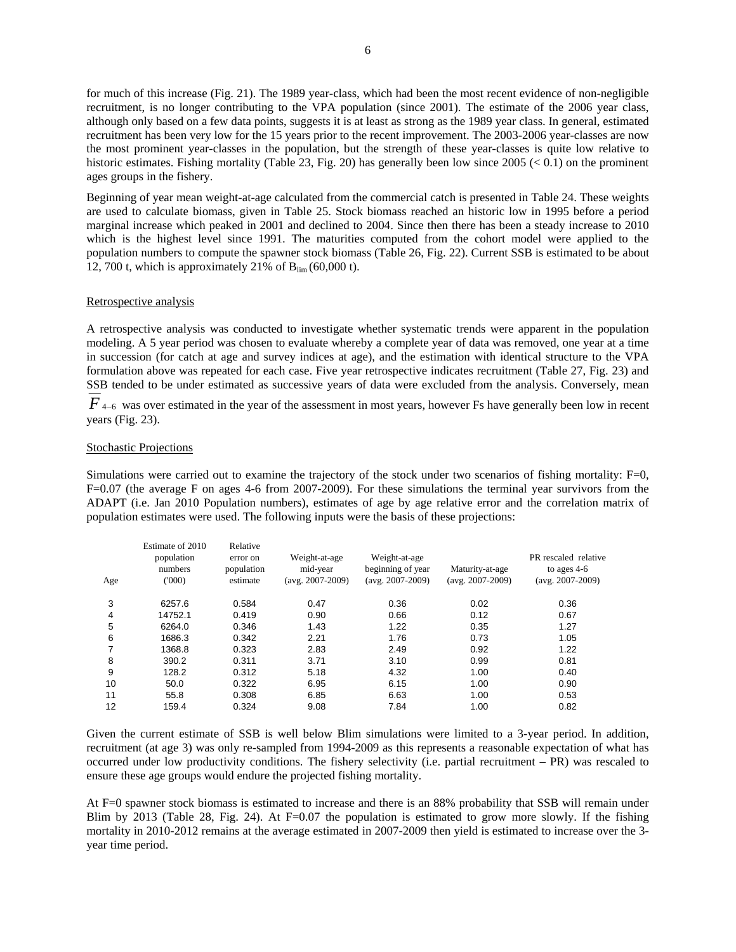for much of this increase (Fig. 21). The 1989 year-class, which had been the most recent evidence of non-negligible recruitment, is no longer contributing to the VPA population (since 2001). The estimate of the 2006 year class, although only based on a few data points, suggests it is at least as strong as the 1989 year class. In general, estimated recruitment has been very low for the 15 years prior to the recent improvement. The 2003-2006 year-classes are now the most prominent year-classes in the population, but the strength of these year-classes is quite low relative to historic estimates. Fishing mortality (Table 23, Fig. 20) has generally been low since  $2005 \leq 0.1$ ) on the prominent ages groups in the fishery.

Beginning of year mean weight-at-age calculated from the commercial catch is presented in Table 24. These weights are used to calculate biomass, given in Table 25. Stock biomass reached an historic low in 1995 before a period marginal increase which peaked in 2001 and declined to 2004. Since then there has been a steady increase to 2010 which is the highest level since 1991. The maturities computed from the cohort model were applied to the population numbers to compute the spawner stock biomass (Table 26, Fig. 22). Current SSB is estimated to be about 12, 700 t, which is approximately 21% of  $B_{\text{lim}}(60,000 \text{ t})$ .

#### Retrospective analysis

A retrospective analysis was conducted to investigate whether systematic trends were apparent in the population modeling. A 5 year period was chosen to evaluate whereby a complete year of data was removed, one year at a time in succession (for catch at age and survey indices at age), and the estimation with identical structure to the VPA formulation above was repeated for each case. Five year retrospective indicates recruitment (Table 27, Fig. 23) and SSB tended to be under estimated as successive years of data were excluded from the analysis. Conversely, mean

*F*  $4-6$  was over estimated in the year of the assessment in most years, however Fs have generally been low in recent years (Fig. 23).

### Stochastic Projections

Simulations were carried out to examine the trajectory of the stock under two scenarios of fishing mortality: F=0, F=0.07 (the average F on ages 4-6 from 2007-2009). For these simulations the terminal year survivors from the ADAPT (i.e. Jan 2010 Population numbers), estimates of age by age relative error and the correlation matrix of population estimates were used. The following inputs were the basis of these projections:

| Age | Estimate of 2010<br>population<br>numbers<br>(000) | Relative<br>error on<br>population<br>estimate | Weight-at-age<br>mid-year<br>$(avg. 2007-2009)$ | Weight-at-age<br>beginning of year<br>$(avg. 2007-2009)$ | Maturity-at-age<br>$(avg. 2007-2009)$ | PR rescaled relative<br>to ages $4-6$<br>$(avg. 2007-2009)$ |
|-----|----------------------------------------------------|------------------------------------------------|-------------------------------------------------|----------------------------------------------------------|---------------------------------------|-------------------------------------------------------------|
| 3   | 6257.6                                             | 0.584                                          | 0.47                                            | 0.36                                                     | 0.02                                  | 0.36                                                        |
| 4   | 14752.1                                            | 0.419                                          | 0.90                                            | 0.66                                                     | 0.12                                  | 0.67                                                        |
| 5   | 6264.0                                             | 0.346                                          | 1.43                                            | 1.22                                                     | 0.35                                  | 1.27                                                        |
| 6   | 1686.3                                             | 0.342                                          | 2.21                                            | 1.76                                                     | 0.73                                  | 1.05                                                        |
| 7   | 1368.8                                             | 0.323                                          | 2.83                                            | 2.49                                                     | 0.92                                  | 1.22                                                        |
| 8   | 390.2                                              | 0.311                                          | 3.71                                            | 3.10                                                     | 0.99                                  | 0.81                                                        |
| 9   | 128.2                                              | 0.312                                          | 5.18                                            | 4.32                                                     | 1.00                                  | 0.40                                                        |
| 10  | 50.0                                               | 0.322                                          | 6.95                                            | 6.15                                                     | 1.00                                  | 0.90                                                        |
| 11  | 55.8                                               | 0.308                                          | 6.85                                            | 6.63                                                     | 1.00                                  | 0.53                                                        |
| 12  | 159.4                                              | 0.324                                          | 9.08                                            | 7.84                                                     | 1.00                                  | 0.82                                                        |

Given the current estimate of SSB is well below Blim simulations were limited to a 3-year period. In addition, recruitment (at age 3) was only re-sampled from 1994-2009 as this represents a reasonable expectation of what has occurred under low productivity conditions. The fishery selectivity (i.e. partial recruitment – PR) was rescaled to ensure these age groups would endure the projected fishing mortality.

At F=0 spawner stock biomass is estimated to increase and there is an 88% probability that SSB will remain under Blim by 2013 (Table 28, Fig. 24). At  $F=0.07$  the population is estimated to grow more slowly. If the fishing mortality in 2010-2012 remains at the average estimated in 2007-2009 then yield is estimated to increase over the 3 year time period.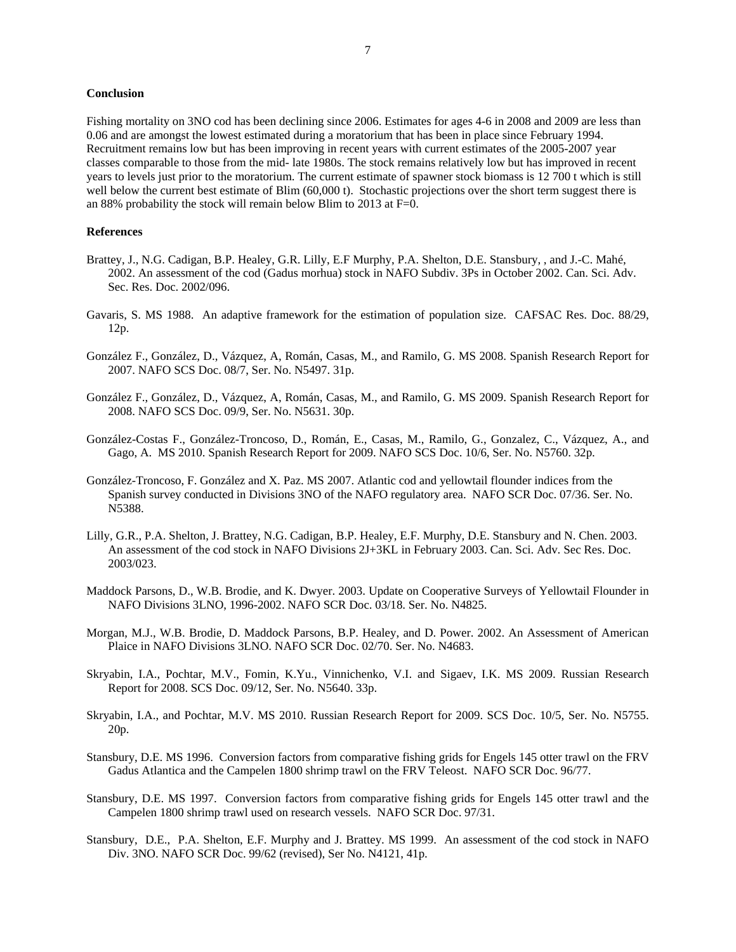### **Conclusion**

Fishing mortality on 3NO cod has been declining since 2006. Estimates for ages 4-6 in 2008 and 2009 are less than 0.06 and are amongst the lowest estimated during a moratorium that has been in place since February 1994. Recruitment remains low but has been improving in recent years with current estimates of the 2005-2007 year classes comparable to those from the mid- late 1980s. The stock remains relatively low but has improved in recent years to levels just prior to the moratorium. The current estimate of spawner stock biomass is 12 700 t which is still well below the current best estimate of Blim (60,000 t). Stochastic projections over the short term suggest there is an 88% probability the stock will remain below Blim to 2013 at F=0.

#### **References**

- Brattey, J., N.G. Cadigan, B.P. Healey, G.R. Lilly, E.F Murphy, P.A. Shelton, D.E. Stansbury, , and J.-C. Mahé, 2002. An assessment of the cod (Gadus morhua) stock in NAFO Subdiv. 3Ps in October 2002. Can. Sci. Adv. Sec. Res. Doc. 2002/096.
- Gavaris, S. MS 1988. An adaptive framework for the estimation of population size. CAFSAC Res. Doc. 88/29, 12p.
- González F., González, D., Vázquez, A, Román, Casas, M., and Ramilo, G. MS 2008. Spanish Research Report for 2007. NAFO SCS Doc. 08/7, Ser. No. N5497. 31p.
- González F., González, D., Vázquez, A, Román, Casas, M., and Ramilo, G. MS 2009. Spanish Research Report for 2008. NAFO SCS Doc. 09/9, Ser. No. N5631. 30p.
- González-Costas F., González-Troncoso, D., Román, E., Casas, M., Ramilo, G., Gonzalez, C., Vázquez, A., and Gago, A. MS 2010. Spanish Research Report for 2009. NAFO SCS Doc. 10/6, Ser. No. N5760. 32p.
- González-Troncoso, F. González and X. Paz. MS 2007. Atlantic cod and yellowtail flounder indices from the Spanish survey conducted in Divisions 3NO of the NAFO regulatory area. NAFO SCR Doc. 07/36. Ser. No. N5388.
- Lilly, G.R., P.A. Shelton, J. Brattey, N.G. Cadigan, B.P. Healey, E.F. Murphy, D.E. Stansbury and N. Chen. 2003. An assessment of the cod stock in NAFO Divisions 2J+3KL in February 2003. Can. Sci. Adv. Sec Res. Doc. 2003/023.
- Maddock Parsons, D., W.B. Brodie, and K. Dwyer. 2003. Update on Cooperative Surveys of Yellowtail Flounder in NAFO Divisions 3LNO, 1996-2002. NAFO SCR Doc. 03/18. Ser. No. N4825.
- Morgan, M.J., W.B. Brodie, D. Maddock Parsons, B.P. Healey, and D. Power. 2002. An Assessment of American Plaice in NAFO Divisions 3LNO. NAFO SCR Doc. 02/70. Ser. No. N4683.
- Skryabin, I.A., Pochtar, M.V., Fomin, K.Yu., Vinnichenko, V.I. and Sigaev, I.K. MS 2009. Russian Research Report for 2008. SCS Doc. 09/12, Ser. No. N5640. 33p.
- Skryabin, I.A., and Pochtar, M.V. MS 2010. Russian Research Report for 2009. SCS Doc. 10/5, Ser. No. N5755. 20p.
- Stansbury, D.E. MS 1996. Conversion factors from comparative fishing grids for Engels 145 otter trawl on the FRV Gadus Atlantica and the Campelen 1800 shrimp trawl on the FRV Teleost. NAFO SCR Doc. 96/77.
- Stansbury, D.E. MS 1997. Conversion factors from comparative fishing grids for Engels 145 otter trawl and the Campelen 1800 shrimp trawl used on research vessels. NAFO SCR Doc. 97/31.
- Stansbury, D.E., P.A. Shelton, E.F. Murphy and J. Brattey. MS 1999. An assessment of the cod stock in NAFO Div. 3NO. NAFO SCR Doc. 99/62 (revised), Ser No. N4121, 41p.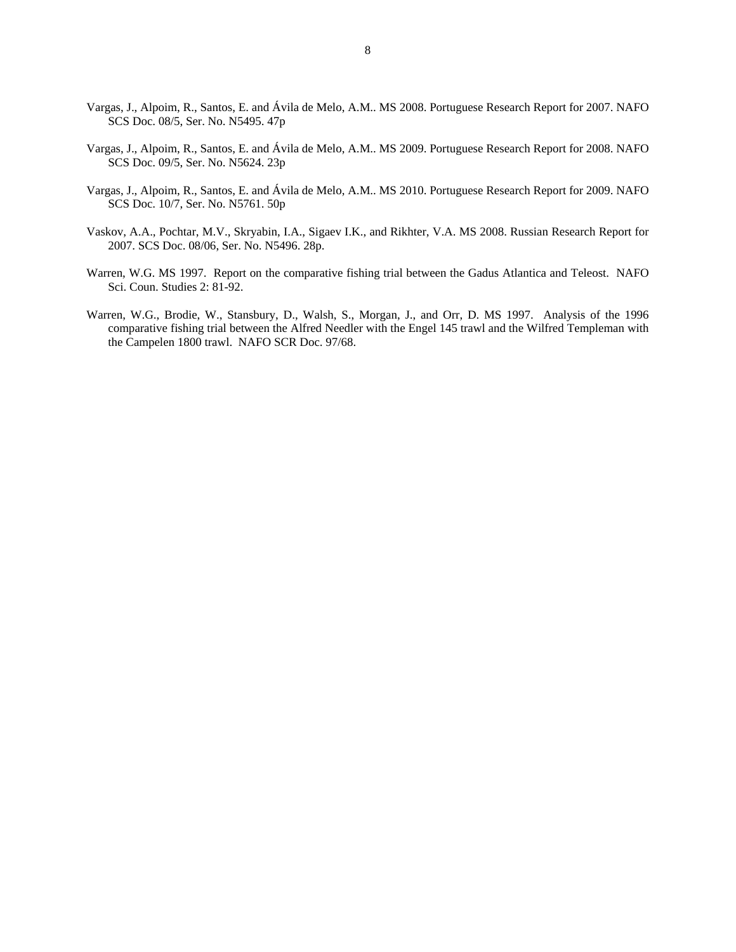- Vargas, J., Alpoim, R., Santos, E. and Ávila de Melo, A.M.. MS 2008. Portuguese Research Report for 2007. NAFO SCS Doc. 08/5, Ser. No. N5495. 47p
- Vargas, J., Alpoim, R., Santos, E. and Ávila de Melo, A.M.. MS 2009. Portuguese Research Report for 2008. NAFO SCS Doc. 09/5, Ser. No. N5624. 23p
- Vargas, J., Alpoim, R., Santos, E. and Ávila de Melo, A.M.. MS 2010. Portuguese Research Report for 2009. NAFO SCS Doc. 10/7, Ser. No. N5761. 50p
- Vaskov, A.A., Pochtar, M.V., Skryabin, I.A., Sigaev I.K., and Rikhter, V.A. MS 2008. Russian Research Report for 2007. SCS Doc. 08/06, Ser. No. N5496. 28p.
- Warren, W.G. MS 1997. Report on the comparative fishing trial between the Gadus Atlantica and Teleost. NAFO Sci. Coun. Studies 2: 81-92.
- Warren, W.G., Brodie, W., Stansbury, D., Walsh, S., Morgan, J., and Orr, D. MS 1997. Analysis of the 1996 comparative fishing trial between the Alfred Needler with the Engel 145 trawl and the Wilfred Templeman with the Campelen 1800 trawl. NAFO SCR Doc. 97/68.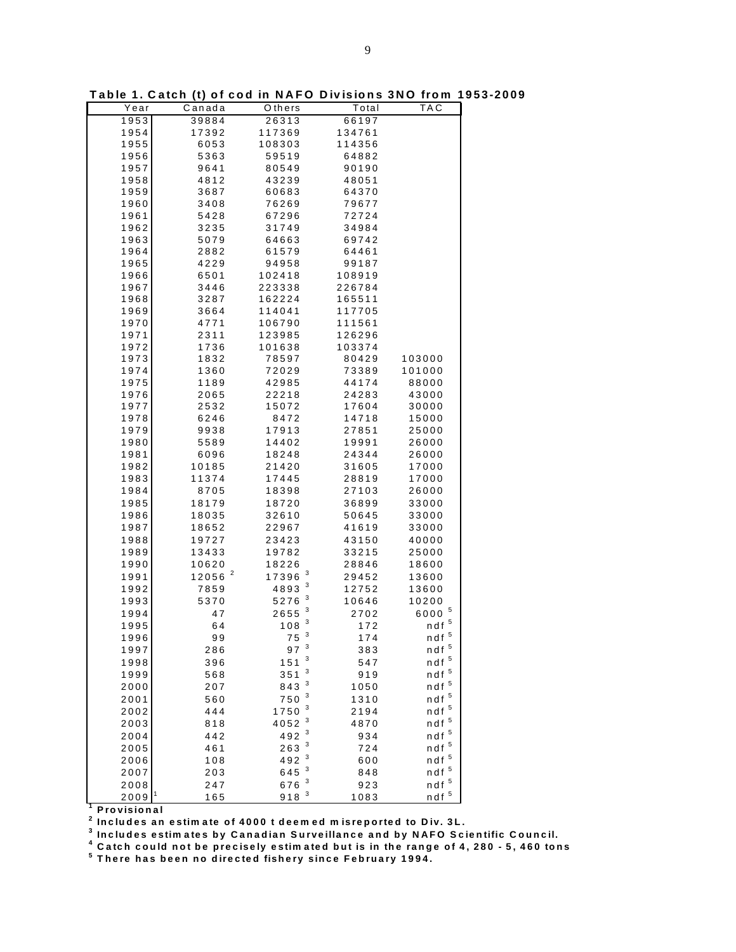| Year      | Canada                | Others               | Total  | TAC                |
|-----------|-----------------------|----------------------|--------|--------------------|
| 1953      | 39884                 | 26313                | 66197  |                    |
| 1954      | 17392                 | 117369               | 134761 |                    |
|           |                       |                      |        |                    |
| 1955      | 6053                  | 108303               | 114356 |                    |
| 1956      | 5363                  | 59519                | 64882  |                    |
| 1957      | 9641                  | 80549                | 90190  |                    |
| 1958      | 4812                  | 43239                | 48051  |                    |
| 1959      | 3687                  | 60683                | 64370  |                    |
| 1960      | 3408                  | 76269                | 79677  |                    |
| 1961      | 5428                  | 67296                | 72724  |                    |
| 1962      | 3235                  | 31749                | 34984  |                    |
| 1963      | 5079                  | 64663                | 69742  |                    |
| 1964      | 2882                  | 61579                | 64461  |                    |
|           | 4229                  |                      |        |                    |
| 1965      |                       | 94958                | 99187  |                    |
| 1966      | 6501                  | 102418               | 108919 |                    |
| 1967      | 3446                  | 223338               | 226784 |                    |
| 1968      | 3287                  | 162224               | 165511 |                    |
| 1969      | 3664                  | 114041               | 117705 |                    |
| 1970      | 4771                  | 106790               | 111561 |                    |
| 1971      | 2311                  | 123985               | 126296 |                    |
| 1972      | 1736                  | 101638               | 103374 |                    |
| 1973      | 1832                  | 78597                | 80429  | 103000             |
| 1974      | 1360                  | 72029                | 73389  | 101000             |
| 1975      | 1189                  | 42985                | 44174  | 88000              |
| 1976      | 2065                  | 22218                | 24283  | 43000              |
|           |                       |                      |        |                    |
| 1977      | 2532                  | 15072                | 17604  | 30000              |
| 1978      | 6246                  | 8472                 | 14718  | 15000              |
| 1979      | 9938                  | 17913                | 27851  | 25000              |
| 1980      | 5589                  | 14402                | 19991  | 26000              |
| 1981      | 6096                  | 18248                | 24344  | 26000              |
| 1982      | 10185                 | 21420                | 31605  | 17000              |
| 1983      | 11374                 | 17445                | 28819  | 17000              |
| 1984      | 8705                  | 18398                | 27103  | 26000              |
| 1985      | 18179                 | 18720                | 36899  | 33000              |
| 1986      | 18035                 | 32610                | 50645  | 33000              |
| 1987      |                       |                      |        |                    |
|           | 18652                 | 22967                | 41619  | 33000              |
| 1988      | 19727                 | 23423                | 43150  | 40000              |
| 1989      | 13433                 | 19782                | 33215  | 25000              |
| 1990      | 10620                 | 18226                | 28846  | 18600              |
| 1991      | $\mathbf{z}$<br>12056 | 3<br>17396           | 29452  | 13600              |
| 1992      | 7859                  | 3<br>4893            | 12752  | 13600              |
| 1993      | 5370                  | 3<br>5276            | 10646  | 10200              |
| 1994      | 47                    | 3<br>2655            | 2702   | 5<br>6000          |
| 1995      | 64                    | 3<br>108             | 172    | $ndf$ <sup>5</sup> |
|           |                       | 3                    |        | $ndf$ <sup>5</sup> |
| 1996      | 99                    | 75                   | 174    |                    |
| 1997      | 286                   | 97 <sup>3</sup><br>3 | 383    | $ndf$ <sup>5</sup> |
| 1998      | 396                   | 151                  | 547    | $ndf$ $^5$         |
| 1999      | 568                   | 3<br>351             | 919    | $n$ df $\,$ $^5$   |
| 2000      | 207                   | 3<br>843             | 1050   | $ndf$ $^5$         |
| 2001      | 560                   | 3<br>750             | 1310   | $n$ df $\,$ $^5$   |
| 2002      | 444                   | 3<br>1750            | 2194   | $ndf$ $^5$         |
| 2003      | 818                   | 3<br>4052            | 4870   | $ndf$ <sup>5</sup> |
|           |                       | 3                    |        | $ndf$ $^5$         |
| 2004      | 442                   | 492<br>3             | 934    |                    |
| 2005      | 461                   | 263<br>3             | 724    | $ndf$ $^5$         |
| 2006      | 108                   | 492                  | 600    | $n$ df $\,$ $^5$   |
| 2007      | 203                   | 3<br>645             | 848    | $n$ df $\,$ $^5$   |
| 2008      | 247                   | 3<br>676             | 923    | $ndf$ $^5$         |
| 1<br>2009 | 165                   | 918 <sup>3</sup>     | 1083   | $ndf$ <sup>5</sup> |

**T able 1. C atch (t) of cod in NAFO Divisions 3NO from 1953-2009**

**1 Provisional**

**2 Includes an estim ate of 4000 t deem ed m isreported to Div. 3L.**

**3 Includes estim ates by Canadian Surveillance and by NAFO Scientific Council.**

**4 Catch could not be precisely estim ated but is in the range of 4, 280 - 5, 460 tons**

**5 T here has been no directed fishery since February 1994.**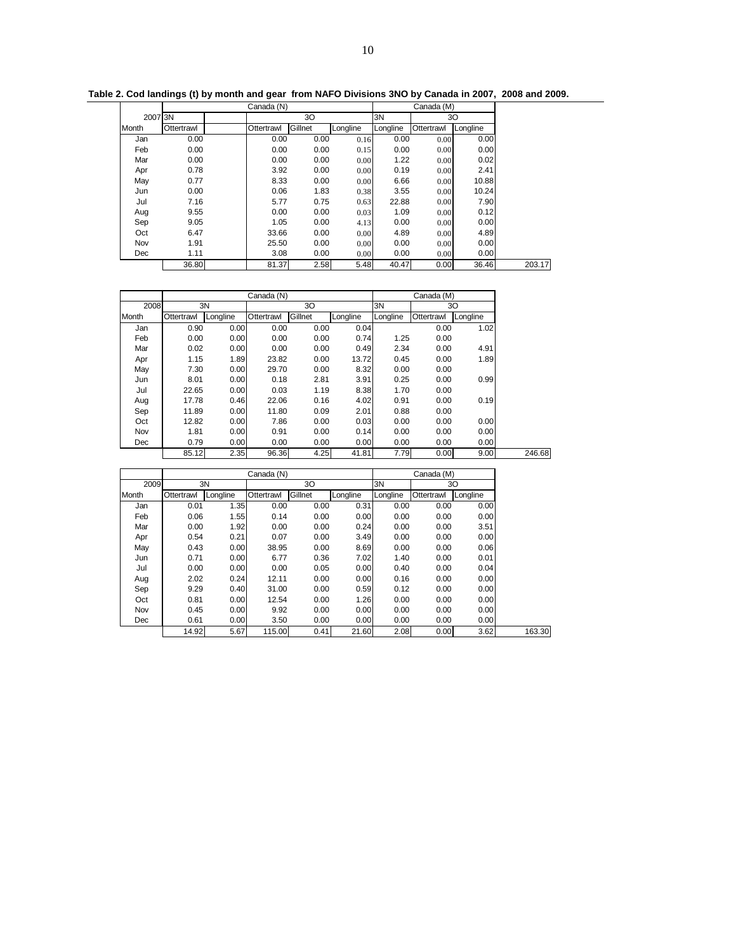| Table 2. Cod landings (t) by month and gear from NAFO Divisions 3NO by Canada in 2007, 2008 and 2009. |  |
|-------------------------------------------------------------------------------------------------------|--|
|                                                                                                       |  |

|         |            | Canada (N) |         |          | Canada (M) |            |          |
|---------|------------|------------|---------|----------|------------|------------|----------|
| 2007 3N |            |            | 30      |          | 3N         |            | 30       |
| Month   | Ottertrawl | Ottertrawl | Gillnet | Longline | Longline   | Ottertrawl | Longline |
| Jan     | 0.00       | 0.00       | 0.00    | 0.16     | 0.00       | 0.00       | 0.00     |
| Feb     | 0.00       | 0.00       | 0.00    | 0.15     | 0.00       | 0.00       | 0.00     |
| Mar     | 0.00       | 0.00       | 0.00    | 0.00     | 1.22       | 0.00       | 0.02     |
| Apr     | 0.78       | 3.92       | 0.00    | 0.00     | 0.19       | 0.00       | 2.41     |
| May     | 0.77       | 8.33       | 0.00    | 0.00     | 6.66       | 0.00       | 10.88    |
| Jun     | 0.00       | 0.06       | 1.83    | 0.38     | 3.55       | 0.00       | 10.24    |
| Jul     | 7.16       | 5.77       | 0.75    | 0.63     | 22.88      | 0.00       | 7.90     |
| Aug     | 9.55       | 0.00       | 0.00    | 0.03     | 1.09       | 0.00       | 0.12     |
| Sep     | 9.05       | 1.05       | 0.00    | 4.13     | 0.00       | 0.00       | 0.00     |
| Oct     | 6.47       | 33.66      | 0.00    | 0.00     | 4.89       | 0.00       | 4.89     |
| Nov     | 1.91       | 25.50      | 0.00    | 0.00     | 0.00       | 0.00       | 0.00     |
| Dec     | 1.11       | 3.08       | 0.00    | 0.00     | 0.00       | 0.00       | 0.00     |
|         | 36.80      | 81.37      | 2.58    | 5.48     | 40.47      | 0.00       | 36.46    |

|       |            |          | Canada (N) |         |          |          | Canada (M) |          |        |
|-------|------------|----------|------------|---------|----------|----------|------------|----------|--------|
| 2008  |            | 3N       |            | 30      |          | 3N       |            | 30       |        |
| Month | Ottertrawl | Longline | Ottertrawl | Gillnet | Longline | Longline | Ottertrawl | Longline |        |
| Jan   | 0.90       | 0.00     | 0.00       | 0.00    | 0.04     |          | 0.00       | 1.02     |        |
| Feb   | 0.00       | 0.00     | 0.00       | 0.00    | 0.74     | 1.25     | 0.00       |          |        |
| Mar   | 0.02       | 0.00     | 0.00       | 0.00    | 0.49     | 2.34     | 0.00       | 4.91     |        |
| Apr   | 1.15       | 1.89     | 23.82      | 0.00    | 13.72    | 0.45     | 0.00       | 1.89     |        |
| May   | 7.30       | 0.00     | 29.70      | 0.00    | 8.32     | 0.00     | 0.00       |          |        |
| Jun   | 8.01       | 0.00     | 0.18       | 2.81    | 3.91     | 0.25     | 0.00       | 0.99     |        |
| Jul   | 22.65      | 0.00     | 0.03       | 1.19    | 8.38     | 1.70     | 0.00       |          |        |
| Aug   | 17.78      | 0.46     | 22.06      | 0.16    | 4.02     | 0.91     | 0.00       | 0.19     |        |
| Sep   | 11.89      | 0.00     | 11.80      | 0.09    | 2.01     | 0.88     | 0.00       |          |        |
| Oct   | 12.82      | 0.00     | 7.86       | 0.00    | 0.03     | 0.00     | 0.00       | 0.00     |        |
| Nov   | 1.81       | 0.00     | 0.91       | 0.00    | 0.14     | 0.00     | 0.00       | 0.00     |        |
| Dec   | 0.79       | 0.00     | 0.00       | 0.00    | 0.00     | 0.00     | 0.00       | 0.00     |        |
|       | 85.12      | 2.35     | 96.36      | 4.25    | 41.81    | 7.79     | 0.00       | 9.00     | 246.68 |

|       |            |          | Canada (N) |         | Canada (M) |          |            |          |
|-------|------------|----------|------------|---------|------------|----------|------------|----------|
| 2009  |            | 3N       |            | 30      |            | 3N       |            | 30       |
| Month | Ottertrawl | Longline | Ottertrawl | Gillnet | Longline   | Longline | Ottertrawl | Longline |
| Jan   | 0.01       | 1.35     | 0.00       | 0.00    | 0.31       | 0.00     | 0.00       | 0.00     |
| Feb   | 0.06       | 1.55     | 0.14       | 0.00    | 0.00       | 0.00     | 0.00       | 0.00     |
| Mar   | 0.00       | 1.92     | 0.00       | 0.00    | 0.24       | 0.00     | 0.00       | 3.51     |
| Apr   | 0.54       | 0.21     | 0.07       | 0.00    | 3.49       | 0.00     | 0.00       | 0.00     |
| May   | 0.43       | 0.00     | 38.95      | 0.00    | 8.69       | 0.00     | 0.00       | 0.06     |
| Jun   | 0.71       | 0.00     | 6.77       | 0.36    | 7.02       | 1.40     | 0.00       | 0.01     |
| Jul   | 0.00       | 0.00     | 0.00       | 0.05    | 0.00       | 0.40     | 0.00       | 0.04     |
| Aug   | 2.02       | 0.24     | 12.11      | 0.00    | 0.00       | 0.16     | 0.00       | 0.00     |
| Sep   | 9.29       | 0.40     | 31.00      | 0.00    | 0.59       | 0.12     | 0.00       | 0.00     |
| Oct   | 0.81       | 0.00     | 12.54      | 0.00    | 1.26       | 0.00     | 0.00       | 0.00     |
| Nov   | 0.45       | 0.00     | 9.92       | 0.00    | 0.00       | 0.00     | 0.00       | 0.00     |
| Dec   | 0.61       | 0.00     | 3.50       | 0.00    | 0.00       | 0.00     | 0.00       | 0.00     |
|       | 14.92      | 5.67     | 115.00     | 0.41    | 21.60      | 2.08     | 0.00       | 3.62     |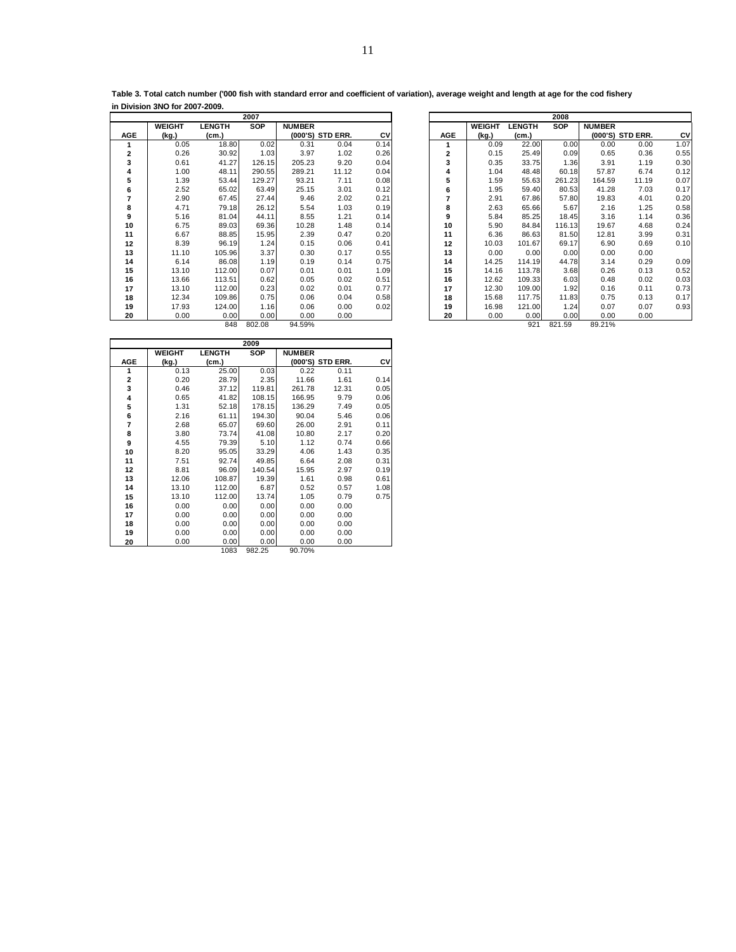| Table 3. Total catch number ('000 fish with standard error and coefficient of variation), average weight and length at age for the cod fishery |  |
|------------------------------------------------------------------------------------------------------------------------------------------------|--|
| in Division 3NO for 2007-2009.                                                                                                                 |  |

|              |               |               | 2007   |               |                  |      |            |               |               | 2008       |               |
|--------------|---------------|---------------|--------|---------------|------------------|------|------------|---------------|---------------|------------|---------------|
|              | <b>WEIGHT</b> | <b>LENGTH</b> | SOP    | <b>NUMBER</b> |                  |      |            | <b>WEIGHT</b> | <b>LENGTH</b> | <b>SOP</b> | <b>NUMBER</b> |
| AGE          | (kg.)         | (cm.)         |        |               | (000'S) STD ERR. | CV   | <b>AGE</b> | (kg.)         | (cm.)         |            | (000'S)       |
|              | 0.05          | 18.80         | 0.02   | 0.31          | 0.04             | 0.14 |            | 0.09          | 22.00         | 0.00       | 0.00          |
| $\mathbf{z}$ | 0.26          | 30.92         | 1.03   | 3.97          | 1.02             | 0.26 | 2          | 0.15          | 25.49         | 0.09       | 0.65          |
| 3            | 0.61          | 41.27         | 126.15 | 205.23        | 9.20             | 0.04 | 3          | 0.35          | 33.75         | 1.36       | 3.91          |
| 4            | 1.00          | 48.11         | 290.55 | 289.21        | 11.12            | 0.04 | 4          | 1.04          | 48.48         | 60.18      | 57.87         |
| 5            | 1.39          | 53.44         | 129.27 | 93.21         | 7.11             | 0.08 | 5          | 1.59          | 55.63         | 261.23     | 164.59        |
| 6            | 2.52          | 65.02         | 63.49  | 25.15         | 3.01             | 0.12 | 6          | 1.95          | 59.40         | 80.53      | 41.28         |
| 7            | 2.90          | 67.45         | 27.44  | 9.46          | 2.02             | 0.21 | 7          | 2.91          | 67.86         | 57.80      | 19.83         |
| 8            | 4.71          | 79.18         | 26.12  | 5.54          | 1.03             | 0.19 | 8          | 2.63          | 65.66         | 5.67       | 2.16          |
| 9            | 5.16          | 81.04         | 44.11  | 8.55          | 1.21             | 0.14 | 9          | 5.84          | 85.25         | 18.45      | 3.16          |
| 10           | 6.75          | 89.03         | 69.36  | 10.28         | 1.48             | 0.14 | 10         | 5.90          | 84.84         | 116.13     | 19.67         |
| 11           | 6.67          | 88.85         | 15.95  | 2.39          | 0.47             | 0.20 | 11         | 6.36          | 86.63         | 81.50      | 12.81         |
| 12           | 8.39          | 96.19         | 1.24   | 0.15          | 0.06             | 0.41 | 12         | 10.03         | 101.67        | 69.17      | 6.90          |
| 13           | 11.10         | 105.96        | 3.37   | 0.30          | 0.17             | 0.55 | 13         | 0.00          | 0.00          | 0.00       | 0.00          |
| 14           | 6.14          | 86.08         | 1.19   | 0.19          | 0.14             | 0.75 | 14         | 14.25         | 114.19        | 44.78      | 3.14          |
| 15           | 13.10         | 112.00        | 0.07   | 0.01          | 0.01             | 1.09 | 15         | 14.16         | 113.78        | 3.68       | 0.26          |
| 16           | 13.66         | 113.51        | 0.62   | 0.05          | 0.02             | 0.51 | 16         | 12.62         | 109.33        | 6.03       | 0.48          |
| 17           | 13.10         | 112.00        | 0.23   | 0.02          | 0.01             | 0.77 | 17         | 12.30         | 109.00        | 1.92       | 0.16          |
| 18           | 12.34         | 109.86        | 0.75   | 0.06          | 0.04             | 0.58 | 18         | 15.68         | 117.75        | 11.83      | 0.75          |
| 19           | 17.93         | 124.00        | 1.16   | 0.06          | 0.00             | 0.02 | 19         | 16.98         | 121.00        | 1.24       | 0.07          |
| 20           | 0.00          | 0.00          | 0.00   | 0.00          | 0.00             |      | 20         | 0.00          | 0.00          | 0.00       | 0.00          |
|              |               | RAR           | 802.08 | 94 59%        |                  |      |            |               | 921           | 821.59     | 89 21%        |

|     |               |               | 2007       |               |                  |      |            | 2008          |               |        |               |                  |      |  |
|-----|---------------|---------------|------------|---------------|------------------|------|------------|---------------|---------------|--------|---------------|------------------|------|--|
|     | <b>WEIGHT</b> | <b>LENGTH</b> | <b>SOP</b> | <b>NUMBER</b> |                  |      |            | <b>WEIGHT</b> | <b>LENGTH</b> | SOP    | <b>NUMBER</b> |                  |      |  |
| AGE | (kg.)         | (cm.)         |            |               | (000'S) STD ERR. | CV   | <b>AGE</b> | (kg.)         | (cm.)         |        |               | (000'S) STD ERR. | CV   |  |
|     | 0.05          | 18.80         | 0.02       | 0.31          | 0.04             | 0.14 | 1          | 0.09          | 22.00         | 0.00   | 0.00          | 0.00             | 1.07 |  |
| 2   | 0.26          | 30.92         | 1.03       | 3.97          | 1.02             | 0.26 | 2          | 0.15          | 25.49         | 0.09   | 0.65          | 0.36             | 0.55 |  |
| 3   | 0.61          | 41.27         | 126.15     | 205.23        | 9.20             | 0.04 | 3          | 0.35          | 33.75         | 1.36   | 3.91          | 1.19             | 0.30 |  |
| 4   | 1.00          | 48.11         | 290.55     | 289.21        | 11.12            | 0.04 | 4          | 1.04          | 48.48         | 60.18  | 57.87         | 6.74             | 0.12 |  |
| 5   | 1.39          | 53.44         | 129.27     | 93.21         | 7.11             | 0.08 | 5          | 1.59          | 55.63         | 261.23 | 164.59        | 11.19            | 0.07 |  |
| 6   | 2.52          | 65.02         | 63.49      | 25.15         | 3.01             | 0.12 | 6          | 1.95          | 59.40         | 80.53  | 41.28         | 7.03             | 0.17 |  |
| 7   | 2.90          | 67.45         | 27.44      | 9.46          | 2.02             | 0.21 | 7          | 2.91          | 67.86         | 57.80  | 19.83         | 4.01             | 0.20 |  |
| 8   | 4.71          | 79.18         | 26.12      | 5.54          | 1.03             | 0.19 | 8          | 2.63          | 65.66         | 5.67   | 2.16          | 1.25             | 0.58 |  |
| 9   | 5.16          | 81.04         | 44.11      | 8.55          | 1.21             | 0.14 | 9          | 5.84          | 85.25         | 18.45  | 3.16          | 1.14             | 0.36 |  |
| 10  | 6.75          | 89.03         | 69.36      | 10.28         | 1.48             | 0.14 | 10         | 5.90          | 84.84         | 116.13 | 19.67         | 4.68             | 0.24 |  |
| 11  | 6.67          | 88.85         | 15.95      | 2.39          | 0.47             | 0.20 | 11         | 6.36          | 86.63         | 81.50  | 12.81         | 3.99             | 0.31 |  |
| 12  | 8.39          | 96.19         | 1.24       | 0.15          | 0.06             | 0.41 | 12         | 10.03         | 101.67        | 69.17  | 6.90          | 0.69             | 0.10 |  |
| 13  | 11.10         | 105.96        | 3.37       | 0.30          | 0.17             | 0.55 | 13         | 0.00          | 0.00          | 0.00   | 0.00          | 0.00             |      |  |
| 14  | 6.14          | 86.08         | 1.19       | 0.19          | 0.14             | 0.75 | 14         | 14.25         | 114.19        | 44.78  | 3.14          | 0.29             | 0.09 |  |
| 15  | 13.10         | 112.00        | 0.07       | 0.01          | 0.01             | 1.09 | 15         | 14.16         | 113.78        | 3.68   | 0.26          | 0.13             | 0.52 |  |
| 16  | 13.66         | 113.51        | 0.62       | 0.05          | 0.02             | 0.51 | 16         | 12.62         | 109.33        | 6.03   | 0.48          | 0.02             | 0.03 |  |
| 17  | 13.10         | 112.00        | 0.23       | 0.02          | 0.01             | 0.77 | 17         | 12.30         | 109.00        | 1.92   | 0.16          | 0.11             | 0.73 |  |
| 18  | 12.34         | 109.86        | 0.75       | 0.06          | 0.04             | 0.58 | 18         | 15.68         | 117.75        | 11.83  | 0.75          | 0.13             | 0.17 |  |
| 19  | 17.93         | 124.00        | 1.16       | 0.06          | 0.00             | 0.02 | 19         | 16.98         | 121.00        | 1.24   | 0.07          | 0.07             | 0.93 |  |
| 20  | 0.00          | 0.00          | 0.00       | 0.00          | 0.00             |      | 20         | 0.00          | 0.00          | 0.00   | 0.00          | 0.00             |      |  |
|     |               | 848           | 802.08     | 94.59%        |                  |      |            |               | 921           | 821.59 | 89.21%        |                  |      |  |

|                         |               |               | 2009       |               |                  |      |
|-------------------------|---------------|---------------|------------|---------------|------------------|------|
|                         | <b>WEIGHT</b> | <b>LENGTH</b> | <b>SOP</b> | <b>NUMBER</b> |                  |      |
| <b>AGE</b>              | (kg.)         | (cm.)         |            |               | (000'S) STD ERR. | C٧   |
| 1                       | 0.13          | 25.00         | 0.03       | 0.22          | 0.11             |      |
| $\overline{\mathbf{c}}$ | 0.20          | 28.79         | 2.35       | 11.66         | 1.61             | 0.14 |
| 3                       | 0.46          | 37.12         | 119.81     | 261.78        | 12.31            | 0.05 |
| 4                       | 0.65          | 41.82         | 108.15     | 166.95        | 9.79             | 0.06 |
| 5                       | 1.31          | 52.18         | 178.15     | 136.29        | 7.49             | 0.05 |
| 6                       | 2.16          | 61.11         | 194.30     | 90.04         | 5.46             | 0.06 |
| 7                       | 2.68          | 65.07         | 69.60      | 26.00         | 2.91             | 0.11 |
| 8                       | 3.80          | 73.74         | 41.08      | 10.80         | 2.17             | 0.20 |
| 9                       | 4.55          | 79.39         | 5.10       | 1.12          | 0.74             | 0.66 |
| 10                      | 8.20          | 95.05         | 33.29      | 4.06          | 1.43             | 0.35 |
| 11                      | 7.51          | 92.74         | 49.85      | 6.64          | 2.08             | 0.31 |
| 12                      | 8.81          | 96.09         | 140.54     | 15.95         | 2.97             | 0.19 |
| 13                      | 12.06         | 108.87        | 19.39      | 1.61          | 0.98             | 0.61 |
| 14                      | 13.10         | 112.00        | 6.87       | 0.52          | 0.57             | 1.08 |
| 15                      | 13.10         | 112.00        | 13.74      | 1.05          | 0.79             | 0.75 |
| 16                      | 0.00          | 0.00          | 0.00       | 0.00          | 0.00             |      |
| 17                      | 0.00          | 0.00          | 0.00       | 0.00          | 0.00             |      |
| 18                      | 0.00          | 0.00          | 0.00       | 0.00          | 0.00             |      |
| 19                      | 0.00          | 0.00          | 0.00       | 0.00          | 0.00             |      |
| 20                      | 0.00          | 0.00          | 0.00       | 0.00          | 0.00             |      |
|                         |               | 1083          | 982.25     | 90.70%        |                  |      |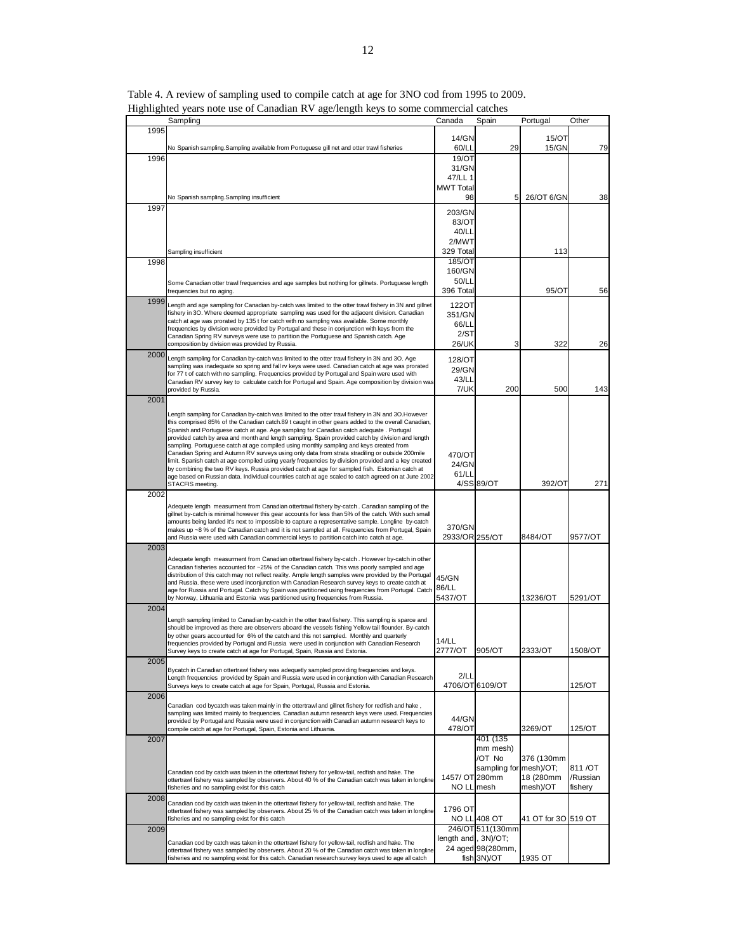|      | raginizativa years note ase or canadian is v age/reaguracys to some commercial catenes<br>Sampling                                                                                                          | Canada                       | Spain                  | Portugal              | Other               |
|------|-------------------------------------------------------------------------------------------------------------------------------------------------------------------------------------------------------------|------------------------------|------------------------|-----------------------|---------------------|
| 1995 |                                                                                                                                                                                                             |                              |                        |                       |                     |
|      |                                                                                                                                                                                                             | 14/GN                        |                        | 15/OT                 |                     |
|      | No Spanish sampling.Sampling available from Portuguese gill net and otter trawl fisheries                                                                                                                   | 60/LL                        | 29                     | 15/GN                 | 79                  |
| 1996 |                                                                                                                                                                                                             | 19/OT                        |                        |                       |                     |
|      |                                                                                                                                                                                                             | 31/GN<br>47/LL 1             |                        |                       |                     |
|      |                                                                                                                                                                                                             | <b>MWT Total</b>             |                        |                       |                     |
|      | No Spanish sampling.Sampling insufficient                                                                                                                                                                   | 98                           | 5                      | 26/OT 6/GN            | 38                  |
| 1997 |                                                                                                                                                                                                             |                              |                        |                       |                     |
|      |                                                                                                                                                                                                             | 203/GN<br>83/OT              |                        |                       |                     |
|      |                                                                                                                                                                                                             | 40/LL                        |                        |                       |                     |
|      |                                                                                                                                                                                                             | 2/MWT                        |                        |                       |                     |
|      | Sampling insufficient                                                                                                                                                                                       | 329 Total                    |                        | 113                   |                     |
| 1998 |                                                                                                                                                                                                             | 185/OT                       |                        |                       |                     |
|      |                                                                                                                                                                                                             | 160/GN                       |                        |                       |                     |
|      | Some Canadian otter trawl frequencies and age samples but nothing for gillnets. Portuguese length                                                                                                           | 50/LL                        |                        |                       |                     |
|      | frequencies but no aging.                                                                                                                                                                                   | 396 Total                    |                        | 95/OT                 | 56                  |
| 1999 | Length and age sampling for Canadian by-catch was limited to the otter trawl fishery in 3N and gillnet                                                                                                      | 122OT                        |                        |                       |                     |
|      | fishery in 3O. Where deemed appropriate sampling was used for the adjacent division. Canadian<br>catch at age was prorated by 135 t for catch with no sampling was available. Some monthly                  | 351/GN                       |                        |                       |                     |
|      | frequencies by division were provided by Portugal and these in conjunction with keys from the                                                                                                               | 66/LL                        |                        |                       |                     |
|      | Canadian Spring RV surveys were use to partition the Portuguese and Spanish catch. Age                                                                                                                      | 2/ST                         | 3                      | 322                   |                     |
| 2000 | composition by division was provided by Russia.                                                                                                                                                             | 26/UK                        |                        |                       | 26                  |
|      | Length sampling for Canadian by-catch was limited to the otter trawl fishery in 3N and 3O. Age<br>sampling was inadequate so spring and fall rv keys were used. Canadian catch at age was prorated          | 128/OT                       |                        |                       |                     |
|      | for 77 t of catch with no sampling. Frequencies provided by Portugal and Spain were used with                                                                                                               | 29/GN                        |                        |                       |                     |
|      | Canadian RV survey key to calculate catch for Portugal and Spain. Age composition by division was                                                                                                           | 43/LL                        |                        |                       |                     |
|      | provided by Russia.                                                                                                                                                                                         | 7/UK                         | 200                    | 500                   | 143                 |
| 2001 |                                                                                                                                                                                                             |                              |                        |                       |                     |
|      | Length sampling for Canadian by-catch was limited to the otter trawl fishery in 3N and 3O. However                                                                                                          |                              |                        |                       |                     |
|      | this comprised 85% of the Canadian catch.89 t caught in other gears added to the overall Canadian,<br>Spanish and Portuguese catch at age. Age sampling for Canadian catch adequate . Portugal              |                              |                        |                       |                     |
|      | provided catch by area and month and length sampling. Spain provided catch by division and length                                                                                                           |                              |                        |                       |                     |
|      | sampling. Portuguese catch at age compiled using monthly sampling and keys created from<br>Canadian Spring and Autumn RV surveys using only data from strata stradiling or outside 200mile                  |                              |                        |                       |                     |
|      | limit. Spanish catch at age compiled using yearly frequencies by division provided and a key created                                                                                                        | 470/OT                       |                        |                       |                     |
|      | by combining the two RV keys. Russia provided catch at age for sampled fish. Estonian catch at                                                                                                              | 24/GN<br>61/LL               |                        |                       |                     |
|      | age based on Russian data. Individual countries catch at age scaled to catch agreed on at June 2002<br>STACFIS meeting.                                                                                     |                              | 4/SS 89/OT             | 392/OT                | 271                 |
| 2002 |                                                                                                                                                                                                             |                              |                        |                       |                     |
|      | Adequete length measurment from Canadian ottertrawl fishery by-catch . Canadian sampling of the                                                                                                             |                              |                        |                       |                     |
|      | gillnet by-catch is minimal however this gear accounts for less than 5% of the catch. With such small                                                                                                       |                              |                        |                       |                     |
|      | amounts being landed it's next to impossible to capture a representative sample. Longline by-catch<br>makes up ~8 % of the Canadian catch and it is not sampled at all. Frequencies from Portugal, Spain    | 370/GN                       |                        |                       |                     |
|      | and Russia were used with Canadian commercial keys to partition catch into catch at age.                                                                                                                    | 2933/OR 255/OT               |                        | 8484/OT               | 9577/OT             |
| 2003 |                                                                                                                                                                                                             |                              |                        |                       |                     |
|      | Adequete length measurment from Canadian ottertrawl fishery by-catch. However by-catch in other                                                                                                             |                              |                        |                       |                     |
|      | Canadian fisheries accounted for ~25% of the Canadian catch. This was poorly sampled and age<br>distribution of this catch may not reflect reality. Ample length samples were provided by the Portugal      |                              |                        |                       |                     |
|      | and Russia. these were used inconjunction with Canadian Research survey keys to create catch at                                                                                                             | 45/GN                        |                        |                       |                     |
|      | age for Russia and Portugal. Catch by Spain was partitioned using frequencies from Portugal. Catch                                                                                                          | 86/LL<br>5437/OT             |                        | 13236/OT              | 5291/OT             |
| 2004 | by Norway, Lithuania and Estonia was partitioned using frequencies from Russia.                                                                                                                             |                              |                        |                       |                     |
|      |                                                                                                                                                                                                             |                              |                        |                       |                     |
|      | Length sampling limited to Canadian by-catch in the otter trawl fishery. This sampling is sparce and<br>should be improved as there are observers aboard the vessels fishing Yellow tail flounder. By-catch |                              |                        |                       |                     |
|      | by other gears accounted for 6% of the catch and this not sampled. Monthly and quarterly                                                                                                                    | 14/LL                        |                        |                       |                     |
|      | frequencies provided by Portugal and Russia were used in conjunction with Canadian Research<br>Survey keys to create catch at age for Portugal, Spain, Russia and Estonia.                                  | 2777/OT                      | 905/OT                 | 2333/OT               | 1508/OT             |
| 2005 |                                                                                                                                                                                                             |                              |                        |                       |                     |
|      | Bycatch in Canadian ottertrawl fishery was adequetly sampled providing frequencies and keys.                                                                                                                | 2/LL                         |                        |                       |                     |
|      | Length frequencies provided by Spain and Russia were used in conjunction with Canadian Research<br>Surveys keys to create catch at age for Spain, Portugal, Russia and Estonia.                             |                              | 4706/OT 6109/OT        |                       | 125/OT              |
| 2006 |                                                                                                                                                                                                             |                              |                        |                       |                     |
|      | , Canadian cod bycatch was taken mainly in the ottertrawl and gillnet fishery for redfish and hake                                                                                                          |                              |                        |                       |                     |
|      | sampling was limited mainly to frequencies. Canadian autumn research keys were used. Frequencies                                                                                                            | 44/GN                        |                        |                       |                     |
|      | provided by Portugal and Russia were used in conjunction with Canadian autumn research keys to<br>compile catch at age for Portugal, Spain, Estonia and Lithuania.                                          | 478/OT                       |                        | 3269/OT               | 125/OT              |
| 2007 |                                                                                                                                                                                                             |                              | 401 (135               |                       |                     |
|      |                                                                                                                                                                                                             |                              | mm mesh)               |                       |                     |
|      |                                                                                                                                                                                                             |                              | /OT No                 | 376 (130mm            |                     |
|      | Canadian cod by catch was taken in the ottertrawl fishery for yellow-tail, redfish and hake. The                                                                                                            |                              | sampling for mesh)/OT; |                       | 811/OT              |
|      | ottertrawl fishery was sampled by observers. About 40 % of the Canadian catch was taken in longline<br>fisheries and no sampling exist for this catch                                                       | 1457/ OT 280mm<br>NO LL mesh |                        | 18 (280mm<br>mesh)/OT | /Russian<br>fishery |
| 2008 |                                                                                                                                                                                                             |                              |                        |                       |                     |
|      | Canadian cod by catch was taken in the ottertrawl fishery for yellow-tail, redfish and hake. The                                                                                                            | 1796 OT                      |                        |                       |                     |
|      | ottertrawl fishery was sampled by observers. About 25 % of the Canadian catch was taken in longline<br>fisheries and no sampling exist for this catch                                                       |                              | <b>NO LL 408 OT</b>    | 41 OT for 30 519 OT   |                     |
| 2009 |                                                                                                                                                                                                             |                              | 246/OT 511(130mm       |                       |                     |
|      | Canadian cod by catch was taken in the ottertrawl fishery for yellow-tail, redfish and hake. The                                                                                                            | length and, 3N)/OT;          |                        |                       |                     |
|      | ottertrawl fishery was sampled by observers. About 20 % of the Canadian catch was taken in longline                                                                                                         |                              | 24 aged 98(280mm,      |                       |                     |
|      | fisheries and no sampling exist for this catch. Canadian research survey keys used to age all catch                                                                                                         |                              | fish 3N)/OT            | 1935 OT               |                     |

Table 4. A review of sampling used to compile catch at age for 3NO cod from 1995 to 2009. Highlighted years note use of Canadian RV age/length keys to some commercial catches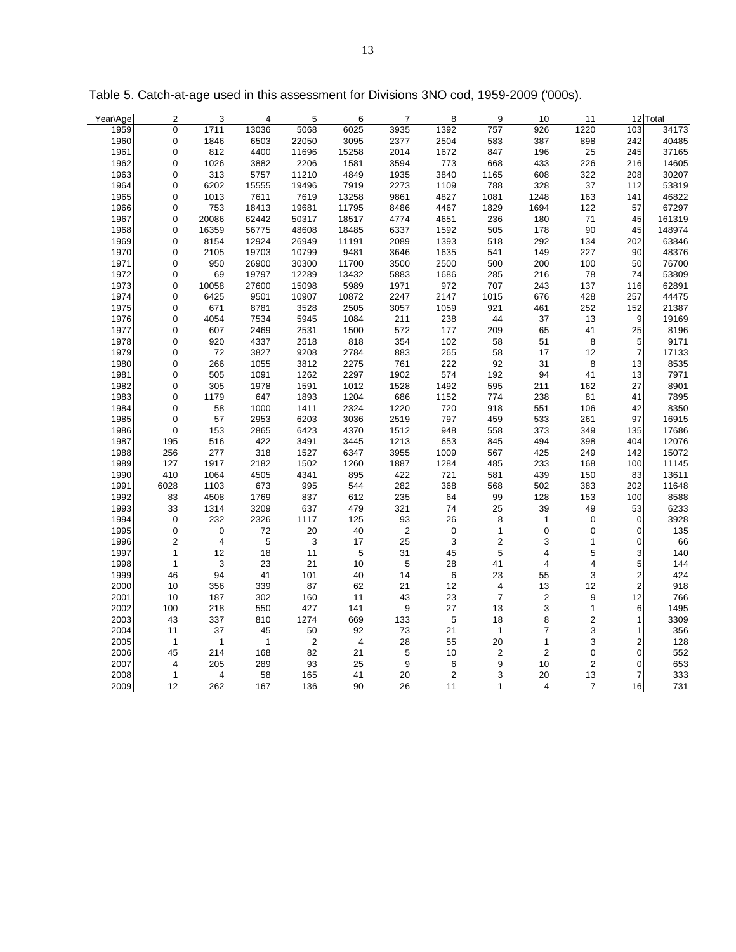| Year\Age | $\overline{2}$          | 3                         | $\overline{4}$ | 5          | 6              | 7          | 8              | 9                       | 10                      | 11             |                         | 12 Total |
|----------|-------------------------|---------------------------|----------------|------------|----------------|------------|----------------|-------------------------|-------------------------|----------------|-------------------------|----------|
| 1959     | $\mathbf 0$             | 1711                      | 13036          | 5068       | 6025           | 3935       | 1392           | 757                     | 926                     | 1220           | 103                     | 34173    |
| 1960     | $\mathbf 0$             | 1846                      | 6503           | 22050      | 3095           | 2377       | 2504           | 583                     | 387                     | 898            | 242                     | 40485    |
| 1961     | $\mathbf 0$             | 812                       | 4400           | 11696      | 15258          | 2014       | 1672           | 847                     | 196                     | 25             | 245                     | 37165    |
| 1962     | $\mathbf 0$             | 1026                      | 3882           | 2206       | 1581           | 3594       | 773            | 668                     | 433                     | 226            | 216                     | 14605    |
| 1963     | 0                       | 313                       | 5757           | 11210      | 4849           | 1935       | 3840           | 1165                    | 608                     | 322            | 208                     | 30207    |
| 1964     | $\mathbf 0$             | 6202                      | 15555          | 19496      | 7919           | 2273       | 1109           | 788                     | 328                     | 37             | 112                     | 53819    |
| 1965     | $\mathbf 0$             | 1013                      | 7611           | 7619       | 13258          | 9861       | 4827           | 1081                    | 1248                    | 163            | 141                     | 46822    |
| 1966     | $\mathbf 0$             | 753                       | 18413          | 19681      | 11795          | 8486       | 4467           | 1829                    | 1694                    | 122            | 57                      | 67297    |
| 1967     | $\mathbf 0$             | 20086                     | 62442          | 50317      | 18517          | 4774       | 4651           | 236                     | 180                     | 71             | 45                      | 161319   |
| 1968     | 0                       | 16359                     | 56775          | 48608      | 18485          | 6337       | 1592           | 505                     | 178                     | 90             | 45                      | 148974   |
| 1969     | $\mathbf 0$             | 8154                      | 12924          | 26949      | 11191          | 2089       | 1393           | 518                     | 292                     | 134            | 202                     | 63846    |
| 1970     | $\mathbf 0$             | 2105                      | 19703          | 10799      | 9481           | 3646       | 1635           | 541                     | 149                     | 227            | 90                      | 48376    |
| 1971     | $\mathbf 0$             | 950                       | 26900          | 30300      | 11700          | 3500       | 2500           | 500                     | 200                     | 100            | 50                      | 76700    |
| 1972     | $\mathbf 0$             | 69                        | 19797          | 12289      | 13432          | 5883       | 1686           | 285                     | 216                     | 78             | 74                      | 53809    |
| 1973     | 0                       | 10058                     | 27600          | 15098      | 5989           | 1971       | 972            | 707                     | 243                     | 137            | 116                     | 62891    |
| 1974     | $\mathbf 0$             | 6425                      | 9501           | 10907      | 10872          | 2247       | 2147           | 1015                    | 676                     | 428            | 257                     | 44475    |
| 1975     | $\mathbf 0$             | 671                       | 8781           | 3528       | 2505           | 3057       | 1059           | 921                     | 461                     | 252            | 152                     | 21387    |
| 1976     | $\mathbf 0$             | 4054                      | 7534           | 5945       | 1084           | 211        | 238            | 44                      | 37                      | 13             | 9                       | 19169    |
| 1977     | $\mathbf 0$             | 607                       | 2469           | 2531       | 1500           | 572        | 177            | 209                     | 65                      | 41             | 25                      | 8196     |
| 1978     | $\mathbf 0$             | 920                       | 4337           | 2518       | 818            | 354        | 102            | 58                      | 51                      | $\bf 8$        | 5                       | 9171     |
| 1979     | $\mathbf 0$             | 72                        | 3827           | 9208       | 2784           | 883        | 265            | 58                      | 17                      | 12             | $\overline{7}$          | 17133    |
| 1980     | $\mathbf 0$             | 266                       | 1055           | 3812       | 2275           | 761        | 222            | 92                      | 31                      | 8              | 13                      | 8535     |
| 1981     | $\mathbf 0$             | 505                       | 1091           | 1262       | 2297           | 1902       | 574            | 192                     | 94                      | 41             | 13                      | 7971     |
| 1982     | 0                       | 305                       | 1978           | 1591       | 1012           | 1528       | 1492           | 595                     | 211                     | 162            | 27                      | 8901     |
| 1983     | $\mathbf 0$             | 1179                      | 647            | 1893       | 1204           | 686        | 1152           | 774                     | 238                     | 81             | 41                      | 7895     |
| 1984     | $\mathbf 0$             | 58                        | 1000           | 1411       | 2324           | 1220       | 720            | 918                     | 551                     | 106            | 42                      | 8350     |
| 1985     | $\mathbf 0$             | 57                        | 2953           | 6203       | 3036           | 2519       | 797            | 459                     | 533                     | 261            | 97                      | 16915    |
| 1986     | $\mathbf 0$             | 153                       | 2865           | 6423       | 4370           | 1512       | 948            | 558                     | 373                     | 349            | 135                     | 17686    |
| 1987     | 195                     | 516                       | 422            | 3491       | 3445           | 1213       | 653            | 845                     | 494                     | 398            | 404                     | 12076    |
| 1988     | 256                     | 277                       | 318            | 1527       | 6347           | 3955       | 1009           | 567                     | 425                     | 249            | 142                     | 15072    |
| 1989     | 127                     | 1917                      | 2182           | 1502       | 1260           | 1887       | 1284           | 485                     | 233                     | 168            | 100                     | 11145    |
| 1990     | 410                     | 1064                      | 4505           | 4341       | 895            | 422        | 721            | 581                     | 439                     | 150            | 83                      | 13611    |
| 1991     | 6028                    | 1103                      | 673            | 995        | 544            | 282        | 368            | 568                     | 502                     | 383            | 202                     | 11648    |
| 1992     | 83                      | 4508                      | 1769           | 837        | 612            | 235        | 64             | 99                      | 128                     | 153            | 100                     | 8588     |
| 1993     | 33                      | 1314                      | 3209           | 637        | 479            | 321        | 74             | 25                      | 39                      | 49             | 53                      | 6233     |
| 1994     | $\mathbf 0$             | 232                       | 2326           | 1117       | 125            | 93         | 26             | 8                       | $\mathbf{1}$            | $\mathbf 0$    | $\mathbf 0$             | 3928     |
| 1995     | $\pmb{0}$               | $\pmb{0}$                 | 72             | 20         | $40\,$         | $\sqrt{2}$ | $\mathsf 0$    | $\mathbf{1}$            | $\pmb{0}$               | $\pmb{0}$      | $\mathbf 0$             | 135      |
| 1996     | $\overline{2}$          | $\overline{4}$            | $\mathbf 5$    | 3          | 17             | 25         | 3              | $\overline{2}$          | 3                       | $\mathbf{1}$   | $\mathbf 0$             | 66       |
| 1997     | $\mathbf{1}$            | 12                        | 18             | 11         | $\overline{5}$ | 31         | 45             | 5                       | $\overline{\mathbf{4}}$ | 5              | 3                       | 140      |
| 1998     | $\mathbf{1}$            | $\ensuremath{\mathsf{3}}$ | 23             | 21         | 10             | 5          | 28             | 41                      | $\overline{\mathbf{4}}$ | 4              | 5                       | 144      |
| 1999     | 46                      | 94                        | 41             | 101        | 40             | 14         | 6              | 23                      | 55                      | 3              | $\overline{\mathbf{c}}$ | 424      |
| 2000     | 10                      | 356                       | 339            | 87         | 62             | 21         | 12             | $\overline{\mathbf{4}}$ | 13                      | 12             | $\overline{c}$          | 918      |
| 2001     | 10                      | 187                       | 302            | 160        | 11             | 43         | 23             | $\overline{7}$          | $\sqrt{2}$              | 9              | 12                      | 766      |
| 2002     | 100                     | 218                       | 550            | 427        | 141            | 9          | 27             | 13                      | $\sqrt{3}$              | 1              | 6                       | 1495     |
| 2003     | 43                      | 337                       | 810            | 1274       | 669            | 133        | $\,$ 5 $\,$    | 18                      | 8                       | $\overline{2}$ | $\mathbf{1}$            | 3309     |
| 2004     | 11                      | 37                        | 45             | 50         | 92             | 73         | 21             | $\mathbf{1}$            | $\overline{7}$          | 3              | $\mathbf{1}$            | 356      |
| 2005     | $\mathbf{1}$            | $\mathbf{1}$              | $\overline{1}$ | $\sqrt{2}$ | $\overline{4}$ | 28         | 55             | 20                      | 1                       | 3              | $\overline{\mathbf{c}}$ | 128      |
| 2006     | 45                      | 214                       | 168            | 82         | 21             | 5          | 10             | $\overline{2}$          | $\overline{2}$          | 0              | $\mathbf 0$             | 552      |
| 2007     | $\overline{\mathbf{4}}$ | 205                       | 289            | 93         | 25             | $9\,$      | 6              | 9                       | 10                      | $\overline{c}$ | $\pmb{0}$               | 653      |
| 2008     | $\mathbf{1}$            | $\overline{4}$            | 58             | 165        | 41             | 20         | $\overline{2}$ | 3                       | 20                      | 13             | 7                       | 333      |
| 2009     | 12                      | 262                       | 167            | 136        | 90             | 26         | 11             | $\mathbf{1}$            | $\overline{4}$          | $\overline{7}$ | 16                      | 731      |

Table 5. Catch-at-age used in this assessment for Divisions 3NO cod, 1959-2009 ('000s).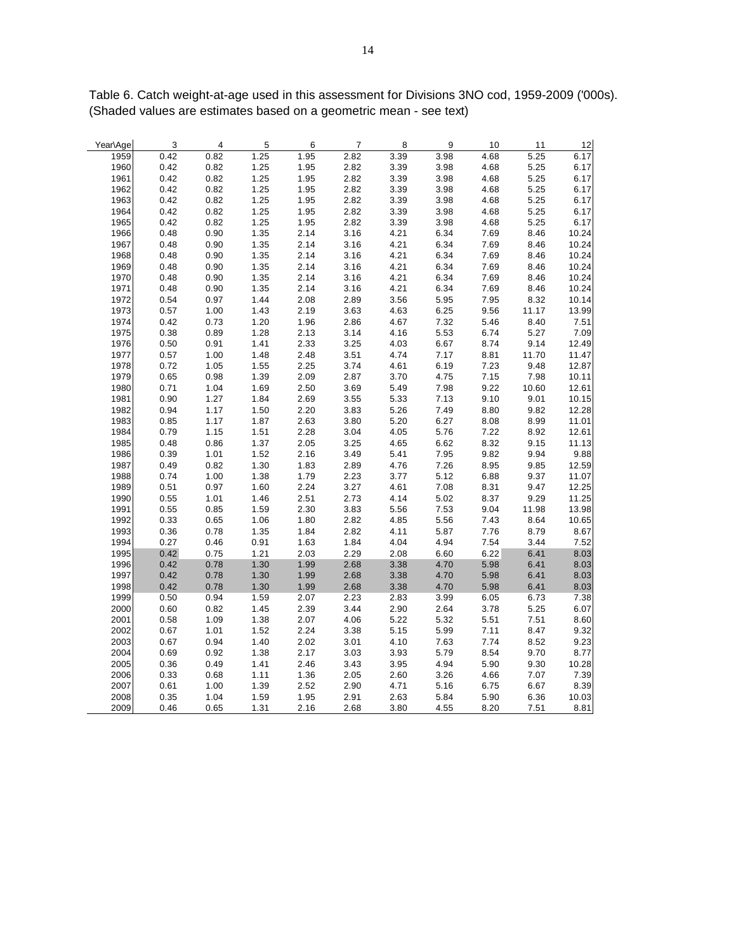| Year\Age | $\overline{\mathbf{3}}$ | $\overline{4}$ | 5    | $6\overline{6}$ | $\overline{7}$ | 8 <sup>8</sup> | $\overline{9}$ | 10   | 11    | 12    |
|----------|-------------------------|----------------|------|-----------------|----------------|----------------|----------------|------|-------|-------|
| 1959     | 0.42                    | 0.82           | 1.25 | 1.95            | 2.82           | 3.39           | 3.98           | 4.68 | 5.25  | 6.17  |
| 1960     | 0.42                    | 0.82           | 1.25 | 1.95            | 2.82           | 3.39           | 3.98           | 4.68 | 5.25  | 6.17  |
| 1961     | 0.42                    | 0.82           | 1.25 | 1.95            | 2.82           | 3.39           | 3.98           | 4.68 | 5.25  | 6.17  |
| 1962     | 0.42                    | 0.82           | 1.25 | 1.95            | 2.82           | 3.39           | 3.98           | 4.68 | 5.25  | 6.17  |
| 1963     | 0.42                    | 0.82           | 1.25 | 1.95            | 2.82           | 3.39           | 3.98           | 4.68 | 5.25  | 6.17  |
| 1964     | 0.42                    | 0.82           | 1.25 | 1.95            | 2.82           | 3.39           | 3.98           | 4.68 | 5.25  | 6.17  |
| 1965     | 0.42                    | 0.82           | 1.25 | 1.95            | 2.82           | 3.39           | 3.98           | 4.68 | 5.25  | 6.17  |
| 1966     | 0.48                    | 0.90           | 1.35 | 2.14            | 3.16           | 4.21           | 6.34           | 7.69 | 8.46  | 10.24 |
| 1967     | 0.48                    | 0.90           | 1.35 | 2.14            | 3.16           | 4.21           | 6.34           | 7.69 | 8.46  | 10.24 |
| 1968     | 0.48                    | 0.90           | 1.35 | 2.14            | 3.16           | 4.21           | 6.34           | 7.69 | 8.46  | 10.24 |
| 1969     | 0.48                    | 0.90           | 1.35 | 2.14            | 3.16           | 4.21           | 6.34           | 7.69 | 8.46  | 10.24 |
| 1970     | 0.48                    | 0.90           | 1.35 | 2.14            | 3.16           | 4.21           | 6.34           | 7.69 | 8.46  | 10.24 |
| 1971     | 0.48                    | 0.90           | 1.35 | 2.14            | 3.16           | 4.21           | 6.34           | 7.69 | 8.46  | 10.24 |
| 1972     | 0.54                    | 0.97           | 1.44 | 2.08            | 2.89           | 3.56           | 5.95           | 7.95 | 8.32  | 10.14 |
| 1973     | 0.57                    | 1.00           | 1.43 | 2.19            | 3.63           | 4.63           | 6.25           | 9.56 | 11.17 | 13.99 |
| 1974     | 0.42                    | 0.73           | 1.20 | 1.96            | 2.86           | 4.67           | 7.32           | 5.46 | 8.40  | 7.51  |
| 1975     | 0.38                    | 0.89           | 1.28 | 2.13            | 3.14           | 4.16           | 5.53           | 6.74 | 5.27  | 7.09  |
| 1976     | 0.50                    | 0.91           | 1.41 | 2.33            | 3.25           | 4.03           | 6.67           | 8.74 | 9.14  | 12.49 |
| 1977     | 0.57                    | 1.00           | 1.48 | 2.48            | 3.51           | 4.74           | 7.17           | 8.81 | 11.70 | 11.47 |
| 1978     | 0.72                    | 1.05           | 1.55 | 2.25            | 3.74           | 4.61           | 6.19           | 7.23 | 9.48  | 12.87 |
| 1979     | 0.65                    | 0.98           | 1.39 | 2.09            | 2.87           | 3.70           | 4.75           | 7.15 | 7.98  | 10.11 |
| 1980     | 0.71                    | 1.04           | 1.69 | 2.50            | 3.69           | 5.49           | 7.98           | 9.22 | 10.60 | 12.61 |
| 1981     | 0.90                    | 1.27           | 1.84 | 2.69            | 3.55           | 5.33           | 7.13           | 9.10 | 9.01  | 10.15 |
| 1982     | 0.94                    | 1.17           | 1.50 | 2.20            | 3.83           | 5.26           | 7.49           | 8.80 | 9.82  | 12.28 |
| 1983     | 0.85                    | 1.17           | 1.87 | 2.63            | 3.80           | 5.20           | 6.27           | 8.08 | 8.99  | 11.01 |
| 1984     | 0.79                    | 1.15           | 1.51 | 2.28            | 3.04           | 4.05           | 5.76           | 7.22 | 8.92  | 12.61 |
| 1985     | 0.48                    | 0.86           | 1.37 | 2.05            | 3.25           | 4.65           | 6.62           | 8.32 | 9.15  | 11.13 |
| 1986     | 0.39                    | 1.01           | 1.52 | 2.16            | 3.49           | 5.41           | 7.95           | 9.82 | 9.94  | 9.88  |
| 1987     | 0.49                    | 0.82           | 1.30 | 1.83            | 2.89           | 4.76           | 7.26           | 8.95 | 9.85  | 12.59 |
| 1988     | 0.74                    | 1.00           | 1.38 | 1.79            | 2.23           | 3.77           | 5.12           | 6.88 | 9.37  | 11.07 |
| 1989     | 0.51                    | 0.97           | 1.60 | 2.24            | 3.27           | 4.61           | 7.08           | 8.31 | 9.47  | 12.25 |
| 1990     | 0.55                    | 1.01           | 1.46 | 2.51            | 2.73           | 4.14           | 5.02           | 8.37 | 9.29  | 11.25 |
| 1991     | 0.55                    | 0.85           | 1.59 | 2.30            | 3.83           | 5.56           | 7.53           | 9.04 | 11.98 | 13.98 |
| 1992     | 0.33                    | 0.65           | 1.06 | 1.80            | 2.82           | 4.85           | 5.56           | 7.43 | 8.64  | 10.65 |
| 1993     | 0.36                    | 0.78           | 1.35 | 1.84            | 2.82           | 4.11           | 5.87           | 7.76 | 8.79  | 8.67  |
| 1994     | 0.27                    | 0.46           | 0.91 | 1.63            | 1.84           | 4.04           | 4.94           | 7.54 | 3.44  | 7.52  |
| 1995     | 0.42                    | 0.75           | 1.21 | 2.03            | 2.29           | 2.08           | 6.60           | 6.22 | 6.41  | 8.03  |
| 1996     | 0.42                    | 0.78           | 1.30 | 1.99            | 2.68           | 3.38           | 4.70           | 5.98 | 6.41  | 8.03  |
| 1997     | 0.42                    | 0.78           | 1.30 | 1.99            | 2.68           | 3.38           | 4.70           | 5.98 | 6.41  | 8.03  |
| 1998     | 0.42                    | 0.78           | 1.30 | 1.99            | 2.68           | 3.38           | 4.70           | 5.98 | 6.41  | 8.03  |
| 1999     | 0.50                    | 0.94           | 1.59 | 2.07            | 2.23           | 2.83           | 3.99           | 6.05 | 6.73  | 7.38  |
| 2000     | $0.60\,$                | 0.82           | 1.45 | 2.39            | 3.44           | 2.90           | 2.64           | 3.78 | 5.25  | 6.07  |
| 2001     | 0.58                    | 1.09           | 1.38 | 2.07            | 4.06           | 5.22           | 5.32           | 5.51 | 7.51  | 8.60  |
| 2002     | 0.67                    | 1.01           | 1.52 | 2.24            | 3.38           | 5.15           | 5.99           | 7.11 | 8.47  | 9.32  |
| 2003     | 0.67                    | 0.94           | 1.40 | 2.02            | 3.01           | 4.10           | 7.63           | 7.74 | 8.52  | 9.23  |
| 2004     | 0.69                    | 0.92           | 1.38 | 2.17            | 3.03           | 3.93           | 5.79           | 8.54 | 9.70  | 8.77  |
| 2005     | 0.36                    | 0.49           | 1.41 | 2.46            | 3.43           | 3.95           | 4.94           | 5.90 | 9.30  | 10.28 |
| 2006     | 0.33                    | 0.68           | 1.11 | 1.36            | 2.05           | 2.60           | 3.26           | 4.66 | 7.07  | 7.39  |
| 2007     | 0.61                    | 1.00           | 1.39 | 2.52            | 2.90           | 4.71           | 5.16           | 6.75 | 6.67  | 8.39  |
| 2008     | 0.35                    | 1.04           | 1.59 | 1.95            | 2.91           | 2.63           | 5.84           | 5.90 | 6.36  | 10.03 |
| 2009     | 0.46                    | 0.65           | 1.31 | 2.16            | 2.68           | 3.80           | 4.55           | 8.20 | 7.51  | 8.81  |

Table 6. Catch weight-at-age used in this assessment for Divisions 3NO cod, 1959-2009 ('000s). (Shaded values are estimates based on a geometric mean - see text)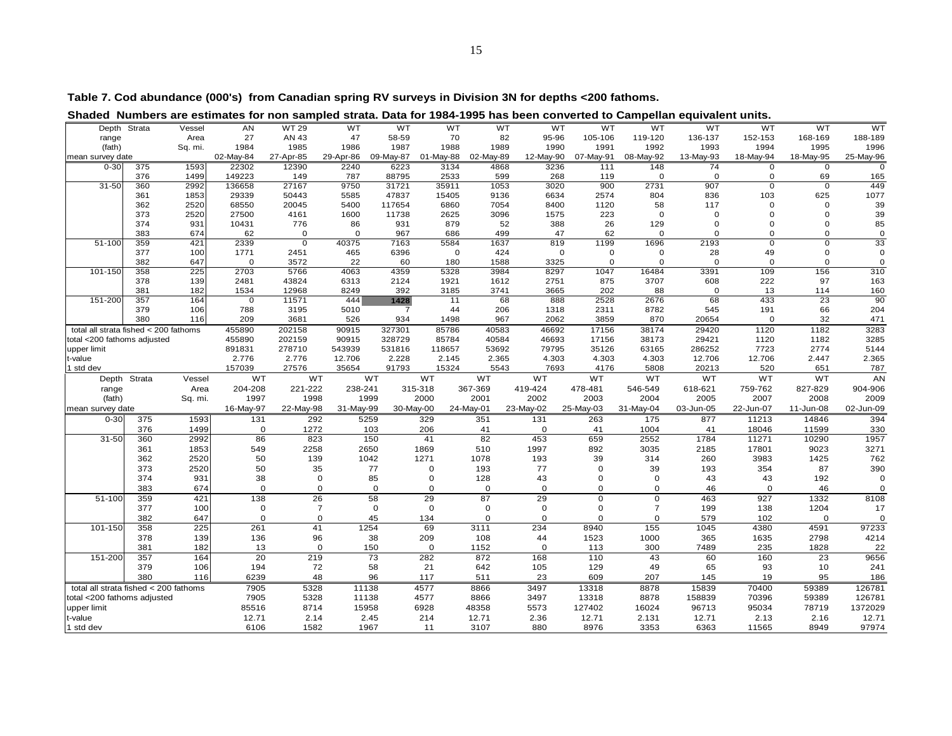| WT<br><b>WT 29</b><br><b>WT</b><br>WT<br><b>WT</b><br><b>WT</b><br>Depth Strata<br><b>AN</b><br>WT<br><b>WT</b><br><b>WT</b><br>WT<br><b>WT</b><br><b>WT</b><br>Vessel<br>AN 43<br>82<br>27<br>47<br>58-59<br>70<br>95-96<br>105-106<br>119-120<br>136-137<br>152-153<br>168-169<br>188-189<br>range<br>Area<br>1984<br>1985<br>1987<br>1989<br>1990<br>1992<br>1993<br>1994<br>1995<br>1996<br>(fath)<br>Sq. mi.<br>1986<br>1988<br>1991<br>02-May-84<br>29-Apr-86<br>09-May-87<br>02-May-89<br>08-May-92<br>25-May-96<br>27-Apr-85<br>01-May-88<br>12-May-90<br>07-May-91<br>13-May-93<br>18-May-94<br>18-May-95<br>mean survey date<br>$0 - 30$<br>375<br>1593<br>22302<br>12390<br>2240<br>6223<br>3134<br>4868<br>148<br>3236<br>111<br>74<br>0<br>0<br>376<br>1499<br>149223<br>149<br>787<br>88795<br>2533<br>599<br>268<br>119<br>$\mathbf 0$<br>69<br>165<br>$\mathbf 0$<br>$\mathbf 0$<br>$31 - 50$<br>27167<br>9750<br>900<br>2731<br>907<br>449<br>360<br>2992<br>136658<br>31721<br>35911<br>1053<br>3020<br>$\mathbf 0$<br>$\mathbf 0$<br>625<br>1077<br>1853<br>29339<br>50443<br>5585<br>47837<br>15405<br>9136<br>6634<br>2574<br>804<br>836<br>103<br>361<br>2520<br>68550<br>20045<br>5400<br>117654<br>6860<br>7054<br>1120<br>117<br>39<br>362<br>8400<br>58<br>0<br>$\mathbf 0$<br>373<br>39<br>2520<br>27500<br>4161<br>1600<br>2625<br>3096<br>1575<br>223<br>$\mathbf 0$<br>11738<br>$\Omega$<br>$\Omega$<br>$\Omega$<br>374<br>931<br>10431<br>776<br>879<br>85<br>86<br>931<br>52<br>388<br>26<br>129<br>$\Omega$<br>$\Omega$<br>$\Omega$<br>383<br>674<br>62<br>$\mathbf 0$<br>967<br>686<br>499<br>47<br>62<br>$\mathbf 0$<br>$\Omega$<br>$\Omega$<br>0<br>$\mathbf 0$<br>$\mathbf 0$<br>33<br>$51 - 100$<br>40375<br>5584<br>1637<br>819<br>1199<br>1696<br>2193<br>359<br>421<br>2339<br>$\mathbf 0$<br>7163<br>0<br>$\mathbf 0$<br>377<br>100<br>2451<br>465<br>6396<br>424<br>28<br>49<br>1771<br>$\mathbf 0$<br>$\mathbf 0$<br>$\Omega$<br>$\Omega$<br>0<br>0<br>382<br>3572<br>647<br>$\Omega$<br>22<br>60<br>1588<br>3325<br>$\mathbf 0$<br>$\mathbf 0$<br>$\mathbf 0$<br>$\mathbf 0$<br>180<br>$\Omega$<br>$\Omega$<br>156<br>310<br>101-150<br>358<br>225<br>2703<br>5766<br>4063<br>4359<br>5328<br>3984<br>8297<br>1047<br>16484<br>3391<br>109<br>139<br>43824<br>6313<br>2751<br>875<br>3707<br>222<br>97<br>163<br>378<br>2481<br>2124<br>1921<br>1612<br>608<br>381<br>182<br>12968<br>8249<br>202<br>88<br>160<br>1534<br>392<br>3185<br>3741<br>3665<br>13<br>114<br>$\Omega$<br>151-200<br>444<br>68<br>2676<br>68<br>433<br>23<br>90<br>357<br>164<br>$\Omega$<br>11571<br>1428<br>11<br>888<br>2528<br>379<br>106<br>3195<br>5010<br>44<br>206<br>2311<br>8782<br>545<br>191<br>66<br>204<br>788<br>$\overline{7}$<br>1318<br>380<br>209<br>3681<br>526<br>1498<br>967<br>2062<br>3859<br>870<br>32<br>471<br>116<br>934<br>20654<br>$\mathbf 0$<br>3283<br>455890<br>90915<br>327301<br>85786<br>40583<br>46692<br>38174<br>29420<br>1120<br>1182<br>total all strata fished < 200 fathoms<br>202158<br>17156<br>3285<br>40584<br>29421<br>otal <200 fathoms adjusted<br>455890<br>202159<br>90915<br>328729<br>85784<br>46693<br>17156<br>38173<br>1120<br>1182<br>891831<br>278710<br>543939<br>531816<br>53692<br>79795<br>63165<br>286252<br>7723<br>2774<br>5144<br>upper limit<br>118657<br>35126<br>2.365<br>2.776<br>2.776<br>2.228<br>2.365<br>4.303<br>4.303<br>4.303<br>12.706<br>t-value<br>12.706<br>2.145<br>12.706<br>2.447<br>157039<br>787<br>I std dev<br>27576<br>35654<br>91793<br>15324<br>5543<br>7693<br>4176<br>5808<br>20213<br>520<br>651<br>WT<br>WT<br><b>WT</b><br>WT<br><b>WT</b><br><b>WT</b><br>WT<br><b>WT</b><br>WT<br>WT<br><b>WT</b><br>AN<br>Depth Strata<br>Vessel<br>Area<br>204-208<br>221-222<br>238-241<br>315-318<br>367-369<br>419-424<br>618-621<br>759-762<br>904-906<br>478-481<br>546-549<br>827-829<br>range<br>2007<br>1997<br>1998<br>1999<br>2000<br>2001<br>2002<br>2003<br>2004<br>2005<br>2008<br>2009<br>(fath)<br>Sq. mi.<br>16-May-97<br>22-May-98<br>31-May-99<br>30-May-00<br>24-May-01<br>23-May-02<br>25-May-03<br>31-May-04<br>22-Jun-07<br>02-Jun-09<br>mean survey date<br>03-Jun-05<br>11-Jun-08<br>394<br>$0 - 30$<br>1593<br>131<br>292<br>5259<br>329<br>351<br>131<br>263<br>175<br>877<br>11213<br>14846<br>375<br>376<br>1499<br>330<br>0<br>1272<br>103<br>206<br>41<br>$\mathbf 0$<br>41<br>1004<br>41<br>18046<br>11599<br>31-50<br>2992<br>86<br>823<br>150<br>41<br>82<br>453<br>659<br>2552<br>11271<br>10290<br>1957<br>360<br>1784<br>3035<br>3271<br>361<br>1853<br>549<br>2258<br>2650<br>1869<br>510<br>1997<br>892<br>17801<br>9023<br>2185<br>362<br>50<br>1271<br>1078<br>39<br>314<br>3983<br>762<br>2520<br>139<br>1042<br>193<br>260<br>1425<br>373<br>2520<br>50<br>193<br>77<br>39<br>354<br>390<br>35<br>77<br>$\Omega$<br>$\mathbf 0$<br>193<br>87<br>374<br>931<br>38<br>$\mathsf{O}\xspace$<br>85<br>43<br>43<br>0<br>128<br>$\mathbf 0$<br>$\mathbf 0$<br>43<br>192<br>$\mathbf 0$<br>383<br>674<br>$\mathbf 0$<br>$\mathbf 0$<br>$\mathbf 0$<br>$\mathbf 0$<br>$\mathbf 0$<br>$\mathbf 0$<br>$\mathbf 0$<br>$\Omega$<br>$\mathbf{O}$<br>46<br>46<br>$\Omega$<br>$51 - 100$<br>359<br>138<br>26<br>58<br>29<br>87<br>29<br>421<br>$\mathbf 0$<br>0<br>463<br>927<br>1332<br>8108<br>$\overline{7}$<br>377<br>$\mathbf 0$<br>$\overline{7}$<br>$\mathbf 0$<br>$\mathbf 0$<br>$\mathbf 0$<br>$\mathbf 0$<br>$\Omega$<br>199<br>138<br>1204<br>17<br>100<br>382<br>647<br>$\mathbf 0$<br>$\mathbf 0$<br>45<br>134<br>$\mathbf 0$<br>$\mathbf 0$<br>579<br>$\mathbf 0$<br>$\Omega$<br>$\mathbf 0$<br>102<br>0<br>41<br>225<br>1254<br>69<br>234<br>155<br>97233<br>101-150<br>358<br>261<br>3111<br>8940<br>1045<br>4380<br>4591<br>378<br>136<br>96<br>38<br>209<br>108<br>44<br>1523<br>1000<br>365<br>1635<br>2798<br>4214<br>139<br>381<br>182<br>13<br>$\mathsf 0$<br>$\mathsf 0$<br>1152<br>$\mathbf 0$<br>300<br>7489<br>235<br>150<br>113<br>1828<br>20<br>151-200<br>357<br>219<br>$\overline{73}$<br>282<br>872<br>9656<br>164<br>168<br>110<br>43<br>60<br>160<br>23<br>379<br>106<br>194<br>72<br>58<br>21<br>642<br>105<br>129<br>49<br>65<br>93<br>10<br>241<br>380<br>6239<br>48<br>96<br>117<br>511<br>23<br>609<br>207<br>145<br>19<br>95<br>186<br>116<br>4577<br>3497<br>8878<br>126781<br>total all strata fished < 200 fathoms<br>7905<br>5328<br>11138<br>8866<br>13318<br>15839<br>70400<br>59389<br>7905<br>13318<br>70396<br>126781<br>total <200 fathoms adjusted<br>5328<br>11138<br>4577<br>8866<br>3497<br>8878<br>158839<br>59389<br>85516<br>127402<br>95034<br>1372029<br>upper limit<br>8714<br>15958<br>6928<br>48358<br>5573<br>16024<br>96713<br>78719<br>2.36<br>12.71<br>2.14<br>2.45<br>214<br>12.71<br>12.71<br>2.131<br>12.71<br>2.13<br>2.16<br>12.71<br>t-value<br>6106<br>1582<br>1967<br>880<br>11 |                                                                                                                           |  |  |  |  |      |      |      |      |       |      |       |
|-----------------------------------------------------------------------------------------------------------------------------------------------------------------------------------------------------------------------------------------------------------------------------------------------------------------------------------------------------------------------------------------------------------------------------------------------------------------------------------------------------------------------------------------------------------------------------------------------------------------------------------------------------------------------------------------------------------------------------------------------------------------------------------------------------------------------------------------------------------------------------------------------------------------------------------------------------------------------------------------------------------------------------------------------------------------------------------------------------------------------------------------------------------------------------------------------------------------------------------------------------------------------------------------------------------------------------------------------------------------------------------------------------------------------------------------------------------------------------------------------------------------------------------------------------------------------------------------------------------------------------------------------------------------------------------------------------------------------------------------------------------------------------------------------------------------------------------------------------------------------------------------------------------------------------------------------------------------------------------------------------------------------------------------------------------------------------------------------------------------------------------------------------------------------------------------------------------------------------------------------------------------------------------------------------------------------------------------------------------------------------------------------------------------------------------------------------------------------------------------------------------------------------------------------------------------------------------------------------------------------------------------------------------------------------------------------------------------------------------------------------------------------------------------------------------------------------------------------------------------------------------------------------------------------------------------------------------------------------------------------------------------------------------------------------------------------------------------------------------------------------------------------------------------------------------------------------------------------------------------------------------------------------------------------------------------------------------------------------------------------------------------------------------------------------------------------------------------------------------------------------------------------------------------------------------------------------------------------------------------------------------------------------------------------------------------------------------------------------------------------------------------------------------------------------------------------------------------------------------------------------------------------------------------------------------------------------------------------------------------------------------------------------------------------------------------------------------------------------------------------------------------------------------------------------------------------------------------------------------------------------------------------------------------------------------------------------------------------------------------------------------------------------------------------------------------------------------------------------------------------------------------------------------------------------------------------------------------------------------------------------------------------------------------------------------------------------------------------------------------------------------------------------------------------------------------------------------------------------------------------------------------------------------------------------------------------------------------------------------------------------------------------------------------------------------------------------------------------------------------------------------------------------------------------------------------------------------------------------------------------------------------------------------------------------------------------------------------------------------------------------------------------------------------------------------------------------------------------------------------------------------------------------------------------------------------------------------------------------------------------------------------------------------------------------------------------------------------------------------------------------------------------------------------------------------------------------------------------------------------------------------------------------------------------------------------------------------------------------------------------------------------------------------------------------------------------------------------------------------------------------------------------------------------------------------------------------------------------------------------------------------------------------------------------------------------------------------------------------------------------------------------------------------------------------------------------------------------------------------------------------------------------------------------------------------------------------------------------------------------------------------------------------------------------------------------------------------------------------------------------------------------------------------------------------------------------------------------------------------------------------------------------|---------------------------------------------------------------------------------------------------------------------------|--|--|--|--|------|------|------|------|-------|------|-------|
|                                                                                                                                                                                                                                                                                                                                                                                                                                                                                                                                                                                                                                                                                                                                                                                                                                                                                                                                                                                                                                                                                                                                                                                                                                                                                                                                                                                                                                                                                                                                                                                                                                                                                                                                                                                                                                                                                                                                                                                                                                                                                                                                                                                                                                                                                                                                                                                                                                                                                                                                                                                                                                                                                                                                                                                                                                                                                                                                                                                                                                                                                                                                                                                                                                                                                                                                                                                                                                                                                                                                                                                                                                                                                                                                                                                                                                                                                                                                                                                                                                                                                                                                                                                                                                                                                                                                                                                                                                                                                                                                                                                                                                                                                                                                                                                                                                                                                                                                                                                                                                                                                                                                                                                                                                                                                                                                                                                                                                                                                                                                                                                                                                                                                                                                                                                                                                                                                                                                                                                                                                                                                                                                                                                                                                                                                                                                                                                                                                                                                                                                                                                                                                                                                                                                                                                                                                                                                               | Shaded Numbers are estimates for non sampled strata. Data for 1984-1995 has been converted to Campellan equivalent units. |  |  |  |  |      |      |      |      |       |      |       |
|                                                                                                                                                                                                                                                                                                                                                                                                                                                                                                                                                                                                                                                                                                                                                                                                                                                                                                                                                                                                                                                                                                                                                                                                                                                                                                                                                                                                                                                                                                                                                                                                                                                                                                                                                                                                                                                                                                                                                                                                                                                                                                                                                                                                                                                                                                                                                                                                                                                                                                                                                                                                                                                                                                                                                                                                                                                                                                                                                                                                                                                                                                                                                                                                                                                                                                                                                                                                                                                                                                                                                                                                                                                                                                                                                                                                                                                                                                                                                                                                                                                                                                                                                                                                                                                                                                                                                                                                                                                                                                                                                                                                                                                                                                                                                                                                                                                                                                                                                                                                                                                                                                                                                                                                                                                                                                                                                                                                                                                                                                                                                                                                                                                                                                                                                                                                                                                                                                                                                                                                                                                                                                                                                                                                                                                                                                                                                                                                                                                                                                                                                                                                                                                                                                                                                                                                                                                                                               |                                                                                                                           |  |  |  |  |      |      |      |      |       |      |       |
|                                                                                                                                                                                                                                                                                                                                                                                                                                                                                                                                                                                                                                                                                                                                                                                                                                                                                                                                                                                                                                                                                                                                                                                                                                                                                                                                                                                                                                                                                                                                                                                                                                                                                                                                                                                                                                                                                                                                                                                                                                                                                                                                                                                                                                                                                                                                                                                                                                                                                                                                                                                                                                                                                                                                                                                                                                                                                                                                                                                                                                                                                                                                                                                                                                                                                                                                                                                                                                                                                                                                                                                                                                                                                                                                                                                                                                                                                                                                                                                                                                                                                                                                                                                                                                                                                                                                                                                                                                                                                                                                                                                                                                                                                                                                                                                                                                                                                                                                                                                                                                                                                                                                                                                                                                                                                                                                                                                                                                                                                                                                                                                                                                                                                                                                                                                                                                                                                                                                                                                                                                                                                                                                                                                                                                                                                                                                                                                                                                                                                                                                                                                                                                                                                                                                                                                                                                                                                               |                                                                                                                           |  |  |  |  |      |      |      |      |       |      |       |
|                                                                                                                                                                                                                                                                                                                                                                                                                                                                                                                                                                                                                                                                                                                                                                                                                                                                                                                                                                                                                                                                                                                                                                                                                                                                                                                                                                                                                                                                                                                                                                                                                                                                                                                                                                                                                                                                                                                                                                                                                                                                                                                                                                                                                                                                                                                                                                                                                                                                                                                                                                                                                                                                                                                                                                                                                                                                                                                                                                                                                                                                                                                                                                                                                                                                                                                                                                                                                                                                                                                                                                                                                                                                                                                                                                                                                                                                                                                                                                                                                                                                                                                                                                                                                                                                                                                                                                                                                                                                                                                                                                                                                                                                                                                                                                                                                                                                                                                                                                                                                                                                                                                                                                                                                                                                                                                                                                                                                                                                                                                                                                                                                                                                                                                                                                                                                                                                                                                                                                                                                                                                                                                                                                                                                                                                                                                                                                                                                                                                                                                                                                                                                                                                                                                                                                                                                                                                                               |                                                                                                                           |  |  |  |  |      |      |      |      |       |      |       |
|                                                                                                                                                                                                                                                                                                                                                                                                                                                                                                                                                                                                                                                                                                                                                                                                                                                                                                                                                                                                                                                                                                                                                                                                                                                                                                                                                                                                                                                                                                                                                                                                                                                                                                                                                                                                                                                                                                                                                                                                                                                                                                                                                                                                                                                                                                                                                                                                                                                                                                                                                                                                                                                                                                                                                                                                                                                                                                                                                                                                                                                                                                                                                                                                                                                                                                                                                                                                                                                                                                                                                                                                                                                                                                                                                                                                                                                                                                                                                                                                                                                                                                                                                                                                                                                                                                                                                                                                                                                                                                                                                                                                                                                                                                                                                                                                                                                                                                                                                                                                                                                                                                                                                                                                                                                                                                                                                                                                                                                                                                                                                                                                                                                                                                                                                                                                                                                                                                                                                                                                                                                                                                                                                                                                                                                                                                                                                                                                                                                                                                                                                                                                                                                                                                                                                                                                                                                                                               |                                                                                                                           |  |  |  |  |      |      |      |      |       |      |       |
|                                                                                                                                                                                                                                                                                                                                                                                                                                                                                                                                                                                                                                                                                                                                                                                                                                                                                                                                                                                                                                                                                                                                                                                                                                                                                                                                                                                                                                                                                                                                                                                                                                                                                                                                                                                                                                                                                                                                                                                                                                                                                                                                                                                                                                                                                                                                                                                                                                                                                                                                                                                                                                                                                                                                                                                                                                                                                                                                                                                                                                                                                                                                                                                                                                                                                                                                                                                                                                                                                                                                                                                                                                                                                                                                                                                                                                                                                                                                                                                                                                                                                                                                                                                                                                                                                                                                                                                                                                                                                                                                                                                                                                                                                                                                                                                                                                                                                                                                                                                                                                                                                                                                                                                                                                                                                                                                                                                                                                                                                                                                                                                                                                                                                                                                                                                                                                                                                                                                                                                                                                                                                                                                                                                                                                                                                                                                                                                                                                                                                                                                                                                                                                                                                                                                                                                                                                                                                               |                                                                                                                           |  |  |  |  |      |      |      |      |       |      |       |
|                                                                                                                                                                                                                                                                                                                                                                                                                                                                                                                                                                                                                                                                                                                                                                                                                                                                                                                                                                                                                                                                                                                                                                                                                                                                                                                                                                                                                                                                                                                                                                                                                                                                                                                                                                                                                                                                                                                                                                                                                                                                                                                                                                                                                                                                                                                                                                                                                                                                                                                                                                                                                                                                                                                                                                                                                                                                                                                                                                                                                                                                                                                                                                                                                                                                                                                                                                                                                                                                                                                                                                                                                                                                                                                                                                                                                                                                                                                                                                                                                                                                                                                                                                                                                                                                                                                                                                                                                                                                                                                                                                                                                                                                                                                                                                                                                                                                                                                                                                                                                                                                                                                                                                                                                                                                                                                                                                                                                                                                                                                                                                                                                                                                                                                                                                                                                                                                                                                                                                                                                                                                                                                                                                                                                                                                                                                                                                                                                                                                                                                                                                                                                                                                                                                                                                                                                                                                                               |                                                                                                                           |  |  |  |  |      |      |      |      |       |      |       |
|                                                                                                                                                                                                                                                                                                                                                                                                                                                                                                                                                                                                                                                                                                                                                                                                                                                                                                                                                                                                                                                                                                                                                                                                                                                                                                                                                                                                                                                                                                                                                                                                                                                                                                                                                                                                                                                                                                                                                                                                                                                                                                                                                                                                                                                                                                                                                                                                                                                                                                                                                                                                                                                                                                                                                                                                                                                                                                                                                                                                                                                                                                                                                                                                                                                                                                                                                                                                                                                                                                                                                                                                                                                                                                                                                                                                                                                                                                                                                                                                                                                                                                                                                                                                                                                                                                                                                                                                                                                                                                                                                                                                                                                                                                                                                                                                                                                                                                                                                                                                                                                                                                                                                                                                                                                                                                                                                                                                                                                                                                                                                                                                                                                                                                                                                                                                                                                                                                                                                                                                                                                                                                                                                                                                                                                                                                                                                                                                                                                                                                                                                                                                                                                                                                                                                                                                                                                                                               |                                                                                                                           |  |  |  |  |      |      |      |      |       |      |       |
|                                                                                                                                                                                                                                                                                                                                                                                                                                                                                                                                                                                                                                                                                                                                                                                                                                                                                                                                                                                                                                                                                                                                                                                                                                                                                                                                                                                                                                                                                                                                                                                                                                                                                                                                                                                                                                                                                                                                                                                                                                                                                                                                                                                                                                                                                                                                                                                                                                                                                                                                                                                                                                                                                                                                                                                                                                                                                                                                                                                                                                                                                                                                                                                                                                                                                                                                                                                                                                                                                                                                                                                                                                                                                                                                                                                                                                                                                                                                                                                                                                                                                                                                                                                                                                                                                                                                                                                                                                                                                                                                                                                                                                                                                                                                                                                                                                                                                                                                                                                                                                                                                                                                                                                                                                                                                                                                                                                                                                                                                                                                                                                                                                                                                                                                                                                                                                                                                                                                                                                                                                                                                                                                                                                                                                                                                                                                                                                                                                                                                                                                                                                                                                                                                                                                                                                                                                                                                               |                                                                                                                           |  |  |  |  |      |      |      |      |       |      |       |
|                                                                                                                                                                                                                                                                                                                                                                                                                                                                                                                                                                                                                                                                                                                                                                                                                                                                                                                                                                                                                                                                                                                                                                                                                                                                                                                                                                                                                                                                                                                                                                                                                                                                                                                                                                                                                                                                                                                                                                                                                                                                                                                                                                                                                                                                                                                                                                                                                                                                                                                                                                                                                                                                                                                                                                                                                                                                                                                                                                                                                                                                                                                                                                                                                                                                                                                                                                                                                                                                                                                                                                                                                                                                                                                                                                                                                                                                                                                                                                                                                                                                                                                                                                                                                                                                                                                                                                                                                                                                                                                                                                                                                                                                                                                                                                                                                                                                                                                                                                                                                                                                                                                                                                                                                                                                                                                                                                                                                                                                                                                                                                                                                                                                                                                                                                                                                                                                                                                                                                                                                                                                                                                                                                                                                                                                                                                                                                                                                                                                                                                                                                                                                                                                                                                                                                                                                                                                                               |                                                                                                                           |  |  |  |  |      |      |      |      |       |      |       |
|                                                                                                                                                                                                                                                                                                                                                                                                                                                                                                                                                                                                                                                                                                                                                                                                                                                                                                                                                                                                                                                                                                                                                                                                                                                                                                                                                                                                                                                                                                                                                                                                                                                                                                                                                                                                                                                                                                                                                                                                                                                                                                                                                                                                                                                                                                                                                                                                                                                                                                                                                                                                                                                                                                                                                                                                                                                                                                                                                                                                                                                                                                                                                                                                                                                                                                                                                                                                                                                                                                                                                                                                                                                                                                                                                                                                                                                                                                                                                                                                                                                                                                                                                                                                                                                                                                                                                                                                                                                                                                                                                                                                                                                                                                                                                                                                                                                                                                                                                                                                                                                                                                                                                                                                                                                                                                                                                                                                                                                                                                                                                                                                                                                                                                                                                                                                                                                                                                                                                                                                                                                                                                                                                                                                                                                                                                                                                                                                                                                                                                                                                                                                                                                                                                                                                                                                                                                                                               |                                                                                                                           |  |  |  |  |      |      |      |      |       |      |       |
|                                                                                                                                                                                                                                                                                                                                                                                                                                                                                                                                                                                                                                                                                                                                                                                                                                                                                                                                                                                                                                                                                                                                                                                                                                                                                                                                                                                                                                                                                                                                                                                                                                                                                                                                                                                                                                                                                                                                                                                                                                                                                                                                                                                                                                                                                                                                                                                                                                                                                                                                                                                                                                                                                                                                                                                                                                                                                                                                                                                                                                                                                                                                                                                                                                                                                                                                                                                                                                                                                                                                                                                                                                                                                                                                                                                                                                                                                                                                                                                                                                                                                                                                                                                                                                                                                                                                                                                                                                                                                                                                                                                                                                                                                                                                                                                                                                                                                                                                                                                                                                                                                                                                                                                                                                                                                                                                                                                                                                                                                                                                                                                                                                                                                                                                                                                                                                                                                                                                                                                                                                                                                                                                                                                                                                                                                                                                                                                                                                                                                                                                                                                                                                                                                                                                                                                                                                                                                               |                                                                                                                           |  |  |  |  |      |      |      |      |       |      |       |
|                                                                                                                                                                                                                                                                                                                                                                                                                                                                                                                                                                                                                                                                                                                                                                                                                                                                                                                                                                                                                                                                                                                                                                                                                                                                                                                                                                                                                                                                                                                                                                                                                                                                                                                                                                                                                                                                                                                                                                                                                                                                                                                                                                                                                                                                                                                                                                                                                                                                                                                                                                                                                                                                                                                                                                                                                                                                                                                                                                                                                                                                                                                                                                                                                                                                                                                                                                                                                                                                                                                                                                                                                                                                                                                                                                                                                                                                                                                                                                                                                                                                                                                                                                                                                                                                                                                                                                                                                                                                                                                                                                                                                                                                                                                                                                                                                                                                                                                                                                                                                                                                                                                                                                                                                                                                                                                                                                                                                                                                                                                                                                                                                                                                                                                                                                                                                                                                                                                                                                                                                                                                                                                                                                                                                                                                                                                                                                                                                                                                                                                                                                                                                                                                                                                                                                                                                                                                                               |                                                                                                                           |  |  |  |  |      |      |      |      |       |      |       |
|                                                                                                                                                                                                                                                                                                                                                                                                                                                                                                                                                                                                                                                                                                                                                                                                                                                                                                                                                                                                                                                                                                                                                                                                                                                                                                                                                                                                                                                                                                                                                                                                                                                                                                                                                                                                                                                                                                                                                                                                                                                                                                                                                                                                                                                                                                                                                                                                                                                                                                                                                                                                                                                                                                                                                                                                                                                                                                                                                                                                                                                                                                                                                                                                                                                                                                                                                                                                                                                                                                                                                                                                                                                                                                                                                                                                                                                                                                                                                                                                                                                                                                                                                                                                                                                                                                                                                                                                                                                                                                                                                                                                                                                                                                                                                                                                                                                                                                                                                                                                                                                                                                                                                                                                                                                                                                                                                                                                                                                                                                                                                                                                                                                                                                                                                                                                                                                                                                                                                                                                                                                                                                                                                                                                                                                                                                                                                                                                                                                                                                                                                                                                                                                                                                                                                                                                                                                                                               |                                                                                                                           |  |  |  |  |      |      |      |      |       |      |       |
|                                                                                                                                                                                                                                                                                                                                                                                                                                                                                                                                                                                                                                                                                                                                                                                                                                                                                                                                                                                                                                                                                                                                                                                                                                                                                                                                                                                                                                                                                                                                                                                                                                                                                                                                                                                                                                                                                                                                                                                                                                                                                                                                                                                                                                                                                                                                                                                                                                                                                                                                                                                                                                                                                                                                                                                                                                                                                                                                                                                                                                                                                                                                                                                                                                                                                                                                                                                                                                                                                                                                                                                                                                                                                                                                                                                                                                                                                                                                                                                                                                                                                                                                                                                                                                                                                                                                                                                                                                                                                                                                                                                                                                                                                                                                                                                                                                                                                                                                                                                                                                                                                                                                                                                                                                                                                                                                                                                                                                                                                                                                                                                                                                                                                                                                                                                                                                                                                                                                                                                                                                                                                                                                                                                                                                                                                                                                                                                                                                                                                                                                                                                                                                                                                                                                                                                                                                                                                               |                                                                                                                           |  |  |  |  |      |      |      |      |       |      |       |
|                                                                                                                                                                                                                                                                                                                                                                                                                                                                                                                                                                                                                                                                                                                                                                                                                                                                                                                                                                                                                                                                                                                                                                                                                                                                                                                                                                                                                                                                                                                                                                                                                                                                                                                                                                                                                                                                                                                                                                                                                                                                                                                                                                                                                                                                                                                                                                                                                                                                                                                                                                                                                                                                                                                                                                                                                                                                                                                                                                                                                                                                                                                                                                                                                                                                                                                                                                                                                                                                                                                                                                                                                                                                                                                                                                                                                                                                                                                                                                                                                                                                                                                                                                                                                                                                                                                                                                                                                                                                                                                                                                                                                                                                                                                                                                                                                                                                                                                                                                                                                                                                                                                                                                                                                                                                                                                                                                                                                                                                                                                                                                                                                                                                                                                                                                                                                                                                                                                                                                                                                                                                                                                                                                                                                                                                                                                                                                                                                                                                                                                                                                                                                                                                                                                                                                                                                                                                                               |                                                                                                                           |  |  |  |  |      |      |      |      |       |      |       |
|                                                                                                                                                                                                                                                                                                                                                                                                                                                                                                                                                                                                                                                                                                                                                                                                                                                                                                                                                                                                                                                                                                                                                                                                                                                                                                                                                                                                                                                                                                                                                                                                                                                                                                                                                                                                                                                                                                                                                                                                                                                                                                                                                                                                                                                                                                                                                                                                                                                                                                                                                                                                                                                                                                                                                                                                                                                                                                                                                                                                                                                                                                                                                                                                                                                                                                                                                                                                                                                                                                                                                                                                                                                                                                                                                                                                                                                                                                                                                                                                                                                                                                                                                                                                                                                                                                                                                                                                                                                                                                                                                                                                                                                                                                                                                                                                                                                                                                                                                                                                                                                                                                                                                                                                                                                                                                                                                                                                                                                                                                                                                                                                                                                                                                                                                                                                                                                                                                                                                                                                                                                                                                                                                                                                                                                                                                                                                                                                                                                                                                                                                                                                                                                                                                                                                                                                                                                                                               |                                                                                                                           |  |  |  |  |      |      |      |      |       |      |       |
|                                                                                                                                                                                                                                                                                                                                                                                                                                                                                                                                                                                                                                                                                                                                                                                                                                                                                                                                                                                                                                                                                                                                                                                                                                                                                                                                                                                                                                                                                                                                                                                                                                                                                                                                                                                                                                                                                                                                                                                                                                                                                                                                                                                                                                                                                                                                                                                                                                                                                                                                                                                                                                                                                                                                                                                                                                                                                                                                                                                                                                                                                                                                                                                                                                                                                                                                                                                                                                                                                                                                                                                                                                                                                                                                                                                                                                                                                                                                                                                                                                                                                                                                                                                                                                                                                                                                                                                                                                                                                                                                                                                                                                                                                                                                                                                                                                                                                                                                                                                                                                                                                                                                                                                                                                                                                                                                                                                                                                                                                                                                                                                                                                                                                                                                                                                                                                                                                                                                                                                                                                                                                                                                                                                                                                                                                                                                                                                                                                                                                                                                                                                                                                                                                                                                                                                                                                                                                               |                                                                                                                           |  |  |  |  |      |      |      |      |       |      |       |
|                                                                                                                                                                                                                                                                                                                                                                                                                                                                                                                                                                                                                                                                                                                                                                                                                                                                                                                                                                                                                                                                                                                                                                                                                                                                                                                                                                                                                                                                                                                                                                                                                                                                                                                                                                                                                                                                                                                                                                                                                                                                                                                                                                                                                                                                                                                                                                                                                                                                                                                                                                                                                                                                                                                                                                                                                                                                                                                                                                                                                                                                                                                                                                                                                                                                                                                                                                                                                                                                                                                                                                                                                                                                                                                                                                                                                                                                                                                                                                                                                                                                                                                                                                                                                                                                                                                                                                                                                                                                                                                                                                                                                                                                                                                                                                                                                                                                                                                                                                                                                                                                                                                                                                                                                                                                                                                                                                                                                                                                                                                                                                                                                                                                                                                                                                                                                                                                                                                                                                                                                                                                                                                                                                                                                                                                                                                                                                                                                                                                                                                                                                                                                                                                                                                                                                                                                                                                                               |                                                                                                                           |  |  |  |  |      |      |      |      |       |      |       |
|                                                                                                                                                                                                                                                                                                                                                                                                                                                                                                                                                                                                                                                                                                                                                                                                                                                                                                                                                                                                                                                                                                                                                                                                                                                                                                                                                                                                                                                                                                                                                                                                                                                                                                                                                                                                                                                                                                                                                                                                                                                                                                                                                                                                                                                                                                                                                                                                                                                                                                                                                                                                                                                                                                                                                                                                                                                                                                                                                                                                                                                                                                                                                                                                                                                                                                                                                                                                                                                                                                                                                                                                                                                                                                                                                                                                                                                                                                                                                                                                                                                                                                                                                                                                                                                                                                                                                                                                                                                                                                                                                                                                                                                                                                                                                                                                                                                                                                                                                                                                                                                                                                                                                                                                                                                                                                                                                                                                                                                                                                                                                                                                                                                                                                                                                                                                                                                                                                                                                                                                                                                                                                                                                                                                                                                                                                                                                                                                                                                                                                                                                                                                                                                                                                                                                                                                                                                                                               |                                                                                                                           |  |  |  |  |      |      |      |      |       |      |       |
|                                                                                                                                                                                                                                                                                                                                                                                                                                                                                                                                                                                                                                                                                                                                                                                                                                                                                                                                                                                                                                                                                                                                                                                                                                                                                                                                                                                                                                                                                                                                                                                                                                                                                                                                                                                                                                                                                                                                                                                                                                                                                                                                                                                                                                                                                                                                                                                                                                                                                                                                                                                                                                                                                                                                                                                                                                                                                                                                                                                                                                                                                                                                                                                                                                                                                                                                                                                                                                                                                                                                                                                                                                                                                                                                                                                                                                                                                                                                                                                                                                                                                                                                                                                                                                                                                                                                                                                                                                                                                                                                                                                                                                                                                                                                                                                                                                                                                                                                                                                                                                                                                                                                                                                                                                                                                                                                                                                                                                                                                                                                                                                                                                                                                                                                                                                                                                                                                                                                                                                                                                                                                                                                                                                                                                                                                                                                                                                                                                                                                                                                                                                                                                                                                                                                                                                                                                                                                               |                                                                                                                           |  |  |  |  |      |      |      |      |       |      |       |
|                                                                                                                                                                                                                                                                                                                                                                                                                                                                                                                                                                                                                                                                                                                                                                                                                                                                                                                                                                                                                                                                                                                                                                                                                                                                                                                                                                                                                                                                                                                                                                                                                                                                                                                                                                                                                                                                                                                                                                                                                                                                                                                                                                                                                                                                                                                                                                                                                                                                                                                                                                                                                                                                                                                                                                                                                                                                                                                                                                                                                                                                                                                                                                                                                                                                                                                                                                                                                                                                                                                                                                                                                                                                                                                                                                                                                                                                                                                                                                                                                                                                                                                                                                                                                                                                                                                                                                                                                                                                                                                                                                                                                                                                                                                                                                                                                                                                                                                                                                                                                                                                                                                                                                                                                                                                                                                                                                                                                                                                                                                                                                                                                                                                                                                                                                                                                                                                                                                                                                                                                                                                                                                                                                                                                                                                                                                                                                                                                                                                                                                                                                                                                                                                                                                                                                                                                                                                                               |                                                                                                                           |  |  |  |  |      |      |      |      |       |      |       |
|                                                                                                                                                                                                                                                                                                                                                                                                                                                                                                                                                                                                                                                                                                                                                                                                                                                                                                                                                                                                                                                                                                                                                                                                                                                                                                                                                                                                                                                                                                                                                                                                                                                                                                                                                                                                                                                                                                                                                                                                                                                                                                                                                                                                                                                                                                                                                                                                                                                                                                                                                                                                                                                                                                                                                                                                                                                                                                                                                                                                                                                                                                                                                                                                                                                                                                                                                                                                                                                                                                                                                                                                                                                                                                                                                                                                                                                                                                                                                                                                                                                                                                                                                                                                                                                                                                                                                                                                                                                                                                                                                                                                                                                                                                                                                                                                                                                                                                                                                                                                                                                                                                                                                                                                                                                                                                                                                                                                                                                                                                                                                                                                                                                                                                                                                                                                                                                                                                                                                                                                                                                                                                                                                                                                                                                                                                                                                                                                                                                                                                                                                                                                                                                                                                                                                                                                                                                                                               |                                                                                                                           |  |  |  |  |      |      |      |      |       |      |       |
|                                                                                                                                                                                                                                                                                                                                                                                                                                                                                                                                                                                                                                                                                                                                                                                                                                                                                                                                                                                                                                                                                                                                                                                                                                                                                                                                                                                                                                                                                                                                                                                                                                                                                                                                                                                                                                                                                                                                                                                                                                                                                                                                                                                                                                                                                                                                                                                                                                                                                                                                                                                                                                                                                                                                                                                                                                                                                                                                                                                                                                                                                                                                                                                                                                                                                                                                                                                                                                                                                                                                                                                                                                                                                                                                                                                                                                                                                                                                                                                                                                                                                                                                                                                                                                                                                                                                                                                                                                                                                                                                                                                                                                                                                                                                                                                                                                                                                                                                                                                                                                                                                                                                                                                                                                                                                                                                                                                                                                                                                                                                                                                                                                                                                                                                                                                                                                                                                                                                                                                                                                                                                                                                                                                                                                                                                                                                                                                                                                                                                                                                                                                                                                                                                                                                                                                                                                                                                               |                                                                                                                           |  |  |  |  |      |      |      |      |       |      |       |
|                                                                                                                                                                                                                                                                                                                                                                                                                                                                                                                                                                                                                                                                                                                                                                                                                                                                                                                                                                                                                                                                                                                                                                                                                                                                                                                                                                                                                                                                                                                                                                                                                                                                                                                                                                                                                                                                                                                                                                                                                                                                                                                                                                                                                                                                                                                                                                                                                                                                                                                                                                                                                                                                                                                                                                                                                                                                                                                                                                                                                                                                                                                                                                                                                                                                                                                                                                                                                                                                                                                                                                                                                                                                                                                                                                                                                                                                                                                                                                                                                                                                                                                                                                                                                                                                                                                                                                                                                                                                                                                                                                                                                                                                                                                                                                                                                                                                                                                                                                                                                                                                                                                                                                                                                                                                                                                                                                                                                                                                                                                                                                                                                                                                                                                                                                                                                                                                                                                                                                                                                                                                                                                                                                                                                                                                                                                                                                                                                                                                                                                                                                                                                                                                                                                                                                                                                                                                                               |                                                                                                                           |  |  |  |  |      |      |      |      |       |      |       |
|                                                                                                                                                                                                                                                                                                                                                                                                                                                                                                                                                                                                                                                                                                                                                                                                                                                                                                                                                                                                                                                                                                                                                                                                                                                                                                                                                                                                                                                                                                                                                                                                                                                                                                                                                                                                                                                                                                                                                                                                                                                                                                                                                                                                                                                                                                                                                                                                                                                                                                                                                                                                                                                                                                                                                                                                                                                                                                                                                                                                                                                                                                                                                                                                                                                                                                                                                                                                                                                                                                                                                                                                                                                                                                                                                                                                                                                                                                                                                                                                                                                                                                                                                                                                                                                                                                                                                                                                                                                                                                                                                                                                                                                                                                                                                                                                                                                                                                                                                                                                                                                                                                                                                                                                                                                                                                                                                                                                                                                                                                                                                                                                                                                                                                                                                                                                                                                                                                                                                                                                                                                                                                                                                                                                                                                                                                                                                                                                                                                                                                                                                                                                                                                                                                                                                                                                                                                                                               |                                                                                                                           |  |  |  |  |      |      |      |      |       |      |       |
|                                                                                                                                                                                                                                                                                                                                                                                                                                                                                                                                                                                                                                                                                                                                                                                                                                                                                                                                                                                                                                                                                                                                                                                                                                                                                                                                                                                                                                                                                                                                                                                                                                                                                                                                                                                                                                                                                                                                                                                                                                                                                                                                                                                                                                                                                                                                                                                                                                                                                                                                                                                                                                                                                                                                                                                                                                                                                                                                                                                                                                                                                                                                                                                                                                                                                                                                                                                                                                                                                                                                                                                                                                                                                                                                                                                                                                                                                                                                                                                                                                                                                                                                                                                                                                                                                                                                                                                                                                                                                                                                                                                                                                                                                                                                                                                                                                                                                                                                                                                                                                                                                                                                                                                                                                                                                                                                                                                                                                                                                                                                                                                                                                                                                                                                                                                                                                                                                                                                                                                                                                                                                                                                                                                                                                                                                                                                                                                                                                                                                                                                                                                                                                                                                                                                                                                                                                                                                               |                                                                                                                           |  |  |  |  |      |      |      |      |       |      |       |
|                                                                                                                                                                                                                                                                                                                                                                                                                                                                                                                                                                                                                                                                                                                                                                                                                                                                                                                                                                                                                                                                                                                                                                                                                                                                                                                                                                                                                                                                                                                                                                                                                                                                                                                                                                                                                                                                                                                                                                                                                                                                                                                                                                                                                                                                                                                                                                                                                                                                                                                                                                                                                                                                                                                                                                                                                                                                                                                                                                                                                                                                                                                                                                                                                                                                                                                                                                                                                                                                                                                                                                                                                                                                                                                                                                                                                                                                                                                                                                                                                                                                                                                                                                                                                                                                                                                                                                                                                                                                                                                                                                                                                                                                                                                                                                                                                                                                                                                                                                                                                                                                                                                                                                                                                                                                                                                                                                                                                                                                                                                                                                                                                                                                                                                                                                                                                                                                                                                                                                                                                                                                                                                                                                                                                                                                                                                                                                                                                                                                                                                                                                                                                                                                                                                                                                                                                                                                                               |                                                                                                                           |  |  |  |  |      |      |      |      |       |      |       |
|                                                                                                                                                                                                                                                                                                                                                                                                                                                                                                                                                                                                                                                                                                                                                                                                                                                                                                                                                                                                                                                                                                                                                                                                                                                                                                                                                                                                                                                                                                                                                                                                                                                                                                                                                                                                                                                                                                                                                                                                                                                                                                                                                                                                                                                                                                                                                                                                                                                                                                                                                                                                                                                                                                                                                                                                                                                                                                                                                                                                                                                                                                                                                                                                                                                                                                                                                                                                                                                                                                                                                                                                                                                                                                                                                                                                                                                                                                                                                                                                                                                                                                                                                                                                                                                                                                                                                                                                                                                                                                                                                                                                                                                                                                                                                                                                                                                                                                                                                                                                                                                                                                                                                                                                                                                                                                                                                                                                                                                                                                                                                                                                                                                                                                                                                                                                                                                                                                                                                                                                                                                                                                                                                                                                                                                                                                                                                                                                                                                                                                                                                                                                                                                                                                                                                                                                                                                                                               |                                                                                                                           |  |  |  |  |      |      |      |      |       |      |       |
|                                                                                                                                                                                                                                                                                                                                                                                                                                                                                                                                                                                                                                                                                                                                                                                                                                                                                                                                                                                                                                                                                                                                                                                                                                                                                                                                                                                                                                                                                                                                                                                                                                                                                                                                                                                                                                                                                                                                                                                                                                                                                                                                                                                                                                                                                                                                                                                                                                                                                                                                                                                                                                                                                                                                                                                                                                                                                                                                                                                                                                                                                                                                                                                                                                                                                                                                                                                                                                                                                                                                                                                                                                                                                                                                                                                                                                                                                                                                                                                                                                                                                                                                                                                                                                                                                                                                                                                                                                                                                                                                                                                                                                                                                                                                                                                                                                                                                                                                                                                                                                                                                                                                                                                                                                                                                                                                                                                                                                                                                                                                                                                                                                                                                                                                                                                                                                                                                                                                                                                                                                                                                                                                                                                                                                                                                                                                                                                                                                                                                                                                                                                                                                                                                                                                                                                                                                                                                               |                                                                                                                           |  |  |  |  |      |      |      |      |       |      |       |
|                                                                                                                                                                                                                                                                                                                                                                                                                                                                                                                                                                                                                                                                                                                                                                                                                                                                                                                                                                                                                                                                                                                                                                                                                                                                                                                                                                                                                                                                                                                                                                                                                                                                                                                                                                                                                                                                                                                                                                                                                                                                                                                                                                                                                                                                                                                                                                                                                                                                                                                                                                                                                                                                                                                                                                                                                                                                                                                                                                                                                                                                                                                                                                                                                                                                                                                                                                                                                                                                                                                                                                                                                                                                                                                                                                                                                                                                                                                                                                                                                                                                                                                                                                                                                                                                                                                                                                                                                                                                                                                                                                                                                                                                                                                                                                                                                                                                                                                                                                                                                                                                                                                                                                                                                                                                                                                                                                                                                                                                                                                                                                                                                                                                                                                                                                                                                                                                                                                                                                                                                                                                                                                                                                                                                                                                                                                                                                                                                                                                                                                                                                                                                                                                                                                                                                                                                                                                                               |                                                                                                                           |  |  |  |  |      |      |      |      |       |      |       |
|                                                                                                                                                                                                                                                                                                                                                                                                                                                                                                                                                                                                                                                                                                                                                                                                                                                                                                                                                                                                                                                                                                                                                                                                                                                                                                                                                                                                                                                                                                                                                                                                                                                                                                                                                                                                                                                                                                                                                                                                                                                                                                                                                                                                                                                                                                                                                                                                                                                                                                                                                                                                                                                                                                                                                                                                                                                                                                                                                                                                                                                                                                                                                                                                                                                                                                                                                                                                                                                                                                                                                                                                                                                                                                                                                                                                                                                                                                                                                                                                                                                                                                                                                                                                                                                                                                                                                                                                                                                                                                                                                                                                                                                                                                                                                                                                                                                                                                                                                                                                                                                                                                                                                                                                                                                                                                                                                                                                                                                                                                                                                                                                                                                                                                                                                                                                                                                                                                                                                                                                                                                                                                                                                                                                                                                                                                                                                                                                                                                                                                                                                                                                                                                                                                                                                                                                                                                                                               |                                                                                                                           |  |  |  |  |      |      |      |      |       |      |       |
|                                                                                                                                                                                                                                                                                                                                                                                                                                                                                                                                                                                                                                                                                                                                                                                                                                                                                                                                                                                                                                                                                                                                                                                                                                                                                                                                                                                                                                                                                                                                                                                                                                                                                                                                                                                                                                                                                                                                                                                                                                                                                                                                                                                                                                                                                                                                                                                                                                                                                                                                                                                                                                                                                                                                                                                                                                                                                                                                                                                                                                                                                                                                                                                                                                                                                                                                                                                                                                                                                                                                                                                                                                                                                                                                                                                                                                                                                                                                                                                                                                                                                                                                                                                                                                                                                                                                                                                                                                                                                                                                                                                                                                                                                                                                                                                                                                                                                                                                                                                                                                                                                                                                                                                                                                                                                                                                                                                                                                                                                                                                                                                                                                                                                                                                                                                                                                                                                                                                                                                                                                                                                                                                                                                                                                                                                                                                                                                                                                                                                                                                                                                                                                                                                                                                                                                                                                                                                               |                                                                                                                           |  |  |  |  |      |      |      |      |       |      |       |
|                                                                                                                                                                                                                                                                                                                                                                                                                                                                                                                                                                                                                                                                                                                                                                                                                                                                                                                                                                                                                                                                                                                                                                                                                                                                                                                                                                                                                                                                                                                                                                                                                                                                                                                                                                                                                                                                                                                                                                                                                                                                                                                                                                                                                                                                                                                                                                                                                                                                                                                                                                                                                                                                                                                                                                                                                                                                                                                                                                                                                                                                                                                                                                                                                                                                                                                                                                                                                                                                                                                                                                                                                                                                                                                                                                                                                                                                                                                                                                                                                                                                                                                                                                                                                                                                                                                                                                                                                                                                                                                                                                                                                                                                                                                                                                                                                                                                                                                                                                                                                                                                                                                                                                                                                                                                                                                                                                                                                                                                                                                                                                                                                                                                                                                                                                                                                                                                                                                                                                                                                                                                                                                                                                                                                                                                                                                                                                                                                                                                                                                                                                                                                                                                                                                                                                                                                                                                                               |                                                                                                                           |  |  |  |  |      |      |      |      |       |      |       |
|                                                                                                                                                                                                                                                                                                                                                                                                                                                                                                                                                                                                                                                                                                                                                                                                                                                                                                                                                                                                                                                                                                                                                                                                                                                                                                                                                                                                                                                                                                                                                                                                                                                                                                                                                                                                                                                                                                                                                                                                                                                                                                                                                                                                                                                                                                                                                                                                                                                                                                                                                                                                                                                                                                                                                                                                                                                                                                                                                                                                                                                                                                                                                                                                                                                                                                                                                                                                                                                                                                                                                                                                                                                                                                                                                                                                                                                                                                                                                                                                                                                                                                                                                                                                                                                                                                                                                                                                                                                                                                                                                                                                                                                                                                                                                                                                                                                                                                                                                                                                                                                                                                                                                                                                                                                                                                                                                                                                                                                                                                                                                                                                                                                                                                                                                                                                                                                                                                                                                                                                                                                                                                                                                                                                                                                                                                                                                                                                                                                                                                                                                                                                                                                                                                                                                                                                                                                                                               |                                                                                                                           |  |  |  |  |      |      |      |      |       |      |       |
|                                                                                                                                                                                                                                                                                                                                                                                                                                                                                                                                                                                                                                                                                                                                                                                                                                                                                                                                                                                                                                                                                                                                                                                                                                                                                                                                                                                                                                                                                                                                                                                                                                                                                                                                                                                                                                                                                                                                                                                                                                                                                                                                                                                                                                                                                                                                                                                                                                                                                                                                                                                                                                                                                                                                                                                                                                                                                                                                                                                                                                                                                                                                                                                                                                                                                                                                                                                                                                                                                                                                                                                                                                                                                                                                                                                                                                                                                                                                                                                                                                                                                                                                                                                                                                                                                                                                                                                                                                                                                                                                                                                                                                                                                                                                                                                                                                                                                                                                                                                                                                                                                                                                                                                                                                                                                                                                                                                                                                                                                                                                                                                                                                                                                                                                                                                                                                                                                                                                                                                                                                                                                                                                                                                                                                                                                                                                                                                                                                                                                                                                                                                                                                                                                                                                                                                                                                                                                               |                                                                                                                           |  |  |  |  |      |      |      |      |       |      |       |
|                                                                                                                                                                                                                                                                                                                                                                                                                                                                                                                                                                                                                                                                                                                                                                                                                                                                                                                                                                                                                                                                                                                                                                                                                                                                                                                                                                                                                                                                                                                                                                                                                                                                                                                                                                                                                                                                                                                                                                                                                                                                                                                                                                                                                                                                                                                                                                                                                                                                                                                                                                                                                                                                                                                                                                                                                                                                                                                                                                                                                                                                                                                                                                                                                                                                                                                                                                                                                                                                                                                                                                                                                                                                                                                                                                                                                                                                                                                                                                                                                                                                                                                                                                                                                                                                                                                                                                                                                                                                                                                                                                                                                                                                                                                                                                                                                                                                                                                                                                                                                                                                                                                                                                                                                                                                                                                                                                                                                                                                                                                                                                                                                                                                                                                                                                                                                                                                                                                                                                                                                                                                                                                                                                                                                                                                                                                                                                                                                                                                                                                                                                                                                                                                                                                                                                                                                                                                                               |                                                                                                                           |  |  |  |  |      |      |      |      |       |      |       |
|                                                                                                                                                                                                                                                                                                                                                                                                                                                                                                                                                                                                                                                                                                                                                                                                                                                                                                                                                                                                                                                                                                                                                                                                                                                                                                                                                                                                                                                                                                                                                                                                                                                                                                                                                                                                                                                                                                                                                                                                                                                                                                                                                                                                                                                                                                                                                                                                                                                                                                                                                                                                                                                                                                                                                                                                                                                                                                                                                                                                                                                                                                                                                                                                                                                                                                                                                                                                                                                                                                                                                                                                                                                                                                                                                                                                                                                                                                                                                                                                                                                                                                                                                                                                                                                                                                                                                                                                                                                                                                                                                                                                                                                                                                                                                                                                                                                                                                                                                                                                                                                                                                                                                                                                                                                                                                                                                                                                                                                                                                                                                                                                                                                                                                                                                                                                                                                                                                                                                                                                                                                                                                                                                                                                                                                                                                                                                                                                                                                                                                                                                                                                                                                                                                                                                                                                                                                                                               |                                                                                                                           |  |  |  |  |      |      |      |      |       |      |       |
|                                                                                                                                                                                                                                                                                                                                                                                                                                                                                                                                                                                                                                                                                                                                                                                                                                                                                                                                                                                                                                                                                                                                                                                                                                                                                                                                                                                                                                                                                                                                                                                                                                                                                                                                                                                                                                                                                                                                                                                                                                                                                                                                                                                                                                                                                                                                                                                                                                                                                                                                                                                                                                                                                                                                                                                                                                                                                                                                                                                                                                                                                                                                                                                                                                                                                                                                                                                                                                                                                                                                                                                                                                                                                                                                                                                                                                                                                                                                                                                                                                                                                                                                                                                                                                                                                                                                                                                                                                                                                                                                                                                                                                                                                                                                                                                                                                                                                                                                                                                                                                                                                                                                                                                                                                                                                                                                                                                                                                                                                                                                                                                                                                                                                                                                                                                                                                                                                                                                                                                                                                                                                                                                                                                                                                                                                                                                                                                                                                                                                                                                                                                                                                                                                                                                                                                                                                                                                               |                                                                                                                           |  |  |  |  |      |      |      |      |       |      |       |
|                                                                                                                                                                                                                                                                                                                                                                                                                                                                                                                                                                                                                                                                                                                                                                                                                                                                                                                                                                                                                                                                                                                                                                                                                                                                                                                                                                                                                                                                                                                                                                                                                                                                                                                                                                                                                                                                                                                                                                                                                                                                                                                                                                                                                                                                                                                                                                                                                                                                                                                                                                                                                                                                                                                                                                                                                                                                                                                                                                                                                                                                                                                                                                                                                                                                                                                                                                                                                                                                                                                                                                                                                                                                                                                                                                                                                                                                                                                                                                                                                                                                                                                                                                                                                                                                                                                                                                                                                                                                                                                                                                                                                                                                                                                                                                                                                                                                                                                                                                                                                                                                                                                                                                                                                                                                                                                                                                                                                                                                                                                                                                                                                                                                                                                                                                                                                                                                                                                                                                                                                                                                                                                                                                                                                                                                                                                                                                                                                                                                                                                                                                                                                                                                                                                                                                                                                                                                                               |                                                                                                                           |  |  |  |  |      |      |      |      |       |      |       |
|                                                                                                                                                                                                                                                                                                                                                                                                                                                                                                                                                                                                                                                                                                                                                                                                                                                                                                                                                                                                                                                                                                                                                                                                                                                                                                                                                                                                                                                                                                                                                                                                                                                                                                                                                                                                                                                                                                                                                                                                                                                                                                                                                                                                                                                                                                                                                                                                                                                                                                                                                                                                                                                                                                                                                                                                                                                                                                                                                                                                                                                                                                                                                                                                                                                                                                                                                                                                                                                                                                                                                                                                                                                                                                                                                                                                                                                                                                                                                                                                                                                                                                                                                                                                                                                                                                                                                                                                                                                                                                                                                                                                                                                                                                                                                                                                                                                                                                                                                                                                                                                                                                                                                                                                                                                                                                                                                                                                                                                                                                                                                                                                                                                                                                                                                                                                                                                                                                                                                                                                                                                                                                                                                                                                                                                                                                                                                                                                                                                                                                                                                                                                                                                                                                                                                                                                                                                                                               |                                                                                                                           |  |  |  |  |      |      |      |      |       |      |       |
| 22                                                                                                                                                                                                                                                                                                                                                                                                                                                                                                                                                                                                                                                                                                                                                                                                                                                                                                                                                                                                                                                                                                                                                                                                                                                                                                                                                                                                                                                                                                                                                                                                                                                                                                                                                                                                                                                                                                                                                                                                                                                                                                                                                                                                                                                                                                                                                                                                                                                                                                                                                                                                                                                                                                                                                                                                                                                                                                                                                                                                                                                                                                                                                                                                                                                                                                                                                                                                                                                                                                                                                                                                                                                                                                                                                                                                                                                                                                                                                                                                                                                                                                                                                                                                                                                                                                                                                                                                                                                                                                                                                                                                                                                                                                                                                                                                                                                                                                                                                                                                                                                                                                                                                                                                                                                                                                                                                                                                                                                                                                                                                                                                                                                                                                                                                                                                                                                                                                                                                                                                                                                                                                                                                                                                                                                                                                                                                                                                                                                                                                                                                                                                                                                                                                                                                                                                                                                                                            |                                                                                                                           |  |  |  |  |      |      |      |      |       |      |       |
|                                                                                                                                                                                                                                                                                                                                                                                                                                                                                                                                                                                                                                                                                                                                                                                                                                                                                                                                                                                                                                                                                                                                                                                                                                                                                                                                                                                                                                                                                                                                                                                                                                                                                                                                                                                                                                                                                                                                                                                                                                                                                                                                                                                                                                                                                                                                                                                                                                                                                                                                                                                                                                                                                                                                                                                                                                                                                                                                                                                                                                                                                                                                                                                                                                                                                                                                                                                                                                                                                                                                                                                                                                                                                                                                                                                                                                                                                                                                                                                                                                                                                                                                                                                                                                                                                                                                                                                                                                                                                                                                                                                                                                                                                                                                                                                                                                                                                                                                                                                                                                                                                                                                                                                                                                                                                                                                                                                                                                                                                                                                                                                                                                                                                                                                                                                                                                                                                                                                                                                                                                                                                                                                                                                                                                                                                                                                                                                                                                                                                                                                                                                                                                                                                                                                                                                                                                                                                               |                                                                                                                           |  |  |  |  |      |      |      |      |       |      |       |
|                                                                                                                                                                                                                                                                                                                                                                                                                                                                                                                                                                                                                                                                                                                                                                                                                                                                                                                                                                                                                                                                                                                                                                                                                                                                                                                                                                                                                                                                                                                                                                                                                                                                                                                                                                                                                                                                                                                                                                                                                                                                                                                                                                                                                                                                                                                                                                                                                                                                                                                                                                                                                                                                                                                                                                                                                                                                                                                                                                                                                                                                                                                                                                                                                                                                                                                                                                                                                                                                                                                                                                                                                                                                                                                                                                                                                                                                                                                                                                                                                                                                                                                                                                                                                                                                                                                                                                                                                                                                                                                                                                                                                                                                                                                                                                                                                                                                                                                                                                                                                                                                                                                                                                                                                                                                                                                                                                                                                                                                                                                                                                                                                                                                                                                                                                                                                                                                                                                                                                                                                                                                                                                                                                                                                                                                                                                                                                                                                                                                                                                                                                                                                                                                                                                                                                                                                                                                                               |                                                                                                                           |  |  |  |  |      |      |      |      |       |      |       |
|                                                                                                                                                                                                                                                                                                                                                                                                                                                                                                                                                                                                                                                                                                                                                                                                                                                                                                                                                                                                                                                                                                                                                                                                                                                                                                                                                                                                                                                                                                                                                                                                                                                                                                                                                                                                                                                                                                                                                                                                                                                                                                                                                                                                                                                                                                                                                                                                                                                                                                                                                                                                                                                                                                                                                                                                                                                                                                                                                                                                                                                                                                                                                                                                                                                                                                                                                                                                                                                                                                                                                                                                                                                                                                                                                                                                                                                                                                                                                                                                                                                                                                                                                                                                                                                                                                                                                                                                                                                                                                                                                                                                                                                                                                                                                                                                                                                                                                                                                                                                                                                                                                                                                                                                                                                                                                                                                                                                                                                                                                                                                                                                                                                                                                                                                                                                                                                                                                                                                                                                                                                                                                                                                                                                                                                                                                                                                                                                                                                                                                                                                                                                                                                                                                                                                                                                                                                                                               |                                                                                                                           |  |  |  |  |      |      |      |      |       |      |       |
|                                                                                                                                                                                                                                                                                                                                                                                                                                                                                                                                                                                                                                                                                                                                                                                                                                                                                                                                                                                                                                                                                                                                                                                                                                                                                                                                                                                                                                                                                                                                                                                                                                                                                                                                                                                                                                                                                                                                                                                                                                                                                                                                                                                                                                                                                                                                                                                                                                                                                                                                                                                                                                                                                                                                                                                                                                                                                                                                                                                                                                                                                                                                                                                                                                                                                                                                                                                                                                                                                                                                                                                                                                                                                                                                                                                                                                                                                                                                                                                                                                                                                                                                                                                                                                                                                                                                                                                                                                                                                                                                                                                                                                                                                                                                                                                                                                                                                                                                                                                                                                                                                                                                                                                                                                                                                                                                                                                                                                                                                                                                                                                                                                                                                                                                                                                                                                                                                                                                                                                                                                                                                                                                                                                                                                                                                                                                                                                                                                                                                                                                                                                                                                                                                                                                                                                                                                                                                               |                                                                                                                           |  |  |  |  |      |      |      |      |       |      |       |
|                                                                                                                                                                                                                                                                                                                                                                                                                                                                                                                                                                                                                                                                                                                                                                                                                                                                                                                                                                                                                                                                                                                                                                                                                                                                                                                                                                                                                                                                                                                                                                                                                                                                                                                                                                                                                                                                                                                                                                                                                                                                                                                                                                                                                                                                                                                                                                                                                                                                                                                                                                                                                                                                                                                                                                                                                                                                                                                                                                                                                                                                                                                                                                                                                                                                                                                                                                                                                                                                                                                                                                                                                                                                                                                                                                                                                                                                                                                                                                                                                                                                                                                                                                                                                                                                                                                                                                                                                                                                                                                                                                                                                                                                                                                                                                                                                                                                                                                                                                                                                                                                                                                                                                                                                                                                                                                                                                                                                                                                                                                                                                                                                                                                                                                                                                                                                                                                                                                                                                                                                                                                                                                                                                                                                                                                                                                                                                                                                                                                                                                                                                                                                                                                                                                                                                                                                                                                                               |                                                                                                                           |  |  |  |  |      |      |      |      |       |      |       |
|                                                                                                                                                                                                                                                                                                                                                                                                                                                                                                                                                                                                                                                                                                                                                                                                                                                                                                                                                                                                                                                                                                                                                                                                                                                                                                                                                                                                                                                                                                                                                                                                                                                                                                                                                                                                                                                                                                                                                                                                                                                                                                                                                                                                                                                                                                                                                                                                                                                                                                                                                                                                                                                                                                                                                                                                                                                                                                                                                                                                                                                                                                                                                                                                                                                                                                                                                                                                                                                                                                                                                                                                                                                                                                                                                                                                                                                                                                                                                                                                                                                                                                                                                                                                                                                                                                                                                                                                                                                                                                                                                                                                                                                                                                                                                                                                                                                                                                                                                                                                                                                                                                                                                                                                                                                                                                                                                                                                                                                                                                                                                                                                                                                                                                                                                                                                                                                                                                                                                                                                                                                                                                                                                                                                                                                                                                                                                                                                                                                                                                                                                                                                                                                                                                                                                                                                                                                                                               |                                                                                                                           |  |  |  |  |      |      |      |      |       |      |       |
|                                                                                                                                                                                                                                                                                                                                                                                                                                                                                                                                                                                                                                                                                                                                                                                                                                                                                                                                                                                                                                                                                                                                                                                                                                                                                                                                                                                                                                                                                                                                                                                                                                                                                                                                                                                                                                                                                                                                                                                                                                                                                                                                                                                                                                                                                                                                                                                                                                                                                                                                                                                                                                                                                                                                                                                                                                                                                                                                                                                                                                                                                                                                                                                                                                                                                                                                                                                                                                                                                                                                                                                                                                                                                                                                                                                                                                                                                                                                                                                                                                                                                                                                                                                                                                                                                                                                                                                                                                                                                                                                                                                                                                                                                                                                                                                                                                                                                                                                                                                                                                                                                                                                                                                                                                                                                                                                                                                                                                                                                                                                                                                                                                                                                                                                                                                                                                                                                                                                                                                                                                                                                                                                                                                                                                                                                                                                                                                                                                                                                                                                                                                                                                                                                                                                                                                                                                                                                               |                                                                                                                           |  |  |  |  |      |      |      |      |       |      |       |
|                                                                                                                                                                                                                                                                                                                                                                                                                                                                                                                                                                                                                                                                                                                                                                                                                                                                                                                                                                                                                                                                                                                                                                                                                                                                                                                                                                                                                                                                                                                                                                                                                                                                                                                                                                                                                                                                                                                                                                                                                                                                                                                                                                                                                                                                                                                                                                                                                                                                                                                                                                                                                                                                                                                                                                                                                                                                                                                                                                                                                                                                                                                                                                                                                                                                                                                                                                                                                                                                                                                                                                                                                                                                                                                                                                                                                                                                                                                                                                                                                                                                                                                                                                                                                                                                                                                                                                                                                                                                                                                                                                                                                                                                                                                                                                                                                                                                                                                                                                                                                                                                                                                                                                                                                                                                                                                                                                                                                                                                                                                                                                                                                                                                                                                                                                                                                                                                                                                                                                                                                                                                                                                                                                                                                                                                                                                                                                                                                                                                                                                                                                                                                                                                                                                                                                                                                                                                                               |                                                                                                                           |  |  |  |  |      |      |      |      |       |      |       |
|                                                                                                                                                                                                                                                                                                                                                                                                                                                                                                                                                                                                                                                                                                                                                                                                                                                                                                                                                                                                                                                                                                                                                                                                                                                                                                                                                                                                                                                                                                                                                                                                                                                                                                                                                                                                                                                                                                                                                                                                                                                                                                                                                                                                                                                                                                                                                                                                                                                                                                                                                                                                                                                                                                                                                                                                                                                                                                                                                                                                                                                                                                                                                                                                                                                                                                                                                                                                                                                                                                                                                                                                                                                                                                                                                                                                                                                                                                                                                                                                                                                                                                                                                                                                                                                                                                                                                                                                                                                                                                                                                                                                                                                                                                                                                                                                                                                                                                                                                                                                                                                                                                                                                                                                                                                                                                                                                                                                                                                                                                                                                                                                                                                                                                                                                                                                                                                                                                                                                                                                                                                                                                                                                                                                                                                                                                                                                                                                                                                                                                                                                                                                                                                                                                                                                                                                                                                                                               |                                                                                                                           |  |  |  |  |      |      |      |      |       |      |       |
|                                                                                                                                                                                                                                                                                                                                                                                                                                                                                                                                                                                                                                                                                                                                                                                                                                                                                                                                                                                                                                                                                                                                                                                                                                                                                                                                                                                                                                                                                                                                                                                                                                                                                                                                                                                                                                                                                                                                                                                                                                                                                                                                                                                                                                                                                                                                                                                                                                                                                                                                                                                                                                                                                                                                                                                                                                                                                                                                                                                                                                                                                                                                                                                                                                                                                                                                                                                                                                                                                                                                                                                                                                                                                                                                                                                                                                                                                                                                                                                                                                                                                                                                                                                                                                                                                                                                                                                                                                                                                                                                                                                                                                                                                                                                                                                                                                                                                                                                                                                                                                                                                                                                                                                                                                                                                                                                                                                                                                                                                                                                                                                                                                                                                                                                                                                                                                                                                                                                                                                                                                                                                                                                                                                                                                                                                                                                                                                                                                                                                                                                                                                                                                                                                                                                                                                                                                                                                               | 1 std dev                                                                                                                 |  |  |  |  | 3107 | 8976 | 3353 | 6363 | 11565 | 8949 | 97974 |

**Table 7. Cod abundance (000's) from Canadian spring RV surveys in Division 3N for depths <200 fathoms.**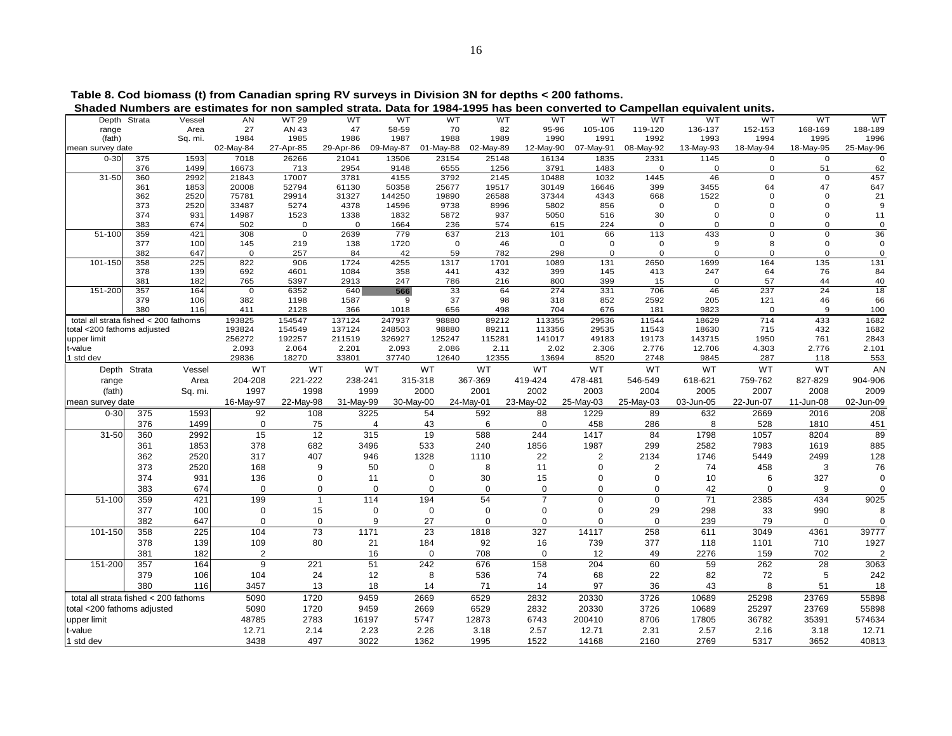|                                       | Depth Strata | Vessel  | AN          | WT 29     | wт        | wт        | wт        |           | wт            | wт<br>wт             | wт        | wт           | wт               | wт          | wт        |
|---------------------------------------|--------------|---------|-------------|-----------|-----------|-----------|-----------|-----------|---------------|----------------------|-----------|--------------|------------------|-------------|-----------|
| range                                 |              | Area    | 27          | AN 43     | 47        | 58-59     | 70        |           | 82<br>95-96   | 105-106              | 119-120   | 136-137      | 152-153          | 168-169     | 188-189   |
| (fath)                                |              | Sq. mi. | 1984        | 1985      | 1986      | 1987      | 1988      |           | 1990<br>1989  | 1991                 | 1992      | 1993         | 1994             | 1995        | 1996      |
| mean survey date                      |              |         | 02-May-84   | 27-Apr-85 | 29-Apr-86 | 09-May-87 | 01-May-88 | 02-May-89 | 12-May-90     | 07-May-91            | 08-May-92 | 13-May-93    | 18-May-94        | 18-May-95   | 25-May-96 |
| $0 - 30$                              | 375          | 1593    | 7018        | 26266     | 21041     | 13506     | 23154     | 25148     | 16134         | 1835                 | 2331      | 1145         | $\mathbf{O}$     | $\mathbf 0$ |           |
|                                       | 376          | 1499    | 16673       | 713       | 2954      | 9148      | 6555      |           | 3791<br>1256  | 1483                 | $\Omega$  | $\mathbf{O}$ | $\Omega$         | 51          | 62        |
| $31 - 50$                             | 360          | 2992    | 21843       | 17007     | 3781      | 4155      | 3792      |           | 2145<br>10488 | 1032                 | 1445      | 46           | $\Omega$         | $\Omega$    | 457       |
|                                       | 361          | 1853    | 20008       | 52794     | 61130     | 50358     | 25677     | 19517     | 30149         | 16646                | 399       | 3455         | 64               | 47          | 647       |
|                                       | 362          | 2520    | 75781       | 29914     | 31327     | 144250    | 19890     | 26588     | 37344         | 4343                 | 668       | 1522         |                  |             | 21        |
|                                       | 373          | 2520    | 33487       | 5274      | 4378      | 14596     | 9738      |           | 8996<br>5802  | 856                  | $\Omega$  | $\Omega$     |                  |             |           |
|                                       | 374          | 931     | 14987       | 1523      | 1338      | 1832      | 5872      |           | 937<br>5050   | 516                  | 30        |              |                  |             | 11        |
|                                       | 383          | 674     | 502         | $\Omega$  | $\Omega$  | 1664      | 236       |           | 574           | 615<br>224           | $\Omega$  | $\Omega$     |                  |             |           |
| 51-100                                | 359          | 421     | 308         | $\Omega$  | 2639      | 779       | 637       |           | 213           | 101<br>66            | 113       | 433          | $\Omega$         | $\Omega$    | 36        |
|                                       | 377          | 100     | 145         | 219       | 138       | 1720      |           | $\Omega$  | 46            | $\Omega$<br>$\Omega$ | 0         | $\mathbf{Q}$ | 8                | $\Omega$    |           |
|                                       | 382          | 647     | $\Omega$    | 257       | 84        | 42        | 59        |           | 782           | 298<br>$\Omega$      | $\Omega$  | $\Omega$     | $\Omega$         | $\Omega$    | $\Omega$  |
| 101-150                               | 358          | 225     | 822         | 906       | 1724      | 4255      | 1317      | 1701      | 1089          | 131                  | 2650      | 1699         | 164              | 135         | 131       |
|                                       | 378          | 139     | 692         | 4601      | 1084      | 358       | 441       |           | 432           | 399<br>145           | 413       | 247          | 64               | 76          | 84        |
|                                       | 381          | 182     | 765         | 5397      | 2913      | 247       | 786       |           | 216           | 800<br>399           | 15        | 0            | 57               | 44          | 40        |
| 151-200                               | 357          | 164     | $\mathbf 0$ | 6352      | 640       | 566       | 33        |           | 64            | 274<br>331           | 706       | 46           | 237              | 24          | 18        |
|                                       | 379          | 106     | 382         | 1198      | 1587      | 9         | 37        |           | 98            | 852<br>318           | 2592      | 205          | 121              | 46          | 66        |
|                                       | 380          | 116     | 411         | 2128      | 366       | 1018      | 656       |           | 498           | 704<br>676           | 181       | 9823         | $\Omega$         | 9           | 100       |
| total all strata fished < 200 fathoms |              |         | 193825      | 154547    | 137124    | 247937    | 98880     | 89212     | 113355        | 29536                | 11544     | 18629        | $\overline{714}$ | 433         | 1682      |
| total <200 fathoms adjusted           |              |         | 193824      | 154549    | 137124    | 248503    | 98880     | 89211     | 113356        | 29535                | 11543     | 18630        | 715              | 432         | 1682      |
| upper limit                           |              |         | 256272      | 192257    | 211519    | 326927    | 125247    | 115281    | 141017        | 49183                | 19173     | 143715       | 1950             | 761         | 2843      |
| t-value                               |              |         | 2.093       | 2.064     | 2.201     | 2.093     | 2.086     |           | 2.11          | 2.02<br>2.306        | 2.776     | 12.706       | 4.303            | 2.776       | 2.101     |
| 1 std dev                             |              |         | 29836       | 18270     | 33801     | 37740     | 12640     | 12355     | 13694         | 8520                 | 2748      | 9845         | 287              | 118         | 553       |
|                                       | Depth Strata | Vessel  | <b>WT</b>   | <b>WT</b> | WT        |           | WT        | <b>WT</b> | <b>WT</b>     | <b>WT</b>            | WT        | <b>WT</b>    | WT               | <b>WT</b>   | AN        |
| range                                 |              | Area    | 204-208     | 221-222   | 238-241   |           | 315-318   | 367-369   | 419-424       | 478-481              | 546-549   | 618-621      | 759-762          | 827-829     | 904-906   |
| (fath)                                |              | Sq. mi. | 1997        | 1998      | 1999      |           | 2000      | 2001      | 2002          | 2003                 | 2004      | 2005         | 2007             | 2008        | 2009      |
| mean survey date                      |              |         | 16-May-97   | 22-May-98 | 31-May-99 |           | 30-May-00 | 24-May-01 | 23-May-02     | 25-May-03            | 25-May-03 | 03-Jun-05    | 22-Jun-07        | 11-Jun-08   | 02-Jun-09 |
| $0 - 30$                              | 375          | 1593    | 92          | 108       | 3225      |           | 54        | 592       | 88            | 1229                 | 89        | 632          | 2669             | 2016        | 208       |
|                                       | 376          | 1499    | $\Omega$    | 75        |           |           | 43        | 6         | $\Omega$      | 458                  | 286       | 8            | 528              | 1810        | 451       |
| $31 - 50$                             | 360          | 2992    | 15          | 12        | 315       |           | 19        | 588       | 244           | 1417                 | 84        | 1798         | 1057             | 8204        | 89        |
|                                       | 361          | 1853    | 378         | 682       | 3496      |           | 533       | 240       | 1856          | 1987                 | 299       | 2582         | 7983             | 1619        | 885       |
|                                       | 362          | 2520    | 317         | 407       | 946       |           | 1328      | 1110      | 22            |                      | 2134      | 1746         | 5449             | 2499        | 128       |
|                                       | 373          | 2520    | 168         | 9         | 50        |           | 0         | 8         | 11            |                      |           | 74           | 458              | 3           | 76        |
|                                       | 374          | 931     | 136         | $\Omega$  | 11        |           | O         | 30        | 15            |                      |           | 10           | 6                | 327         |           |
|                                       |              |         |             |           |           |           |           |           |               |                      |           |              |                  |             |           |

383 674 0 0 0 0 0 0 0 0 42 0 9 0

378 139 109 80 21 184 92 16 739 377 118 1101 710 1927

381 182l 2 16 0 708 0 12 49 2276 159 702 2

379 106 104 24 12 8 536 74 68 22 82 72 5 242

380 116 3457 13 18 14 71 14 97 36 43 8 51 18

51-100 359 421 199 1 114 194 54 7 0 0 71 2385 434 9025377 100 0 15 0 0 0 0 0 29 298 33 990 8382 647 0 0 9 27 0 0 0 0 239 79 0 0

101-150| 358 225| 104 73 1171 23 1818 327 14117 258 611 3049 4361 39777

151-200 357 164 9 221 51 242 676 158 204 60 59 262 28 3063

total all strata fished < 200 fathoms 5090 1720 9459 2669 6529 2832 20330 3726 10689 25298 23769 55898total <200 fathoms adjusted 5090 1720 9459 2669 6529 2832 20330 3726 10689 25297 23769 55898 upper limit 48785 2783 16197 5747 12873 6743 200410 8706 17805 36782 35391 574634 t-value 12.71 2.14 2.23 2.26 3.18 2.57 12.71 2.31 2.57 2.16 3.18 12.71

1 std dev 3438 497 3022 1362 1995 1522 14168 2160 2769 5317 3652 40813

 **Table 8. Cod biomass (t) from Canadian spring RV surveys in Division 3N for depths < 200 fathoms.** 

**Shaded Numbers are estimates for non sampled strata. Data for 1984-1995 has been converted to Campellan equivalent units.**<br>Depth Strata Vessel AN WT29 WT WT WT WT WT WT WT WT WT WT WT WT WT

 $\overline{0}$ <br>62

 $21$ 

 $\frac{0}{36}$ 

 $\mathbf 0$ 

 $\mathbf 0$ 

131

40

18

1682

89

885

128

76

 $\begin{smallmatrix}0\\0\end{smallmatrix}$ 

9025

1927

3063

242

18

12.71<br>40813

 $\overline{2}$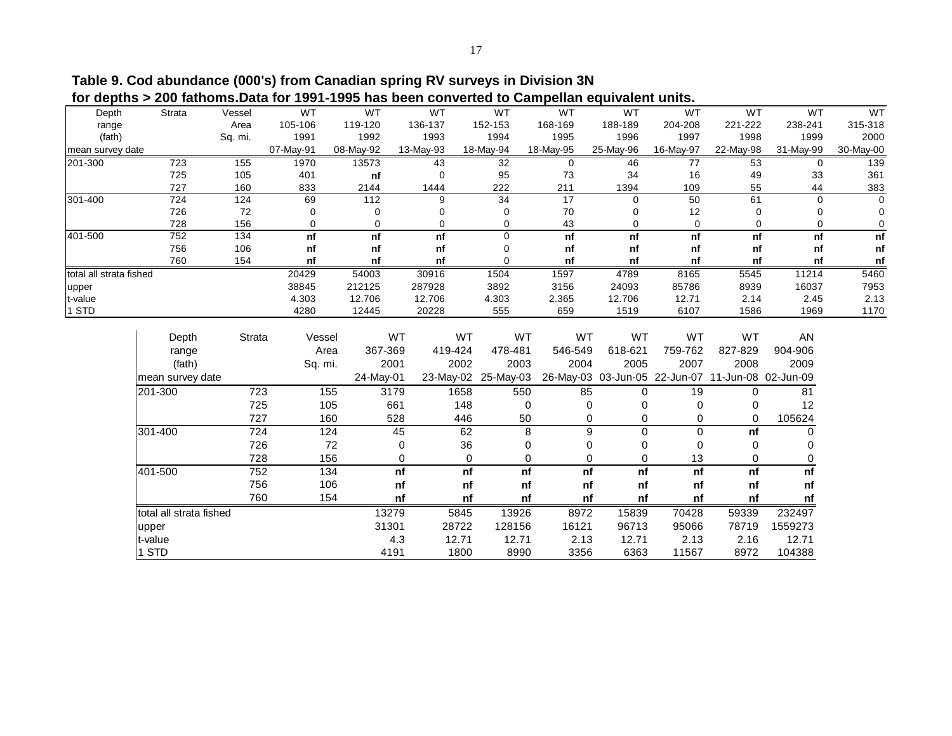**Table 9. Cod abundance (000's) from Canadian spring RV surveys in Division 3N for depths > 200 fathoms.Data for 1991-1995 has been converted to Campellan equivalent units.**

| Depth                   | Strata                  | Vessel  | WT            | WT        | WT              | WT                      | WT           | WT             | <b>WT</b>                     | <b>WT</b>           | WT           | WT           |
|-------------------------|-------------------------|---------|---------------|-----------|-----------------|-------------------------|--------------|----------------|-------------------------------|---------------------|--------------|--------------|
| range                   |                         | Area    | 105-106       | 119-120   | 136-137         | 152-153                 | 168-169      | 188-189        | 204-208                       | 221-222             | 238-241      | 315-318      |
| (fath)                  |                         | Sq. mi. | 1991          | 1992      | 1993            | 1994                    | 1995         | 1996           | 1997                          | 1998                | 1999         | 2000         |
| mean survey date        |                         |         | 07-May-91     | 08-May-92 | 13-May-93       | 18-May-94               | 18-May-95    | 25-May-96      | 16-May-97                     | 22-May-98           | 31-May-99    | 30-May-00    |
| 201-300                 | 723                     | 155     | 1970          | 13573     | 43              | $\overline{32}$         | 0            | 46             | 77                            | 53                  | 0            | 139          |
|                         | 725                     | 105     | 401           | nf        | $\mathbf 0$     | 95                      | 73           | 34             | 16                            | 49                  | 33           | 361          |
|                         | 727                     | 160     | 833           | 2144      | 1444            | 222                     | 211          | 1394           | 109                           | 55                  | 44           | 383          |
| 301-400                 | 724                     | 124     | 69            | 112       | 9               | 34                      | 17           | 0              | 50                            | 61                  | 0            | $\Omega$     |
|                         | 726                     | 72      | $\Omega$      | 0         | $\Omega$        | 0                       | 70           | $\Omega$       | 12                            |                     | 0            | 0            |
|                         | 728                     | 156     | 0             | 0         | 0               | 0                       | 43           | $\mathbf 0$    | $\mathbf 0$                   | 0                   | 0            | 0            |
| 401-500                 | 752                     | 134     | nf            | nf        | nf              | $\mathbf 0$             | nf           | nf             | nf                            | nf                  | nf           | nf           |
|                         | 756                     | 106     | nf            | nf        | nf              | 0                       | nf           | nf             | nf                            | nf                  | nf           | nf           |
|                         | 760                     | 154     | nf            | nf        | nf              | $\Omega$                | nf           | nf             | nf                            | nf                  | nf           | nf           |
| total all strata fished |                         |         | 20429         | 54003     | 30916           | 1504                    | 1597         | 4789           | 8165                          | 5545                | 11214        | 5460         |
| upper                   |                         |         | 38845         | 212125    | 287928          | 3892                    | 3156         | 24093          | 85786                         | 8939                | 16037        | 7953         |
| t-value<br>1 STD        |                         |         | 4.303<br>4280 | 12.706    | 12.706<br>20228 | 4.303<br>555            | 2.365<br>659 | 12.706<br>1519 | 12.71<br>6107                 | 2.14<br>1586        | 2.45<br>1969 | 2.13<br>1170 |
|                         |                         |         |               | 12445     |                 |                         |              |                |                               |                     |              |              |
|                         |                         |         |               | WT        | WT              | WT                      | WT           | WT             | WT                            | WT                  | <b>AN</b>    |              |
|                         | Depth                   | Strata  | Vessel        |           |                 |                         |              |                |                               |                     |              |              |
|                         | range                   |         | Area          | 367-369   | 419-424         | 478-481                 | 546-549      | 618-621        | 759-762                       | 827-829             | 904-906      |              |
|                         | (fath)                  |         | Sq. mi.       | 2001      | 2002            | 2003                    | 2004         | 2005           | 2007                          | 2008                | 2009         |              |
|                         | mean survey date        |         |               | 24-May-01 |                 | 23-May-02 25-May-03     |              |                | 26-May-03 03-Jun-05 22-Jun-07 | 11-Jun-08 02-Jun-09 |              |              |
|                         | 201-300                 | 723     | 155           | 3179      | 1658            | 550                     | 85           | $\Omega$       | 19                            | $\Omega$            | 81           |              |
|                         |                         | 725     | 105           | 661       | 148             | $\mathbf 0$             | 0            | 0              | 0                             | 0                   | 12           |              |
|                         |                         | 727     | 160           | 528       | 446             | 50                      | 0            | 0              | 0                             | 0                   | 105624       |              |
|                         | 301-400                 | 724     | 124           | 45        | 62              | 8                       | 9            | $\mathbf 0$    | $\mathbf 0$                   | nf                  | 0            |              |
|                         |                         | 726     | 72            |           | 36<br>0         | $\Omega$                | 0            | $\Omega$       | $\Omega$                      | $\Omega$            | 0            |              |
|                         |                         | 728     | 156           |           | 0               | $\mathbf 0$<br>$\Omega$ | 0            | 0              | 13                            | 0                   | 0            |              |
|                         | 401-500                 | 752     | 134           |           | nf              | nf<br>nf                | nf           | nf             | nf                            | nf                  | nf           |              |
|                         |                         | 756     | 106           |           | nf              | nf<br>nf                | nf           | nf             | nf                            | nf                  | nf           |              |
|                         |                         | 760     | 154           |           | nf              | nf<br>nf                | nf           | nf             | nf                            | nf                  | nf           |              |
|                         | total all strata fished |         |               | 13279     | 5845            | 13926                   | 8972         | 15839          | 70428                         | 59339               | 232497       |              |
|                         | upper                   |         |               | 31301     | 28722           | 128156                  | 16121        | 96713          | 95066                         | 78719               | 1559273      |              |
|                         | t-value                 |         |               | 4.3       | 12.71           | 12.71                   | 2.13         | 12.71          | 2.13                          | 2.16                | 12.71        |              |
|                         | 1 STD                   |         |               | 4191      | 1800            | 8990                    | 3356         | 6363           | 11567                         | 8972                | 104388       |              |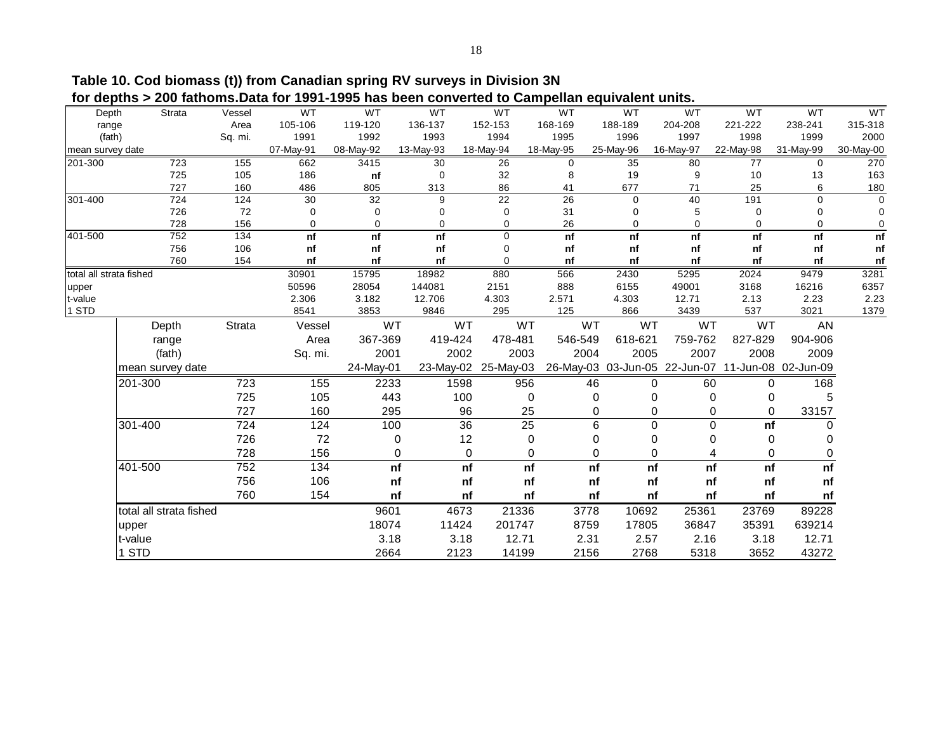**Table 10. Cod biomass (t)) from Canadian spring RV surveys in Division 3N for depths > 200 fathoms.Data for 1991-1995 has been converted to Campellan equivalent units.**

| ivi uvpulu r            |                         |         |                |                |                  |                     | son rolltog to baniponan oquiv |               |                                                   |              |               |              |
|-------------------------|-------------------------|---------|----------------|----------------|------------------|---------------------|--------------------------------|---------------|---------------------------------------------------|--------------|---------------|--------------|
| Depth                   | Strata                  | Vessel  | WT             | WT             | WT               | WT                  | WT                             | WT            | WT                                                | WT           | WT            | WT           |
| range                   |                         | Area    | 105-106        | 119-120        | 136-137          | 152-153             | 168-169                        | 188-189       | 204-208                                           | 221-222      | 238-241       | 315-318      |
| (fath)                  |                         | Sq. mi. | 1991           | 1992           | 1993             | 1994                | 1995                           | 1996          | 1997                                              | 1998         | 1999          | 2000         |
| mean survey date        |                         |         | 07-May-91      | 08-May-92      | 13-May-93        | 18-May-94           | 18-May-95                      | 25-May-96     | 16-May-97                                         | 22-May-98    | 31-May-99     | 30-May-00    |
| 201-300                 | 723                     | 155     | 662            | 3415           | 30               | 26                  | 0                              | 35            | 80                                                | 77           | 0             | 270          |
|                         | 725                     | 105     | 186            | nf             | $\mathbf 0$      | 32                  | 8                              | 19            | 9                                                 | 10           | 13            | 163          |
|                         | 727                     | 160     | 486            | 805            | 313              | 86                  | 41                             | 677           | 71                                                | 25           | 6             | 180          |
| 301-400                 | 724                     | 124     | 30             | 32             | 9                | $\overline{22}$     | 26                             | $\mathbf 0$   | 40                                                | 191          | $\mathbf 0$   | $\Omega$     |
|                         | 726                     | 72      | 0              | $\mathbf 0$    | 0                | 0                   | 31                             | 0             | 5                                                 | $\mathbf 0$  | 0             | $\mathbf 0$  |
|                         | 728                     | 156     | 0              | 0              | $\mathbf 0$      | 0                   | 26                             | 0             | $\mathbf 0$                                       | $\Omega$     | 0             | $\mathbf 0$  |
| 401-500                 | 752                     | 134     | n f            | nf             | nf               | $\mathbf 0$         | n f                            | n f           | nf                                                | nf           | nf            | n f          |
|                         | 756                     | 106     | nf             | nf             | nf               | 0                   | nf                             | nf            | nf                                                | nf           | nf            | nf           |
|                         | 760                     | 154     | nf             | nf             | nf               | 0                   | nf                             | nf            | nf                                                | nf           | nf            | nf           |
| total all strata fished |                         |         | 30901          | 15795          | 18982            | 880                 | 566                            | 2430          | 5295                                              | 2024         | 9479          | 3281         |
| upper                   |                         |         | 50596<br>2.306 | 28054<br>3.182 | 144081<br>12.706 | 2151<br>4.303       | 888<br>2.571                   | 6155<br>4.303 | 49001<br>12.71                                    | 3168<br>2.13 | 16216<br>2.23 | 6357<br>2.23 |
| t-value<br>1 STD        |                         |         | 8541           | 3853           | 9846             | 295                 | 125                            | 866           | 3439                                              | 537          | 3021          | 1379         |
|                         |                         |         |                |                |                  |                     |                                |               |                                                   |              |               |              |
|                         | Depth                   | Strata  | Vessel         | WT             | WT               | WT                  | WT                             | WT            | WT                                                | WT           | <b>AN</b>     |              |
|                         | range                   |         | Area           | 367-369        | 419-424          | 478-481             | 546-549                        | 618-621       | 759-762                                           | 827-829      | 904-906       |              |
|                         | (fath)                  |         | Sq. mi.        | 2001           | 2002             | 2003                | 2004                           | 2005          | 2007                                              | 2008         | 2009          |              |
|                         | mean survey date        |         |                | 24-May-01      |                  | 23-May-02 25-May-03 |                                |               | 26-May-03 03-Jun-05 22-Jun-07 11-Jun-08 02-Jun-09 |              |               |              |
|                         | 201-300                 | 723     | 155            | 2233           | 1598             | 956                 |                                | 46            | 60<br>0                                           | 0            | 168           |              |
|                         |                         | 725     | 105            | 443            | 100              |                     | $\mathbf 0$                    | 0             | $\Omega$<br>$\Omega$                              | 0            | 5             |              |
|                         |                         | 727     | 160            | 295            | 96               |                     | 25                             | 0             | 0<br>0                                            | 0            | 33157         |              |
|                         | 301-400                 | 724     | 124            | 100            | $\overline{36}$  |                     | $\overline{25}$                | 6             | 0<br>0                                            | nf           | 0             |              |
|                         |                         | 726     | 72             | $\mathbf 0$    | 12               |                     | $\mathbf 0$                    | 0             | 0<br>$\Omega$                                     | $\Omega$     | 0             |              |
|                         |                         | 728     | 156            | 0              | 0                |                     | 0                              | 0             | 0                                                 | 0            | 0             |              |
|                         | 401-500                 | 752     | 134            | nf             | nf               |                     | nf                             | nf<br>nf      | nf                                                | nf           | nf            |              |
|                         |                         | 756     | 106            | nf             | nf               |                     | nf                             | nf<br>nf      | nf                                                | nf           | nf            |              |
|                         |                         | 760     | 154            | nf             | nf               |                     | nf                             | nf<br>nf      | nf                                                | nf           | nf            |              |
|                         | total all strata fished |         |                | 9601           | 4673             | 21336               | 3778                           | 10692         | 25361                                             | 23769        | 89228         |              |
|                         | upper                   |         |                | 18074          | 11424            | 201747              | 8759                           | 17805         | 36847                                             | 35391        | 639214        |              |
|                         | t-value                 |         |                | 3.18           | 3.18             | 12.71               | 2.31                           | 2.57          | 2.16                                              | 3.18         | 12.71         |              |
|                         | 1 STD                   |         |                | 2664           | 2123             | 14199               | 2156                           | 2768          | 5318                                              | 3652         | 43272         |              |
|                         |                         |         |                |                |                  |                     |                                |               |                                                   |              |               |              |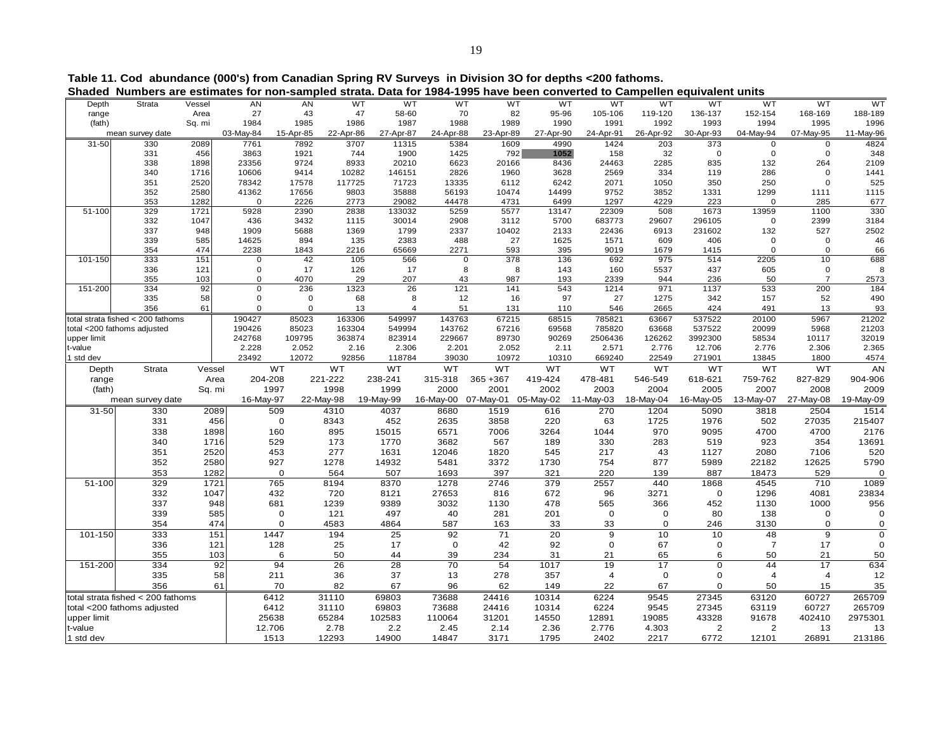**Table 11. Cod abundance (000's) from Canadian Spring RV Surveys in Division 3O for depths <200 fathoms.**

| Shaded      | Numbers are estimates for non-sampled strata. Data for 1984-1995 have been converted to Campellen equivalent units |        |             |             |           |                |             |             |             |                |             |                |                         |                |           |
|-------------|--------------------------------------------------------------------------------------------------------------------|--------|-------------|-------------|-----------|----------------|-------------|-------------|-------------|----------------|-------------|----------------|-------------------------|----------------|-----------|
| Depth       | Strata                                                                                                             | Vessel | AN          | AN          | WT        | WT             | WT          |             | WT<br>WT    | WT             | WT          | WT             | WT                      | WT             | <b>WT</b> |
| range       | Area                                                                                                               |        | 27          | 43          | 47        | 58-60          | 70          |             | 82<br>95-96 | 105-106        | 119-120     | 136-137        | 152-154                 | 168-169        | 188-189   |
| (fath)      |                                                                                                                    | Sq. mi | 1984        | 1985        | 1986      | 1987           | 1988        | 1989        | 1990        | 1991           | 1992        | 1993           | 1994                    | 1995           | 1996      |
|             | mean survey date                                                                                                   |        | 03-May-84   | 15-Apr-85   | 22-Apr-86 | 27-Apr-87      | 24-Apr-88   | 23-Apr-89   | 27-Apr-90   | 24-Apr-91      | 26-Apr-92   | 30-Apr-93      | 04-May-94               | 07-May-95      | 11-May-96 |
| 31-50       | 330                                                                                                                | 2089   | 7761        | 7892        | 3707      | 11315          | 5384        | 1609        | 4990        | 1424           | 203         | 373            | 0                       | $\mathbf 0$    | 4824      |
|             | 331                                                                                                                | 456    | 3863        | 1921        | 744       | 1900           | 1425        |             | 792<br>1052 | 158            | 32          | $\mathbf 0$    | $\mathbf 0$             | $\mathbf 0$    | 348       |
|             | 338                                                                                                                | 1898   | 23356       | 9724        | 8933      | 20210          | 6623        | 20166       | 8436        | 24463          | 2285        | 835            | 132                     | 264            | 2109      |
|             | 340                                                                                                                | 1716   | 10606       | 9414        | 10282     | 146151         | 2826        | 1960        | 3628        | 2569           | 334         | 119            | 286                     | $\Omega$       | 1441      |
|             | 351                                                                                                                | 2520   | 78342       | 17578       | 117725    | 71723          | 13335       | 6112        | 6242        | 2071           | 1050        | 350            | 250                     | $\Omega$       | 525       |
|             | 352                                                                                                                | 2580   | 41362       | 17656       | 9803      | 35888          | 56193       | 10474       | 14499       | 9752           | 3852        | 1331           | 1299                    | 1111           | 1115      |
|             | 353                                                                                                                | 1282   | $\Omega$    | 2226        | 2773      | 29082          | 44478       | 4731        | 6499        | 1297           | 4229        | 223            | 0                       | 285            | 677       |
| 51-100      | 329                                                                                                                | 1721   | 5928        | 2390        | 2838      | 133032         | 5259        | 5577        | 13147       | 22309          | 508         | 1673           | 13959                   | 1100           | 330       |
|             | 332                                                                                                                | 1047   | 436         | 3432        | 1115      | 30014          | 2908        | 3112        | 5700        | 683773         | 29607       | 296105         | 0                       | 2399           | 3184      |
|             | 337                                                                                                                | 948    | 1909        | 5688        | 1369      | 1799           | 2337        | 10402       | 2133        | 22436          | 6913        | 231602         | 132                     | 527            | 2502      |
|             | 339                                                                                                                | 585    | 14625       | 894         | 135       | 2383           | 488         |             | 1625<br>27  | 1571           | 609         | 406            | 0                       | $\mathbf 0$    | 46        |
|             | 354                                                                                                                | 474    | 2238        | 1843        | 2216      | 65669          | 2271        |             | 593<br>395  | 9019           | 1679        | 1415           | 0                       | $\mathbf 0$    | 66        |
| 101-150     | 333                                                                                                                | 151    | $\mathbf 0$ | 42          | 105       | 566            |             | $\mathbf 0$ | 378<br>136  | 692            | 975         | 514            | 2205                    | 10             | 688       |
|             | 336                                                                                                                | 121    | $\Omega$    | 17          | 126       | 17             |             | 8           | 8<br>143    | 160            | 5537        | 437            | 605                     | $\mathbf 0$    |           |
|             | 355                                                                                                                | 103    | $\Omega$    | 4070        | 29        | 207            |             | 43          | 987<br>193  | 2339           | 944         | 236            | 50                      | $\overline{7}$ | 2573      |
| 151-200     | 334                                                                                                                | 92     | $\Omega$    | 236         | 1323      | 26             | 121         | 141         | 543         | 1214           | 971         | 1137           | 533                     | 200            | 184       |
|             | 335                                                                                                                | 58     | $\Omega$    | $\mathbf 0$ | 68        |                | 8           | 12          | 97<br>16    | 27             | 1275        | 342            | 157                     | 52             | 490       |
|             | 356                                                                                                                | 61     | $\Omega$    | $\mathbf 0$ | 13        | $\overline{4}$ |             | 51<br>131   | 110         | 546            | 2665        | 424            | 491                     | 13             | 93        |
|             | total strata fished < 200 fathoms                                                                                  |        | 190427      | 85023       | 163306    | 549997         | 143763      | 67215       | 68515       | 785821         | 63667       | 537522         | 20100                   | 5967           | 21202     |
|             | total <200 fathoms adjusted                                                                                        |        | 190426      | 85023       | 163304    | 549994         | 143762      | 67216       | 69568       | 785820         | 63668       | 537522         | 20099                   | 5968           | 21203     |
| upper limit |                                                                                                                    |        | 242768      | 109795      | 363874    | 823914         | 229667      | 89730       | 90269       | 2506436        | 126262      | 3992300        | 58534                   | 10117          | 32019     |
| -value      |                                                                                                                    |        | 2.228       | 2.052       | 2.16      | 2.306          | 2.201       | 2.052       | 2.11        | 2.571          | 2.776       | 12.706         | 2.776                   | 2.306          | 2.365     |
| 1 std dev   |                                                                                                                    |        | 23492       | 12072       | 92856     | 118784         | 39030       | 10972       | 10310       | 669240         | 22549       | 271901         | 13845                   | 1800           | 4574      |
| Depth       | Strata                                                                                                             | Vessel |             | <b>WT</b>   | <b>WT</b> | WT             | <b>WT</b>   | WT          | WT          | <b>WT</b>      | <b>WT</b>   | <b>WT</b>      | WT                      | <b>WT</b>      | AN        |
| range       |                                                                                                                    | Area   | 204-208     |             | 221-222   | 238-241        | 315-318     | $365 + 367$ | 419-424     | 478-481        | 546-549     | 618-621        | 759-762                 | 827-829        | 904-906   |
| (fath)      |                                                                                                                    | Sq. mi |             | 1997        | 1998      | 1999           | 2000        | 2001        | 2002        | 2003           | 2004        | 2005           | 2007                    | 2008           | 2009      |
|             | mean survey date                                                                                                   |        | 16-May-97   |             | 22-May-98 | 19-May-99      | 16-May-00   | 07-May-01   | 05-May-02   | 11-May-03      | 18-May-04   | 16-May-05      | 13-May-07               | 27-May-08      | 19-May-09 |
| $31 - 50$   | 330                                                                                                                | 2089   |             | 509         | 4310      | 4037           | 8680        | 1519        | 616         | 270            | 1204        | 5090           | 3818                    | 2504           | 1514      |
|             | 331                                                                                                                | 456    |             | $\mathbf 0$ | 8343      | 452            | 2635        | 3858        | 220         | 63             | 1725        | 1976           | 502                     | 27035          | 215407    |
|             | 338                                                                                                                | 1898   |             | 160         | 895       | 15015          | 6571        | 7006        | 3264        | 1044           | 970         | 9095           | 4700                    | 4700           | 2176      |
|             | 340                                                                                                                | 1716   |             | 529         | 173       | 1770           | 3682        | 567         | 189         | 330            | 283         | 519            | 923                     | 354            | 13691     |
|             | 351                                                                                                                | 2520   |             | 453         | 277       | 1631           | 12046       | 1820        | 545         | 217            | 43          | 1127           | 2080                    | 7106           | 520       |
|             | 352                                                                                                                | 2580   |             | 927         | 1278      | 14932          | 5481        | 3372        |             | 754            | 877         | 5989           | 22182                   | 12625          | 5790      |
|             |                                                                                                                    |        |             | $\mathbf 0$ |           |                |             | 397         | 1730        |                |             |                |                         |                | $\Omega$  |
|             | 353                                                                                                                | 1282   |             |             | 564       | 507            | 1693        |             | 321         | 220            | 139         | 887            | 18473                   | 529            |           |
| 51-100      | 329                                                                                                                | 1721   |             | 765         | 8194      | 8370           | 1278        | 2746        | 379         | 2557           | 440         | 1868           | 4545                    | 710            | 1089      |
|             | 332                                                                                                                | 1047   |             | 432         | 720       | 8121           | 27653       | 816         | 672         | 96             | 3271        | $\mathbf 0$    | 1296                    | 4081           | 23834     |
|             | 337                                                                                                                | 948    |             | 681         | 1239      | 9389           | 3032        | 1130        | 478         | 565            | 366         | 452            | 1130                    | 1000           | 956       |
|             | 339                                                                                                                | 585    |             | $\Omega$    | 121       | 497            | 40          | 281         | 201         | $\mathbf 0$    | $\mathbf 0$ | 80             | 138                     | $\mathbf 0$    |           |
|             | 354                                                                                                                | 474    |             | $\mathbf 0$ | 4583      | 4864           | 587         | 163         | 33          | 33             | $\mathbf 0$ | 246            | 3130                    | 0              | 0         |
| 101-150     | 333                                                                                                                | 151    |             | 1447        | 194       | 25             | 92          | 71          | 20          | 9              | 10          | 10             | 48                      | 9              | $\Omega$  |
|             | 336                                                                                                                | 121    |             | 128         | 25        | 17             | $\mathbf 0$ | 42          | 92          | $\mathbf 0$    | 67          | $\mathbf 0$    | $\overline{7}$          | 17             | $\Omega$  |
|             | 355                                                                                                                | 103    |             | 6           | 50        | 44             | 39          | 234         | 31          | 21             | 65          | 6              | 50                      | 21             | 50        |
| 151-200     | 334                                                                                                                |        | 92          | 94          | 26        | 28             | 70          | 54          | 1017        | 19             | 17          | $\mathbf 0$    | 44                      | 17             | 634       |
|             | 335                                                                                                                |        | 58          | 211         | 36        | 37             | 13          | 278         | 357         | $\overline{4}$ | $\mathbf 0$ | $\mathbf 0$    | $\overline{\mathbf{4}}$ | $\overline{4}$ | 12        |
|             | 356                                                                                                                |        | 61          | 70          | 82        | 67             | 96          | 62          | 149         | 22             | 67          | $\mathbf 0$    | 50                      | 15             | 35        |
|             | total strata fished < 200 fathoms                                                                                  |        |             | 6412        | 31110     | 69803          | 73688       | 24416       | 10314       | 6224           | 9545        | 27345          | 63120                   | 60727          | 265709    |
|             | total <200 fathoms adjusted                                                                                        |        |             | 6412        | 31110     | 69803          | 73688       | 24416       | 10314       | 6224           | 9545        | 27345          | 63119                   | 60727          | 265709    |
| upper limit |                                                                                                                    |        |             | 25638       | 65284     | 102583         | 110064      | 31201       | 14550       | 12891          | 19085       | 43328          | 91678                   | 402410         | 2975301   |
| t-value     |                                                                                                                    |        |             | 12.706      | 2.78      | 2.2            | 2.45        | 2.14        | 2.36        | 2.776          | 4.303       | $\overline{2}$ | $\overline{2}$          | 13             | 13        |
| 1 std dev   |                                                                                                                    |        |             | 1513        | 12293     | 14900          | 14847       | 3171        | 1795        | 2402           | 2217        | 6772           | 12101                   | 26891          | 213186    |
|             |                                                                                                                    |        |             |             |           |                |             |             |             |                |             |                |                         |                |           |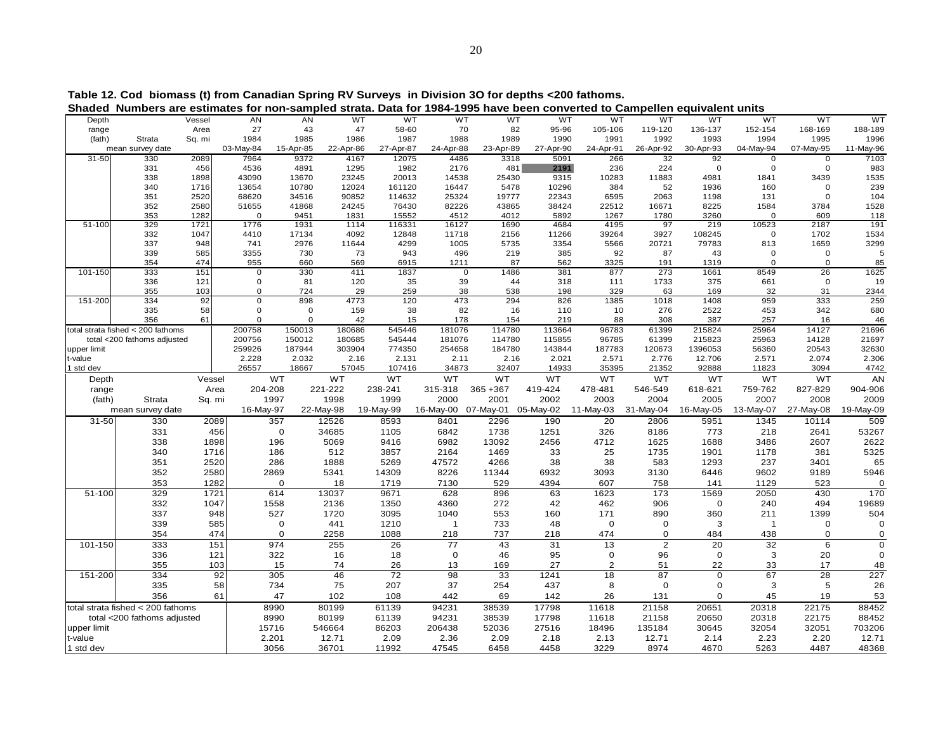|                                   | Shaded Numbers are estimates for non-sampled strata. Data for 1984-1995 have been converted to Campellen equivalent units |            |                            |             |                  |                  |             |                           |            |                |                |              |                      |             |                |
|-----------------------------------|---------------------------------------------------------------------------------------------------------------------------|------------|----------------------------|-------------|------------------|------------------|-------------|---------------------------|------------|----------------|----------------|--------------|----------------------|-------------|----------------|
| Depth                             |                                                                                                                           | Vessel     | <b>AN</b>                  | AN          | <b>WT</b>        | <b>WT</b>        | <b>WT</b>   | <b>WT</b>                 | <b>WT</b>  | <b>WT</b>      | <b>WT</b>      | <b>WT</b>    | <b>WT</b>            | <b>WT</b>   | WT             |
| range                             |                                                                                                                           | Area       | 27                         | 43          | 47               | 58-60            | 70          | 82                        | 95-96      | 105-106        | 119-120        | 136-137      | 152-154              | 168-169     | 188-189        |
| (fath)                            | Strata                                                                                                                    | Sq. mi     | 1984                       | 1985        | 1986             | 1987             | 1988        | 1989                      | 1990       | 1991           | 1992           | 1993         | 1994                 | 1995        | 1996           |
|                                   | mean survey date                                                                                                          |            | 03-May-84                  | 15-Apr-85   | 22-Apr-86        | 27-Apr-87        | 24-Apr-88   | 23-Apr-89                 | 27-Apr-90  | 24-Apr-91      | 26-Apr-92      | 30-Apr-93    | 04-May-94            | 07-May-95   | 11-May-96      |
| 31-50                             | 330                                                                                                                       | 2089       | 7964                       | 9372        | 4167             | 12075            | 4486        | 3318                      | 5091       | 266            | 32             | 92           | $\mathbf 0$          | $\mathbf 0$ | 7103           |
|                                   | 331                                                                                                                       | 456        | 4536                       | 4891        | 1295             | 1982             | 2176        | 481                       | 2191       | 236            | 224            | $\mathbf 0$  | $\Omega$             | 0           | 983            |
|                                   | 338                                                                                                                       | 1898       | 43090                      | 13670       | 23245            | 20013            | 14538       | 25430                     | 9315       | 10283          | 11883          | 4981         | 1841                 | 3439        | 1535           |
|                                   | 340                                                                                                                       | 1716       | 13654                      | 10780       | 12024            | 161120           | 16447       | 5478                      | 10296      | 384            | 52             | 1936         | 160                  | $\Omega$    | 239            |
|                                   | 351                                                                                                                       | 2520       | 68620                      | 34516       | 90852            | 114632           | 25324       | 19777                     | 22343      | 6595           | 2063           | 1198         | 131                  | $\Omega$    | 104            |
|                                   | 352                                                                                                                       | 2580       | 51655                      | 41868       | 24245            | 76430            | 82226       | 43865                     | 38424      | 22512          | 16671          | 8225         | 1584                 | 3784        | 1528           |
|                                   | 353                                                                                                                       | 1282       | $\Omega$                   | 9451        | 1831             | 15552            | 4512        | 4012                      | 5892       | 1267           | 1780           | 3260         | $\Omega$             | 609         | 118            |
| $51 - 100$                        | 329                                                                                                                       | 1721       | 1776                       | 1931        | 1114             | 116331           | 16127       | 1690                      | 4684       | 4195           | 97             | 219          | 10523                | 2187        | 191            |
|                                   | 332                                                                                                                       | 1047       | 4410                       | 17134       | 4092             | 12848            | 11718       | 2156                      | 11266      | 39264          | 3927           | 108245       | $\Omega$             | 1702        | 1534           |
|                                   | 337                                                                                                                       | 948        | 741                        | 2976        | 11644            | 4299             | 1005        | 5735                      | 3354       | 5566           | 20721          | 79783        | 813                  | 1659        | 3299           |
|                                   | 339                                                                                                                       | 585        | 3355                       | 730         | 73               | 943              | 496         | 219                       | 385        | 92             | 87             | 43           | $\Omega$<br>$\Omega$ | 0           | 5              |
| 101-150                           | 354<br>333                                                                                                                | 474<br>151 | 955                        | 660         | 569<br>411       | 6915<br>1837     | 1211        | 87                        | 562        | 3325<br>877    | 191<br>273     | 1319<br>1661 |                      | 0<br>26     | 85             |
|                                   | 336                                                                                                                       |            | $\mathbf 0$<br>$\mathbf 0$ | 330         |                  |                  |             | $\mathbf 0$<br>1486<br>44 | 381        |                |                |              | 8549                 | $\mathbf 0$ | 1625           |
|                                   | 355                                                                                                                       | 121<br>103 | $\Omega$                   | 81<br>724   | 120<br>29        | 35<br>259        | 39<br>38    | 538                       | 318<br>198 | 111<br>329     | 1733<br>63     | 375<br>169   | 661<br>32            | 31          | 19             |
| 151-200                           | 334                                                                                                                       | 92         | $\Omega$                   | 898         | 4773             | 120              | 473         | 294                       | 826        | 1385           | 1018           | 1408         | 959                  | 333         | 2344<br>259    |
|                                   | 335                                                                                                                       | 58         | $\mathbf 0$                | $\mathbf 0$ | 159              | 38               | 82          | 16                        | 110        | 10             | 276            | 2522         | 453                  | 342         | 680            |
|                                   | 356                                                                                                                       | 61         | $\Omega$                   | $\mathbf 0$ | 42               | 15               | 178         | 154                       | 219        | 88             | 308            | 387          | 257                  | 16          | 46             |
|                                   |                                                                                                                           |            |                            | 150013      |                  |                  | 181076      | 114780                    | 113664     | 96783          | 61399          | 215824       | 25964                | 14127       |                |
|                                   | total strata fished < 200 fathoms                                                                                         |            | 200758<br>200756           | 150012      | 180686<br>180685 | 545446<br>545444 | 181076      | 114780                    | 115855     | 96785          | 61399          | 215823       | 25963                | 14128       | 21696<br>21697 |
|                                   | total <200 fathoms adjusted                                                                                               |            | 259926                     | 187944      | 303904           | 774350           | 254658      | 184780                    | 143844     | 187783         | 120673         | 1396053      | 56360                | 20543       | 32630          |
| upper limit<br>t-value            |                                                                                                                           |            | 2.228                      | 2.032       | 2.16             | 2.131            | 2.11        | 2.16                      | 2.021      | 2.571          | 2.776          | 12.706       | 2.571                | 2.074       | 2.306          |
| 1 std dev                         |                                                                                                                           |            | 26557                      | 18667       | 57045            | 107416           | 34873       | 32407                     | 14933      | 35395          | 21352          | 92888        | 11823                | 3094        | 4742           |
|                                   |                                                                                                                           |            |                            | WT          | WT               | WT               | WT          | WT                        | WT         | WT             | WT             |              |                      |             |                |
| Depth                             |                                                                                                                           | Vessel     |                            |             |                  |                  |             |                           |            |                |                | WT           | WT                   | WT          | AN             |
| range                             |                                                                                                                           | Area       | 204-208                    |             | 221-222          | 238-241          | 315-318     | 365 + 367                 | 419-424    | 478-481        | 546-549        | 618-621      | 759-762              | 827-829     | 904-906        |
| (fath)                            | Strata                                                                                                                    | Sq. mi     |                            | 1997        | 1998             | 1999             | 2000        | 2001                      | 2002       | 2003           | 2004           | 2005         | 2007                 | 2008        | 2009           |
|                                   | mean survey date                                                                                                          |            | 16-May-97                  |             | 22-May-98        | 19-May-99        | 16-May-00   | 07-May-01                 | 05-May-02  | 11-May-03      | 31-May-04      | 16-May-05    | 13-May-07            | 27-May-08   | 19-May-09      |
| 31-50                             | 330                                                                                                                       | 2089       |                            | 357         | 12526            | 8593             | 8401        | 2296                      | 190        | 20             | 2806           | 5951         | 1345                 | 10114       | 509            |
|                                   | 331                                                                                                                       | 456        |                            | $\mathbf 0$ | 34685            | 1105             | 6842        | 1738                      | 1251       | 326            | 8186           | 773          | 218                  | 2641        | 53267          |
|                                   | 338                                                                                                                       | 1898       |                            | 196         | 5069             | 9416             | 6982        | 13092                     | 2456       | 4712           | 1625           | 1688         | 3486                 | 2607        | 2622           |
|                                   | 340                                                                                                                       | 1716       |                            | 186         | 512              | 3857             | 2164        | 1469                      | 33         | 25             | 1735           | 1901         | 1178                 | 381         | 5325           |
|                                   | 351                                                                                                                       | 2520       |                            | 286         | 1888             | 5269             | 47572       | 4266                      | 38         | 38             | 583            | 1293         | 237                  | 3401        | 65             |
|                                   | 352                                                                                                                       | 2580       |                            | 2869        | 5341             | 14309            | 8226        | 11344                     | 6932       | 3093           | 3130           | 6446         | 9602                 | 9189        | 5946           |
|                                   | 353                                                                                                                       | 1282       |                            | $\Omega$    | 18               | 1719             | 7130        | 529                       | 4394       | 607            | 758            | 141          | 1129                 | 523         | $\Omega$       |
| 51-100                            | 329                                                                                                                       | 1721       |                            | 614         | 13037            | 9671             | 628         | 896                       | 63         | 1623           | 173            | 1569         | 2050                 | 430         | 170            |
|                                   | 332                                                                                                                       | 1047       |                            | 1558        | 2136             | 1350             | 4360        | 272                       | 42         | 462            | 906            | $\mathbf 0$  | 240                  | 494         | 19689          |
|                                   | 337                                                                                                                       | 948        |                            | 527         | 1720             | 3095             | 1040        | 553                       | 160        | 171            | 890            | 360          | 211                  | 1399        | 504            |
|                                   | 339                                                                                                                       | 585        |                            | $\mathbf 0$ | 441              | 1210             | -1          | 733                       | 48         | $\Omega$       | 0              | 3            | $\mathbf 1$          | 0           | $\sqrt{ }$     |
|                                   | 354                                                                                                                       | 474        |                            | $\mathbf 0$ | 2258             | 1088             | 218         | 737                       | 218        | 474            | $\mathbf 0$    | 484          | 438                  | $\mathbf 0$ | 0              |
| 101-150                           | 333                                                                                                                       | 151        |                            | 974         | 255              | 26               | 77          | 43                        | 31         | 13             | $\overline{2}$ | 20           | 32                   | 6           | $\mathbf 0$    |
|                                   | 336                                                                                                                       | 121        |                            | 322         | 16               | 18               | $\mathbf 0$ | 46                        | 95         | $\Omega$       | 96             | $\mathbf 0$  | 3                    | 20          | $\Omega$       |
|                                   | 355                                                                                                                       | 103        |                            | 15          | 74               | 26               | 13          | 169                       | 27         | $\overline{2}$ | 51             | 22           | 33                   | 17          |                |
|                                   |                                                                                                                           | 92         |                            | 305         | 46               | 72               | 98          | 33                        | 1241       | 18             | 87             | $\mathbf 0$  | 67                   | 28          | 48<br>227      |
| 151-200<br>334                    |                                                                                                                           |            |                            |             |                  |                  | 37          |                           |            |                |                |              |                      |             |                |
| 335                               |                                                                                                                           | 58         |                            | 734         | 75               | 207              |             | 254                       | 437        | 8              | $\mathbf 0$    | 0            | 3                    | 5           | 26             |
| 356                               |                                                                                                                           | 61         | 47                         | 102         | 108              | 442              | 69          | 142                       | 26         | 131            | $\Omega$       | 45           | 19                   | 53          |                |
| total strata fished < 200 fathoms |                                                                                                                           |            | 8990                       | 80199       | 61139            | 94231            | 38539       | 17798                     | 11618      | 21158          | 20651          | 20318        | 22175                | 88452       |                |
|                                   | total <200 fathoms adjusted                                                                                               |            |                            | 8990        | 80199            | 61139            | 94231       | 38539                     | 17798      | 11618          | 21158          | 20650        | 20318                | 22175       | 88452          |
| upper limit                       |                                                                                                                           |            |                            | 15716       | 546664           | 86203            | 206438      | 52036                     | 27516      | 18496          | 135184         | 30645        | 32054                | 32051       | 703206         |
| t-value                           |                                                                                                                           |            |                            | 2.201       | 12.71            | 2.09             | 2.36        | 2.09                      | 2.18       | 2.13           | 12.71          | 2.14         | 2.23                 | 2.20        | 12.71          |
| 1 std dev                         |                                                                                                                           |            | 3056                       | 36701       | 11992            | 47545            | 6458        | 4458                      | 3229       | 8974           | 4670           | 5263         | 4487                 | 48368       |                |

**Table 12. Cod biomass (t) from Canadian Spring RV Surveys in Division 3O for depths <200 fathoms.**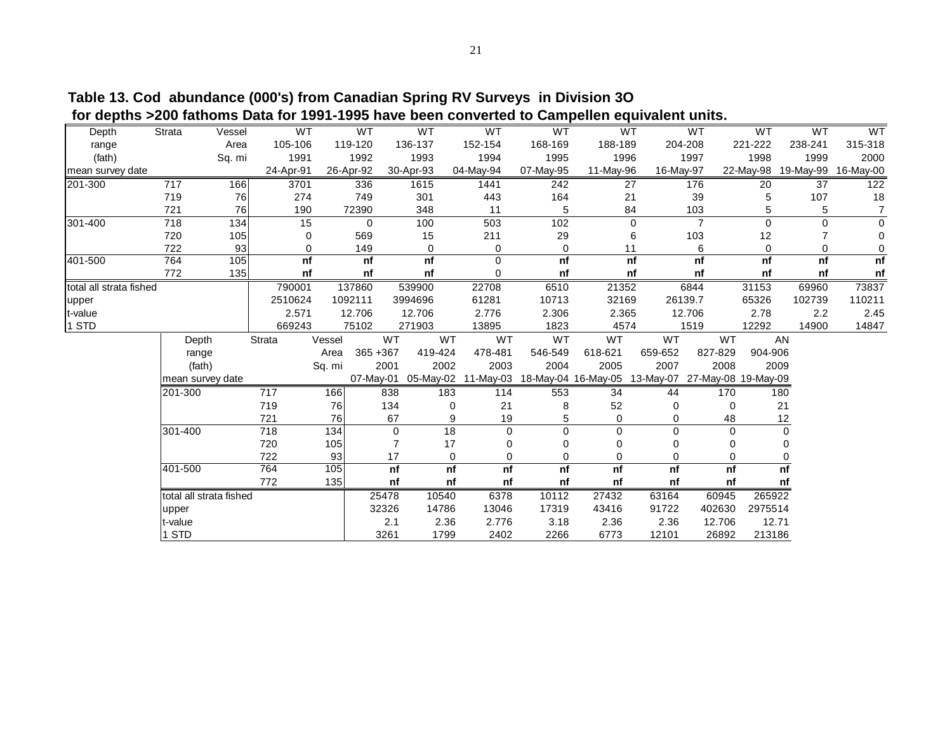| Depth                   | Strata                  | Vessel | WT        |        | <b>WT</b> |           | WT          | <b>WT</b>                     | <b>WT</b> |                     | <b>WT</b> | <b>WT</b>      | WT                  | <b>WT</b> | WT                  |
|-------------------------|-------------------------|--------|-----------|--------|-----------|-----------|-------------|-------------------------------|-----------|---------------------|-----------|----------------|---------------------|-----------|---------------------|
| range                   |                         | Area   | 105-106   |        | 119-120   |           | 136-137     | 152-154                       | 168-169   | 188-189             |           | 204-208        | 221-222             | 238-241   | 315-318             |
| (fath)                  |                         | Sq. mi | 1991      |        | 1992      |           | 1993        | 1994                          | 1995      | 1996                |           | 1997           | 1998                | 1999      | 2000                |
| mean survey date        |                         |        | 24-Apr-91 |        | 26-Apr-92 | 30-Apr-93 |             | 04-May-94                     | 07-May-95 | 11-May-96           | 16-May-97 |                | 22-May-98           |           | 19-May-99 16-May-00 |
| 201-300                 | 717                     | 166    | 3701      |        | 336       |           | 1615        | 1441                          | 242       |                     | 27        | 176            | 20                  | 37        | 122                 |
|                         | 719                     | 76     | 274       |        | 749       |           | 301         | 443                           | 164       |                     | 21        | 39             | 5                   | 107       | 18                  |
|                         | 721                     | 76     | 190       |        | 72390     |           | 348         | 11                            | 5         |                     | 84        | 103            | 5                   | 5         | $\overline{7}$      |
| $301 - 400$             | 718                     | 134    | 15        |        | 0         |           | 100         | 503                           | 102       |                     | 0         | $\overline{7}$ | $\mathbf 0$         | 0         | $\Omega$            |
|                         | 720                     | 105    | 0         |        | 569       |           | 15          | 211                           | 29        |                     | 6         | 103            | 12                  |           | $\Omega$            |
|                         | 722                     | 93     | 0         |        | 149       |           | $\mathbf 0$ | 0                             | $\Omega$  |                     | 11        | 6              | 0                   | $\Omega$  | 0                   |
| 401-500                 | 764                     | 105    | nf        |        | nf        |           | nf          | $\Omega$                      | nf        |                     | nf        | nf             | nf                  | nf        | nf                  |
|                         | 772                     | 135    | nf        |        | nf        |           | nf          | $\Omega$                      | nf        |                     | nf        | nf             | nf                  | nf        | nf                  |
| total all strata fished |                         |        | 790001    |        | 137860    |           | 539900      | 22708                         | 6510      | 21352               |           | 6844           | 31153               | 69960     | 73837               |
| upper                   |                         |        | 2510624   |        | 1092111   |           | 3994696     | 61281                         | 10713     | 32169               |           | 26139.7        | 65326               | 102739    | 110211              |
| t-value                 |                         |        | 2.571     |        | 12.706    |           | 12.706      | 2.776                         | 2.306     | 2.365               |           | 12.706         | 2.78                | 2.2       | 2.45                |
| 1 STD                   |                         |        | 669243    |        | 75102     |           | 271903      | 13895                         | 1823      | 4574                |           | 1519           | 12292               | 14900     | 14847               |
|                         | Depth                   |        | Strata    | Vessel |           | <b>WT</b> | <b>WT</b>   | <b>WT</b>                     | <b>WT</b> | <b>WT</b>           | <b>WT</b> | <b>WT</b>      |                     | AN        |                     |
|                         | range                   |        |           | Area   | 365 + 367 |           | 419-424     | 478-481                       | 546-549   | 618-621             | 659-652   | 827-829        | 904-906             |           |                     |
|                         | (fath)                  |        |           | Sq. mi |           | 2001      | 2002        | 2003                          | 2004      | 2005                | 2007      | 2008           |                     | 2009      |                     |
|                         | mean survey date        |        |           |        |           |           |             | 07-May-01 05-May-02 11-May-03 |           | 18-May-04 16-May-05 | 13-May-07 |                | 27-May-08 19-May-09 |           |                     |
|                         | 201-300                 |        | 717       | 166    |           | 838       | 183         | 114                           | 553       | 34                  | 44        | 170            |                     | 180       |                     |
|                         |                         |        | 719       | 76     |           | 134       | $\Omega$    | 21                            | 8         | 52                  | 0         |                | 0                   | 21        |                     |
|                         |                         |        | 721       | 76     |           | 67        | 9           | 19                            | 5         | 0                   | 0         | 48             |                     | 12        |                     |
|                         | 301-400                 |        | 718       | 134    |           | 0         | 18          | $\Omega$                      | 0         | $\Omega$            | 0         |                | $\Omega$            | 0         |                     |
|                         |                         |        | 720       | 105    |           | 7         | 17          |                               | 0         | 0                   | 0         |                | 0                   |           |                     |
|                         |                         |        | 722       | 93     |           | 17        | $\mathbf 0$ | 0                             | 0         | 0                   | 0         |                | 0                   |           |                     |
|                         | 401-500                 |        | 764       | 105    |           | nf        | nf          | nf                            | n f       | nf                  | nf        |                | nf                  | n f       |                     |
|                         |                         |        | 772       | 135    |           | nf        | nf          | nf                            | nf        | nf                  | nf        |                | nf                  | nf        |                     |
|                         | total all strata fished |        |           |        | 25478     |           | 10540       | 6378                          | 10112     | 27432               | 63164     | 60945          | 265922              |           |                     |
|                         | upper                   |        |           |        | 32326     |           | 14786       | 13046                         | 17319     | 43416               | 91722     | 402630         | 2975514             |           |                     |
|                         | t-value                 |        |           |        |           | 2.1       | 2.36        | 2.776                         | 3.18      | 2.36                | 2.36      | 12.706         | 12.71               |           |                     |
|                         | 1 STD                   |        |           |        |           | 3261      | 1799        | 2402                          | 2266      | 6773                | 12101     | 26892          | 213186              |           |                     |
|                         |                         |        |           |        |           |           |             |                               |           |                     |           |                |                     |           |                     |

**Table 13. Cod abundance (000's) from Canadian Spring RV Surveys in Division 3O for depths >200 fathoms Data for 1991-1995 have been converted to Campellen equivalent units.**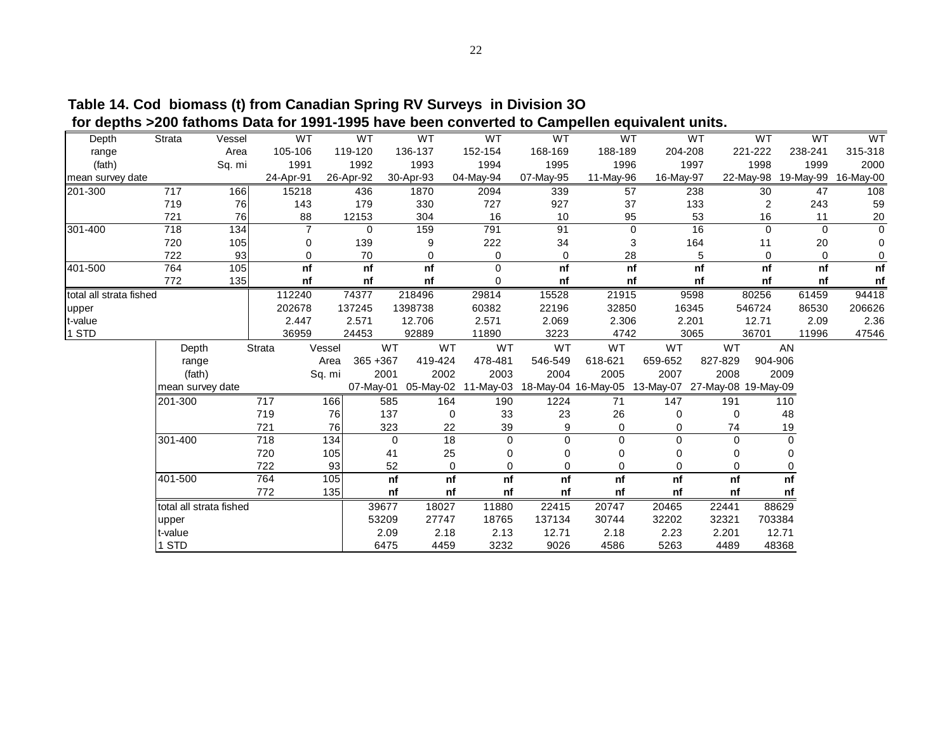| $\sim$ avpulver         |                         |                 |                |        |             |                                | <b>1990 Have Boon converted to camponen</b> equivalent annot |             |                                                   |             |         |           |             |           |
|-------------------------|-------------------------|-----------------|----------------|--------|-------------|--------------------------------|--------------------------------------------------------------|-------------|---------------------------------------------------|-------------|---------|-----------|-------------|-----------|
| Depth                   | Strata                  | Vessel          | WT             |        | WT          | WT                             | WT                                                           | WT          | WT                                                |             | WT      | WT        | WT          | WT        |
| range                   |                         | Area            | 105-106        |        | 119-120     | 136-137                        | 152-154                                                      | 168-169     | 188-189                                           | 204-208     |         | 221-222   | 238-241     | 315-318   |
| (fath)                  |                         | Sq. mi          | 1991           |        | 1992        | 1993                           | 1994                                                         | 1995        | 1996                                              |             | 1997    | 1998      | 1999        | 2000      |
| mean survey date        |                         |                 | 24-Apr-91      |        | 26-Apr-92   | 30-Apr-93                      | 04-May-94                                                    | 07-May-95   | 11-May-96                                         | 16-May-97   |         | 22-May-98 | 19-May-99   | 16-May-00 |
| 201-300                 | 717                     | 166             | 15218          |        | 436         | 1870                           | 2094                                                         | 339         | 57                                                |             | 238     | 30        | 47          | 108       |
|                         | 719                     | 76              | 143            |        | 179         | 330                            | 727                                                          | 927         | 37                                                |             | 133     | 2         | 243         | 59        |
|                         | 721                     | 76              | 88             |        | 12153       | 304                            | 16                                                           | 10          | 95                                                |             | 53      | 16        | 11          | 20        |
| 301-400                 | 718                     | $\frac{1}{134}$ | $\overline{7}$ |        | $\mathbf 0$ | 159                            | 791                                                          | 91          |                                                   | $\mathbf 0$ | 16      | $\Omega$  | $\Omega$    | $\Omega$  |
|                         | 720                     | 105             | 0              |        | 139         | 9                              | 222                                                          | 34          |                                                   | 3           | 164     | 11        | 20          | 0         |
|                         | 722                     | 93              | 0              |        | 70          | $\mathbf 0$                    | 0                                                            | $\mathbf 0$ | 28                                                |             | 5       | 0         | $\mathbf 0$ | 0         |
| 401-500                 | 764                     | 105             | nf             |        | nf          | nf                             | $\mathbf 0$                                                  | nf          |                                                   | nf          | nf      | nf        | nf          | nf        |
|                         | 772                     | 135             | nf             |        | nf          | nf                             | 0                                                            | nf          |                                                   | nf          | nf      | nf        | nf          | nf        |
| total all strata fished |                         |                 | 112240         |        | 74377       | 218496                         | 29814                                                        | 15528       | 21915                                             |             | 9598    | 80256     | 61459       | 94418     |
| upper                   |                         |                 | 202678         |        | 137245      | 1398738                        | 60382                                                        | 22196       | 32850                                             |             | 16345   | 546724    | 86530       | 206626    |
| t-value                 |                         |                 | 2.447          |        | 2.571       | 12.706                         | 2.571                                                        | 2.069       | 2.306                                             |             | 2.201   | 12.71     | 2.09        | 2.36      |
| 1 STD                   |                         |                 | 36959          |        | 24453       | 92889                          | 11890                                                        | 3223        | 4742                                              |             | 3065    | 36701     | 11996       | 47546     |
|                         | Depth                   |                 | Strata         | Vessel | WT          | WT                             | WT                                                           | WT          | WT                                                | WT          | WT      |           | AN          |           |
|                         | range                   |                 |                | Area   | 365 + 367   | 419-424                        | 478-481                                                      | 546-549     | 618-621                                           | 659-652     | 827-829 | 904-906   |             |           |
|                         | (fath)                  |                 |                | Sq. mi | 2001        | 2002                           | 2003                                                         | 2004        | 2005                                              | 2007        | 2008    |           | 2009        |           |
|                         | mean survey date        |                 |                |        | 07-May-01   | 05-May-02                      | 11-May-03                                                    |             | 18-May-04 16-May-05 13-May-07 27-May-08 19-May-09 |             |         |           |             |           |
|                         | 201-300                 |                 | 717            | 166    | 585         | 164                            | 190                                                          | 1224        | 71                                                | 147         | 191     |           | 110         |           |
|                         |                         |                 | 719            | 76     | 137         |                                | 33<br>$\mathbf 0$                                            | 23          | 26                                                | $\Omega$    | 0       |           | 48          |           |
|                         |                         |                 | 721            | 76     | 323         | 22                             | 39                                                           | 9           | 0                                                 | 0           | 74      |           | 19          |           |
|                         | 301-400                 |                 | 718            | 134    |             | $\overline{18}$<br>$\mathbf 0$ | 0                                                            | $\mathbf 0$ | 0                                                 | $\Omega$    | 0       |           | $\mathbf 0$ |           |
|                         |                         |                 | 720            | 105    | 41          | 25                             | 0                                                            | O           | 0                                                 | 0           | 0       |           | 0           |           |
|                         |                         |                 | 722            | 93     |             | 52                             | 0<br>0                                                       | O           | 0                                                 | 0           | 0       |           | 0           |           |
|                         | 401-500                 |                 | 764            | 105    |             | nf<br>nf                       | nf                                                           | nf          | nf                                                | nf          | nf      |           | nf          |           |
|                         |                         |                 | 772            | 135    |             | nf<br>nf                       | nf                                                           | nf          | nf                                                | nf          | nf      |           | nf          |           |
|                         | total all strata fished |                 |                |        | 39677       | 18027                          | 11880                                                        | 22415       | 20747                                             | 20465       | 22441   |           | 88629       |           |
|                         | upper                   |                 |                |        | 53209       | 27747                          | 18765                                                        | 137134      | 30744                                             | 32202       | 32321   | 703384    |             |           |
|                         | t-value                 |                 |                |        | 2.09        | 2.18                           | 2.13                                                         | 12.71       | 2.18                                              | 2.23        | 2.201   |           | 12.71       |           |
|                         | 1 STD                   |                 |                |        | 6475        | 4459                           | 3232                                                         | 9026        | 4586                                              | 5263        | 4489    |           | 48368       |           |
|                         |                         |                 |                |        |             |                                |                                                              |             |                                                   |             |         |           |             |           |

**Table 14. Cod biomass (t) from Canadian Spring RV Surveys in Division 3O for depths >200 fathoms Data for 1991-1995 have been converted to Campellen equivalent units.**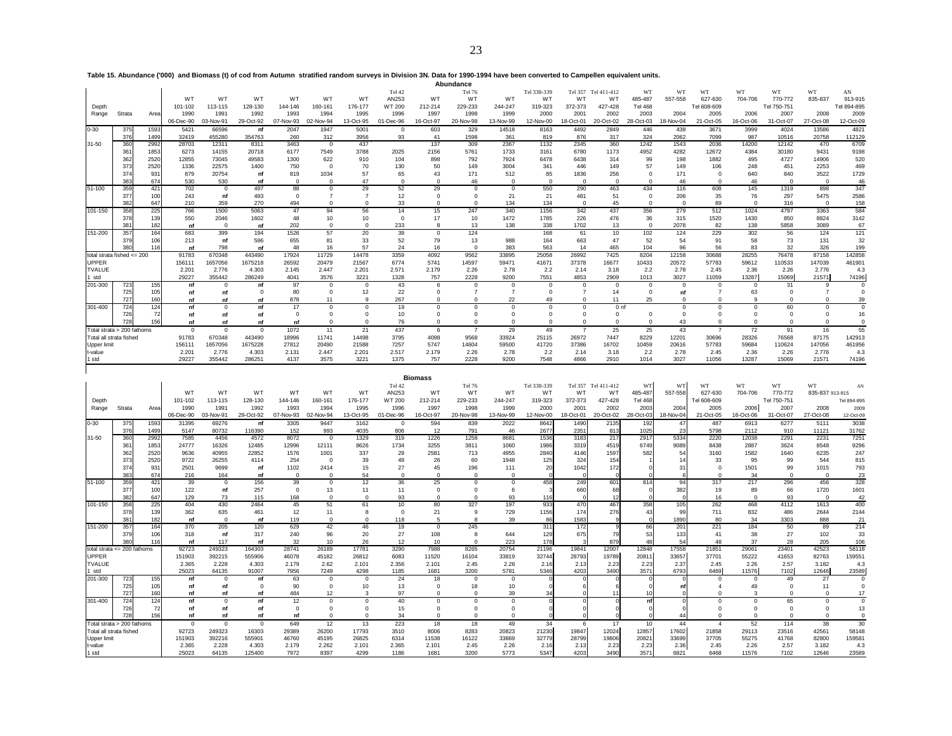**Table 15. Abundance ('000) and Biomass (t) of cod from Autumn stratified random surveys in Division 3N. Data for 1990-1994 have been converted to Campellen equivalent units.**

|                    |                                                                                                                                                                                                                                                                                                                                    |      |                |                 |                 |               |               |               |               |              | Abundance    |              |             |              |                 |             |              |               |               |               |                |              |
|--------------------|------------------------------------------------------------------------------------------------------------------------------------------------------------------------------------------------------------------------------------------------------------------------------------------------------------------------------------|------|----------------|-----------------|-----------------|---------------|---------------|---------------|---------------|--------------|--------------|--------------|-------------|--------------|-----------------|-------------|--------------|---------------|---------------|---------------|----------------|--------------|
|                    | WT<br>WT<br>Tel 42<br>Tel 76<br>Tel 338-339<br>Tel 357<br>WT<br>WT<br>WT<br>WT<br>AN<br>Tel 411-412<br><b>WT</b><br>557-558<br>770-772<br>WT<br>WT<br>W <sub>T</sub><br>WT<br>WT<br>WT<br>AN253<br>W <sub>T</sub><br>WT<br>WT<br>WT<br>W <sub>T</sub><br>485-487<br>627-630<br>704-706<br>835-837<br>913-915<br>372-373<br>101-102 |      |                |                 |                 |               |               |               |               |              |              |              |             |              |                 |             |              |               |               |               |                |              |
|                    |                                                                                                                                                                                                                                                                                                                                    |      |                |                 |                 |               |               |               |               |              |              |              |             |              |                 |             |              |               |               |               |                |              |
| Depth              |                                                                                                                                                                                                                                                                                                                                    |      |                | 113-115         | 128-130         | 144-146       | 160-161       | 176-177       | WT 200        | 212-214      | 229-233      | 244-247      | 319-323     |              | 427-428         | Tel 468     |              | Tel 608-609   |               | Tel 750-751   |                | Tel 894-895  |
| Range              | Strata                                                                                                                                                                                                                                                                                                                             | Area | 1990           | 1991            | 1992            | 1993          | 1994          | 1995          | 1996          | 1997         | 1998         | 1999         | 2000        | 2001         | 2002            | 2003        | 2004         | 2005          | 2006          | 2007          | 2008           | 2009         |
|                    |                                                                                                                                                                                                                                                                                                                                    |      | 06-Dec-90      | 03-Nov-91       | 29-Oct-92       | 07-Nov-93     | 02-Nov-94     | 13-Oct-95     | 01-Dec-96     | 16-Oct-97    | 20-Nov-98    | 13-Nov-99    | 12-Nov-00   | 18-Oct-01    | 20-Oct-02       | 28-Oct-03   | 18-Nov-04    | 21-Oct-05     | 16-Oct-06     | 31-Oct-07     | 27-Oct-08      | 12-Oct-09    |
| $0 - 30$           | 375                                                                                                                                                                                                                                                                                                                                | 1593 | 5421           | 66596           | nf              | 2047          | 1947          | 5001          | $\Omega$      | 603          | 329          | 14518        | 8163        | 4492         | 2849            | 446         | 438          | 3671          | 3999          | 4024          | 13586          | 4821         |
|                    | 376                                                                                                                                                                                                                                                                                                                                | 1499 | 32419          | 455280          | 354763          | 260           | 312           | 3956          | 93            | 41           | 1598         | 361          | 819         | 876          | 317             | 324         | 2062         | 7099          | 987           | 10516         | 20758          | 112129       |
| 31-50              | 360                                                                                                                                                                                                                                                                                                                                | 2992 | 28703          | 12311           | 8311            | 3463          | $^{\circ}$    | 437           |               | 137          | 309          | 2367         | 1132        | 2345         | 360             | 1242        | 1543         | 2036          | 14200         | 12142         | 470            | 6709         |
|                    | 361                                                                                                                                                                                                                                                                                                                                | 1853 | 6273           | 14155           | 20718           | 6177          | 7549          | 3788          | 2025          | 2156         | 5761         | 1733         | 3161        | 6780         | 1173            | 4952        | 4282         | 12672         | 4384          | 30180         | 9431           | 9198         |
|                    | 362                                                                                                                                                                                                                                                                                                                                | 2520 | 12855          | 73045           | 49583           | 1300          | 622           | 910           | 104           | 898          | 792          | 7924         | 6478        | 6438         | 314             | 99          | 198          | 1882          | 495           | 4727          | 14906          | 520          |
|                    | 373                                                                                                                                                                                                                                                                                                                                | 2520 | 1336           | 22575           | 1400            | 750           |               | 70            | 130           | 50           | 149          | 3004         | 341         | 446          | 149             | 57          | 149          | 106           | 248           | 451           | 2253           | 469          |
|                    | 374                                                                                                                                                                                                                                                                                                                                | 93'  | 879            | 20754           | nf              | 819           | 1034          | 57            | 65            | 43           | 171          | 512          | 85          | 1836         | 256             |             | 171          |               | 640           | 840           | 3522           | 1729         |
|                    | 383                                                                                                                                                                                                                                                                                                                                | 674  | 530            | 530             | nf              | $\Omega$      |               | 47            | $\Omega$      |              | 46           |              | $\Omega$    | $\Omega$     | $\Omega$        |             | 46           | $\Omega$      | 46            | $\Omega$      | $\Omega$       | 46           |
| 51-100             | 359                                                                                                                                                                                                                                                                                                                                | 421  | 702            | $\Omega$        | 497             | 88            | $\Omega$      | 29            | 52            | 29           | $\Omega$     | $\Omega$     | 550         | 290          | 463             | 434         | 116          | 608           | 145           | 1319          | 898            | 347          |
|                    | 377                                                                                                                                                                                                                                                                                                                                | 100  | 243            | nf              | 493             | $^{\circ}$    |               |               | 12            |              |              | 21           | 21          | 481          | 51              |             | 206          | 35            | 76            | 297           | 5475           | 2586         |
|                    | 382                                                                                                                                                                                                                                                                                                                                | 647  | 210            | 359             | 270             | 494           |               | $\Omega$      | 33            |              | $\Omega$     | 134          | 134         | $\Omega$     | 45              |             | $\Omega$     | 89            | $\Omega$      | 316           |                | 158          |
| 101-150            | 358                                                                                                                                                                                                                                                                                                                                | 225  | 766            | 1500            | 5063            | 47            | 94            | 56            | 14            | 15           | 247          | 340          | 1156        | 342          | 437             | 356         | 279          | 512           | 1024          | 4797          | 3363           | 584          |
|                    | 378                                                                                                                                                                                                                                                                                                                                | 139  | 550            | 2046            | 1602            | 48            | 10            | 10            | $\Omega$      | 17           | 10           | 1472         | 1785        | 226          | 476             | 36          | 315          | 1520          | 1430          | 850           | 8824           | 3142         |
|                    | 381                                                                                                                                                                                                                                                                                                                                | 182  | nf             | $\Omega$        | nf              | 202           |               | $\Omega$      | 233           | 8            | 13           | 138          | 338         | 1702         | 13              |             | 2078         | 82            | 138           | 5858          | 3089           | 67           |
| 151-200            | 357                                                                                                                                                                                                                                                                                                                                | 164  | 683            | 399             | 194             | 1526          | 57            | 20            | 39            | $\Omega$     | 124          |              | 168         | 61           | 10              | 102         | 124          | 229           | 302           | 56            | 124            | 121          |
|                    | 379                                                                                                                                                                                                                                                                                                                                | 106  | 213            | nf              | 596             | 655           | 81            | 33            | 52            | 79           | 13           | 988          | 164         | 663          | 47              | 52          | 54           | 91            | 58            | 73            | 131            | 32           |
|                    | 380                                                                                                                                                                                                                                                                                                                                | 116  | nf             | 798             | nf              | 48            | 16            | 57            | 24            | 16           | $\Omega$     | 383          | 563         | 14           | 465             | 104         | 96           | 56            | 83            | 32            | 326            | 199          |
|                    | total strata fished <= 200                                                                                                                                                                                                                                                                                                         |      | 91783          | 670348          | 443490          | 17924         | 11729         | 14478         | 3359          | 4092         | 9562         | 33895        | 25058       | 26992        | 7425            | 8204        | 12158        | 30688         | 28255         | 76478         | 87158          | 142858       |
| UPPER              |                                                                                                                                                                                                                                                                                                                                    |      | 156111         | 1657056         | 1675218         | 26592         | 20479         | 21567         | 6774          | 5741         | 14597        | 59471        | 41671       | 37378        | 16677           | 10433       | 20572        | 57783         | 59612         | 110533        | 147039         | 461901       |
| <b>TVALUE</b>      |                                                                                                                                                                                                                                                                                                                                    |      | 2.201<br>29227 | 2.776<br>355442 | 4.303<br>286249 | 2.145<br>4041 | 2.447<br>3576 | 2.201<br>3221 | 2.571<br>1328 | 2.179<br>757 | 2.26<br>2228 | 2.78<br>9200 | 2.2<br>7551 | 2.14<br>4853 | 3.18<br>2909    | 2.2<br>1013 | 2.78<br>3027 | 2.45<br>11059 | 2.36<br>13287 | 2.26<br>15069 | 2.776<br>21571 | 4.3<br>74196 |
| std<br>201-300     | 723                                                                                                                                                                                                                                                                                                                                | 155  | ni             | $\Omega$        | nf              | 97            | -0            | $\Omega$      | 43            | -6           | $\Omega$     |              | $^{\circ}$  | $\Omega$     | $\Omega$        |             | $\Omega$     | $\Omega$      | $\Omega$      | 31            |                |              |
|                    | 725                                                                                                                                                                                                                                                                                                                                | 105  | ni             |                 |                 | 80            |               | 12            | 22            |              |              |              | $\Omega$    |              | 14              |             |              |               | 63            |               |                |              |
|                    | 727                                                                                                                                                                                                                                                                                                                                | 160  | nf             | ni              | nf              | 878           | 11            | 9             | 267           |              |              | 22           | 49          |              | 11              | 25          | $\Omega$     |               | 9             |               |                | 39           |
| 301-400            | 724                                                                                                                                                                                                                                                                                                                                | 124  | nf             | $\Omega$        | nf              | 17            | $\Omega$      | $\Omega$      | 19            | $\Omega$     | $\Omega$     |              | $\Omega$    | $\Omega$     | 0 <sub>nt</sub> |             | $\Omega$     | $\Omega$      | $\Omega$      | 60            |                | $\Omega$     |
|                    | 726                                                                                                                                                                                                                                                                                                                                | 72   | nf             | nf              | n               | 0             |               |               | 10            |              |              |              |             |              |                 |             | $\Omega$     |               | $\Omega$      |               |                | 16           |
|                    | 728                                                                                                                                                                                                                                                                                                                                | 156  | nf             | nf              | nf              | nf            |               | $\Omega$      | 76            | $\Omega$     | $\Omega$     |              | $\Omega$    | $\Omega$     | $\Omega$        |             | 43           |               | $\Omega$      |               |                |              |
|                    | Total strata > 200 fathoms                                                                                                                                                                                                                                                                                                         |      | $^{\circ}$     | $^{\circ}$      |                 | 1072          | 11            | 21            | 437           | -6           |              | 29           | 49          |              | 25              | 25          | 43           |               | 72            | 91            | 16             | 55           |
|                    | Total all strata fished                                                                                                                                                                                                                                                                                                            |      | 91783          | 670348          | 443490          | 18996         | 11741         | 14498         | 3795          | 4098         | 9568         | 33924        | 25115       | 26972        | 7447            | 8229        | 12201        | 30696         | 28326         | 76568         | 87175          | 142913       |
| <b>Upper limit</b> |                                                                                                                                                                                                                                                                                                                                    |      | 156111         | 1657056         | 1675228         | 27812         | 20490         | 21588         | 7257          | 5747         | 14604        | 59500        | 41720       | 37386        | 16702           | 10459       | 20616        | 57783         | 59684         | 110624        | 147056         | 461956       |
| t-value            |                                                                                                                                                                                                                                                                                                                                    |      | 2.201          | 2.776           | 4.303           | 2.131         | 2.447         | 2.201         | 2.517         | 2.179        | 2.26         | 2.78         | 2.2         | 2.14         | 3.18            | 2.2         | 2.78         | 2.45          | 2.36          | 2.26          | 2.776          | 4.3          |
| 1 std              |                                                                                                                                                                                                                                                                                                                                    |      | 29227          | 355442          | 286251          | 4137          | 3575          | 3221          | 1375          | 757          | 2228         | 9200         | 7548        | 4866         | 2910            | 1014        | 3027         | 11056         | 13287         | 15069         | 21571          | 74196        |

|                         |                             |      |             |               |              |              |               |             |            | <b>Biomass</b> |           |              |              |           |              |                |                |             |              |             |                 |              |
|-------------------------|-----------------------------|------|-------------|---------------|--------------|--------------|---------------|-------------|------------|----------------|-----------|--------------|--------------|-----------|--------------|----------------|----------------|-------------|--------------|-------------|-----------------|--------------|
|                         |                             |      |             |               |              |              |               |             | Tel 42     |                | Tel 76    |              | Tel 338-339  | Tel 357   | Tel 411-412  | WT             | W <sub>1</sub> | WT          | WT           | WT          | WT              | AN           |
|                         |                             |      | WT          | WT            | WT           | WT           | WT            | W1          | AN253      | WT             | WT        | WT           | WT           | WT        | WT           | 485-487        | 557-558        | 627-630     | 704-706      | 770-772     | 835-837 913-915 |              |
| Depth                   |                             |      | 101-102     | 113-115       | 128-130      | 144-146      | 160-161       | 176-177     | WT 200     | 212-214        | 229-233   | 244-247      | 319-323      | 372-373   | 427-428      | <b>Tel 468</b> |                | Tel 608-609 |              | Tel 750-751 |                 | Tel 894-895  |
| Range                   | Strata                      | Area | 1990        | 1991          | 1992         | 1993         | 1994          | 1995        | 1996       | 1997           | 1998      | 1999         | 2000         | 2001      | 2002         | 2003           | 2004           | 2005        | 2006         | 2007        | 2008            | 2009         |
|                         |                             |      | 06-Dec-90   | 03-Nov-91     | 29-Oct-92    | 07-Nov-93    | 02-Nov-94     | 13-Oct-95   | 01-Dec-96  | 16-Oct-97      | 20-Nov-98 | 13-Nov-99    | 12-Nov-00    | 18-Oct-01 | 20-Oct-02    | 28-Oct-03      | 18-Nov-04      | 21-Oct-05   | 16-Oct-06    | 31-Oct-07   | 27-Oct-08       | 12-Oct-09    |
| $0 - 30$                | 375                         | 1593 | 31395       | 69276         | nf           | 3305         | 9447          | 3162        | $^{\circ}$ | 594            | 839       | 2022         | 8642         | 1490      | 2135         | 192            | 47             | 487         | 6913         | 6277        | 5111            | 3038         |
|                         | 376                         | 1499 | 5147        | 80732         | 116390       | 152          | 993           | 4035        | 806        | 12             | 791       | 46           | 2677         | 2351      | 813          | 1025           | 23             | 5798        | 2112         | 910         | 11121           | 31762        |
| $31 - 50$               | 360                         | 2992 | 7585        | 4456          | 4572         | 8072         | $\Omega$      | 1329        | 319        | 1226           | 1258      | 8681         | 1536         | 3183      | 217          | 2917           | 5334           | 2220        | 12038        | 2291        | 2231            | 7251         |
|                         | 361                         | 1853 | 24777       | 16326         | 12485        | 12996        | 12111         | 8626        | 1734       | 3255           | 3811      | 1060         | 1986         | 3319      | 4519         | 6749           | 9089           | 8438        | 2887         | 3624        | 8548            | 9296         |
|                         | 362                         | 2520 | 9636        | 40955         | 22852        | 1576         | 1001          | 337         | 29         | 2581           | 713       | 4955         | 2840         | 4146      | 1597         | 582            | 54             | 3160        | 1582         | 1640        | 6235            | 247          |
|                         | 373                         | 2520 | 9722        | 26255         | 4114         | 254          | $\Omega$      | 39          | 49         | 26             | 60        | 1948         | 125          | 324       | 154          |                |                | 33          | 95           | 99          | 544             | 815          |
|                         | 374                         | 931  | 2501        | 9699          | nf           | 1102         | 2414          | 15          | 27         | 45             | 196       | 111          | 20           | 1042      | 172          |                |                |             | 1501         | 99          | 1015            | 793          |
|                         | 383                         | 674  | 216         | 164           | nf           | $\mathbf{0}$ | $\Omega$      | 54          | $^{\circ}$ | $\Omega$       | $\Omega$  | $\Omega$     |              |           |              |                |                |             | 34           |             | $\Omega$        | 23           |
| 51-100                  | 359                         | 421  | 39          | $\Omega$      | 156          | 39           | $\Omega$      | 12          | 36         | 25             | $\Omega$  | $\Omega$     | 458          | 249       | 601          | 814            | 94             | 317         | 217          | 296         | 456             | 328          |
|                         | 377                         | 100  | 122         | nf            | 257          | $\Omega$     | 13            | 11          | 11         |                |           | 6            |              | 660       | 68           |                | 382            | 19          | 89           | 66          | 1720            | 1601         |
|                         | 382                         | 647  | 129         | 73            | 115          | 168          |               | $\Omega$    | 93         | $\Omega$       |           | 93           | 116          |           |              |                |                | 16          | $\mathbf{0}$ | 93          | $\Omega$        | 42           |
| 101-150                 | 358                         | 225  | 404         | 430           | 2464         | 45           | 51            | 61          | 10         | 80             | 327       | 197          | 933          | 470       | 467          | 358            | 105            | 262         | 468          | 4112        | 1613            | 400          |
|                         | 378                         | 139  | 362         | 635           | 461          | 12           | 11            |             | $\Omega$   | 21             |           | 729          | 1156         | 174       | 276          | 43             | 99             | 711         | 832          | 486         | 2644            | 2144         |
|                         | 381                         | 182  | nf          | $\Omega$      | nf           | 119          | O             |             | 118        |                |           | 39           | 86           | 1583      |              |                | 1890           | 80          | 34           | 3303        | 888             | 21           |
| 151-200                 | 357                         | 164  | 370         | 205           | 120          | 629          | 42            | 46          | 19         | $\Omega$       | 245       |              | 311          | 172       | 79           | 66             | 201            | 221         | 184          | 50          | 89              | 214          |
|                         | 379                         | 106  | 318         | nf            | 317          | 240          | 96            | 20          | 27         | 108            | 8         | 644          | 129          | 675       |              | 53             | 133            | 41          | 38           | 27          | 102             | 33           |
|                         | 380                         | 116  | nf<br>92723 | 117<br>249323 | nf<br>164303 | 32<br>28741  | 10<br>26189   | 26<br>17781 | 12<br>3290 | 10<br>7988     | 8265      | 223<br>20754 | 178<br>21196 | 19841     | 879<br>12007 | 48<br>12848    | 54<br>17558    | 48<br>21851 | 37<br>29061  | 28<br>23401 | 205<br>42523    | 106<br>58118 |
| UPPER                   | total strata <= 200 fathoms |      | 151903      | 392215        | 555906       | 46078        |               | 26812       | 6083       |                | 16104     | 33819        | 32744        | 28793     | 19789        | 20811          | 33657          | 37701       | 55222        | 41653       | 82763           | 159551       |
| <b>TVALUE</b>           |                             |      | 2.365       | 2.228         | 4.303        | 2.179        | 45182<br>2.62 | 2.101       | 2.356      | 11520<br>2.101 | 2.45      | 2.26         | 2.16         | 2.13      | 2.23         | 2.23           | 2.37           | 2.45        | 2.26         | 2.57        | 3.182           | 4.3          |
| std                     |                             |      | 25023       | 64135         | 91007        | 7956         | 7249          | 4298        | 1185       | 1681           | 3200      | 5781         | 5346         | 4203      | 3490         | 3571           | 6793           | 6469        | 11576        | 7102        | 12646           | 23589        |
| 201-300                 | 723                         | 155  | nf          | $\Omega$      | nf           | 63           | $\Omega$      | $\Omega$    | 24         | 18             | $\Omega$  | $\Omega$     |              |           |              |                |                |             | $\Omega$     | 49          | 27              |              |
|                         | 725                         | 105  | nf          | nf            |              | 90           | $\Omega$      | 10          | 13         | $\Omega$       | 18        | 10           |              |           |              |                |                |             | 49           |             | 11              | $^{\circ}$   |
|                         | 727                         | 160  | nf          | nf            | nf           | 484          | 12            | 3           | 97         | $\Omega$       | 0         | 39           | 34           |           |              |                |                |             | 3            |             | $\Omega$        | 17           |
| 301-400                 | 724                         | 124  | nf          | $\Omega$      | nf           | 12           | $\Omega$      |             | 40         | $\Omega$       | $\Omega$  |              |              |           |              | nf             |                |             | $\Omega$     | 65          |                 | $\mathbf 0$  |
|                         | 726                         | 72   | nf          | nf            | nf           | $\Omega$     |               |             | 15         |                |           |              |              |           |              |                |                |             |              |             |                 | 13           |
|                         | 728                         | 156  | nf          | nf            | nf           | nf           | O             |             | 34         | $\Omega$       | $\Omega$  | $\Omega$     |              |           |              |                |                |             | $\Omega$     | $\Omega$    | $\Omega$        |              |
|                         | Total strata > 200 fathoms  |      | $\Omega$    | $\Omega$      | $\Omega$     | 649          | 12            | 13          | 223        | 18             | 18        | 49           | 34           |           | 17           | 10             | 44             |             | 52           | 114         | 38              | 30           |
| Total all strata fished |                             |      | 92723       | 249323        | 16303        | 29389        | 26200         | 17793       | 3510       | 8006           | 8283      | 20823        | 21230        | 19847     | 12024        | 12857          | 17602          | 21858       | 29113        | 23516       | 42561           | 58148        |
| Upper limit             |                             |      | 151903      | 392216        | 555901       | 46760        | 45195         | 26825       | 6314       | 11538          | 16122     | 33869        | 32779        | 28799     | 19806        | 20821          | 33699          | 37705       | 55275        | 41768       | 82800           | 159581       |
| t-value                 |                             |      | 2.365       | 2.228         | 4.303        | 2.179        | 2.262         | 2.101       | 2.365      | 2.101          | 2.45      | 2.26         | 2.16         | 2.13      | 2.23         | 2.23           | 2.36           | 2.45        | 2.26         | 2.57        | 3.182           | 4.3          |
| 1 std                   |                             |      | 25023       | 64135         | 125400       | 7972         | 8397          | 4299        | 1186       | 1681           | 3200      | 5773         | 5347         | 4203      | 3490         | 3571           | 6821           | 6468        | 11576        | 7102        | 12646           | 23589        |
|                         |                             |      |             |               |              |              |               |             |            |                |           |              |              |           |              |                |                |             |              |             |                 |              |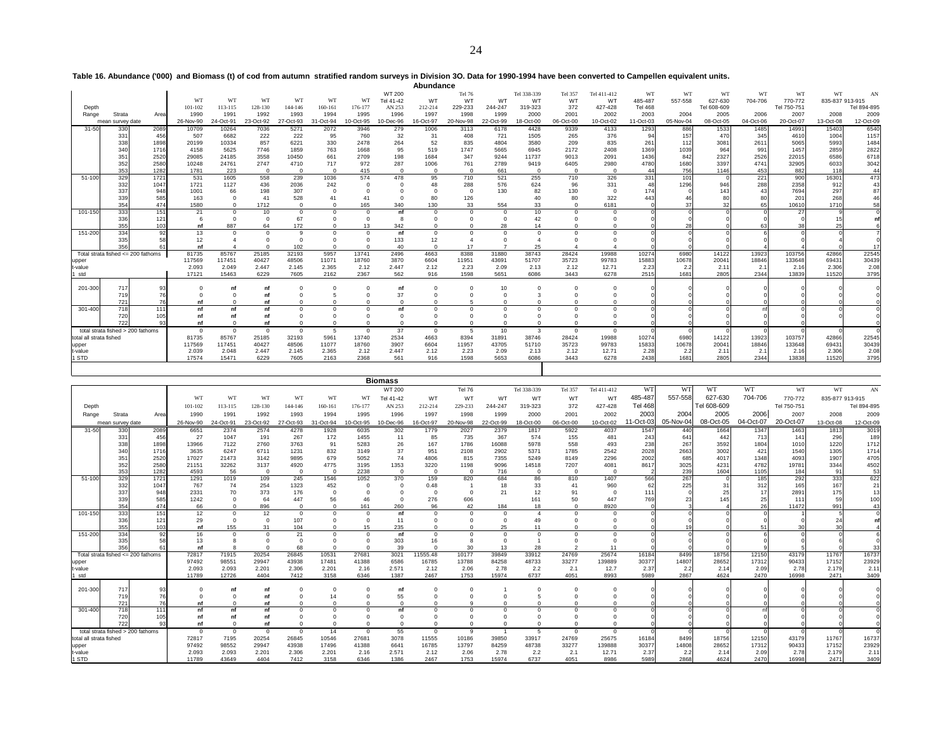**Table 16. Abundance ('000) and Biomass (t) of cod from autumn stratified random surveys in Division 3O. Data for 1990-1994 have been converted to Campellen equivalent units. Abundance**

|                         |                                      |            |           |           |                |           |              |                |                | Abundance  |           |                |             |            |              |                 |           |             |           |             |                 |             |
|-------------------------|--------------------------------------|------------|-----------|-----------|----------------|-----------|--------------|----------------|----------------|------------|-----------|----------------|-------------|------------|--------------|-----------------|-----------|-------------|-----------|-------------|-----------------|-------------|
|                         |                                      |            |           |           |                |           |              |                | WT 200         |            | Tel 76    |                | Tel 338-339 | Tel 357    | Tel 411-412  | WT              | WI        | WI          | WT        | WT          | WT              | AN          |
|                         |                                      |            | WT        | WT        | WT             | WT        | WT           | WT             | Tel 41-42      | WT         | WT        | WT             | WT          | WT         | WT           | 485-487         | 557-558   | 627-630     | 704-706   | 770-772     | 835-837 913-915 |             |
| Depth                   |                                      |            | 101-102   | 113-115   | 128-130        | 144-146   | 160-161      | 176-177        | AN 253         | 212-214    | 229-233   | 244-247        | 319-323     | 372        | 427-428      | <b>Tel 468</b>  |           | Tel 608-609 |           | Tel 750-751 |                 | Tel 894-895 |
| Range                   | Strata                               | Area       | 1990      | 1991      | 1992           | 1993      | 1994         | 1995           | 1996           | 1997       | 1998      | 1999           | 2000        | 2001       | 2002         | 2003            | 2004      | 2005        | 2006      | 2007        | 2008            | 2009        |
|                         | mean survey date                     |            | 26-Nov-90 | 24-Oct-91 | 23-Oct-92      | 27-Oct-93 | 31-Oct-94    | 10-Oct-95      | 10-Dec-96      | 16-Oct-97  | 20-Nov-98 | 22-Oct-99      | 18-Oct-00   | 06-Oct-00  | 10-Oct-02    | 11-Oct-03       | 05-Nov-04 | 08-Oct-05   | 04-Oct-06 | 20-Oct-07   | 13-Oct-08       | 12-Oct-09   |
| $31 - 50$               | 330                                  | 2089       | 10709     | 10264     | 7036           | 5271      | 2072         | 3946           | 279            | 1006       | 3113      | 6178           | 4428        | 9339       | 4133         | 1293            | 886       | 1533        | 1485      | 14991       | 15403           | 6540        |
|                         | 331                                  | 456        | 507       | 6682      | 222            | 222       | 95           | 760            | 32             | 31         | 408       | 721            | 1505        | 265        | 376          | 94              | 157       | 470         | 345       | 4610        | 1004            | 1157        |
|                         | 338                                  | 1898       | 20199     | 10334     | 857            | 6221      | 330          | 2478           | 264            | 52         | 835       | 4804           | 3580        | 209        | 835          | 26 <sup>°</sup> | 112       | 308'        | 2611      | 5065        | 5993            | 1484        |
|                         | 340                                  | 1716       | 4158      | 5625      | 7746           | 1859      | 763          | 1668           | 95             | 519        | 1747      | 5665           | 6945        | 2172       | 2408         | 1369            | 1039      | 964         | 991       | 1457        | 2859            | 2822        |
|                         | 35 <sup>′</sup>                      | 2520       | 29085     | 24185     | 3558           | 10450     | 661          | 2709           | 198            | 1684       | 347       | 9244           | 11737       | 9013       | 2091         | 1436            | 842       | 2327        | 2526      | 22015       | 6586            | 6718        |
|                         | 352                                  | 2580       | 10248     | 24761     | 2747           | 4710      | 717          | 972            | 287            | 1006       | 761       | 2789           | 9419        | 6405       | 2980         | 4780            | 1680      | 3397        | 4741      | 32905       | 6033            | 3042        |
|                         | 353                                  | 1282       | 1781      | 223       | $\Omega$       |           | $\mathbf{0}$ | 415            | $\Omega$       |            | $\Omega$  | 661            |             | $\Omega$   |              |                 | 756       | 1146        | 453       | 882         | 118             | 44          |
| 51-100                  | 329                                  | 1721       | 531       | 1605      | 558            | 239       | 1036         | 574            | 478            | 95         | 710       | 521            | 255         | 710        | 326          | 331             | 101       |             | 221       | 900         | 16301           | 473         |
|                         | 332                                  | 1047       | 1721      | 1127      | 436            | 2036      | 242          |                |                | 48         | 288       | 576            | 624         | 96         | 331          | 48              | 1296      | 946         | 288       | 2358        | 912             | 43          |
|                         | 337                                  | 948        | 1001      | 66        | 198            | 307       | $\mathbf 0$  |                |                |            | $\Omega$  | 130            | 82          | 130        | $\Omega$     | 174             |           | 143         | 43        | 7694        | 297             | 87          |
|                         | 339                                  | 585        | 163       |           | 41             | 528       | 41           |                |                | 80         | 126       |                |             | 80         | 322          | 443             |           |             | 80        | 201         | 268             | 46          |
|                         | 354                                  | 474        | 1580      | $\Omega$  | 1712           |           | $\Omega$     | 165            | 340            | 130        | 33        | 554            | 33          | $\Omega$   | 6181         |                 | 37        | 32          | 65        | 10610       | 1710            | 58          |
| 101-150                 | 333                                  | 151        | 21        | $\Omega$  | 10             | $\Omega$  | $^{\circ}$   | $\Omega$       | nf             | $\Omega$   |           | $\Omega$       | 10          | $\Omega$   |              |                 |           |             |           | 27          |                 |             |
|                         | 336<br>355                           | 121<br>103 | nf        | 887       | 64             | 67<br>172 | $\Omega$     | $\Omega$<br>13 | -8<br>342      |            |           | $\Omega$<br>28 | 42<br>14    |            |              |                 | 28        |             | 63        | 38          |                 |             |
| 151-200                 | 334                                  | 92         | 13        | $\Omega$  | $\Omega$       |           | $\Omega$     | $\Omega$       | nf             | $\Omega$   |           | $\Omega$       |             | $\Omega$   |              |                 |           |             |           |             |                 |             |
|                         | 335                                  |            | 12        |           |                |           |              |                | 133            | 12         |           |                |             |            |              |                 |           |             |           |             |                 |             |
|                         | 356                                  |            | nf        |           |                | 102       |              |                | 40             | $\Omega$   |           |                | 25          |            |              |                 |           |             |           |             |                 | 17          |
|                         | Total strata fished $<=$ 200 fathoms |            | 81735     | 85767     | 25185          | 32193     | 5957         | 13741          | 2496           | 4663       | 8388      | 31880          | 38743       | 28424      | 19988        | 10274           | 6980      | 14122       | 13923     | 103756      | 42866           | 22545       |
| upper                   |                                      |            | 117569    | 117451    | 40427          | 48506     | 11071        | 18760          | 3870           | 6604       | 11951     | 43691          | 51707       | 35723      | 99783        | 15883           | 10678     | 2004'       | 18846     | 133648      | 69431           | 30439       |
| t-value                 |                                      |            | 2.093     | 2.049     | 2.447          | 2.145     | 2.365        | 2.12           | 2.447          | 2.12       | 2.23      | 2.09           | 2.13        | 2.12       | 12.71        | 2.23            | 2.2       | 2.11        | 2.1       | 2.16        | 2.306           | 2.08        |
| std                     |                                      |            | 17121     | 15463     | 6229           | 7605      | 2162         | 2367           | 562            | 916        | 1598      | 5651           | 6086        | 3443       | 6278         | 2515            | 1681      | 2805        | 2344      | 13839       | 11520           | 3795        |
|                         |                                      |            |           |           |                |           |              |                |                |            |           |                |             |            |              |                 |           |             |           |             |                 |             |
| 201-300                 | 717                                  | 93         |           |           | nt             |           |              |                | nf             | $\Omega$   |           | 10             |             |            |              |                 |           |             |           |             |                 |             |
|                         | 719<br>721                           | 76<br>76   | nt        |           | <b>n</b><br>nt |           |              |                | 37<br>$\Omega$ |            |           |                |             |            |              |                 |           |             |           |             |                 |             |
| 301-400                 | 718                                  | 111        | nf        |           | nf             |           | $\Omega$     |                | nf             |            |           | $\Omega$       |             |            |              |                 |           |             |           |             |                 |             |
|                         | 720                                  | 105        | nf        |           | nt             |           |              |                |                |            |           |                |             |            |              |                 |           |             |           |             |                 |             |
|                         | 722                                  | 93         | nf        |           | nf             |           |              |                |                |            |           |                |             |            |              |                 |           |             |           |             |                 |             |
|                         | total strata fished > 200 fathoms    |            | $\Omega$  | $\Omega$  | $\mathbf 0$    | $\Omega$  | 5            | $\Omega$       | 37             | $^{\circ}$ | -5        | 10             | 3           | $^{\circ}$ | $\mathbf{0}$ |                 |           |             |           |             |                 |             |
| total all strata fished |                                      |            | 81735     | 85767     | 25185          | 32193     | 5961         | 13740          | 2534           | 4663       | 8394      | 31891          | 38746       | 28424      | 19988        | 10274           | 6980      | 14122       | 13923     | 103757      | 42866           | 22545       |
| upper                   |                                      |            | 117569    | 117451    | 40427          | 48506     | 11077        | 18760          | 3907           | 6604       | 11957     | 43705          | 51710       | 35723      | 99783        | 15833           | 10678     | 20041       | 18846     | 133648      | 69431           | 30439       |
| t-value                 |                                      |            | 2.039     | 2.048     | 2.447          | 2.145     | 2.365        | 2.12           | 2.447          | 2.12       | 2.23      | 2.09           | 2.13        | 2.12       | 12.71        | 2.28            | 2.2       | 2.11        | 2.1       | 2.16        | 2.306           | 2.08        |
| 1 STD                   |                                      |            | 17574     | 15471     | 6229           | 7605      | 2163         | 2368           | 561            | 916        | 1598      | 5653           | 6086        | 3443       | 6278         | 2438            | 1681      | 2805        | 2344      | 13838       | 11520           | 3795        |
|                         |                                      |            |           |           |                |           |              |                |                |            |           |                |             |            |              |                 |           |             |           |             |                 |             |

| WT<br>WT<br>WT<br>WT<br>WT 200<br>Tel 338-339<br>WT<br><b>Tel 76</b><br>Tel 357<br>Tel 411-412<br>557-558<br>485-487<br>704-706<br>WT<br>627-630<br>WT<br>WT<br>Tel 41-42<br>WT<br>WT<br>WT<br>WT<br>WT<br>770-772<br><b>WT</b><br>WT<br><b>WT</b><br><b>WT</b>                                                                                          | WT<br>AN<br>835-877 913-915<br>Tel 894-895 |
|----------------------------------------------------------------------------------------------------------------------------------------------------------------------------------------------------------------------------------------------------------------------------------------------------------------------------------------------------------|--------------------------------------------|
|                                                                                                                                                                                                                                                                                                                                                          |                                            |
|                                                                                                                                                                                                                                                                                                                                                          |                                            |
| <b>Tel 468</b><br>Tel 608-609<br>101-102<br>113-115<br>128-130<br>144-146<br>160-161<br>176-177<br>AN 253<br>212-214<br>229-233<br>244-247<br>319-323<br>372<br>427-428<br>Tel 750-751<br>Depth                                                                                                                                                          |                                            |
| 2006<br>2003<br>2004<br>2005<br>1996<br>1998<br>1999<br>2000<br>2001<br>2002<br>2007<br>1990<br>1991<br>1992<br>1993<br>1994<br>1995<br>1997<br>Range<br>Strata<br>Area                                                                                                                                                                                  | 2009<br>2008                               |
| $1-Oct-03$<br>05-Nov-04<br>08-Oct-05<br>04-Oct-07<br>20-Oct-07<br>10-Dec-96<br>10-Oct-02<br>26-Nov-90<br>24-Oct-91<br>23-Oct-92<br>27-Oct-93<br>31-Oct-94<br>10-Oct-95<br>16-Oct-97<br>20-Nov-98<br>22-Oct-99<br>18-Oct-00<br>06-Oct-00<br>mean survey date                                                                                              | 13-Oct-08<br>12-Oct-09                     |
| 31-50<br>330<br>2089<br>6651<br>2374<br>2574<br>4278<br>1928<br>6035<br>302<br>1779<br>2027<br>2379<br>1817<br>5922<br>4037<br>1547<br>440<br>1664<br>1347<br>1463                                                                                                                                                                                       | 1813<br>3019                               |
| 367<br>331<br>456<br>27<br>1047<br>191<br>267<br>172<br>1455<br>11<br>85<br>735<br>574<br>155<br>481<br>243<br>442<br>713<br>141<br>641                                                                                                                                                                                                                  | 296<br>189                                 |
| 1898<br>26<br>1786<br>16088<br>558<br>238<br>267<br>3592<br>338<br>13966<br>7122<br>2760<br>3763<br>91<br>5283<br>167<br>5978<br>493<br>1804<br>1010<br>1716<br>6247<br>6711<br>5371                                                                                                                                                                     | 1220<br>1712<br>1714                       |
| 2028<br>3002<br>1540<br>832<br>37<br>2902<br>1785<br>2542<br>2663<br>421<br>340<br>3635<br>1231<br>3149<br>951<br>2108<br>74<br>2296<br>2002<br>351<br>2520<br>17027<br>21473<br>679<br>5052<br>4806<br>815<br>7355<br>5249<br>8149<br>685<br>4017<br>1348<br>4093<br>3142<br>9895                                                                       | 1305<br>4705<br>1907                       |
| 3025<br>4782<br>19781<br>352<br>2580<br>32262<br>3137<br>4775<br>1353<br>1198<br>14518<br>7207<br>4081<br>8617<br>4231<br>21151<br>4920<br>3195<br>3220<br>9096                                                                                                                                                                                          | 3344<br>4502                               |
| 353<br>239<br>56<br>$\Omega$<br>1604<br>1282<br>4593<br>$\Omega$<br>$\Omega$<br>2238<br>$\Omega$<br>716<br>$\Omega$<br>$\Omega$<br>1105<br>184<br>$\Omega$<br>$\Omega$<br>$\Omega$                                                                                                                                                                       | 53<br>91                                   |
| 329<br>370<br>684<br>1407<br>566<br>267<br>292<br>51-100<br>1721<br>1291<br>1019<br>109<br>245<br>1546<br>1052<br>159<br>820<br>86<br>810<br>185                                                                                                                                                                                                         | 333<br>622                                 |
| 332<br>74<br>254<br>452<br>18<br>62<br>225<br>312<br>1047<br>767<br>1323<br>$\Omega$<br>0.48<br>33<br>41<br>960<br>31<br>165                                                                                                                                                                                                                             | 167<br>21                                  |
| 337<br>948<br>2331<br>373<br>21<br>17<br>70<br>176<br>$\Omega$<br>12<br>91<br>$\mathbf{0}$<br>111<br>25<br>2891<br>$\Omega$<br>$\Omega$<br>$\Omega$<br>25<br>585<br>1242<br>64<br>447<br>46<br>606<br>50<br>447<br>769<br>2:<br>145<br>111<br>56<br>$\Omega$<br>276<br>161<br>$\Omega$                                                                   | 175<br>13<br>59<br>100                     |
| 339<br>354<br>26<br>474<br>66<br>896<br>260<br>96<br>42<br>184<br>8920<br>11472<br>$\Omega$<br>161<br>18<br>$\Omega$<br>$\Omega$<br>$\Omega$                                                                                                                                                                                                             | 991<br>43                                  |
| 333<br>151<br>12<br>101-150<br>12<br>$\Omega$<br>nf<br>$\Omega$<br>$\Omega$<br>$\Omega$<br>$\Omega$<br>$\Omega$                                                                                                                                                                                                                                          |                                            |
| 336<br>29<br>107<br>11<br>121<br>$\Omega$<br>$\Omega$<br>$\Omega$<br>$\Omega$<br>$\Omega$<br>49                                                                                                                                                                                                                                                          | 24                                         |
| 355<br>235<br>155<br>25<br>103<br>31<br>104<br>15<br>$\Omega$<br>11<br>51<br>nf                                                                                                                                                                                                                                                                          | 30                                         |
| 334<br>151-200<br>92<br>21<br>16<br>nf<br>$\Omega$<br>$\Omega$<br>$\Omega$<br>$\Omega$<br>$\Omega$                                                                                                                                                                                                                                                       |                                            |
| 303<br>335<br>16<br>58<br>13<br>68<br>39<br>30<br>13<br>28<br>$\Omega$<br>11<br>nf                                                                                                                                                                                                                                                                       | 33                                         |
| Total strata fished <= 200 fathoms<br>71915<br>20254<br>26845<br>10531<br>3021<br>11555.48<br>10177<br>39849<br>33912<br>24769<br>25674<br>8499<br>18756<br>12150<br>43179<br>72817<br>27681<br>16184                                                                                                                                                    | 16737<br>11767                             |
| 98551<br>29947<br>17481<br>84258<br>48733<br>33277<br>139889<br>30377<br>28652<br>90433<br>97492<br>43938<br>41388<br>6586<br>16785<br>13788<br>14807<br>17312<br>upper                                                                                                                                                                                  | 23929<br>17152                             |
| 2.78<br>2.093<br>2.201<br>2.201<br>2.571<br>2.12<br>2.06<br>2.78<br>2.2<br>2.1<br>12.7<br>2.37<br>2.2<br>2.14<br>2.093<br>2.306<br>2.16<br>2.09<br>t-value                                                                                                                                                                                               | 2.179<br>2.11                              |
| 6737<br>12726<br>4404<br>3158<br>1387<br>1753<br>15974<br>4051<br>8993<br>16998<br>11789<br>7412<br>6346<br>2467<br>5989<br>2867<br>4624<br>2470<br>I std                                                                                                                                                                                                | 3409<br>2471                               |
|                                                                                                                                                                                                                                                                                                                                                          |                                            |
| 201-300<br>717<br>93<br>$\Omega$<br>nf<br>nf<br>$\Omega$<br><b>n</b><br>55<br>719<br>76<br>14<br>nf                                                                                                                                                                                                                                                      |                                            |
| 721<br>76<br>$\Omega$<br>$\Omega$<br>nf<br>nt                                                                                                                                                                                                                                                                                                            |                                            |
| 718<br>301-400<br>111<br>nf<br>nf<br>nf<br>nf<br>$\Omega$<br>$\Omega$<br>$\Omega$                                                                                                                                                                                                                                                                        |                                            |
| 720<br>nf<br>nf<br>$\Omega$<br>105<br>ni                                                                                                                                                                                                                                                                                                                 |                                            |
| 722<br>93<br>nf<br>$\Omega$<br>nf<br>$\Omega$<br>$\Omega$<br>$\Omega$<br>$\Omega$<br>$\Omega$<br>$\Omega$<br>$\Omega$<br>$\Omega$<br>$\Omega$                                                                                                                                                                                                            |                                            |
| total strata fished > 200 fathoms<br>55<br>$\Omega$<br>$^{\circ}$<br>$\mathbf{0}$<br>14<br>-9<br>$^{\circ}$<br>$^{\circ}$<br>$\Omega$<br>$\Omega$<br>$\overline{1}$<br>-5<br>$^{\circ}$<br>$\Omega$                                                                                                                                                      | O                                          |
| 7195<br>20254<br>10546<br>11555<br>10186<br>39850<br>24769<br>25675<br>18756<br>43179<br>72817<br>26845<br>27681<br>3078<br>33917<br>16184<br>8499<br>12150<br>total all strata fished<br>30377<br>90433<br>98552<br>29947<br>43938<br>17496<br>41388<br>6641<br>16785<br>13797<br>84259<br>48738<br>33277<br>139888<br>14808<br>28652<br>17312<br>97492 | 16737<br>11767<br>23929<br>17152           |
| upper<br>2.093<br>2.093<br>2.201<br>2.201<br>2.571<br>2.12<br>2.06<br>2.78<br>2.2<br>2.1<br>2.37<br>2.2<br>2.14<br>2.78<br>t-value<br>2.306<br>2.16<br>12.71<br>2.09                                                                                                                                                                                     | 2.179<br>2.11                              |
| 1 STD<br>4404<br>1386<br>6737<br>4051<br>8986<br>5989<br>2868<br>4624<br>2470<br>16998<br>11789<br>43649<br>7412<br>3158<br>6346<br>2467<br>1753<br>15974                                                                                                                                                                                                | 2471<br>3409                               |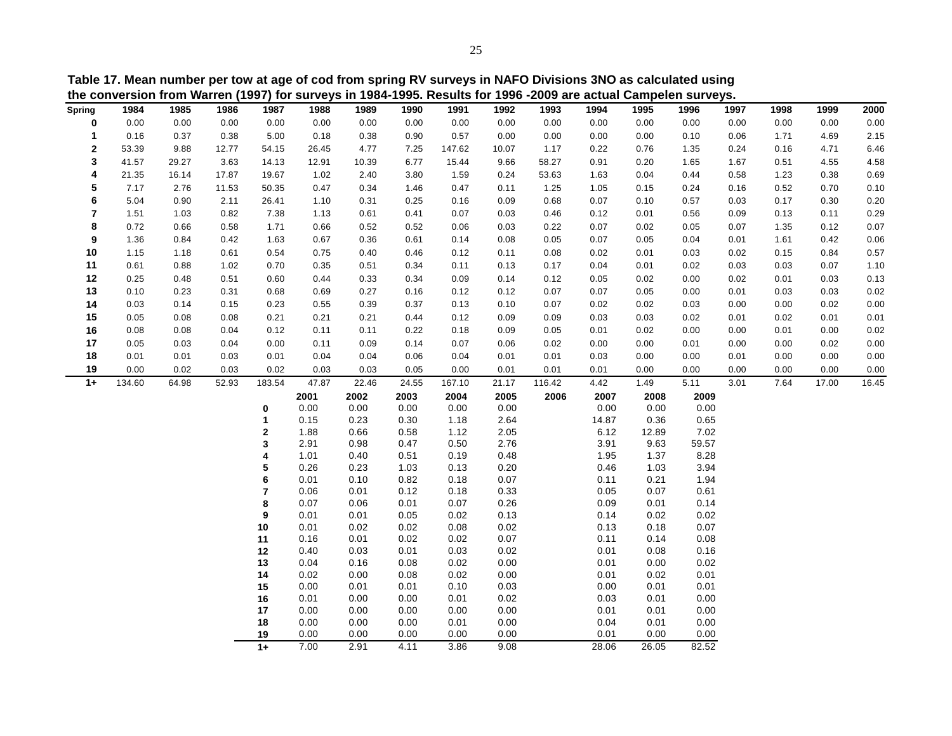|                         |        |       |       |                              |              |              |              |              |              | the conversion from Warren (1997) for surveys in 1984-1995. Results for 1996 -2009 are actual Campelen surveys. |              |              |              |      |      |       |       |
|-------------------------|--------|-------|-------|------------------------------|--------------|--------------|--------------|--------------|--------------|-----------------------------------------------------------------------------------------------------------------|--------------|--------------|--------------|------|------|-------|-------|
| Spring                  | 1984   | 1985  | 1986  | 1987                         | 1988         | 1989         | 1990         | 1991         | 1992         | 1993                                                                                                            | 1994         | 1995         | 1996         | 1997 | 1998 | 1999  | 2000  |
| 0                       | 0.00   | 0.00  | 0.00  | 0.00                         | 0.00         | 0.00         | 0.00         | 0.00         | 0.00         | 0.00                                                                                                            | 0.00         | 0.00         | 0.00         | 0.00 | 0.00 | 0.00  | 0.00  |
| 1                       | 0.16   | 0.37  | 0.38  | 5.00                         | 0.18         | 0.38         | 0.90         | 0.57         | 0.00         | 0.00                                                                                                            | 0.00         | 0.00         | 0.10         | 0.06 | 1.71 | 4.69  | 2.15  |
| $\mathbf 2$             | 53.39  | 9.88  | 12.77 | 54.15                        | 26.45        | 4.77         | 7.25         | 147.62       | 10.07        | 1.17                                                                                                            | 0.22         | 0.76         | 1.35         | 0.24 | 0.16 | 4.71  | 6.46  |
| 3                       | 41.57  | 29.27 | 3.63  | 14.13                        | 12.91        | 10.39        | 6.77         | 15.44        | 9.66         | 58.27                                                                                                           | 0.91         | 0.20         | 1.65         | 1.67 | 0.51 | 4.55  | 4.58  |
| 4                       | 21.35  | 16.14 | 17.87 | 19.67                        | 1.02         | 2.40         | 3.80         | 1.59         | 0.24         | 53.63                                                                                                           | 1.63         | 0.04         | 0.44         | 0.58 | 1.23 | 0.38  | 0.69  |
| 5                       | 7.17   | 2.76  | 11.53 | 50.35                        | 0.47         | 0.34         | 1.46         | 0.47         | 0.11         | 1.25                                                                                                            | 1.05         | 0.15         | 0.24         | 0.16 | 0.52 | 0.70  | 0.10  |
| 6                       | 5.04   | 0.90  | 2.11  | 26.41                        | 1.10         | 0.31         | 0.25         | 0.16         | 0.09         | 0.68                                                                                                            | 0.07         | 0.10         | 0.57         | 0.03 | 0.17 | 0.30  | 0.20  |
| $\overline{\mathbf{r}}$ | 1.51   | 1.03  | 0.82  | 7.38                         | 1.13         | 0.61         | 0.41         | 0.07         | 0.03         | 0.46                                                                                                            | 0.12         | 0.01         | 0.56         | 0.09 | 0.13 | 0.11  | 0.29  |
| 8                       | 0.72   | 0.66  | 0.58  | 1.71                         | 0.66         | 0.52         | 0.52         | 0.06         | 0.03         | 0.22                                                                                                            | 0.07         | 0.02         | 0.05         | 0.07 | 1.35 | 0.12  | 0.07  |
| 9                       | 1.36   | 0.84  | 0.42  | 1.63                         | 0.67         | 0.36         | 0.61         | 0.14         | 0.08         | 0.05                                                                                                            | 0.07         | 0.05         | 0.04         | 0.01 | 1.61 | 0.42  | 0.06  |
| 10                      | 1.15   | 1.18  | 0.61  | 0.54                         | 0.75         | 0.40         | 0.46         | 0.12         | 0.11         | 0.08                                                                                                            | 0.02         | 0.01         | 0.03         | 0.02 | 0.15 | 0.84  | 0.57  |
| 11                      | 0.61   | 0.88  | 1.02  | 0.70                         | 0.35         | 0.51         | 0.34         | 0.11         | 0.13         | 0.17                                                                                                            | 0.04         | 0.01         | 0.02         | 0.03 | 0.03 | 0.07  | 1.10  |
| 12                      | 0.25   | 0.48  | 0.51  | 0.60                         | 0.44         | 0.33         | 0.34         | 0.09         | 0.14         | 0.12                                                                                                            | 0.05         | 0.02         | 0.00         | 0.02 | 0.01 | 0.03  | 0.13  |
| 13                      | 0.10   | 0.23  | 0.31  | 0.68                         | 0.69         | 0.27         | 0.16         | 0.12         | 0.12         | 0.07                                                                                                            | 0.07         | 0.05         | 0.00         | 0.01 | 0.03 | 0.03  | 0.02  |
| 14                      | 0.03   | 0.14  | 0.15  | 0.23                         | 0.55         | 0.39         | 0.37         | 0.13         | 0.10         | 0.07                                                                                                            | 0.02         | 0.02         | 0.03         | 0.00 | 0.00 | 0.02  | 0.00  |
| 15                      | 0.05   | 0.08  | 0.08  | 0.21                         | 0.21         | 0.21         | 0.44         | 0.12         | 0.09         | 0.09                                                                                                            | 0.03         | 0.03         | 0.02         | 0.01 | 0.02 | 0.01  | 0.01  |
| 16                      | 0.08   | 0.08  | 0.04  | 0.12                         | 0.11         | 0.11         | 0.22         | 0.18         | 0.09         | 0.05                                                                                                            | 0.01         | 0.02         | 0.00         | 0.00 | 0.01 | 0.00  | 0.02  |
| 17                      | 0.05   | 0.03  | 0.04  | 0.00                         | 0.11         | 0.09         | 0.14         | 0.07         | 0.06         | 0.02                                                                                                            | 0.00         | 0.00         | 0.01         | 0.00 | 0.00 | 0.02  | 0.00  |
| 18                      | 0.01   | 0.01  | 0.03  | 0.01                         | 0.04         | 0.04         | 0.06         | 0.04         | 0.01         | 0.01                                                                                                            | 0.03         | 0.00         | 0.00         | 0.01 | 0.00 | 0.00  | 0.00  |
| 19                      | 0.00   | 0.02  | 0.03  | 0.02                         | 0.03         | 0.03         | 0.05         | 0.00         | 0.01         | 0.01                                                                                                            | 0.01         | 0.00         | 0.00         | 0.00 | 0.00 | 0.00  | 0.00  |
| $1+$                    | 134.60 | 64.98 | 52.93 | 183.54                       | 47.87        | 22.46        | 24.55        | 167.10       | 21.17        | 116.42                                                                                                          | 4.42         | 1.49         | 5.11         | 3.01 | 7.64 | 17.00 | 16.45 |
|                         |        |       |       |                              | 2001         | 2002         | 2003         | 2004         | 2005         | 2006                                                                                                            | 2007         | 2008         | 2009         |      |      |       |       |
|                         |        |       |       | 0                            | 0.00         | 0.00         | 0.00         | 0.00         | 0.00         |                                                                                                                 | 0.00         | 0.00         | 0.00         |      |      |       |       |
|                         |        |       |       | 1                            | 0.15         | 0.23         | 0.30         | 1.18         | 2.64         |                                                                                                                 | 14.87        | 0.36         | 0.65         |      |      |       |       |
|                         |        |       |       | $\mathbf 2$                  | 1.88         | 0.66         | 0.58         | 1.12         | 2.05         |                                                                                                                 | 6.12         | 12.89        | 7.02         |      |      |       |       |
|                         |        |       |       | 3                            | 2.91         | 0.98         | 0.47         | 0.50         | 2.76         |                                                                                                                 | 3.91         | 9.63         | 59.57        |      |      |       |       |
|                         |        |       |       | 4                            | 1.01         | 0.40         | 0.51         | 0.19         | 0.48         |                                                                                                                 | 1.95         | 1.37         | 8.28         |      |      |       |       |
|                         |        |       |       | 5                            | 0.26         | 0.23         | 1.03         | 0.13         | 0.20         |                                                                                                                 | 0.46         | 1.03         | 3.94         |      |      |       |       |
|                         |        |       |       | 6<br>$\overline{\mathbf{r}}$ | 0.01<br>0.06 | 0.10<br>0.01 | 0.82<br>0.12 | 0.18<br>0.18 | 0.07<br>0.33 |                                                                                                                 | 0.11<br>0.05 | 0.21<br>0.07 | 1.94<br>0.61 |      |      |       |       |
|                         |        |       |       | 8                            | 0.07         | 0.06         | 0.01         | 0.07         | 0.26         |                                                                                                                 | 0.09         | 0.01         | 0.14         |      |      |       |       |
|                         |        |       |       | 9                            | 0.01         | 0.01         | 0.05         | 0.02         | 0.13         |                                                                                                                 | 0.14         | 0.02         | 0.02         |      |      |       |       |
|                         |        |       |       | 10                           | 0.01         | 0.02         | 0.02         | 0.08         | 0.02         |                                                                                                                 | 0.13         | 0.18         | 0.07         |      |      |       |       |
|                         |        |       |       | 11                           | 0.16         | 0.01         | 0.02         | 0.02         | 0.07         |                                                                                                                 | 0.11         | 0.14         | 0.08         |      |      |       |       |
|                         |        |       |       | 12                           | 0.40         | 0.03         | 0.01         | 0.03         | 0.02         |                                                                                                                 | 0.01         | 0.08         | 0.16         |      |      |       |       |
|                         |        |       |       | 13                           | 0.04         | 0.16         | 0.08         | 0.02         | 0.00         |                                                                                                                 | 0.01         | 0.00         | 0.02         |      |      |       |       |
|                         |        |       |       | 14                           | 0.02         | 0.00         | 0.08         | 0.02         | 0.00         |                                                                                                                 | 0.01         | 0.02         | 0.01         |      |      |       |       |
|                         |        |       |       | 15                           | 0.00         | 0.01         | 0.01         | 0.10         | 0.03         |                                                                                                                 | 0.00         | 0.01         | 0.01         |      |      |       |       |

0.01 0.00 0.00 0.01 0.02 0.03 0.01 0.00

0.00 0.00 0.00 0.00 0.00 0.01 0.01 0.00

0.00 0.00 0.00 0.01 0.00 0.04 0.01 0.00

0.00 0.00 0.00 0.00 0.00 0.01 0.00 0.00

7.00 2.91 4.11 3.86 9.08 28.06 26.05 82.52

**Table 17. Mean number per tow at age of cod from spring RV surveys in NAFO Divisions 3NO as calculated using**

**16**

**17**

**18**

**19**

**1+**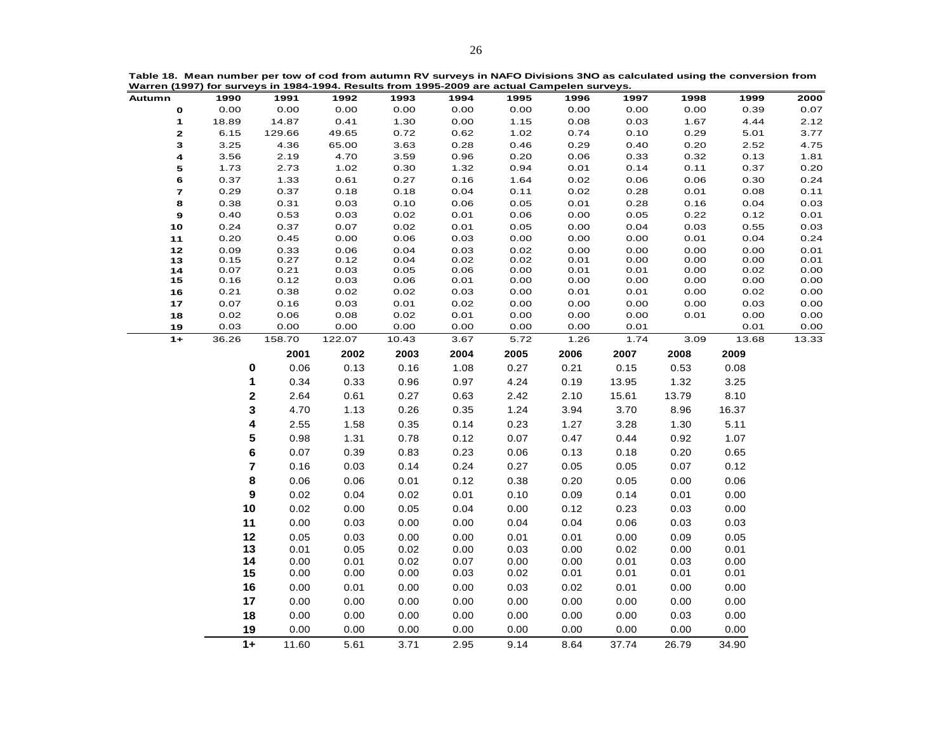|  |                                                                                             | Table 18. Mean number per tow of cod from autumn RV surveys in NAFO Divisions 3NO as calculated using the conversion from |
|--|---------------------------------------------------------------------------------------------|---------------------------------------------------------------------------------------------------------------------------|
|  | Warren (1997) for surveys in 1984-1994. Results from 1995-2009 are actual Campelen surveys. |                                                                                                                           |

| Autumn           | 1990           | 1991         | 1992         | 1993         | 1994         | 1995         | 1996         | 1997         | 1998         | 1999         | 2000         |
|------------------|----------------|--------------|--------------|--------------|--------------|--------------|--------------|--------------|--------------|--------------|--------------|
| $\mathbf{o}$     | 0.00           | 0.00         | 0.00         | 0.00         | 0.00         | 0.00         | 0.00         | 0.00         | 0.00         | 0.39         | 0.07         |
| 1                | 18.89          | 14.87        | 0.41         | 1.30         | 0.00         | 1.15         | 0.08         | 0.03         | 1.67         | 4.44         | 2.12         |
| 2                | 6.15           | 129.66       | 49.65        | 0.72         | 0.62         | 1.02         | 0.74         | 0.10         | 0.29         | 5.01         | 3.77         |
| 3                | 3.25           | 4.36         | 65.00        | 3.63         | 0.28         | 0.46         | 0.29         | 0.40         | 0.20         | 2.52         | 4.75         |
| 4                | 3.56           | 2.19         | 4.70         | 3.59         | 0.96         | 0.20         | 0.06         | 0.33         | 0.32         | 0.13         | 1.81         |
| 5                | 1.73           | 2.73         | 1.02         | 0.30         | 1.32         | 0.94         | 0.01         | 0.14         | 0.11         | 0.37         | 0.20         |
| 6                | 0.37           | 1.33         | 0.61         | 0.27         | 0.16         | 1.64         | 0.02         | 0.06         | 0.06         | 0.30         | 0.24         |
| $\boldsymbol{7}$ | 0.29           | 0.37         | 0.18         | 0.18         | 0.04         | 0.11         | 0.02         | 0.28         | 0.01         | 0.08         | 0.11         |
| 8                | 0.38           | 0.31         | 0.03         | 0.10         | 0.06         | 0.05         | 0.01         | 0.28         | 0.16         | 0.04         | 0.03         |
| $\mathbf 9$      | 0.40           | 0.53         | 0.03         | 0.02         | 0.01         | 0.06         | 0.00         | 0.05         | 0.22         | 0.12         | 0.01         |
| $10$             | 0.24           | 0.37         | 0.07         | 0.02         | 0.01         | 0.05         | 0.00         | 0.04         | 0.03         | 0.55         | 0.03         |
| 11               | 0.20<br>0.09   | 0.45<br>0.33 | 0.00<br>0.06 | 0.06<br>0.04 | 0.03<br>0.03 | 0.00<br>0.02 | 0.00<br>0.00 | 0.00<br>0.00 | 0.01<br>0.00 | 0.04<br>0.00 | 0.24         |
| $12$<br>13       | 0.15           | 0.27         | 0.12         | 0.04         | 0.02         | 0.02         | 0.01         | 0.00         | 0.00         | 0.00         | 0.01<br>0.01 |
| 14               | 0.07           | 0.21         | 0.03         | 0.05         | 0.06         | 0.00         | 0.01         | 0.01         | 0.00         | 0.02         | 0.00         |
| 15               | 0.16           | 0.12         | 0.03         | 0.06         | 0.01         | 0.00         | 0.00         | 0.00         | 0.00         | 0.00         | 0.00         |
| 16               | 0.21           | 0.38         | 0.02         | 0.02         | 0.03         | 0.00         | 0.01         | 0.01         | 0.00         | 0.02         | 0.00         |
| 17               | 0.07           | 0.16         | 0.03         | 0.01         | 0.02         | 0.00         | 0.00         | 0.00         | 0.00         | 0.03         | 0.00         |
| 18               | 0.02           | 0.06         | 0.08         | 0.02         | 0.01         | 0.00         | 0.00         | 0.00         | 0.01         | 0.00         | 0.00         |
| 19               | 0.03           | 0.00         | 0.00         | 0.00         | 0.00         | 0.00         | 0.00         | 0.01         |              | 0.01         | 0.00         |
| $1+$             | 36.26          | 158.70       | 122.07       | 10.43        | 3.67         | 5.72         | 1.26         | 1.74         | 3.09         | 13.68        | 13.33        |
|                  |                | 2001         | 2002         | 2003         | 2004         | 2005         | 2006         | 2007         | 2008         | 2009         |              |
|                  | 0              | 0.06         | 0.13         | 0.16         | 1.08         | 0.27         | 0.21         | 0.15         | 0.53         | 0.08         |              |
|                  | 1              | 0.34         | 0.33         | 0.96         | 0.97         | 4.24         | 0.19         | 13.95        | 1.32         | 3.25         |              |
|                  | $\mathbf 2$    | 2.64         | 0.61         | 0.27         | 0.63         | 2.42         | 2.10         | 15.61        | 13.79        | 8.10         |              |
|                  |                |              |              |              |              |              |              |              |              |              |              |
|                  | 3              | 4.70         | 1.13         | 0.26         | 0.35         | 1.24         | 3.94         | 3.70         | 8.96         | 16.37        |              |
|                  | 4              | 2.55         | 1.58         | 0.35         | 0.14         | 0.23         | 1.27         | 3.28         | 1.30         | 5.11         |              |
|                  | 5              | 0.98         | 1.31         | 0.78         | 0.12         | 0.07         | 0.47         | 0.44         | 0.92         | 1.07         |              |
|                  | $\bf 6$        | 0.07         | 0.39         | 0.83         | 0.23         | 0.06         | 0.13         | 0.18         | 0.20         | 0.65         |              |
|                  | $\overline{7}$ | 0.16         | 0.03         | 0.14         | 0.24         | 0.27         | 0.05         | 0.05         | 0.07         | 0.12         |              |
|                  | 8              | 0.06         | 0.06         | 0.01         | 0.12         | 0.38         | 0.20         | 0.05         | 0.00         | 0.06         |              |
|                  | 9              | 0.02         | 0.04         | 0.02         | 0.01         | 0.10         | 0.09         | 0.14         | 0.01         | 0.00         |              |
|                  | 10             | 0.02         | 0.00         | 0.05         | 0.04         | 0.00         | 0.12         | 0.23         | 0.03         | 0.00         |              |
|                  |                |              |              |              |              |              |              |              |              |              |              |
|                  | 11             | 0.00         | 0.03         | 0.00         | 0.00         | 0.04         | 0.04         | 0.06         | 0.03         | 0.03         |              |
|                  | 12             | 0.05         | 0.03         | 0.00         | 0.00         | 0.01         | 0.01         | 0.00         | 0.09         | 0.05         |              |
|                  | 13             | 0.01         | 0.05         | 0.02         | 0.00         | 0.03         | 0.00         | 0.02         | 0.00         | 0.01         |              |
|                  | 14             | 0.00         | 0.01         | 0.02         | 0.07         | 0.00         | 0.00         | 0.01         | 0.03         | 0.00         |              |
|                  | 15             | 0.00         | 0.00         | 0.00         | 0.03         | 0.02         | 0.01         | 0.01         | 0.01         | 0.01         |              |
|                  | 16             | 0.00         | 0.01         | 0.00         | 0.00         | 0.03         | 0.02         | 0.01         | 0.00         | 0.00         |              |
|                  | 17             | 0.00         | 0.00         | 0.00         | 0.00         | 0.00         | 0.00         | 0.00         | 0.00         | 0.00         |              |
|                  | 18             | 0.00         | 0.00         | 0.00         | 0.00         | 0.00         | 0.00         | 0.00         | 0.03         | 0.00         |              |
|                  | 19             | 0.00         | 0.00         | 0.00         | 0.00         | 0.00         | 0.00         | 0.00         | 0.00         | 0.00         |              |
|                  |                |              |              |              |              |              |              |              |              |              |              |
|                  | $1+$           | 11.60        | 5.61         | 3.71         | 2.95         | 9.14         | 8.64         | 37.74        | 26.79        | 34.90        |              |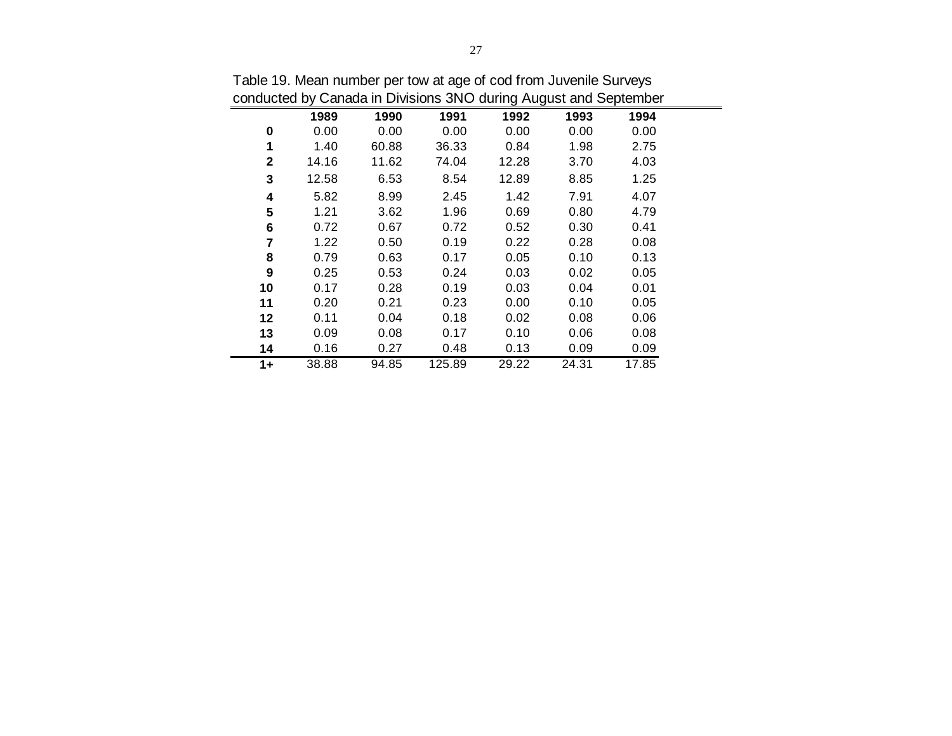|              |       |       | conducted by Canada in Divisions Site Guillity August and September |       |       |       |  |
|--------------|-------|-------|---------------------------------------------------------------------|-------|-------|-------|--|
|              | 1989  | 1990  | 1991                                                                | 1992  | 1993  | 1994  |  |
| 0            | 0.00  | 0.00  | 0.00                                                                | 0.00  | 0.00  | 0.00  |  |
| 1            | 1.40  | 60.88 | 36.33                                                               | 0.84  | 1.98  | 2.75  |  |
| $\mathbf{2}$ | 14.16 | 11.62 | 74.04                                                               | 12.28 | 3.70  | 4.03  |  |
| 3            | 12.58 | 6.53  | 8.54                                                                | 12.89 | 8.85  | 1.25  |  |
| 4            | 5.82  | 8.99  | 2.45                                                                | 1.42  | 7.91  | 4.07  |  |
| 5            | 1.21  | 3.62  | 1.96                                                                | 0.69  | 0.80  | 4.79  |  |
| 6            | 0.72  | 0.67  | 0.72                                                                | 0.52  | 0.30  | 0.41  |  |
| 7            | 1.22  | 0.50  | 0.19                                                                | 0.22  | 0.28  | 0.08  |  |
| 8            | 0.79  | 0.63  | 0.17                                                                | 0.05  | 0.10  | 0.13  |  |
| 9            | 0.25  | 0.53  | 0.24                                                                | 0.03  | 0.02  | 0.05  |  |
| 10           | 0.17  | 0.28  | 0.19                                                                | 0.03  | 0.04  | 0.01  |  |
| 11           | 0.20  | 0.21  | 0.23                                                                | 0.00  | 0.10  | 0.05  |  |
| 12           | 0.11  | 0.04  | 0.18                                                                | 0.02  | 0.08  | 0.06  |  |
| 13           | 0.09  | 0.08  | 0.17                                                                | 0.10  | 0.06  | 0.08  |  |
| 14           | 0.16  | 0.27  | 0.48                                                                | 0.13  | 0.09  | 0.09  |  |
| $1+$         | 38.88 | 94.85 | 125.89                                                              | 29.22 | 24.31 | 17.85 |  |

Table 19. Mean number per tow at age of cod from Juvenile Surveys conducted by Canada in Divisions 3NO during August and September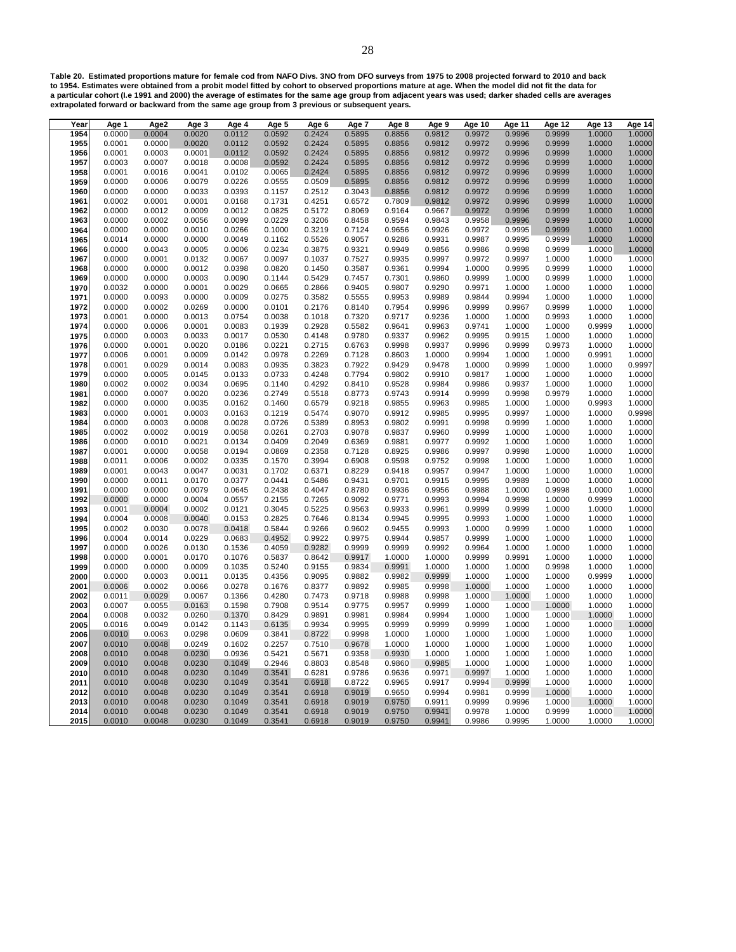**Table 20. Estimated proportions mature for female cod from NAFO Divs. 3NO from DFO surveys from 1975 to 2008 projected forward to 2010 and back to 1954. Estimates were obtained from a probit model fitted by cohort to observed proportions mature at age. When the model did not fit the data for a particular cohort (I.e 1991 and 2000) the average of estimates for the same age group from adjacent years was used; darker shaded cells are averages extrapolated forward or backward from the same age group from 3 previous or subsequent years.**

| Year | Age 1  | Age2             | Age 3            | Age 4            | Age 5            | Age 6            | Age 7            | Age 8            | Age 9  | Age 10           | Age 11           | <b>Age 12</b> | Age 13           | <b>Age 14</b>              |
|------|--------|------------------|------------------|------------------|------------------|------------------|------------------|------------------|--------|------------------|------------------|---------------|------------------|----------------------------|
| 1954 | 0.0000 | 0.0004           | 0.0020           | 0.0112           | 0.0592           | 0.2424           | 0.5895           | 0.8856           | 0.9812 | 0.9972           | 0.9996           | 0.9999        | 1.0000           | 1.0000                     |
| 1955 | 0.0001 | 0.0000           | 0.0020           | 0.0112           | 0.0592           | 0.2424           | 0.5895           | 0.8856           | 0.9812 | 0.9972           | 0.9996           | 0.9999        | 1.0000           | 1.0000                     |
| 1956 | 0.0001 | 0.0003           | 0.0001           | 0.0112           | 0.0592           | 0.2424           | 0.5895           | 0.8856           | 0.9812 | 0.9972           | 0.9996           | 0.9999        | 1.0000           | 1.0000                     |
| 1957 | 0.0003 | 0.0007           | 0.0018           | 0.0008           | 0.0592           | 0.2424           | 0.5895           | 0.8856           | 0.9812 | 0.9972           | 0.9996           | 0.9999        | 1.0000           | 1.0000                     |
| 1958 | 0.0001 | 0.0016           | 0.0041           | 0.0102           | 0.0065           | 0.2424           | 0.5895           | 0.8856           | 0.9812 | 0.9972           | 0.9996           | 0.9999        | 1.0000           | 1.0000                     |
| 1959 | 0.0000 | 0.0006           | 0.0079           | 0.0226           | 0.0555           | 0.0509           | 0.5895           | 0.8856           | 0.9812 | 0.9972           | 0.9996           | 0.9999        | 1.0000           | 1.0000                     |
| 1960 | 0.0000 | 0.0000           | 0.0033           | 0.0393           | 0.1157           | 0.2512           | 0.3043           | 0.8856           | 0.9812 | 0.9972           | 0.9996           | 0.9999        | 1.0000           | 1.0000                     |
| 1961 | 0.0002 | 0.0001           | 0.0001           | 0.0168           | 0.1731           | 0.4251           | 0.6572           | 0.7809           | 0.9812 | 0.9972           | 0.9996           | 0.9999        | 1.0000           | 1.0000                     |
| 1962 | 0.0000 | 0.0012           | 0.0009           | 0.0012           | 0.0825           | 0.5172           | 0.8069           | 0.9164           | 0.9667 | 0.9972           | 0.9996           | 0.9999        | 1.0000           | 1.0000                     |
| 1963 | 0.0000 | 0.0002           | 0.0056           | 0.0099           | 0.0229           | 0.3206           | 0.8458           | 0.9594           | 0.9843 | 0.9958           | 0.9996           | 0.9999        | 1.0000           | $1.0000$<br>$1.0000$       |
| 1964 | 0.0000 | 0.0000           | 0.0010           | 0.0266           | 0.1000           | 0.3219           | 0.7124           | 0.9656           | 0.9926 | 0.9972           | 0.9995           | 0.9999        | 1.0000           |                            |
| 1965 | 0.0014 | 0.0000           | 0.0000           | 0.0049           | 0.1162           | 0.5526           | 0.9057           | 0.9286           | 0.9931 | 0.9987           | 0.9995           | 0.9999        | 1.0000           | 1.0000                     |
| 1966 | 0.0000 | 0.0043           | 0.0005           | 0.0006           | 0.0234           | 0.3875           | 0.9321           | 0.9949           | 0.9856 | 0.9986           | 0.9998           | 0.9999        | 1.0000           | 1.0000                     |
| 1967 | 0.0000 | 0.0001           | 0.0132           | 0.0067           | 0.0097           | 0.1037           | 0.7527           | 0.9935           | 0.9997 | 0.9972           | 0.9997           | 1.0000        | 1.0000           | 1.0000                     |
| 1968 | 0.0000 | 0.0000           | 0.0012           | 0.0398           | 0.0820           | 0.1450           | 0.3587           | 0.9361           | 0.9994 | 1.0000           | 0.9995           | 0.9999        | 1.0000           | 1.0000                     |
| 1969 | 0.0000 | 0.0000           | 0.0003           | 0.0090           | 0.1144           | 0.5429           | 0.7457           | 0.7301           | 0.9860 | 0.9999           | 1.0000           | 0.9999        | 1.0000           | 1.0000                     |
| 1970 | 0.0032 | 0.0000           | 0.0001           | 0.0029           | 0.0665           | 0.2866           | 0.9405           | 0.9807           | 0.9290 | 0.9971           | 1.0000           | 1.0000        | 1.0000           | 1.0000                     |
| 1971 | 0.0000 | 0.0093           | 0.0000           | 0.0009           | 0.0275           | 0.3582           | 0.5555           | 0.9953           | 0.9989 | 0.9844           | 0.9994           | 1.0000        | 1.0000           | 1.0000                     |
| 1972 | 0.0000 | 0.0002           | 0.0269           | 0.0000           | 0.0101           | 0.2176           | 0.8140           | 0.7954           | 0.9996 | 0.9999           | 0.9967           | 0.9999        | 1.0000           |                            |
| 1973 | 0.0001 | 0.0000           | 0.0013           | 0.0754           | 0.0038           | 0.1018           | 0.7320           | 0.9717           | 0.9236 | 1.0000           | 1.0000           | 0.9993        | 1.0000           | $1.0000$<br>$1.0000$       |
| 1974 | 0.0000 | 0.0006           | 0.0001           | 0.0083           | 0.1939           | 0.2928           | 0.5582           | 0.9641           | 0.9963 | 0.9741           | 1.0000           | 1.0000        | 0.9999           | 1.0000                     |
| 1975 | 0.0000 | 0.0003           | 0.0033           | 0.0017           | 0.0530           | 0.4148           | 0.9780           | 0.9337           | 0.9962 | 0.9995           | 0.9915           | 1.0000        | 1.0000           | 1.0000                     |
| 1976 | 0.0000 | 0.0001           | 0.0020           | 0.0186           | 0.0221           | 0.2715           | 0.6763           | 0.9998           | 0.9937 | 0.9996           | 0.9999           | 0.9973        | 1.0000           | 1.0000                     |
| 1977 | 0.0006 | 0.0001           | 0.0009           | 0.0142           | 0.0978           | 0.2269           | 0.7128           | 0.8603           | 1.0000 | 0.9994           | 1.0000           | 1.0000        | 0.9991           | 1.0000                     |
| 1978 | 0.0001 | 0.0029           | 0.0014           | 0.0083           | 0.0935           | 0.3823           | 0.7922           | 0.9429           | 0.9478 | 1.0000           | 0.9999           | 1.0000        | 1.0000           | 0.9997                     |
| 1979 | 0.0000 | 0.0005           | 0.0145           | 0.0133           | 0.0733           | 0.4248           | 0.7794           | 0.9802           | 0.9910 | 0.9817           | 1.0000           | 1.0000        | 1.0000           | 1.0000                     |
| 1980 | 0.0002 | 0.0002           | 0.0034           | 0.0695           | 0.1140           | 0.4292           | 0.8410           | 0.9528           | 0.9984 | 0.9986           | 0.9937           | 1.0000        | 1.0000           | 1.0000                     |
| 1981 | 0.0000 | 0.0007           | 0.0020           | 0.0236           | 0.2749           | 0.5518           | 0.8773           | 0.9743           | 0.9914 | 0.9999           | 0.9998           | 0.9979        | 1.0000           | 1.0000                     |
| 1982 | 0.0000 | 0.0000           | 0.0035           | 0.0162           | 0.1460           | 0.6579           | 0.9218           | 0.9855           | 0.9963 | 0.9985           | 1.0000           | 1.0000        | 0.9993           | 1.0000                     |
| 1983 | 0.0000 | 0.0001           | 0.0003           | 0.0163           | 0.1219           | 0.5474           | 0.9070           | 0.9912           | 0.9985 | 0.9995           | 0.9997           | 1.0000        | 1.0000           | 0.9998                     |
| 1984 | 0.0000 | 0.0003           | 0.0008           | 0.0028           | 0.0726           | 0.5389           | 0.8953           | 0.9802           | 0.9991 | 0.9998           | 0.9999           | 1.0000        | 1.0000           | 1.0000                     |
| 1985 | 0.0002 | 0.0002           | 0.0019           | 0.0058           | 0.0261           | 0.2703           | 0.9078           | 0.9837           | 0.9960 | 0.9999           | 1.0000           | 1.0000        | 1.0000           |                            |
| 1986 | 0.0000 | 0.0010           | 0.0021           | 0.0134           | 0.0409           | 0.2049           | 0.6369           | 0.9881           | 0.9977 | 0.9992           | 1.0000           | 1.0000        | 1.0000           | 1.0000<br>1.0000           |
| 1987 | 0.0001 | 0.0000           | 0.0058           | 0.0194           | 0.0869           | 0.2358           | 0.7128           | 0.8925           | 0.9986 | 0.9997           | 0.9998           | 1.0000        | 1.0000           | 1.0000                     |
| 1988 | 0.0011 | 0.0006           | 0.0002           | 0.0335           | 0.1570           | 0.3994           | 0.6908           | 0.9598           | 0.9752 | 0.9998           | 1.0000           | 1.0000        | 1.0000           |                            |
| 1989 | 0.0001 | 0.0043           | 0.0047           | 0.0031           | 0.1702           | 0.6371           | 0.8229           | 0.9418           | 0.9957 | 0.9947           | 1.0000           | 1.0000        | 1.0000           | $1.0000$<br>$1.0000$       |
| 1990 | 0.0000 | 0.0011           | 0.0170           | 0.0377           | 0.0441           | 0.5486           | 0.9431           | 0.9701           | 0.9915 | 0.9995           | 0.9989           | 1.0000        | 1.0000           |                            |
| 1991 | 0.0000 | 0.0000           | 0.0079           | 0.0645           | 0.2438           | 0.4047           | 0.8780           | 0.9936           | 0.9956 | 0.9988           | 1.0000           | 0.9998        | 1.0000           | 1.0000<br>1.0000           |
| 1992 | 0.0000 | 0.0000           | 0.0004           | 0.0557           | 0.2155           | 0.7265           | 0.9092           | 0.9771           | 0.9993 | 0.9994           | 0.9998           | 1.0000        | 0.9999           | 1.0000                     |
| 1993 | 0.0001 | 0.0004           | 0.0002           | 0.0121           | 0.3045           | 0.5225           | 0.9563           | 0.9933           | 0.9961 | 0.9999           | 0.9999           | 1.0000        | 1.0000           |                            |
| 1994 | 0.0004 | 0.0008           | 0.0040           | 0.0153           | 0.2825           | 0.7646           | 0.8134           | 0.9945           | 0.9995 | 0.9993           | 1.0000           | 1.0000        | 1.0000           | 1.0000<br>1.0000           |
| 1995 | 0.0002 | 0.0030           | 0.0078           | 0.0418           | 0.5844           | 0.9266           | 0.9602           | 0.9455           | 0.9993 | 1.0000           | 0.9999           | 1.0000        | 1.0000           | 1.0000                     |
| 1996 | 0.0004 | 0.0014           | 0.0229           | 0.0683           | 0.4952           | 0.9922           | 0.9975           | 0.9944           | 0.9857 | 0.9999           | 1.0000           | 1.0000        | 1.0000           | 1.0000                     |
| 1997 | 0.0000 | 0.0026           | 0.0130           | 0.1536           | 0.4059           | 0.9282           | 0.9999           | 0.9999           | 0.9992 | 0.9964           | 1.0000           | 1.0000        | 1.0000           | 1.0000                     |
| 1998 | 0.0000 | 0.0001           | 0.0170           | 0.1076           | 0.5837           | 0.8642           | 0.9917           | 1.0000           | 1.0000 | 0.9999           | 0.9991           | 1.0000        | 1.0000           |                            |
| 1999 | 0.0000 | 0.0000           | 0.0009           | 0.1035           | 0.5240           | 0.9155           | 0.9834           | 0.9991           | 1.0000 | 1.0000           | 1.0000           | 0.9998        | 1.0000           | 1.0000<br>1.0000<br>1.0000 |
| 2000 | 0.0000 | 0.0003           | 0.0011           | 0.0135           | 0.4356           | 0.9095           | 0.9882           | 0.9982           | 0.9999 | 1.0000           | 1.0000           | 1.0000        | 0.9999           |                            |
| 2001 | 0.0006 | 0.0002           | 0.0066           | 0.0278           | 0.1676           | 0.8377           | 0.9892           | 0.9985           | 0.9998 | 1.0000           | 1.0000           | 1.0000        | 1.0000           | 1.0000                     |
| 2002 | 0.0011 | 0.0029           | 0.0067           | 0.1366           | 0.4280           | 0.7473           | 0.9718           | 0.9988           | 0.9998 | 1.0000           | 1.0000           | 1.0000        | 1.0000           | 1.0000                     |
| 2003 | 0.0007 | 0.0055           | 0.0163           | 0.1598           | 0.7908           | 0.9514           | 0.9775           | 0.9957           | 0.9999 | 1.0000           | 1.0000           | 1.0000        | 1.0000           | 1.0000                     |
| 2004 | 0.0008 | 0.0032           | 0.0260           | 0.1370           | 0.8429           | 0.9891           | 0.9981           | 0.9984           | 0.9994 | 1.0000           | 1.0000           | 1.0000        | 1.0000           |                            |
| 2005 | 0.0016 | 0.0049           | 0.0142           | 0.1143           | 0.6135           | 0.9934           | 0.9995           | 0.9999           | 0.9999 | 0.9999           | 1.0000           | 1.0000        | 1.0000           | 1.0000<br>1.0000           |
| 2006 | 0.0010 | 0.0063           | 0.0298           | 0.0609           | 0.3841           | 0.8722           | 0.9998           | 1.0000           | 1.0000 | 1.0000           | 1.0000           | 1.0000        | 1.0000           | 1.0000                     |
| 2007 | 0.0010 | 0.0048           | 0.0249           | 0.1602           | 0.2257           | 0.7510           | 0.9678           | 1.0000           | 1.0000 | 1.0000           | 1.0000           | 1.0000        | 1.0000           | 1.0000                     |
| 2008 | 0.0010 | 0.0048           | 0.0230           | 0.0936           | 0.5421           | 0.5671           | 0.9358           | 0.9930           | 1.0000 | 1.0000           | 1.0000           | 1.0000        | 1.0000           | 1.0000                     |
| 2009 | 0.0010 | 0.0048           | 0.0230           | 0.1049           | 0.2946           | 0.8803           | 0.8548           | 0.9860           | 0.9985 | 1.0000           | 1.0000           | 1.0000        | 1.0000           |                            |
| 2010 | 0.0010 | 0.0048           | 0.0230           | 0.1049           | 0.3541           | 0.6281           | 0.9786           | 0.9636           | 0.9971 | 0.9997           | 1.0000           | 1.0000        | 1.0000           | $1.0000$<br>$1.0000$       |
| 2011 | 0.0010 | 0.0048           | 0.0230           | 0.1049           | 0.3541           | 0.6918           | 0.8722           | 0.9965           | 0.9917 | 0.9994           | 0.9999           | 1.0000        | 1.0000           | 1.0000                     |
| 2012 | 0.0010 |                  | 0.0230           |                  | 0.3541           |                  | 0.9019           | 0.9650           | 0.9994 |                  | 0.9999           | 1.0000        | 1.0000           | 1.0000                     |
|      | 0.0010 | 0.0048           |                  | 0.1049<br>0.1049 |                  | 0.6918           |                  |                  | 0.9911 | 0.9981           |                  | 1.0000        |                  | 1.0000                     |
| 2013 | 0.0010 | 0.0048<br>0.0048 | 0.0230<br>0.0230 | 0.1049           | 0.3541<br>0.3541 | 0.6918<br>0.6918 | 0.9019<br>0.9019 | 0.9750<br>0.9750 | 0.9941 | 0.9999<br>0.9978 | 0.9996<br>1.0000 | 0.9999        | 1.0000<br>1.0000 | 1.0000                     |
| 2014 |        |                  |                  |                  |                  |                  |                  |                  |        |                  |                  |               |                  |                            |
| 2015 | 0.0010 | 0.0048           | 0.0230           | 0.1049           | 0.3541           | 0.6918           | 0.9019           | 0.9750           | 0.9941 | 0.9986           | 0.9995           | 1.0000        | 1.0000           | 1.0000                     |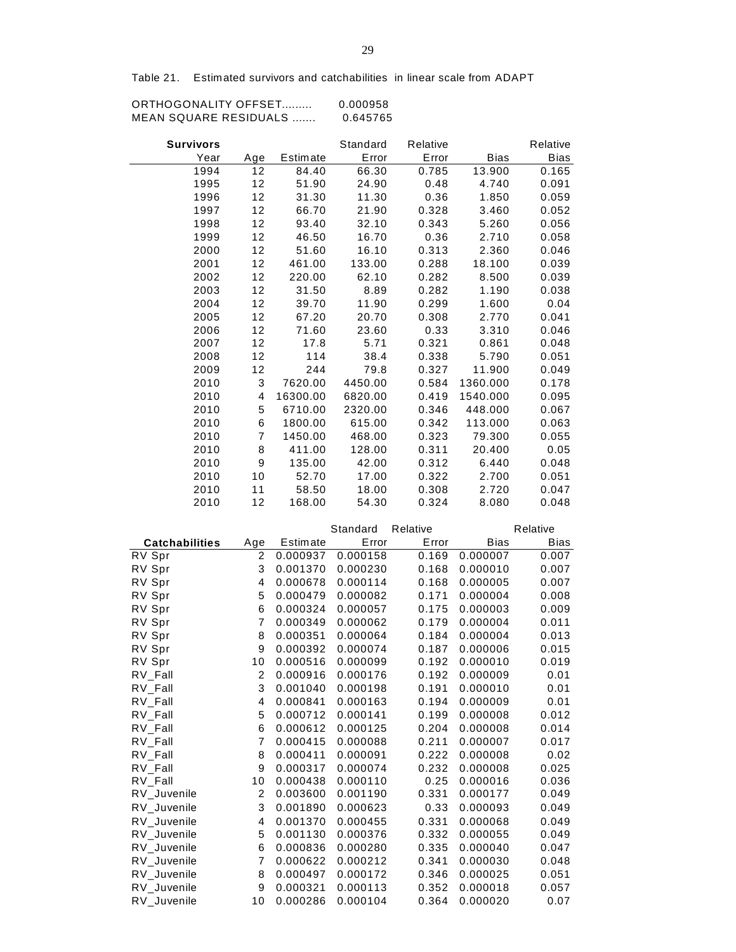Table 21. Estimated survivors and catchabilities in linear scale from ADAPT

| ORTHOGONALITY OFFSET  | 0.000958 |
|-----------------------|----------|
| MEAN SQUARE RESIDUALS | 0.645765 |

| <b>Survivors</b> |                |          | Standard | Relative |             | Relative    |
|------------------|----------------|----------|----------|----------|-------------|-------------|
| Year             | Age            | Estimate | Error    | Error    | <b>Bias</b> | <b>Bias</b> |
| 1994             | 12             | 84.40    | 66.30    | 0.785    | 13.900      | 0.165       |
| 1995             | 12             | 51.90    | 24.90    | 0.48     | 4.740       | 0.091       |
| 1996             | 12             | 31.30    | 11.30    | 0.36     | 1.850       | 0.059       |
| 1997             | 12             | 66.70    | 21.90    | 0.328    | 3.460       | 0.052       |
| 1998             | 12             | 93.40    | 32.10    | 0.343    | 5.260       | 0.056       |
| 1999             | 12             | 46.50    | 16.70    | 0.36     | 2.710       | 0.058       |
| 2000             | 12             | 51.60    | 16.10    | 0.313    | 2.360       | 0.046       |
| 2001             | 12             | 461.00   | 133.00   | 0.288    | 18.100      | 0.039       |
| 2002             | 12             | 220.00   | 62.10    | 0.282    | 8.500       | 0.039       |
| 2003             | 12             | 31.50    | 8.89     | 0.282    | 1.190       | 0.038       |
| 2004             | 12             | 39.70    | 11.90    | 0.299    | 1.600       | 0.04        |
| 2005             | 12             | 67.20    | 20.70    | 0.308    | 2.770       | 0.041       |
| 2006             | 12             | 71.60    | 23.60    | 0.33     | 3.310       | 0.046       |
| 2007             | 12             | 17.8     | 5.71     | 0.321    | 0.861       | 0.048       |
| 2008             | 12             | 114      | 38.4     | 0.338    | 5.790       | 0.051       |
| 2009             | 12             | 244      | 79.8     | 0.327    | 11.900      | 0.049       |
| 2010             | 3              | 7620.00  | 4450.00  | 0.584    | 1360.000    | 0.178       |
| 2010             | 4              | 16300.00 | 6820.00  | 0.419    | 1540.000    | 0.095       |
| 2010             | 5              | 6710.00  | 2320.00  | 0.346    | 448,000     | 0.067       |
| 2010             | 6              | 1800.00  | 615.00   | 0.342    | 113,000     | 0.063       |
| 2010             | $\overline{7}$ | 1450.00  | 468.00   | 0.323    | 79.300      | 0.055       |
| 2010             | 8              | 411.00   | 128.00   | 0.311    | 20.400      | 0.05        |
| 2010             | 9              | 135.00   | 42.00    | 0.312    | 6.440       | 0.048       |
| 2010             | 10             | 52.70    | 17.00    | 0.322    | 2.700       | 0.051       |
| 2010             | 11             | 58.50    | 18.00    | 0.308    | 2.720       | 0.047       |
| 2010             | 12             | 168.00   | 54.30    | 0.324    | 8.080       | 0.048       |

|                       |                |          | Standard | Relative |             | Relative |
|-----------------------|----------------|----------|----------|----------|-------------|----------|
| <b>Catchabilities</b> | Age            | Estimate | Error    | Error    | <b>Bias</b> | Bias     |
| RV Spr                | $\overline{2}$ | 0.000937 | 0.000158 | 0.169    | 0.000007    | 0.007    |
| RV Spr                | 3              | 0.001370 | 0.000230 | 0.168    | 0.000010    | 0.007    |
| RV Spr                | 4              | 0.000678 | 0.000114 | 0.168    | 0.000005    | 0.007    |
| RV Spr                | 5              | 0.000479 | 0.000082 | 0.171    | 0.000004    | 0.008    |
| RV Spr                | 6              | 0.000324 | 0.000057 | 0.175    | 0.000003    | 0.009    |
| RV Spr                | $\overline{7}$ | 0.000349 | 0.000062 | 0.179    | 0.000004    | 0.011    |
| RV Spr                | 8              | 0.000351 | 0.000064 | 0.184    | 0.000004    | 0.013    |
| RV Spr                | 9              | 0.000392 | 0.000074 | 0.187    | 0.000006    | 0.015    |
| RV Spr                | 10             | 0.000516 | 0.000099 | 0.192    | 0.000010    | 0.019    |
| RV_Fall               | $\overline{2}$ | 0.000916 | 0.000176 | 0.192    | 0.000009    | 0.01     |
| RV Fall               | 3              | 0.001040 | 0.000198 | 0.191    | 0.000010    | 0.01     |
| RV Fall               | 4              | 0.000841 | 0.000163 | 0.194    | 0.000009    | 0.01     |
| RV Fall               | 5              | 0.000712 | 0.000141 | 0.199    | 0.000008    | 0.012    |
| RV Fall               | 6              | 0.000612 | 0.000125 | 0.204    | 0.000008    | 0.014    |
| RV_Fall               | $\overline{7}$ | 0.000415 | 0.000088 | 0.211    | 0.000007    | 0.017    |
| RV_Fall               | 8              | 0.000411 | 0.000091 | 0.222    | 0.000008    | 0.02     |
| RV Fall               | 9              | 0.000317 | 0.000074 | 0.232    | 0.000008    | 0.025    |
| RV_Fall               | 10             | 0.000438 | 0.000110 | 0.25     | 0.000016    | 0.036    |
| RV Juvenile           | $\overline{2}$ | 0.003600 | 0.001190 | 0.331    | 0.000177    | 0.049    |
| RV Juvenile           | 3              | 0.001890 | 0.000623 | 0.33     | 0.000093    | 0.049    |
| RV Juvenile           | 4              | 0.001370 | 0.000455 | 0.331    | 0.000068    | 0.049    |
| RV Juvenile           | 5              | 0.001130 | 0.000376 | 0.332    | 0.000055    | 0.049    |
| RV Juvenile           | 6              | 0.000836 | 0.000280 | 0.335    | 0.000040    | 0.047    |
| RV Juvenile           | $\overline{7}$ | 0.000622 | 0.000212 | 0.341    | 0.000030    | 0.048    |
| RV Juvenile           | 8              | 0.000497 | 0.000172 | 0.346    | 0.000025    | 0.051    |
| RV Juvenile           | 9              | 0.000321 | 0.000113 | 0.352    | 0.000018    | 0.057    |
| RV Juvenile           | 10             | 0.000286 | 0.000104 | 0.364    | 0.000020    | 0.07     |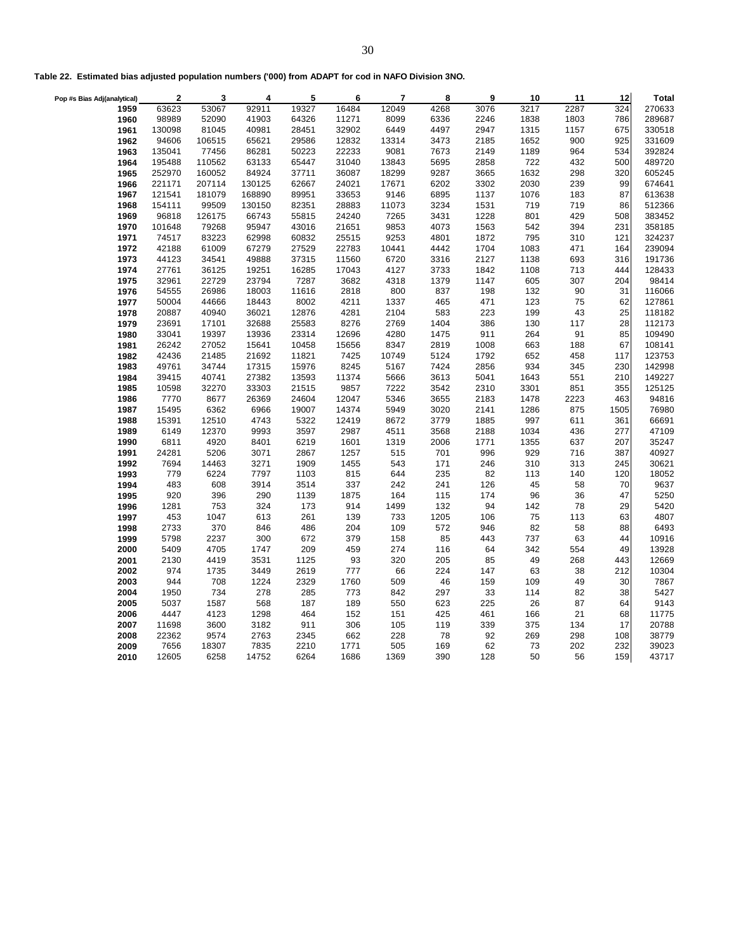|  |  |  |  | Table 22. Estimated bias adjusted population numbers ('000) from ADAPT for cod in NAFO Division 3NO. |
|--|--|--|--|------------------------------------------------------------------------------------------------------|
|--|--|--|--|------------------------------------------------------------------------------------------------------|

| Pop #s Bias Adj(analytical) | $\overline{2}$ | 3             | 4            | 5            | 6           | 7          | 8         | 9        | 10        | 11         | 12         | <b>Total</b>   |
|-----------------------------|----------------|---------------|--------------|--------------|-------------|------------|-----------|----------|-----------|------------|------------|----------------|
| 1959                        | 63623          | 53067         | 92911        | 19327        | 16484       | 12049      | 4268      | 3076     | 3217      | 2287       | 324        | 270633         |
| 1960                        | 98989          | 52090         | 41903        | 64326        | 11271       | 8099       | 6336      | 2246     | 1838      | 1803       | 786        | 289687         |
| 1961                        | 130098         | 81045         | 40981        | 28451        | 32902       | 6449       | 4497      | 2947     | 1315      | 1157       | 675        | 330518         |
| 1962                        | 94606          | 106515        | 65621        | 29586        | 12832       | 13314      | 3473      | 2185     | 1652      | 900        | 925        | 331609         |
| 1963                        | 135041         | 77456         | 86281        | 50223        | 22233       | 9081       | 7673      | 2149     | 1189      | 964        | 534        | 392824         |
| 1964                        | 195488         | 110562        | 63133        | 65447        | 31040       | 13843      | 5695      | 2858     | 722       | 432        | 500        | 489720         |
| 1965                        | 252970         | 160052        | 84924        | 37711        | 36087       | 18299      | 9287      | 3665     | 1632      | 298        | 320        | 605245         |
| 1966                        | 221171         | 207114        | 130125       | 62667        | 24021       | 17671      | 6202      | 3302     | 2030      | 239        | 99         | 674641         |
| 1967                        | 121541         | 181079        | 168890       | 89951        | 33653       | 9146       | 6895      | 1137     | 1076      | 183        | 87         | 613638         |
| 1968                        | 154111         | 99509         | 130150       | 82351        | 28883       | 11073      | 3234      | 1531     | 719       | 719        | 86         | 512366         |
| 1969                        | 96818          | 126175        | 66743        | 55815        | 24240       | 7265       | 3431      | 1228     | 801       | 429        | 508        | 383452         |
| 1970                        | 101648         | 79268         | 95947        | 43016        | 21651       | 9853       | 4073      | 1563     | 542       | 394        | 231        | 358185         |
| 1971                        | 74517          | 83223         | 62998        | 60832        | 25515       | 9253       | 4801      | 1872     | 795       | 310        | 121        | 324237         |
| 1972                        | 42188          | 61009         | 67279        | 27529        | 22783       | 10441      | 4442      | 1704     | 1083      | 471        | 164        | 239094         |
| 1973                        | 44123          | 34541         | 49888        | 37315        | 11560       | 6720       | 3316      | 2127     | 1138      | 693        | 316        | 191736         |
| 1974                        | 27761          | 36125         | 19251        | 16285        | 17043       | 4127       | 3733      | 1842     | 1108      | 713        | 444        | 128433         |
| 1975                        | 32961          | 22729         | 23794        | 7287         | 3682        | 4318       | 1379      | 1147     | 605       | 307        | 204        | 98414          |
| 1976                        | 54555          | 26986         | 18003        | 11616        | 2818        | 800        | 837       | 198      | 132       | 90         | 31         | 116066         |
| 1977                        | 50004          | 44666         | 18443        | 8002         | 4211        | 1337       | 465       | 471      | 123       | 75         | 62         | 127861         |
| 1978                        | 20887          | 40940         | 36021        | 12876        | 4281        | 2104       | 583       | 223      | 199       | 43         | 25         | 118182         |
| 1979                        | 23691          | 17101         | 32688        | 25583        | 8276        | 2769       | 1404      | 386      | 130       | 117        | 28         | 112173         |
| 1980                        | 33041          | 19397         | 13936        | 23314        | 12696       | 4280       | 1475      | 911      | 264       | 91         | 85         | 109490         |
| 1981                        | 26242          | 27052         | 15641        | 10458        | 15656       | 8347       | 2819      | 1008     | 663       | 188        | 67         | 108141         |
| 1982                        | 42436          | 21485         | 21692        | 11821        | 7425        | 10749      | 5124      | 1792     | 652       | 458        | 117        | 123753         |
| 1983                        | 49761          | 34744         | 17315        | 15976        | 8245        | 5167       | 7424      | 2856     | 934       | 345        | 230        | 142998         |
| 1984                        | 39415          | 40741         | 27382        | 13593        | 11374       | 5666       | 3613      | 5041     | 1643      | 551        | 210        | 149227         |
| 1985                        | 10598          | 32270         | 33303        | 21515        | 9857        | 7222       | 3542      | 2310     | 3301      | 851        | 355        | 125125         |
| 1986                        | 7770           | 8677          | 26369        | 24604        | 12047       | 5346       | 3655      | 2183     | 1478      | 2223       | 463        | 94816          |
| 1987                        | 15495          | 6362          | 6966         | 19007        | 14374       | 5949       | 3020      | 2141     | 1286      | 875        | 1505       | 76980          |
| 1988                        | 15391          | 12510         | 4743         | 5322         | 12419       | 8672       | 3779      | 1885     | 997       | 611        | 361        | 66691          |
| 1989                        | 6149           | 12370         | 9993         | 3597         | 2987        | 4511       | 3568      | 2188     | 1034      | 436        | 277        | 47109          |
| 1990                        | 6811           | 4920          | 8401         | 6219         | 1601        | 1319       | 2006      | 1771     | 1355      | 637        | 207        | 35247          |
| 1991                        | 24281          | 5206          | 3071         | 2867         | 1257        | 515        | 701       | 996      | 929       | 716        | 387        | 40927          |
| 1992                        | 7694           | 14463         | 3271         | 1909         | 1455        | 543        | 171       | 246      | 310       | 313        | 245        | 30621          |
| 1993                        | 779            | 6224          | 7797         | 1103         | 815         | 644        | 235       | 82       | 113       | 140        | 120        | 18052          |
| 1994                        | 483            | 608           | 3914         | 3514         | 337         | 242        | 241       | 126      | 45        | 58         | 70         | 9637           |
| 1995                        | 920            | 396           | 290          | 1139         | 1875        | 164        | 115       | 174      | 96        | 36         | 47         | 5250           |
| 1996                        | 1281           | 753           | 324          | 173          | 914         | 1499       | 132       | 94       | 142       | 78         | 29         | 5420           |
| 1997                        | 453            | 1047          | 613          | 261          | 139         | 733        | 1205      | 106      | 75        | 113        | 63         | 4807           |
| 1998                        | 2733           | 370           | 846          | 486          | 204         | 109        | 572       | 946      | 82        | 58         | 88         | 6493           |
| 1999                        | 5798           | 2237          | 300          | 672          | 379         | 158        | 85        | 443      | 737       | 63         | 44         | 10916          |
| 2000                        | 5409           | 4705          | 1747         | 209          | 459         | 274        | 116       | 64       | 342       | 554        | 49         | 13928          |
| 2001                        | 2130           | 4419          | 3531         | 1125         | 93          | 320        | 205       | 85       | 49        | 268        | 443        | 12669          |
| 2002                        | 974            | 1735          | 3449         | 2619         | 777         | 66         | 224       | 147      | 63        | 38         | 212        | 10304          |
| 2003                        | 944            | 708           | 1224         | 2329         | 1760        | 509        | 46        | 159      | 109       | 49         | 30         | 7867           |
| 2004                        | 1950           | 734           | 278          | 285          | 773         | 842        | 297       | 33       | 114       | 82         | 38         | 5427           |
| 2005                        | 5037           | 1587          | 568          | 187          | 189         | 550        | 623       | 225      | 26        | 87         | 64         | 9143           |
| 2006                        | 4447           | 4123          | 1298         | 464          | 152         | 151        | 425       | 461      | 166       | 21         | 68         | 11775          |
| 2007                        | 11698          | 3600          | 3182         | 911          | 306         | 105        | 119       | 339      | 375       | 134        | 17         | 20788          |
| 2008<br>2009                | 22362<br>7656  | 9574<br>18307 | 2763<br>7835 | 2345<br>2210 | 662<br>1771 | 228<br>505 | 78<br>169 | 92<br>62 | 269<br>73 | 298<br>202 | 108<br>232 | 38779<br>39023 |
|                             |                | 6258          | 14752        | 6264         | 1686        | 1369       | 390       | 128      | 50        | 56         | 159        | 43717          |
| 2010                        | 12605          |               |              |              |             |            |           |          |           |            |            |                |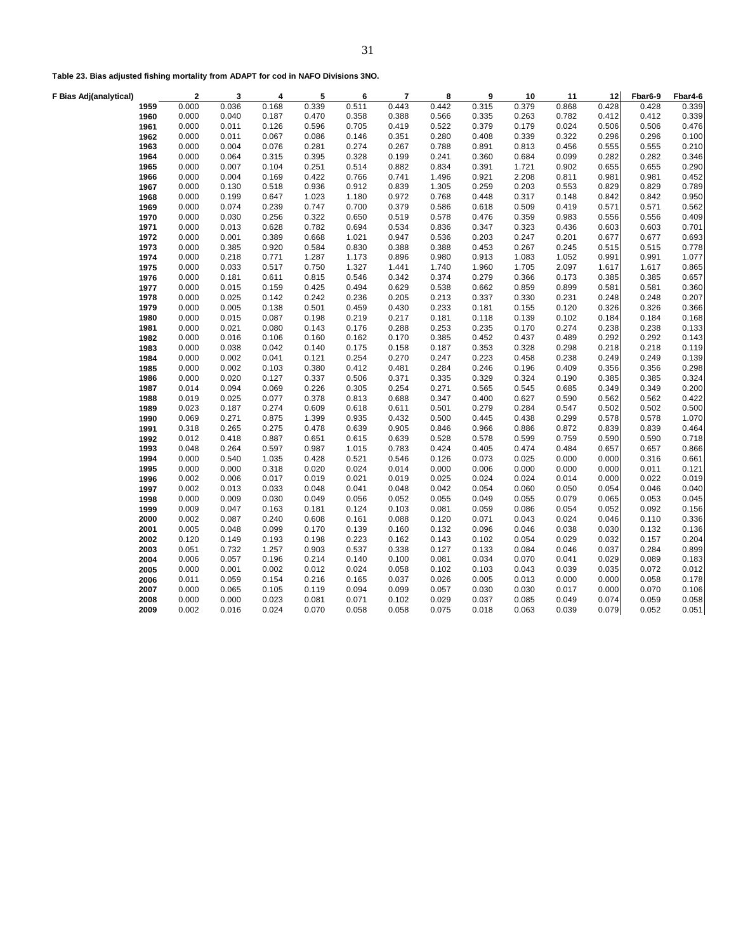|  |  |  |  |  | Table 23. Bias adjusted fishing mortality from ADAPT for cod in NAFO Divisions 3NO. |  |
|--|--|--|--|--|-------------------------------------------------------------------------------------|--|
|--|--|--|--|--|-------------------------------------------------------------------------------------|--|

| 0.000<br>0.442<br>0.868<br>0.339<br>0.036<br>0.168<br>0.339<br>0.511<br>0.443<br>0.315<br>0.379<br>0.428<br>0.428<br>1959<br>0.335<br>0.782<br>0.339<br>1960<br>0.000<br>0.040<br>0.187<br>0.470<br>0.358<br>0.388<br>0.566<br>0.263<br>0.412<br>0.412<br>0.126<br>0.379<br>0.024<br>0.476<br>1961<br>0.000<br>0.011<br>0.596<br>0.705<br>0.419<br>0.522<br>0.179<br>0.506<br>0.506<br>0.011<br>0.067<br>0.408<br>0.339<br>0.322<br>1962<br>0.000<br>0.086<br>0.146<br>0.351<br>0.280<br>0.296<br>0.296<br>0.100<br>0.076<br>0.274<br>0.891<br>0.456<br>0.210<br>1963<br>0.000<br>0.004<br>0.281<br>0.267<br>0.788<br>0.813<br>0.555<br>0.555<br>0.099<br>1964<br>0.000<br>0.064<br>0.315<br>0.395<br>0.328<br>0.199<br>0.241<br>0.360<br>0.684<br>0.282<br>0.282<br>0.346<br>0.000<br>0.104<br>0.251<br>0.391<br>0.902<br>0.290<br>1965<br>0.007<br>0.514<br>0.882<br>0.834<br>1.721<br>0.655<br>0.655<br>0.000<br>0.169<br>0.422<br>0.766<br>0.921<br>2.208<br>0.811<br>0.452<br>1966<br>0.004<br>0.741<br>1.496<br>0.981<br>0.981<br>0.000<br>0.130<br>0.518<br>0.936<br>0.912<br>0.839<br>1.305<br>0.259<br>0.203<br>0.553<br>0.829<br>0.829<br>0.789<br>1967<br>1968<br>0.000<br>0.199<br>0.647<br>1.023<br>1.180<br>0.972<br>0.768<br>0.448<br>0.317<br>0.148<br>0.842<br>0.842<br>0.950<br>1969<br>0.000<br>0.074<br>0.239<br>0.747<br>0.700<br>0.379<br>0.586<br>0.618<br>0.509<br>0.419<br>0.571<br>0.571<br>0.562<br>0.000<br>0.256<br>0.322<br>0.650<br>0.519<br>0.476<br>0.983<br>0.409<br>1970<br>0.030<br>0.578<br>0.359<br>0.556<br>0.556<br>0.436<br>1971<br>0.000<br>0.013<br>0.628<br>0.782<br>0.694<br>0.534<br>0.836<br>0.347<br>0.323<br>0.603<br>0.603<br>0.701<br>1972<br>0.000<br>0.001<br>0.389<br>0.668<br>1.021<br>0.947<br>0.536<br>0.203<br>0.247<br>0.201<br>0.677<br>0.677<br>0.693<br>0.000<br>0.920<br>0.830<br>0.388<br>0.453<br>0.267<br>0.245<br>0.515<br>0.778<br>1973<br>0.385<br>0.584<br>0.388<br>0.515<br>1974<br>0.000<br>0.218<br>0.771<br>1.287<br>1.173<br>0.896<br>0.980<br>0.913<br>1.083<br>1.052<br>0.991<br>0.991<br>1.077<br>1975<br>0.517<br>1.327<br>2.097<br>0.000<br>0.033<br>0.750<br>1.441<br>1.740<br>1.960<br>1.705<br>1.617<br>1.617<br>0.865<br>0.279<br>0.000<br>0.181<br>0.611<br>0.815<br>0.546<br>0.342<br>0.374<br>0.366<br>0.173<br>0.385<br>0.385<br>0.657<br>1976<br>0.000<br>0.159<br>0.425<br>0.494<br>0.629<br>0.538<br>0.662<br>0.859<br>0.899<br>0.581<br>0.360<br>1977<br>0.015<br>0.581<br>1978<br>0.142<br>0.242<br>0.236<br>0.337<br>0.231<br>0.207<br>0.000<br>0.025<br>0.205<br>0.213<br>0.330<br>0.248<br>0.248<br>0.120<br>1979<br>0.000<br>0.138<br>0.501<br>0.459<br>0.430<br>0.233<br>0.181<br>0.155<br>0.326<br>0.326<br>0.366<br>0.005<br>0.087<br>0.219<br>0.118<br>0.102<br>1980<br>0.000<br>0.015<br>0.198<br>0.217<br>0.181<br>0.139<br>0.184<br>0.184<br>0.168<br>1981<br>0.000<br>0.021<br>0.080<br>0.143<br>0.176<br>0.288<br>0.253<br>0.235<br>0.170<br>0.274<br>0.238<br>0.238<br>0.133<br>0.489<br>1982<br>0.000<br>0.016<br>0.106<br>0.160<br>0.162<br>0.170<br>0.385<br>0.452<br>0.437<br>0.292<br>0.292<br>0.143<br>0.042<br>0.353<br>0.298<br>1983<br>0.000<br>0.038<br>0.140<br>0.175<br>0.158<br>0.187<br>0.328<br>0.218<br>0.218<br>0.119<br>1984<br>0.000<br>0.002<br>0.041<br>0.121<br>0.254<br>0.270<br>0.247<br>0.223<br>0.458<br>0.238<br>0.249<br>0.249<br>0.139<br>0.103<br>0.412<br>0.246<br>0.409<br>0.298<br>1985<br>0.000<br>0.002<br>0.380<br>0.481<br>0.284<br>0.196<br>0.356<br>0.356<br>0.000<br>0.020<br>0.127<br>0.337<br>0.506<br>0.371<br>0.335<br>0.329<br>0.324<br>0.190<br>0.385<br>0.385<br>0.324<br>1986<br>1987<br>0.069<br>0.226<br>0.305<br>0.254<br>0.565<br>0.685<br>0.200<br>0.014<br>0.094<br>0.271<br>0.545<br>0.349<br>0.349<br>0.019<br>0.025<br>0.077<br>0.378<br>0.400<br>0.627<br>0.590<br>0.562<br>0.422<br>1988<br>0.813<br>0.688<br>0.347<br>0.562<br>0.023<br>0.274<br>0.609<br>0.618<br>0.501<br>0.279<br>0.547<br>0.500<br>1989<br>0.187<br>0.611<br>0.284<br>0.502<br>0.502<br>0.069<br>0.875<br>1.399<br>0.935<br>0.432<br>0.445<br>0.438<br>0.299<br>1.070<br>1990<br>0.271<br>0.500<br>0.578<br>0.578<br>0.872<br>0.318<br>0.265<br>0.275<br>0.478<br>0.639<br>0.905<br>0.966<br>0.886<br>0.464<br>1991<br>0.846<br>0.839<br>0.839<br>0.012<br>0.887<br>0.651<br>0.615<br>0.639<br>0.578<br>0.759<br>0.718<br>1992<br>0.418<br>0.528<br>0.599<br>0.590<br>0.590<br>1993<br>0.597<br>0.484<br>0.048<br>0.264<br>0.987<br>1.015<br>0.783<br>0.424<br>0.405<br>0.474<br>0.657<br>0.657<br>0.866<br>1994<br>0.000<br>0.540<br>1.035<br>0.428<br>0.521<br>0.546<br>0.126<br>0.073<br>0.025<br>0.000<br>0.000<br>0.316<br>0.661<br>0.024<br>0.006<br>0.000<br>0.000<br>0.318<br>0.020<br>0.014<br>0.000<br>0.000<br>0.000<br>0.000<br>0.011<br>0.121<br>1995<br>0.014<br>1996<br>0.002<br>0.006<br>0.017<br>0.019<br>0.021<br>0.019<br>0.025<br>0.024<br>0.024<br>0.000<br>0.022<br>0.019<br>0.033<br>0.054<br>0.050<br>0.040<br>1997<br>0.002<br>0.013<br>0.048<br>0.041<br>0.048<br>0.042<br>0.060<br>0.054<br>0.046<br>0.030<br>0.079<br>0.000<br>0.009<br>0.049<br>0.056<br>0.052<br>0.055<br>0.049<br>0.055<br>0.065<br>0.053<br>0.045<br>1998<br>1999<br>0.009<br>0.047<br>0.163<br>0.124<br>0.103<br>0.059<br>0.086<br>0.054<br>0.052<br>0.092<br>0.156<br>0.181<br>0.081<br>0.002<br>0.087<br>0.240<br>0.608<br>0.161<br>0.088<br>0.120<br>0.071<br>0.043<br>0.024<br>0.046<br>0.110<br>0.336<br>2000<br>0.099<br>0.038<br>0.005<br>0.048<br>0.170<br>0.139<br>0.160<br>0.132<br>0.096<br>0.046<br>0.030<br>0.132<br>0.136<br>2001<br>2002<br>0.120<br>0.193<br>0.223<br>0.102<br>0.029<br>0.032<br>0.157<br>0.204<br>0.149<br>0.198<br>0.162<br>0.143<br>0.054<br>0.051<br>0.732<br>1.257<br>0.903<br>0.537<br>0.338<br>0.127<br>0.133<br>0.084<br>0.046<br>0.037<br>0.284<br>0.899<br>2003<br>0.196<br>0.034<br>0.183<br>2004<br>0.006<br>0.057<br>0.214<br>0.140<br>0.100<br>0.081<br>0.070<br>0.041<br>0.029<br>0.089<br>0.002<br>0.024<br>0.103<br>0.039<br>2005<br>0.000<br>0.001<br>0.012<br>0.058<br>0.102<br>0.043<br>0.035<br>0.072<br>0.012<br>0.005<br>0.000<br>0.178<br>2006<br>0.011<br>0.059<br>0.154<br>0.216<br>0.165<br>0.037<br>0.026<br>0.013<br>0.000<br>0.058<br>0.000<br>0.065<br>0.105<br>0.094<br>0.099<br>0.057<br>0.030<br>0.030<br>0.017<br>0.000<br>0.070<br>0.106<br>2007<br>0.119<br>2008<br>0.000<br>0.023<br>0.071<br>0.102<br>0.037<br>0.085<br>0.049<br>0.074<br>0.059<br>0.058<br>0.000<br>0.081<br>0.029<br>0.024<br>0.070<br>0.058<br>0.018<br>0.063<br>0.039<br>0.079<br>2009<br>0.002<br>0.016<br>0.058<br>0.075<br>0.052<br>0.051 | F Bias Adj(analytical) | $\overline{\mathbf{2}}$ | 3 | 4 | 5 | 6 | $\overline{7}$ | 8 | 9 | 10 | 11 | 12 | Fbar6-9 | Fbar4-6 |
|-------------------------------------------------------------------------------------------------------------------------------------------------------------------------------------------------------------------------------------------------------------------------------------------------------------------------------------------------------------------------------------------------------------------------------------------------------------------------------------------------------------------------------------------------------------------------------------------------------------------------------------------------------------------------------------------------------------------------------------------------------------------------------------------------------------------------------------------------------------------------------------------------------------------------------------------------------------------------------------------------------------------------------------------------------------------------------------------------------------------------------------------------------------------------------------------------------------------------------------------------------------------------------------------------------------------------------------------------------------------------------------------------------------------------------------------------------------------------------------------------------------------------------------------------------------------------------------------------------------------------------------------------------------------------------------------------------------------------------------------------------------------------------------------------------------------------------------------------------------------------------------------------------------------------------------------------------------------------------------------------------------------------------------------------------------------------------------------------------------------------------------------------------------------------------------------------------------------------------------------------------------------------------------------------------------------------------------------------------------------------------------------------------------------------------------------------------------------------------------------------------------------------------------------------------------------------------------------------------------------------------------------------------------------------------------------------------------------------------------------------------------------------------------------------------------------------------------------------------------------------------------------------------------------------------------------------------------------------------------------------------------------------------------------------------------------------------------------------------------------------------------------------------------------------------------------------------------------------------------------------------------------------------------------------------------------------------------------------------------------------------------------------------------------------------------------------------------------------------------------------------------------------------------------------------------------------------------------------------------------------------------------------------------------------------------------------------------------------------------------------------------------------------------------------------------------------------------------------------------------------------------------------------------------------------------------------------------------------------------------------------------------------------------------------------------------------------------------------------------------------------------------------------------------------------------------------------------------------------------------------------------------------------------------------------------------------------------------------------------------------------------------------------------------------------------------------------------------------------------------------------------------------------------------------------------------------------------------------------------------------------------------------------------------------------------------------------------------------------------------------------------------------------------------------------------------------------------------------------------------------------------------------------------------------------------------------------------------------------------------------------------------------------------------------------------------------------------------------------------------------------------------------------------------------------------------------------------------------------------------------------------------------------------------------------------------------------------------------------------------------------------------------------------------------------------------------------------------------------------------------------------------------------------------------------------------------------------------------------------------------------------------------------------------------------------------------------------------------------------------------------------------------------------------------------------------------------------------------------------------------------------------------------------------------------------------------------------------------------------------------------------------------------------------------------------------------------------------------------------------------------------------------------------------------------------------------------------------------------------------------------------------------------------------------------------------------------------------------------------------------------------------------------------------------------------------------------------------------------------------------------------------------------------------------------------------------------------------------------------------------------------|------------------------|-------------------------|---|---|---|---|----------------|---|---|----|----|----|---------|---------|
|                                                                                                                                                                                                                                                                                                                                                                                                                                                                                                                                                                                                                                                                                                                                                                                                                                                                                                                                                                                                                                                                                                                                                                                                                                                                                                                                                                                                                                                                                                                                                                                                                                                                                                                                                                                                                                                                                                                                                                                                                                                                                                                                                                                                                                                                                                                                                                                                                                                                                                                                                                                                                                                                                                                                                                                                                                                                                                                                                                                                                                                                                                                                                                                                                                                                                                                                                                                                                                                                                                                                                                                                                                                                                                                                                                                                                                                                                                                                                                                                                                                                                                                                                                                                                                                                                                                                                                                                                                                                                                                                                                                                                                                                                                                                                                                                                                                                                                                                                                                                                                                                                                                                                                                                                                                                                                                                                                                                                                                                                                                                                                                                                                                                                                                                                                                                                                                                                                                                                                                                                                                                                                                                                                                                                                                                                                                                                                                                                                                                                                                                                                                                                                     |                        |                         |   |   |   |   |                |   |   |    |    |    |         |         |
|                                                                                                                                                                                                                                                                                                                                                                                                                                                                                                                                                                                                                                                                                                                                                                                                                                                                                                                                                                                                                                                                                                                                                                                                                                                                                                                                                                                                                                                                                                                                                                                                                                                                                                                                                                                                                                                                                                                                                                                                                                                                                                                                                                                                                                                                                                                                                                                                                                                                                                                                                                                                                                                                                                                                                                                                                                                                                                                                                                                                                                                                                                                                                                                                                                                                                                                                                                                                                                                                                                                                                                                                                                                                                                                                                                                                                                                                                                                                                                                                                                                                                                                                                                                                                                                                                                                                                                                                                                                                                                                                                                                                                                                                                                                                                                                                                                                                                                                                                                                                                                                                                                                                                                                                                                                                                                                                                                                                                                                                                                                                                                                                                                                                                                                                                                                                                                                                                                                                                                                                                                                                                                                                                                                                                                                                                                                                                                                                                                                                                                                                                                                                                                     |                        |                         |   |   |   |   |                |   |   |    |    |    |         |         |
|                                                                                                                                                                                                                                                                                                                                                                                                                                                                                                                                                                                                                                                                                                                                                                                                                                                                                                                                                                                                                                                                                                                                                                                                                                                                                                                                                                                                                                                                                                                                                                                                                                                                                                                                                                                                                                                                                                                                                                                                                                                                                                                                                                                                                                                                                                                                                                                                                                                                                                                                                                                                                                                                                                                                                                                                                                                                                                                                                                                                                                                                                                                                                                                                                                                                                                                                                                                                                                                                                                                                                                                                                                                                                                                                                                                                                                                                                                                                                                                                                                                                                                                                                                                                                                                                                                                                                                                                                                                                                                                                                                                                                                                                                                                                                                                                                                                                                                                                                                                                                                                                                                                                                                                                                                                                                                                                                                                                                                                                                                                                                                                                                                                                                                                                                                                                                                                                                                                                                                                                                                                                                                                                                                                                                                                                                                                                                                                                                                                                                                                                                                                                                                     |                        |                         |   |   |   |   |                |   |   |    |    |    |         |         |
|                                                                                                                                                                                                                                                                                                                                                                                                                                                                                                                                                                                                                                                                                                                                                                                                                                                                                                                                                                                                                                                                                                                                                                                                                                                                                                                                                                                                                                                                                                                                                                                                                                                                                                                                                                                                                                                                                                                                                                                                                                                                                                                                                                                                                                                                                                                                                                                                                                                                                                                                                                                                                                                                                                                                                                                                                                                                                                                                                                                                                                                                                                                                                                                                                                                                                                                                                                                                                                                                                                                                                                                                                                                                                                                                                                                                                                                                                                                                                                                                                                                                                                                                                                                                                                                                                                                                                                                                                                                                                                                                                                                                                                                                                                                                                                                                                                                                                                                                                                                                                                                                                                                                                                                                                                                                                                                                                                                                                                                                                                                                                                                                                                                                                                                                                                                                                                                                                                                                                                                                                                                                                                                                                                                                                                                                                                                                                                                                                                                                                                                                                                                                                                     |                        |                         |   |   |   |   |                |   |   |    |    |    |         |         |
|                                                                                                                                                                                                                                                                                                                                                                                                                                                                                                                                                                                                                                                                                                                                                                                                                                                                                                                                                                                                                                                                                                                                                                                                                                                                                                                                                                                                                                                                                                                                                                                                                                                                                                                                                                                                                                                                                                                                                                                                                                                                                                                                                                                                                                                                                                                                                                                                                                                                                                                                                                                                                                                                                                                                                                                                                                                                                                                                                                                                                                                                                                                                                                                                                                                                                                                                                                                                                                                                                                                                                                                                                                                                                                                                                                                                                                                                                                                                                                                                                                                                                                                                                                                                                                                                                                                                                                                                                                                                                                                                                                                                                                                                                                                                                                                                                                                                                                                                                                                                                                                                                                                                                                                                                                                                                                                                                                                                                                                                                                                                                                                                                                                                                                                                                                                                                                                                                                                                                                                                                                                                                                                                                                                                                                                                                                                                                                                                                                                                                                                                                                                                                                     |                        |                         |   |   |   |   |                |   |   |    |    |    |         |         |
|                                                                                                                                                                                                                                                                                                                                                                                                                                                                                                                                                                                                                                                                                                                                                                                                                                                                                                                                                                                                                                                                                                                                                                                                                                                                                                                                                                                                                                                                                                                                                                                                                                                                                                                                                                                                                                                                                                                                                                                                                                                                                                                                                                                                                                                                                                                                                                                                                                                                                                                                                                                                                                                                                                                                                                                                                                                                                                                                                                                                                                                                                                                                                                                                                                                                                                                                                                                                                                                                                                                                                                                                                                                                                                                                                                                                                                                                                                                                                                                                                                                                                                                                                                                                                                                                                                                                                                                                                                                                                                                                                                                                                                                                                                                                                                                                                                                                                                                                                                                                                                                                                                                                                                                                                                                                                                                                                                                                                                                                                                                                                                                                                                                                                                                                                                                                                                                                                                                                                                                                                                                                                                                                                                                                                                                                                                                                                                                                                                                                                                                                                                                                                                     |                        |                         |   |   |   |   |                |   |   |    |    |    |         |         |
|                                                                                                                                                                                                                                                                                                                                                                                                                                                                                                                                                                                                                                                                                                                                                                                                                                                                                                                                                                                                                                                                                                                                                                                                                                                                                                                                                                                                                                                                                                                                                                                                                                                                                                                                                                                                                                                                                                                                                                                                                                                                                                                                                                                                                                                                                                                                                                                                                                                                                                                                                                                                                                                                                                                                                                                                                                                                                                                                                                                                                                                                                                                                                                                                                                                                                                                                                                                                                                                                                                                                                                                                                                                                                                                                                                                                                                                                                                                                                                                                                                                                                                                                                                                                                                                                                                                                                                                                                                                                                                                                                                                                                                                                                                                                                                                                                                                                                                                                                                                                                                                                                                                                                                                                                                                                                                                                                                                                                                                                                                                                                                                                                                                                                                                                                                                                                                                                                                                                                                                                                                                                                                                                                                                                                                                                                                                                                                                                                                                                                                                                                                                                                                     |                        |                         |   |   |   |   |                |   |   |    |    |    |         |         |
|                                                                                                                                                                                                                                                                                                                                                                                                                                                                                                                                                                                                                                                                                                                                                                                                                                                                                                                                                                                                                                                                                                                                                                                                                                                                                                                                                                                                                                                                                                                                                                                                                                                                                                                                                                                                                                                                                                                                                                                                                                                                                                                                                                                                                                                                                                                                                                                                                                                                                                                                                                                                                                                                                                                                                                                                                                                                                                                                                                                                                                                                                                                                                                                                                                                                                                                                                                                                                                                                                                                                                                                                                                                                                                                                                                                                                                                                                                                                                                                                                                                                                                                                                                                                                                                                                                                                                                                                                                                                                                                                                                                                                                                                                                                                                                                                                                                                                                                                                                                                                                                                                                                                                                                                                                                                                                                                                                                                                                                                                                                                                                                                                                                                                                                                                                                                                                                                                                                                                                                                                                                                                                                                                                                                                                                                                                                                                                                                                                                                                                                                                                                                                                     |                        |                         |   |   |   |   |                |   |   |    |    |    |         |         |
|                                                                                                                                                                                                                                                                                                                                                                                                                                                                                                                                                                                                                                                                                                                                                                                                                                                                                                                                                                                                                                                                                                                                                                                                                                                                                                                                                                                                                                                                                                                                                                                                                                                                                                                                                                                                                                                                                                                                                                                                                                                                                                                                                                                                                                                                                                                                                                                                                                                                                                                                                                                                                                                                                                                                                                                                                                                                                                                                                                                                                                                                                                                                                                                                                                                                                                                                                                                                                                                                                                                                                                                                                                                                                                                                                                                                                                                                                                                                                                                                                                                                                                                                                                                                                                                                                                                                                                                                                                                                                                                                                                                                                                                                                                                                                                                                                                                                                                                                                                                                                                                                                                                                                                                                                                                                                                                                                                                                                                                                                                                                                                                                                                                                                                                                                                                                                                                                                                                                                                                                                                                                                                                                                                                                                                                                                                                                                                                                                                                                                                                                                                                                                                     |                        |                         |   |   |   |   |                |   |   |    |    |    |         |         |
|                                                                                                                                                                                                                                                                                                                                                                                                                                                                                                                                                                                                                                                                                                                                                                                                                                                                                                                                                                                                                                                                                                                                                                                                                                                                                                                                                                                                                                                                                                                                                                                                                                                                                                                                                                                                                                                                                                                                                                                                                                                                                                                                                                                                                                                                                                                                                                                                                                                                                                                                                                                                                                                                                                                                                                                                                                                                                                                                                                                                                                                                                                                                                                                                                                                                                                                                                                                                                                                                                                                                                                                                                                                                                                                                                                                                                                                                                                                                                                                                                                                                                                                                                                                                                                                                                                                                                                                                                                                                                                                                                                                                                                                                                                                                                                                                                                                                                                                                                                                                                                                                                                                                                                                                                                                                                                                                                                                                                                                                                                                                                                                                                                                                                                                                                                                                                                                                                                                                                                                                                                                                                                                                                                                                                                                                                                                                                                                                                                                                                                                                                                                                                                     |                        |                         |   |   |   |   |                |   |   |    |    |    |         |         |
|                                                                                                                                                                                                                                                                                                                                                                                                                                                                                                                                                                                                                                                                                                                                                                                                                                                                                                                                                                                                                                                                                                                                                                                                                                                                                                                                                                                                                                                                                                                                                                                                                                                                                                                                                                                                                                                                                                                                                                                                                                                                                                                                                                                                                                                                                                                                                                                                                                                                                                                                                                                                                                                                                                                                                                                                                                                                                                                                                                                                                                                                                                                                                                                                                                                                                                                                                                                                                                                                                                                                                                                                                                                                                                                                                                                                                                                                                                                                                                                                                                                                                                                                                                                                                                                                                                                                                                                                                                                                                                                                                                                                                                                                                                                                                                                                                                                                                                                                                                                                                                                                                                                                                                                                                                                                                                                                                                                                                                                                                                                                                                                                                                                                                                                                                                                                                                                                                                                                                                                                                                                                                                                                                                                                                                                                                                                                                                                                                                                                                                                                                                                                                                     |                        |                         |   |   |   |   |                |   |   |    |    |    |         |         |
|                                                                                                                                                                                                                                                                                                                                                                                                                                                                                                                                                                                                                                                                                                                                                                                                                                                                                                                                                                                                                                                                                                                                                                                                                                                                                                                                                                                                                                                                                                                                                                                                                                                                                                                                                                                                                                                                                                                                                                                                                                                                                                                                                                                                                                                                                                                                                                                                                                                                                                                                                                                                                                                                                                                                                                                                                                                                                                                                                                                                                                                                                                                                                                                                                                                                                                                                                                                                                                                                                                                                                                                                                                                                                                                                                                                                                                                                                                                                                                                                                                                                                                                                                                                                                                                                                                                                                                                                                                                                                                                                                                                                                                                                                                                                                                                                                                                                                                                                                                                                                                                                                                                                                                                                                                                                                                                                                                                                                                                                                                                                                                                                                                                                                                                                                                                                                                                                                                                                                                                                                                                                                                                                                                                                                                                                                                                                                                                                                                                                                                                                                                                                                                     |                        |                         |   |   |   |   |                |   |   |    |    |    |         |         |
|                                                                                                                                                                                                                                                                                                                                                                                                                                                                                                                                                                                                                                                                                                                                                                                                                                                                                                                                                                                                                                                                                                                                                                                                                                                                                                                                                                                                                                                                                                                                                                                                                                                                                                                                                                                                                                                                                                                                                                                                                                                                                                                                                                                                                                                                                                                                                                                                                                                                                                                                                                                                                                                                                                                                                                                                                                                                                                                                                                                                                                                                                                                                                                                                                                                                                                                                                                                                                                                                                                                                                                                                                                                                                                                                                                                                                                                                                                                                                                                                                                                                                                                                                                                                                                                                                                                                                                                                                                                                                                                                                                                                                                                                                                                                                                                                                                                                                                                                                                                                                                                                                                                                                                                                                                                                                                                                                                                                                                                                                                                                                                                                                                                                                                                                                                                                                                                                                                                                                                                                                                                                                                                                                                                                                                                                                                                                                                                                                                                                                                                                                                                                                                     |                        |                         |   |   |   |   |                |   |   |    |    |    |         |         |
|                                                                                                                                                                                                                                                                                                                                                                                                                                                                                                                                                                                                                                                                                                                                                                                                                                                                                                                                                                                                                                                                                                                                                                                                                                                                                                                                                                                                                                                                                                                                                                                                                                                                                                                                                                                                                                                                                                                                                                                                                                                                                                                                                                                                                                                                                                                                                                                                                                                                                                                                                                                                                                                                                                                                                                                                                                                                                                                                                                                                                                                                                                                                                                                                                                                                                                                                                                                                                                                                                                                                                                                                                                                                                                                                                                                                                                                                                                                                                                                                                                                                                                                                                                                                                                                                                                                                                                                                                                                                                                                                                                                                                                                                                                                                                                                                                                                                                                                                                                                                                                                                                                                                                                                                                                                                                                                                                                                                                                                                                                                                                                                                                                                                                                                                                                                                                                                                                                                                                                                                                                                                                                                                                                                                                                                                                                                                                                                                                                                                                                                                                                                                                                     |                        |                         |   |   |   |   |                |   |   |    |    |    |         |         |
|                                                                                                                                                                                                                                                                                                                                                                                                                                                                                                                                                                                                                                                                                                                                                                                                                                                                                                                                                                                                                                                                                                                                                                                                                                                                                                                                                                                                                                                                                                                                                                                                                                                                                                                                                                                                                                                                                                                                                                                                                                                                                                                                                                                                                                                                                                                                                                                                                                                                                                                                                                                                                                                                                                                                                                                                                                                                                                                                                                                                                                                                                                                                                                                                                                                                                                                                                                                                                                                                                                                                                                                                                                                                                                                                                                                                                                                                                                                                                                                                                                                                                                                                                                                                                                                                                                                                                                                                                                                                                                                                                                                                                                                                                                                                                                                                                                                                                                                                                                                                                                                                                                                                                                                                                                                                                                                                                                                                                                                                                                                                                                                                                                                                                                                                                                                                                                                                                                                                                                                                                                                                                                                                                                                                                                                                                                                                                                                                                                                                                                                                                                                                                                     |                        |                         |   |   |   |   |                |   |   |    |    |    |         |         |
|                                                                                                                                                                                                                                                                                                                                                                                                                                                                                                                                                                                                                                                                                                                                                                                                                                                                                                                                                                                                                                                                                                                                                                                                                                                                                                                                                                                                                                                                                                                                                                                                                                                                                                                                                                                                                                                                                                                                                                                                                                                                                                                                                                                                                                                                                                                                                                                                                                                                                                                                                                                                                                                                                                                                                                                                                                                                                                                                                                                                                                                                                                                                                                                                                                                                                                                                                                                                                                                                                                                                                                                                                                                                                                                                                                                                                                                                                                                                                                                                                                                                                                                                                                                                                                                                                                                                                                                                                                                                                                                                                                                                                                                                                                                                                                                                                                                                                                                                                                                                                                                                                                                                                                                                                                                                                                                                                                                                                                                                                                                                                                                                                                                                                                                                                                                                                                                                                                                                                                                                                                                                                                                                                                                                                                                                                                                                                                                                                                                                                                                                                                                                                                     |                        |                         |   |   |   |   |                |   |   |    |    |    |         |         |
|                                                                                                                                                                                                                                                                                                                                                                                                                                                                                                                                                                                                                                                                                                                                                                                                                                                                                                                                                                                                                                                                                                                                                                                                                                                                                                                                                                                                                                                                                                                                                                                                                                                                                                                                                                                                                                                                                                                                                                                                                                                                                                                                                                                                                                                                                                                                                                                                                                                                                                                                                                                                                                                                                                                                                                                                                                                                                                                                                                                                                                                                                                                                                                                                                                                                                                                                                                                                                                                                                                                                                                                                                                                                                                                                                                                                                                                                                                                                                                                                                                                                                                                                                                                                                                                                                                                                                                                                                                                                                                                                                                                                                                                                                                                                                                                                                                                                                                                                                                                                                                                                                                                                                                                                                                                                                                                                                                                                                                                                                                                                                                                                                                                                                                                                                                                                                                                                                                                                                                                                                                                                                                                                                                                                                                                                                                                                                                                                                                                                                                                                                                                                                                     |                        |                         |   |   |   |   |                |   |   |    |    |    |         |         |
|                                                                                                                                                                                                                                                                                                                                                                                                                                                                                                                                                                                                                                                                                                                                                                                                                                                                                                                                                                                                                                                                                                                                                                                                                                                                                                                                                                                                                                                                                                                                                                                                                                                                                                                                                                                                                                                                                                                                                                                                                                                                                                                                                                                                                                                                                                                                                                                                                                                                                                                                                                                                                                                                                                                                                                                                                                                                                                                                                                                                                                                                                                                                                                                                                                                                                                                                                                                                                                                                                                                                                                                                                                                                                                                                                                                                                                                                                                                                                                                                                                                                                                                                                                                                                                                                                                                                                                                                                                                                                                                                                                                                                                                                                                                                                                                                                                                                                                                                                                                                                                                                                                                                                                                                                                                                                                                                                                                                                                                                                                                                                                                                                                                                                                                                                                                                                                                                                                                                                                                                                                                                                                                                                                                                                                                                                                                                                                                                                                                                                                                                                                                                                                     |                        |                         |   |   |   |   |                |   |   |    |    |    |         |         |
|                                                                                                                                                                                                                                                                                                                                                                                                                                                                                                                                                                                                                                                                                                                                                                                                                                                                                                                                                                                                                                                                                                                                                                                                                                                                                                                                                                                                                                                                                                                                                                                                                                                                                                                                                                                                                                                                                                                                                                                                                                                                                                                                                                                                                                                                                                                                                                                                                                                                                                                                                                                                                                                                                                                                                                                                                                                                                                                                                                                                                                                                                                                                                                                                                                                                                                                                                                                                                                                                                                                                                                                                                                                                                                                                                                                                                                                                                                                                                                                                                                                                                                                                                                                                                                                                                                                                                                                                                                                                                                                                                                                                                                                                                                                                                                                                                                                                                                                                                                                                                                                                                                                                                                                                                                                                                                                                                                                                                                                                                                                                                                                                                                                                                                                                                                                                                                                                                                                                                                                                                                                                                                                                                                                                                                                                                                                                                                                                                                                                                                                                                                                                                                     |                        |                         |   |   |   |   |                |   |   |    |    |    |         |         |
|                                                                                                                                                                                                                                                                                                                                                                                                                                                                                                                                                                                                                                                                                                                                                                                                                                                                                                                                                                                                                                                                                                                                                                                                                                                                                                                                                                                                                                                                                                                                                                                                                                                                                                                                                                                                                                                                                                                                                                                                                                                                                                                                                                                                                                                                                                                                                                                                                                                                                                                                                                                                                                                                                                                                                                                                                                                                                                                                                                                                                                                                                                                                                                                                                                                                                                                                                                                                                                                                                                                                                                                                                                                                                                                                                                                                                                                                                                                                                                                                                                                                                                                                                                                                                                                                                                                                                                                                                                                                                                                                                                                                                                                                                                                                                                                                                                                                                                                                                                                                                                                                                                                                                                                                                                                                                                                                                                                                                                                                                                                                                                                                                                                                                                                                                                                                                                                                                                                                                                                                                                                                                                                                                                                                                                                                                                                                                                                                                                                                                                                                                                                                                                     |                        |                         |   |   |   |   |                |   |   |    |    |    |         |         |
|                                                                                                                                                                                                                                                                                                                                                                                                                                                                                                                                                                                                                                                                                                                                                                                                                                                                                                                                                                                                                                                                                                                                                                                                                                                                                                                                                                                                                                                                                                                                                                                                                                                                                                                                                                                                                                                                                                                                                                                                                                                                                                                                                                                                                                                                                                                                                                                                                                                                                                                                                                                                                                                                                                                                                                                                                                                                                                                                                                                                                                                                                                                                                                                                                                                                                                                                                                                                                                                                                                                                                                                                                                                                                                                                                                                                                                                                                                                                                                                                                                                                                                                                                                                                                                                                                                                                                                                                                                                                                                                                                                                                                                                                                                                                                                                                                                                                                                                                                                                                                                                                                                                                                                                                                                                                                                                                                                                                                                                                                                                                                                                                                                                                                                                                                                                                                                                                                                                                                                                                                                                                                                                                                                                                                                                                                                                                                                                                                                                                                                                                                                                                                                     |                        |                         |   |   |   |   |                |   |   |    |    |    |         |         |
|                                                                                                                                                                                                                                                                                                                                                                                                                                                                                                                                                                                                                                                                                                                                                                                                                                                                                                                                                                                                                                                                                                                                                                                                                                                                                                                                                                                                                                                                                                                                                                                                                                                                                                                                                                                                                                                                                                                                                                                                                                                                                                                                                                                                                                                                                                                                                                                                                                                                                                                                                                                                                                                                                                                                                                                                                                                                                                                                                                                                                                                                                                                                                                                                                                                                                                                                                                                                                                                                                                                                                                                                                                                                                                                                                                                                                                                                                                                                                                                                                                                                                                                                                                                                                                                                                                                                                                                                                                                                                                                                                                                                                                                                                                                                                                                                                                                                                                                                                                                                                                                                                                                                                                                                                                                                                                                                                                                                                                                                                                                                                                                                                                                                                                                                                                                                                                                                                                                                                                                                                                                                                                                                                                                                                                                                                                                                                                                                                                                                                                                                                                                                                                     |                        |                         |   |   |   |   |                |   |   |    |    |    |         |         |
|                                                                                                                                                                                                                                                                                                                                                                                                                                                                                                                                                                                                                                                                                                                                                                                                                                                                                                                                                                                                                                                                                                                                                                                                                                                                                                                                                                                                                                                                                                                                                                                                                                                                                                                                                                                                                                                                                                                                                                                                                                                                                                                                                                                                                                                                                                                                                                                                                                                                                                                                                                                                                                                                                                                                                                                                                                                                                                                                                                                                                                                                                                                                                                                                                                                                                                                                                                                                                                                                                                                                                                                                                                                                                                                                                                                                                                                                                                                                                                                                                                                                                                                                                                                                                                                                                                                                                                                                                                                                                                                                                                                                                                                                                                                                                                                                                                                                                                                                                                                                                                                                                                                                                                                                                                                                                                                                                                                                                                                                                                                                                                                                                                                                                                                                                                                                                                                                                                                                                                                                                                                                                                                                                                                                                                                                                                                                                                                                                                                                                                                                                                                                                                     |                        |                         |   |   |   |   |                |   |   |    |    |    |         |         |
|                                                                                                                                                                                                                                                                                                                                                                                                                                                                                                                                                                                                                                                                                                                                                                                                                                                                                                                                                                                                                                                                                                                                                                                                                                                                                                                                                                                                                                                                                                                                                                                                                                                                                                                                                                                                                                                                                                                                                                                                                                                                                                                                                                                                                                                                                                                                                                                                                                                                                                                                                                                                                                                                                                                                                                                                                                                                                                                                                                                                                                                                                                                                                                                                                                                                                                                                                                                                                                                                                                                                                                                                                                                                                                                                                                                                                                                                                                                                                                                                                                                                                                                                                                                                                                                                                                                                                                                                                                                                                                                                                                                                                                                                                                                                                                                                                                                                                                                                                                                                                                                                                                                                                                                                                                                                                                                                                                                                                                                                                                                                                                                                                                                                                                                                                                                                                                                                                                                                                                                                                                                                                                                                                                                                                                                                                                                                                                                                                                                                                                                                                                                                                                     |                        |                         |   |   |   |   |                |   |   |    |    |    |         |         |
|                                                                                                                                                                                                                                                                                                                                                                                                                                                                                                                                                                                                                                                                                                                                                                                                                                                                                                                                                                                                                                                                                                                                                                                                                                                                                                                                                                                                                                                                                                                                                                                                                                                                                                                                                                                                                                                                                                                                                                                                                                                                                                                                                                                                                                                                                                                                                                                                                                                                                                                                                                                                                                                                                                                                                                                                                                                                                                                                                                                                                                                                                                                                                                                                                                                                                                                                                                                                                                                                                                                                                                                                                                                                                                                                                                                                                                                                                                                                                                                                                                                                                                                                                                                                                                                                                                                                                                                                                                                                                                                                                                                                                                                                                                                                                                                                                                                                                                                                                                                                                                                                                                                                                                                                                                                                                                                                                                                                                                                                                                                                                                                                                                                                                                                                                                                                                                                                                                                                                                                                                                                                                                                                                                                                                                                                                                                                                                                                                                                                                                                                                                                                                                     |                        |                         |   |   |   |   |                |   |   |    |    |    |         |         |
|                                                                                                                                                                                                                                                                                                                                                                                                                                                                                                                                                                                                                                                                                                                                                                                                                                                                                                                                                                                                                                                                                                                                                                                                                                                                                                                                                                                                                                                                                                                                                                                                                                                                                                                                                                                                                                                                                                                                                                                                                                                                                                                                                                                                                                                                                                                                                                                                                                                                                                                                                                                                                                                                                                                                                                                                                                                                                                                                                                                                                                                                                                                                                                                                                                                                                                                                                                                                                                                                                                                                                                                                                                                                                                                                                                                                                                                                                                                                                                                                                                                                                                                                                                                                                                                                                                                                                                                                                                                                                                                                                                                                                                                                                                                                                                                                                                                                                                                                                                                                                                                                                                                                                                                                                                                                                                                                                                                                                                                                                                                                                                                                                                                                                                                                                                                                                                                                                                                                                                                                                                                                                                                                                                                                                                                                                                                                                                                                                                                                                                                                                                                                                                     |                        |                         |   |   |   |   |                |   |   |    |    |    |         |         |
|                                                                                                                                                                                                                                                                                                                                                                                                                                                                                                                                                                                                                                                                                                                                                                                                                                                                                                                                                                                                                                                                                                                                                                                                                                                                                                                                                                                                                                                                                                                                                                                                                                                                                                                                                                                                                                                                                                                                                                                                                                                                                                                                                                                                                                                                                                                                                                                                                                                                                                                                                                                                                                                                                                                                                                                                                                                                                                                                                                                                                                                                                                                                                                                                                                                                                                                                                                                                                                                                                                                                                                                                                                                                                                                                                                                                                                                                                                                                                                                                                                                                                                                                                                                                                                                                                                                                                                                                                                                                                                                                                                                                                                                                                                                                                                                                                                                                                                                                                                                                                                                                                                                                                                                                                                                                                                                                                                                                                                                                                                                                                                                                                                                                                                                                                                                                                                                                                                                                                                                                                                                                                                                                                                                                                                                                                                                                                                                                                                                                                                                                                                                                                                     |                        |                         |   |   |   |   |                |   |   |    |    |    |         |         |
|                                                                                                                                                                                                                                                                                                                                                                                                                                                                                                                                                                                                                                                                                                                                                                                                                                                                                                                                                                                                                                                                                                                                                                                                                                                                                                                                                                                                                                                                                                                                                                                                                                                                                                                                                                                                                                                                                                                                                                                                                                                                                                                                                                                                                                                                                                                                                                                                                                                                                                                                                                                                                                                                                                                                                                                                                                                                                                                                                                                                                                                                                                                                                                                                                                                                                                                                                                                                                                                                                                                                                                                                                                                                                                                                                                                                                                                                                                                                                                                                                                                                                                                                                                                                                                                                                                                                                                                                                                                                                                                                                                                                                                                                                                                                                                                                                                                                                                                                                                                                                                                                                                                                                                                                                                                                                                                                                                                                                                                                                                                                                                                                                                                                                                                                                                                                                                                                                                                                                                                                                                                                                                                                                                                                                                                                                                                                                                                                                                                                                                                                                                                                                                     |                        |                         |   |   |   |   |                |   |   |    |    |    |         |         |
|                                                                                                                                                                                                                                                                                                                                                                                                                                                                                                                                                                                                                                                                                                                                                                                                                                                                                                                                                                                                                                                                                                                                                                                                                                                                                                                                                                                                                                                                                                                                                                                                                                                                                                                                                                                                                                                                                                                                                                                                                                                                                                                                                                                                                                                                                                                                                                                                                                                                                                                                                                                                                                                                                                                                                                                                                                                                                                                                                                                                                                                                                                                                                                                                                                                                                                                                                                                                                                                                                                                                                                                                                                                                                                                                                                                                                                                                                                                                                                                                                                                                                                                                                                                                                                                                                                                                                                                                                                                                                                                                                                                                                                                                                                                                                                                                                                                                                                                                                                                                                                                                                                                                                                                                                                                                                                                                                                                                                                                                                                                                                                                                                                                                                                                                                                                                                                                                                                                                                                                                                                                                                                                                                                                                                                                                                                                                                                                                                                                                                                                                                                                                                                     |                        |                         |   |   |   |   |                |   |   |    |    |    |         |         |
|                                                                                                                                                                                                                                                                                                                                                                                                                                                                                                                                                                                                                                                                                                                                                                                                                                                                                                                                                                                                                                                                                                                                                                                                                                                                                                                                                                                                                                                                                                                                                                                                                                                                                                                                                                                                                                                                                                                                                                                                                                                                                                                                                                                                                                                                                                                                                                                                                                                                                                                                                                                                                                                                                                                                                                                                                                                                                                                                                                                                                                                                                                                                                                                                                                                                                                                                                                                                                                                                                                                                                                                                                                                                                                                                                                                                                                                                                                                                                                                                                                                                                                                                                                                                                                                                                                                                                                                                                                                                                                                                                                                                                                                                                                                                                                                                                                                                                                                                                                                                                                                                                                                                                                                                                                                                                                                                                                                                                                                                                                                                                                                                                                                                                                                                                                                                                                                                                                                                                                                                                                                                                                                                                                                                                                                                                                                                                                                                                                                                                                                                                                                                                                     |                        |                         |   |   |   |   |                |   |   |    |    |    |         |         |
|                                                                                                                                                                                                                                                                                                                                                                                                                                                                                                                                                                                                                                                                                                                                                                                                                                                                                                                                                                                                                                                                                                                                                                                                                                                                                                                                                                                                                                                                                                                                                                                                                                                                                                                                                                                                                                                                                                                                                                                                                                                                                                                                                                                                                                                                                                                                                                                                                                                                                                                                                                                                                                                                                                                                                                                                                                                                                                                                                                                                                                                                                                                                                                                                                                                                                                                                                                                                                                                                                                                                                                                                                                                                                                                                                                                                                                                                                                                                                                                                                                                                                                                                                                                                                                                                                                                                                                                                                                                                                                                                                                                                                                                                                                                                                                                                                                                                                                                                                                                                                                                                                                                                                                                                                                                                                                                                                                                                                                                                                                                                                                                                                                                                                                                                                                                                                                                                                                                                                                                                                                                                                                                                                                                                                                                                                                                                                                                                                                                                                                                                                                                                                                     |                        |                         |   |   |   |   |                |   |   |    |    |    |         |         |
|                                                                                                                                                                                                                                                                                                                                                                                                                                                                                                                                                                                                                                                                                                                                                                                                                                                                                                                                                                                                                                                                                                                                                                                                                                                                                                                                                                                                                                                                                                                                                                                                                                                                                                                                                                                                                                                                                                                                                                                                                                                                                                                                                                                                                                                                                                                                                                                                                                                                                                                                                                                                                                                                                                                                                                                                                                                                                                                                                                                                                                                                                                                                                                                                                                                                                                                                                                                                                                                                                                                                                                                                                                                                                                                                                                                                                                                                                                                                                                                                                                                                                                                                                                                                                                                                                                                                                                                                                                                                                                                                                                                                                                                                                                                                                                                                                                                                                                                                                                                                                                                                                                                                                                                                                                                                                                                                                                                                                                                                                                                                                                                                                                                                                                                                                                                                                                                                                                                                                                                                                                                                                                                                                                                                                                                                                                                                                                                                                                                                                                                                                                                                                                     |                        |                         |   |   |   |   |                |   |   |    |    |    |         |         |
|                                                                                                                                                                                                                                                                                                                                                                                                                                                                                                                                                                                                                                                                                                                                                                                                                                                                                                                                                                                                                                                                                                                                                                                                                                                                                                                                                                                                                                                                                                                                                                                                                                                                                                                                                                                                                                                                                                                                                                                                                                                                                                                                                                                                                                                                                                                                                                                                                                                                                                                                                                                                                                                                                                                                                                                                                                                                                                                                                                                                                                                                                                                                                                                                                                                                                                                                                                                                                                                                                                                                                                                                                                                                                                                                                                                                                                                                                                                                                                                                                                                                                                                                                                                                                                                                                                                                                                                                                                                                                                                                                                                                                                                                                                                                                                                                                                                                                                                                                                                                                                                                                                                                                                                                                                                                                                                                                                                                                                                                                                                                                                                                                                                                                                                                                                                                                                                                                                                                                                                                                                                                                                                                                                                                                                                                                                                                                                                                                                                                                                                                                                                                                                     |                        |                         |   |   |   |   |                |   |   |    |    |    |         |         |
|                                                                                                                                                                                                                                                                                                                                                                                                                                                                                                                                                                                                                                                                                                                                                                                                                                                                                                                                                                                                                                                                                                                                                                                                                                                                                                                                                                                                                                                                                                                                                                                                                                                                                                                                                                                                                                                                                                                                                                                                                                                                                                                                                                                                                                                                                                                                                                                                                                                                                                                                                                                                                                                                                                                                                                                                                                                                                                                                                                                                                                                                                                                                                                                                                                                                                                                                                                                                                                                                                                                                                                                                                                                                                                                                                                                                                                                                                                                                                                                                                                                                                                                                                                                                                                                                                                                                                                                                                                                                                                                                                                                                                                                                                                                                                                                                                                                                                                                                                                                                                                                                                                                                                                                                                                                                                                                                                                                                                                                                                                                                                                                                                                                                                                                                                                                                                                                                                                                                                                                                                                                                                                                                                                                                                                                                                                                                                                                                                                                                                                                                                                                                                                     |                        |                         |   |   |   |   |                |   |   |    |    |    |         |         |
|                                                                                                                                                                                                                                                                                                                                                                                                                                                                                                                                                                                                                                                                                                                                                                                                                                                                                                                                                                                                                                                                                                                                                                                                                                                                                                                                                                                                                                                                                                                                                                                                                                                                                                                                                                                                                                                                                                                                                                                                                                                                                                                                                                                                                                                                                                                                                                                                                                                                                                                                                                                                                                                                                                                                                                                                                                                                                                                                                                                                                                                                                                                                                                                                                                                                                                                                                                                                                                                                                                                                                                                                                                                                                                                                                                                                                                                                                                                                                                                                                                                                                                                                                                                                                                                                                                                                                                                                                                                                                                                                                                                                                                                                                                                                                                                                                                                                                                                                                                                                                                                                                                                                                                                                                                                                                                                                                                                                                                                                                                                                                                                                                                                                                                                                                                                                                                                                                                                                                                                                                                                                                                                                                                                                                                                                                                                                                                                                                                                                                                                                                                                                                                     |                        |                         |   |   |   |   |                |   |   |    |    |    |         |         |
|                                                                                                                                                                                                                                                                                                                                                                                                                                                                                                                                                                                                                                                                                                                                                                                                                                                                                                                                                                                                                                                                                                                                                                                                                                                                                                                                                                                                                                                                                                                                                                                                                                                                                                                                                                                                                                                                                                                                                                                                                                                                                                                                                                                                                                                                                                                                                                                                                                                                                                                                                                                                                                                                                                                                                                                                                                                                                                                                                                                                                                                                                                                                                                                                                                                                                                                                                                                                                                                                                                                                                                                                                                                                                                                                                                                                                                                                                                                                                                                                                                                                                                                                                                                                                                                                                                                                                                                                                                                                                                                                                                                                                                                                                                                                                                                                                                                                                                                                                                                                                                                                                                                                                                                                                                                                                                                                                                                                                                                                                                                                                                                                                                                                                                                                                                                                                                                                                                                                                                                                                                                                                                                                                                                                                                                                                                                                                                                                                                                                                                                                                                                                                                     |                        |                         |   |   |   |   |                |   |   |    |    |    |         |         |
|                                                                                                                                                                                                                                                                                                                                                                                                                                                                                                                                                                                                                                                                                                                                                                                                                                                                                                                                                                                                                                                                                                                                                                                                                                                                                                                                                                                                                                                                                                                                                                                                                                                                                                                                                                                                                                                                                                                                                                                                                                                                                                                                                                                                                                                                                                                                                                                                                                                                                                                                                                                                                                                                                                                                                                                                                                                                                                                                                                                                                                                                                                                                                                                                                                                                                                                                                                                                                                                                                                                                                                                                                                                                                                                                                                                                                                                                                                                                                                                                                                                                                                                                                                                                                                                                                                                                                                                                                                                                                                                                                                                                                                                                                                                                                                                                                                                                                                                                                                                                                                                                                                                                                                                                                                                                                                                                                                                                                                                                                                                                                                                                                                                                                                                                                                                                                                                                                                                                                                                                                                                                                                                                                                                                                                                                                                                                                                                                                                                                                                                                                                                                                                     |                        |                         |   |   |   |   |                |   |   |    |    |    |         |         |
|                                                                                                                                                                                                                                                                                                                                                                                                                                                                                                                                                                                                                                                                                                                                                                                                                                                                                                                                                                                                                                                                                                                                                                                                                                                                                                                                                                                                                                                                                                                                                                                                                                                                                                                                                                                                                                                                                                                                                                                                                                                                                                                                                                                                                                                                                                                                                                                                                                                                                                                                                                                                                                                                                                                                                                                                                                                                                                                                                                                                                                                                                                                                                                                                                                                                                                                                                                                                                                                                                                                                                                                                                                                                                                                                                                                                                                                                                                                                                                                                                                                                                                                                                                                                                                                                                                                                                                                                                                                                                                                                                                                                                                                                                                                                                                                                                                                                                                                                                                                                                                                                                                                                                                                                                                                                                                                                                                                                                                                                                                                                                                                                                                                                                                                                                                                                                                                                                                                                                                                                                                                                                                                                                                                                                                                                                                                                                                                                                                                                                                                                                                                                                                     |                        |                         |   |   |   |   |                |   |   |    |    |    |         |         |
|                                                                                                                                                                                                                                                                                                                                                                                                                                                                                                                                                                                                                                                                                                                                                                                                                                                                                                                                                                                                                                                                                                                                                                                                                                                                                                                                                                                                                                                                                                                                                                                                                                                                                                                                                                                                                                                                                                                                                                                                                                                                                                                                                                                                                                                                                                                                                                                                                                                                                                                                                                                                                                                                                                                                                                                                                                                                                                                                                                                                                                                                                                                                                                                                                                                                                                                                                                                                                                                                                                                                                                                                                                                                                                                                                                                                                                                                                                                                                                                                                                                                                                                                                                                                                                                                                                                                                                                                                                                                                                                                                                                                                                                                                                                                                                                                                                                                                                                                                                                                                                                                                                                                                                                                                                                                                                                                                                                                                                                                                                                                                                                                                                                                                                                                                                                                                                                                                                                                                                                                                                                                                                                                                                                                                                                                                                                                                                                                                                                                                                                                                                                                                                     |                        |                         |   |   |   |   |                |   |   |    |    |    |         |         |
|                                                                                                                                                                                                                                                                                                                                                                                                                                                                                                                                                                                                                                                                                                                                                                                                                                                                                                                                                                                                                                                                                                                                                                                                                                                                                                                                                                                                                                                                                                                                                                                                                                                                                                                                                                                                                                                                                                                                                                                                                                                                                                                                                                                                                                                                                                                                                                                                                                                                                                                                                                                                                                                                                                                                                                                                                                                                                                                                                                                                                                                                                                                                                                                                                                                                                                                                                                                                                                                                                                                                                                                                                                                                                                                                                                                                                                                                                                                                                                                                                                                                                                                                                                                                                                                                                                                                                                                                                                                                                                                                                                                                                                                                                                                                                                                                                                                                                                                                                                                                                                                                                                                                                                                                                                                                                                                                                                                                                                                                                                                                                                                                                                                                                                                                                                                                                                                                                                                                                                                                                                                                                                                                                                                                                                                                                                                                                                                                                                                                                                                                                                                                                                     |                        |                         |   |   |   |   |                |   |   |    |    |    |         |         |
|                                                                                                                                                                                                                                                                                                                                                                                                                                                                                                                                                                                                                                                                                                                                                                                                                                                                                                                                                                                                                                                                                                                                                                                                                                                                                                                                                                                                                                                                                                                                                                                                                                                                                                                                                                                                                                                                                                                                                                                                                                                                                                                                                                                                                                                                                                                                                                                                                                                                                                                                                                                                                                                                                                                                                                                                                                                                                                                                                                                                                                                                                                                                                                                                                                                                                                                                                                                                                                                                                                                                                                                                                                                                                                                                                                                                                                                                                                                                                                                                                                                                                                                                                                                                                                                                                                                                                                                                                                                                                                                                                                                                                                                                                                                                                                                                                                                                                                                                                                                                                                                                                                                                                                                                                                                                                                                                                                                                                                                                                                                                                                                                                                                                                                                                                                                                                                                                                                                                                                                                                                                                                                                                                                                                                                                                                                                                                                                                                                                                                                                                                                                                                                     |                        |                         |   |   |   |   |                |   |   |    |    |    |         |         |
|                                                                                                                                                                                                                                                                                                                                                                                                                                                                                                                                                                                                                                                                                                                                                                                                                                                                                                                                                                                                                                                                                                                                                                                                                                                                                                                                                                                                                                                                                                                                                                                                                                                                                                                                                                                                                                                                                                                                                                                                                                                                                                                                                                                                                                                                                                                                                                                                                                                                                                                                                                                                                                                                                                                                                                                                                                                                                                                                                                                                                                                                                                                                                                                                                                                                                                                                                                                                                                                                                                                                                                                                                                                                                                                                                                                                                                                                                                                                                                                                                                                                                                                                                                                                                                                                                                                                                                                                                                                                                                                                                                                                                                                                                                                                                                                                                                                                                                                                                                                                                                                                                                                                                                                                                                                                                                                                                                                                                                                                                                                                                                                                                                                                                                                                                                                                                                                                                                                                                                                                                                                                                                                                                                                                                                                                                                                                                                                                                                                                                                                                                                                                                                     |                        |                         |   |   |   |   |                |   |   |    |    |    |         |         |
|                                                                                                                                                                                                                                                                                                                                                                                                                                                                                                                                                                                                                                                                                                                                                                                                                                                                                                                                                                                                                                                                                                                                                                                                                                                                                                                                                                                                                                                                                                                                                                                                                                                                                                                                                                                                                                                                                                                                                                                                                                                                                                                                                                                                                                                                                                                                                                                                                                                                                                                                                                                                                                                                                                                                                                                                                                                                                                                                                                                                                                                                                                                                                                                                                                                                                                                                                                                                                                                                                                                                                                                                                                                                                                                                                                                                                                                                                                                                                                                                                                                                                                                                                                                                                                                                                                                                                                                                                                                                                                                                                                                                                                                                                                                                                                                                                                                                                                                                                                                                                                                                                                                                                                                                                                                                                                                                                                                                                                                                                                                                                                                                                                                                                                                                                                                                                                                                                                                                                                                                                                                                                                                                                                                                                                                                                                                                                                                                                                                                                                                                                                                                                                     |                        |                         |   |   |   |   |                |   |   |    |    |    |         |         |
|                                                                                                                                                                                                                                                                                                                                                                                                                                                                                                                                                                                                                                                                                                                                                                                                                                                                                                                                                                                                                                                                                                                                                                                                                                                                                                                                                                                                                                                                                                                                                                                                                                                                                                                                                                                                                                                                                                                                                                                                                                                                                                                                                                                                                                                                                                                                                                                                                                                                                                                                                                                                                                                                                                                                                                                                                                                                                                                                                                                                                                                                                                                                                                                                                                                                                                                                                                                                                                                                                                                                                                                                                                                                                                                                                                                                                                                                                                                                                                                                                                                                                                                                                                                                                                                                                                                                                                                                                                                                                                                                                                                                                                                                                                                                                                                                                                                                                                                                                                                                                                                                                                                                                                                                                                                                                                                                                                                                                                                                                                                                                                                                                                                                                                                                                                                                                                                                                                                                                                                                                                                                                                                                                                                                                                                                                                                                                                                                                                                                                                                                                                                                                                     |                        |                         |   |   |   |   |                |   |   |    |    |    |         |         |
|                                                                                                                                                                                                                                                                                                                                                                                                                                                                                                                                                                                                                                                                                                                                                                                                                                                                                                                                                                                                                                                                                                                                                                                                                                                                                                                                                                                                                                                                                                                                                                                                                                                                                                                                                                                                                                                                                                                                                                                                                                                                                                                                                                                                                                                                                                                                                                                                                                                                                                                                                                                                                                                                                                                                                                                                                                                                                                                                                                                                                                                                                                                                                                                                                                                                                                                                                                                                                                                                                                                                                                                                                                                                                                                                                                                                                                                                                                                                                                                                                                                                                                                                                                                                                                                                                                                                                                                                                                                                                                                                                                                                                                                                                                                                                                                                                                                                                                                                                                                                                                                                                                                                                                                                                                                                                                                                                                                                                                                                                                                                                                                                                                                                                                                                                                                                                                                                                                                                                                                                                                                                                                                                                                                                                                                                                                                                                                                                                                                                                                                                                                                                                                     |                        |                         |   |   |   |   |                |   |   |    |    |    |         |         |
|                                                                                                                                                                                                                                                                                                                                                                                                                                                                                                                                                                                                                                                                                                                                                                                                                                                                                                                                                                                                                                                                                                                                                                                                                                                                                                                                                                                                                                                                                                                                                                                                                                                                                                                                                                                                                                                                                                                                                                                                                                                                                                                                                                                                                                                                                                                                                                                                                                                                                                                                                                                                                                                                                                                                                                                                                                                                                                                                                                                                                                                                                                                                                                                                                                                                                                                                                                                                                                                                                                                                                                                                                                                                                                                                                                                                                                                                                                                                                                                                                                                                                                                                                                                                                                                                                                                                                                                                                                                                                                                                                                                                                                                                                                                                                                                                                                                                                                                                                                                                                                                                                                                                                                                                                                                                                                                                                                                                                                                                                                                                                                                                                                                                                                                                                                                                                                                                                                                                                                                                                                                                                                                                                                                                                                                                                                                                                                                                                                                                                                                                                                                                                                     |                        |                         |   |   |   |   |                |   |   |    |    |    |         |         |
|                                                                                                                                                                                                                                                                                                                                                                                                                                                                                                                                                                                                                                                                                                                                                                                                                                                                                                                                                                                                                                                                                                                                                                                                                                                                                                                                                                                                                                                                                                                                                                                                                                                                                                                                                                                                                                                                                                                                                                                                                                                                                                                                                                                                                                                                                                                                                                                                                                                                                                                                                                                                                                                                                                                                                                                                                                                                                                                                                                                                                                                                                                                                                                                                                                                                                                                                                                                                                                                                                                                                                                                                                                                                                                                                                                                                                                                                                                                                                                                                                                                                                                                                                                                                                                                                                                                                                                                                                                                                                                                                                                                                                                                                                                                                                                                                                                                                                                                                                                                                                                                                                                                                                                                                                                                                                                                                                                                                                                                                                                                                                                                                                                                                                                                                                                                                                                                                                                                                                                                                                                                                                                                                                                                                                                                                                                                                                                                                                                                                                                                                                                                                                                     |                        |                         |   |   |   |   |                |   |   |    |    |    |         |         |
|                                                                                                                                                                                                                                                                                                                                                                                                                                                                                                                                                                                                                                                                                                                                                                                                                                                                                                                                                                                                                                                                                                                                                                                                                                                                                                                                                                                                                                                                                                                                                                                                                                                                                                                                                                                                                                                                                                                                                                                                                                                                                                                                                                                                                                                                                                                                                                                                                                                                                                                                                                                                                                                                                                                                                                                                                                                                                                                                                                                                                                                                                                                                                                                                                                                                                                                                                                                                                                                                                                                                                                                                                                                                                                                                                                                                                                                                                                                                                                                                                                                                                                                                                                                                                                                                                                                                                                                                                                                                                                                                                                                                                                                                                                                                                                                                                                                                                                                                                                                                                                                                                                                                                                                                                                                                                                                                                                                                                                                                                                                                                                                                                                                                                                                                                                                                                                                                                                                                                                                                                                                                                                                                                                                                                                                                                                                                                                                                                                                                                                                                                                                                                                     |                        |                         |   |   |   |   |                |   |   |    |    |    |         |         |
|                                                                                                                                                                                                                                                                                                                                                                                                                                                                                                                                                                                                                                                                                                                                                                                                                                                                                                                                                                                                                                                                                                                                                                                                                                                                                                                                                                                                                                                                                                                                                                                                                                                                                                                                                                                                                                                                                                                                                                                                                                                                                                                                                                                                                                                                                                                                                                                                                                                                                                                                                                                                                                                                                                                                                                                                                                                                                                                                                                                                                                                                                                                                                                                                                                                                                                                                                                                                                                                                                                                                                                                                                                                                                                                                                                                                                                                                                                                                                                                                                                                                                                                                                                                                                                                                                                                                                                                                                                                                                                                                                                                                                                                                                                                                                                                                                                                                                                                                                                                                                                                                                                                                                                                                                                                                                                                                                                                                                                                                                                                                                                                                                                                                                                                                                                                                                                                                                                                                                                                                                                                                                                                                                                                                                                                                                                                                                                                                                                                                                                                                                                                                                                     |                        |                         |   |   |   |   |                |   |   |    |    |    |         |         |
|                                                                                                                                                                                                                                                                                                                                                                                                                                                                                                                                                                                                                                                                                                                                                                                                                                                                                                                                                                                                                                                                                                                                                                                                                                                                                                                                                                                                                                                                                                                                                                                                                                                                                                                                                                                                                                                                                                                                                                                                                                                                                                                                                                                                                                                                                                                                                                                                                                                                                                                                                                                                                                                                                                                                                                                                                                                                                                                                                                                                                                                                                                                                                                                                                                                                                                                                                                                                                                                                                                                                                                                                                                                                                                                                                                                                                                                                                                                                                                                                                                                                                                                                                                                                                                                                                                                                                                                                                                                                                                                                                                                                                                                                                                                                                                                                                                                                                                                                                                                                                                                                                                                                                                                                                                                                                                                                                                                                                                                                                                                                                                                                                                                                                                                                                                                                                                                                                                                                                                                                                                                                                                                                                                                                                                                                                                                                                                                                                                                                                                                                                                                                                                     |                        |                         |   |   |   |   |                |   |   |    |    |    |         |         |
|                                                                                                                                                                                                                                                                                                                                                                                                                                                                                                                                                                                                                                                                                                                                                                                                                                                                                                                                                                                                                                                                                                                                                                                                                                                                                                                                                                                                                                                                                                                                                                                                                                                                                                                                                                                                                                                                                                                                                                                                                                                                                                                                                                                                                                                                                                                                                                                                                                                                                                                                                                                                                                                                                                                                                                                                                                                                                                                                                                                                                                                                                                                                                                                                                                                                                                                                                                                                                                                                                                                                                                                                                                                                                                                                                                                                                                                                                                                                                                                                                                                                                                                                                                                                                                                                                                                                                                                                                                                                                                                                                                                                                                                                                                                                                                                                                                                                                                                                                                                                                                                                                                                                                                                                                                                                                                                                                                                                                                                                                                                                                                                                                                                                                                                                                                                                                                                                                                                                                                                                                                                                                                                                                                                                                                                                                                                                                                                                                                                                                                                                                                                                                                     |                        |                         |   |   |   |   |                |   |   |    |    |    |         |         |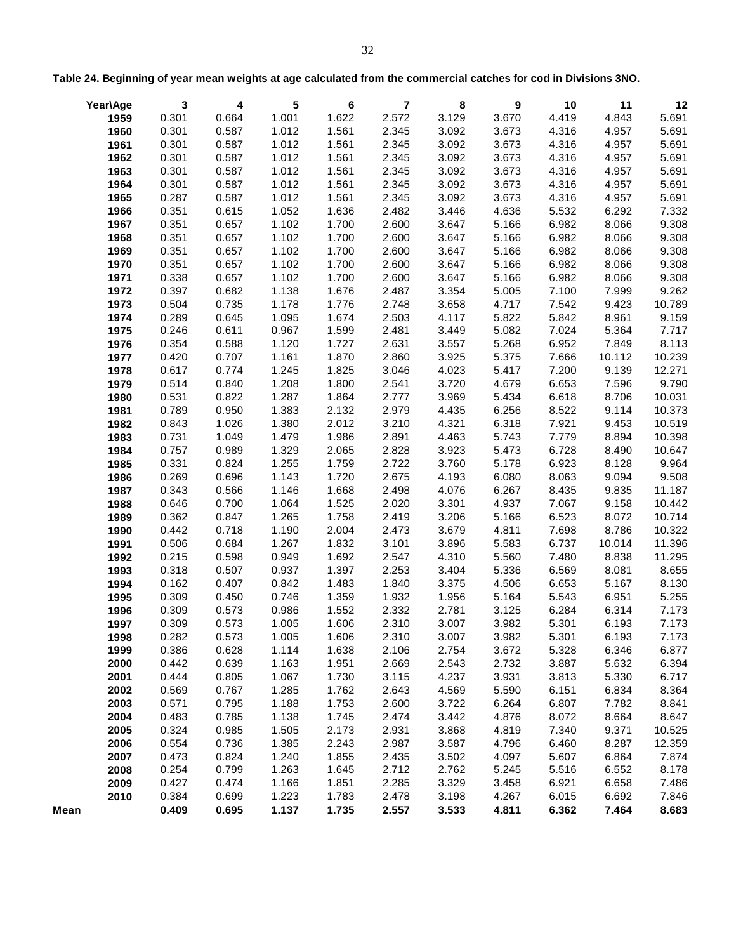|      | Year\Age | 3     | 4     | 5     | 6     | $\overline{7}$ | 8     | 9     | 10    | 11     | 12     |
|------|----------|-------|-------|-------|-------|----------------|-------|-------|-------|--------|--------|
|      | 1959     | 0.301 | 0.664 | 1.001 | 1.622 | 2.572          | 3.129 | 3.670 | 4.419 | 4.843  | 5.691  |
|      | 1960     | 0.301 | 0.587 | 1.012 | 1.561 | 2.345          | 3.092 | 3.673 | 4.316 | 4.957  | 5.691  |
|      | 1961     | 0.301 | 0.587 | 1.012 | 1.561 | 2.345          | 3.092 | 3.673 | 4.316 | 4.957  | 5.691  |
|      | 1962     | 0.301 | 0.587 | 1.012 | 1.561 | 2.345          | 3.092 | 3.673 | 4.316 | 4.957  | 5.691  |
|      | 1963     | 0.301 | 0.587 | 1.012 | 1.561 | 2.345          | 3.092 | 3.673 | 4.316 | 4.957  | 5.691  |
|      | 1964     | 0.301 | 0.587 | 1.012 | 1.561 | 2.345          | 3.092 | 3.673 | 4.316 | 4.957  | 5.691  |
|      | 1965     | 0.287 | 0.587 | 1.012 | 1.561 | 2.345          | 3.092 | 3.673 | 4.316 | 4.957  | 5.691  |
|      | 1966     | 0.351 | 0.615 | 1.052 | 1.636 | 2.482          | 3.446 | 4.636 | 5.532 | 6.292  | 7.332  |
|      | 1967     | 0.351 | 0.657 | 1.102 | 1.700 | 2.600          | 3.647 | 5.166 | 6.982 | 8.066  | 9.308  |
|      | 1968     | 0.351 | 0.657 | 1.102 | 1.700 | 2.600          | 3.647 | 5.166 | 6.982 | 8.066  | 9.308  |
|      | 1969     | 0.351 | 0.657 | 1.102 | 1.700 | 2.600          | 3.647 | 5.166 | 6.982 | 8.066  | 9.308  |
|      | 1970     | 0.351 | 0.657 | 1.102 | 1.700 | 2.600          | 3.647 | 5.166 | 6.982 | 8.066  | 9.308  |
|      | 1971     | 0.338 | 0.657 | 1.102 | 1.700 | 2.600          | 3.647 | 5.166 | 6.982 | 8.066  | 9.308  |
|      | 1972     | 0.397 | 0.682 | 1.138 | 1.676 | 2.487          | 3.354 | 5.005 | 7.100 | 7.999  | 9.262  |
|      | 1973     | 0.504 | 0.735 | 1.178 | 1.776 | 2.748          | 3.658 | 4.717 | 7.542 | 9.423  | 10.789 |
|      | 1974     | 0.289 | 0.645 | 1.095 | 1.674 | 2.503          | 4.117 | 5.822 | 5.842 | 8.961  | 9.159  |
|      | 1975     | 0.246 | 0.611 | 0.967 | 1.599 | 2.481          | 3.449 | 5.082 | 7.024 | 5.364  | 7.717  |
|      | 1976     | 0.354 | 0.588 | 1.120 | 1.727 | 2.631          | 3.557 | 5.268 | 6.952 | 7.849  | 8.113  |
|      | 1977     | 0.420 | 0.707 | 1.161 | 1.870 | 2.860          | 3.925 | 5.375 | 7.666 | 10.112 | 10.239 |
|      | 1978     | 0.617 | 0.774 | 1.245 | 1.825 | 3.046          | 4.023 | 5.417 | 7.200 | 9.139  | 12.271 |
|      | 1979     | 0.514 | 0.840 | 1.208 | 1.800 | 2.541          | 3.720 | 4.679 | 6.653 | 7.596  | 9.790  |
|      | 1980     | 0.531 | 0.822 | 1.287 | 1.864 | 2.777          | 3.969 | 5.434 | 6.618 | 8.706  | 10.031 |
|      | 1981     | 0.789 | 0.950 | 1.383 | 2.132 | 2.979          | 4.435 | 6.256 | 8.522 | 9.114  | 10.373 |
|      | 1982     | 0.843 | 1.026 | 1.380 | 2.012 | 3.210          | 4.321 | 6.318 | 7.921 | 9.453  | 10.519 |
|      | 1983     | 0.731 | 1.049 | 1.479 | 1.986 | 2.891          | 4.463 | 5.743 | 7.779 | 8.894  | 10.398 |
|      | 1984     | 0.757 | 0.989 | 1.329 | 2.065 | 2.828          | 3.923 | 5.473 | 6.728 | 8.490  | 10.647 |
|      | 1985     | 0.331 | 0.824 | 1.255 | 1.759 | 2.722          | 3.760 | 5.178 | 6.923 | 8.128  | 9.964  |
|      | 1986     | 0.269 | 0.696 | 1.143 | 1.720 | 2.675          | 4.193 | 6.080 | 8.063 | 9.094  | 9.508  |
|      | 1987     | 0.343 | 0.566 | 1.146 | 1.668 | 2.498          | 4.076 | 6.267 | 8.435 | 9.835  | 11.187 |
|      | 1988     | 0.646 | 0.700 | 1.064 | 1.525 | 2.020          | 3.301 | 4.937 | 7.067 | 9.158  | 10.442 |
|      | 1989     | 0.362 | 0.847 | 1.265 | 1.758 | 2.419          | 3.206 | 5.166 | 6.523 | 8.072  | 10.714 |
|      | 1990     | 0.442 | 0.718 | 1.190 | 2.004 | 2.473          | 3.679 | 4.811 | 7.698 | 8.786  | 10.322 |
|      | 1991     | 0.506 | 0.684 | 1.267 | 1.832 | 3.101          | 3.896 | 5.583 | 6.737 | 10.014 | 11.396 |
|      | 1992     | 0.215 | 0.598 | 0.949 | 1.692 | 2.547          | 4.310 | 5.560 | 7.480 | 8.838  | 11.295 |
|      | 1993     | 0.318 | 0.507 | 0.937 | 1.397 | 2.253          | 3.404 | 5.336 | 6.569 | 8.081  | 8.655  |
|      | 1994     | 0.162 | 0.407 | 0.842 | 1.483 | 1.840          | 3.375 | 4.506 | 6.653 | 5.167  | 8.130  |
|      | 1995     | 0.309 | 0.450 | 0.746 | 1.359 | 1.932          | 1.956 | 5.164 | 5.543 | 6.951  | 5.255  |
|      | 1996     | 0.309 | 0.573 | 0.986 | 1.552 | 2.332          | 2.781 | 3.125 | 6.284 | 6.314  | 7.173  |
|      | 1997     | 0.309 | 0.573 | 1.005 | 1.606 | 2.310          | 3.007 | 3.982 | 5.301 | 6.193  | 7.173  |
|      | 1998     | 0.282 | 0.573 | 1.005 | 1.606 | 2.310          | 3.007 | 3.982 | 5.301 | 6.193  | 7.173  |
|      | 1999     | 0.386 | 0.628 | 1.114 | 1.638 | 2.106          | 2.754 | 3.672 | 5.328 | 6.346  | 6.877  |
|      | 2000     | 0.442 | 0.639 | 1.163 | 1.951 | 2.669          | 2.543 | 2.732 | 3.887 | 5.632  | 6.394  |
|      | 2001     | 0.444 | 0.805 | 1.067 | 1.730 | 3.115          | 4.237 | 3.931 | 3.813 | 5.330  | 6.717  |
|      | 2002     | 0.569 | 0.767 | 1.285 | 1.762 | 2.643          | 4.569 | 5.590 | 6.151 | 6.834  | 8.364  |
|      | 2003     | 0.571 | 0.795 | 1.188 | 1.753 | 2.600          | 3.722 | 6.264 | 6.807 | 7.782  | 8.841  |
|      | 2004     | 0.483 | 0.785 | 1.138 | 1.745 | 2.474          | 3.442 | 4.876 | 8.072 | 8.664  | 8.647  |
|      | 2005     | 0.324 | 0.985 | 1.505 | 2.173 | 2.931          | 3.868 | 4.819 | 7.340 | 9.371  | 10.525 |
|      | 2006     | 0.554 | 0.736 | 1.385 | 2.243 | 2.987          | 3.587 | 4.796 | 6.460 | 8.287  | 12.359 |
|      | 2007     | 0.473 | 0.824 | 1.240 | 1.855 | 2.435          | 3.502 | 4.097 | 5.607 | 6.864  | 7.874  |
|      | 2008     | 0.254 | 0.799 | 1.263 | 1.645 | 2.712          | 2.762 | 5.245 | 5.516 | 6.552  | 8.178  |
|      | 2009     | 0.427 | 0.474 | 1.166 | 1.851 | 2.285          | 3.329 | 3.458 | 6.921 | 6.658  | 7.486  |
|      | 2010     | 0.384 | 0.699 | 1.223 | 1.783 | 2.478          | 3.198 | 4.267 | 6.015 | 6.692  | 7.846  |
| Mean |          | 0.409 | 0.695 | 1.137 | 1.735 | 2.557          | 3.533 | 4.811 | 6.362 | 7.464  | 8.683  |

**Table 24. Beginning of year mean weights at age calculated from the commercial catches for cod in Divisions 3NO.**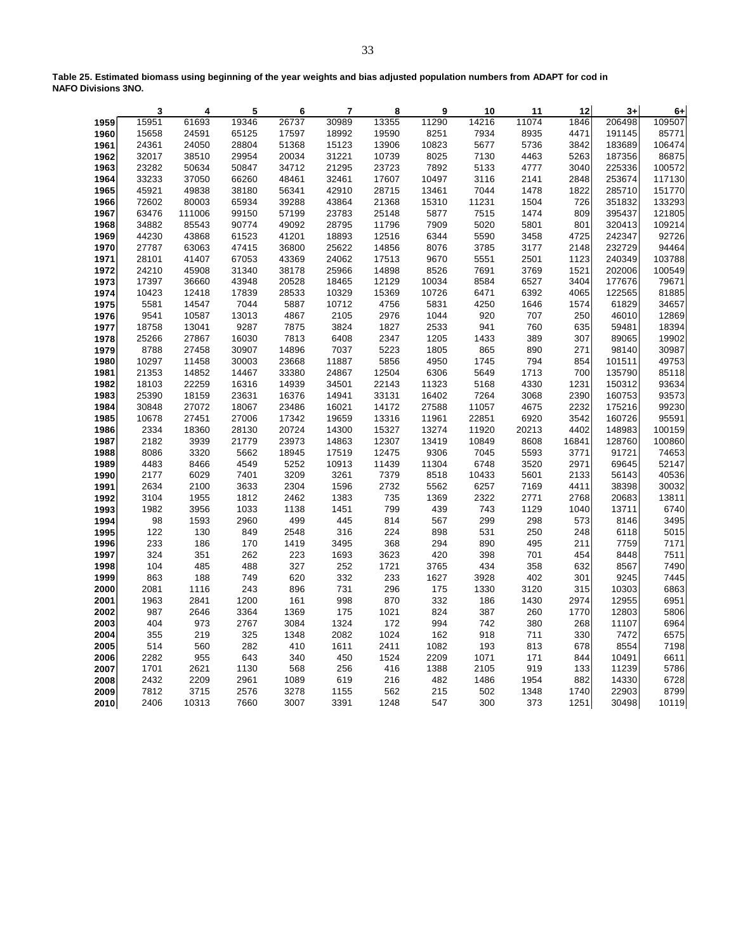|      | 3     | 4      | 5     | 6     | 7     | 8     | 9     | 10    | 11    | 12    | $3+$   | $6+$   |
|------|-------|--------|-------|-------|-------|-------|-------|-------|-------|-------|--------|--------|
| 1959 | 15951 | 61693  | 19346 | 26737 | 30989 | 13355 | 11290 | 14216 | 11074 | 1846  | 206498 | 109507 |
| 1960 | 15658 | 24591  | 65125 | 17597 | 18992 | 19590 | 8251  | 7934  | 8935  | 4471  | 191145 | 85771  |
| 1961 | 24361 | 24050  | 28804 | 51368 | 15123 | 13906 | 10823 | 5677  | 5736  | 3842  | 183689 | 106474 |
| 1962 | 32017 | 38510  | 29954 | 20034 | 31221 | 10739 | 8025  | 7130  | 4463  | 5263  | 187356 | 86875  |
| 1963 | 23282 | 50634  | 50847 | 34712 | 21295 | 23723 | 7892  | 5133  | 4777  | 3040  | 225336 | 100572 |
| 1964 | 33233 | 37050  | 66260 | 48461 | 32461 | 17607 | 10497 | 3116  | 2141  | 2848  | 253674 | 117130 |
| 1965 | 45921 | 49838  | 38180 | 56341 | 42910 | 28715 | 13461 | 7044  | 1478  | 1822  | 285710 | 151770 |
| 1966 | 72602 | 80003  | 65934 | 39288 | 43864 | 21368 | 15310 | 11231 | 1504  | 726   | 351832 | 133293 |
| 1967 | 63476 | 111006 | 99150 | 57199 | 23783 | 25148 | 5877  | 7515  | 1474  | 809   | 395437 | 121805 |
| 1968 | 34882 | 85543  | 90774 | 49092 | 28795 | 11796 | 7909  | 5020  | 5801  | 801   | 320413 | 109214 |
| 1969 | 44230 | 43868  | 61523 | 41201 | 18893 | 12516 | 6344  | 5590  | 3458  | 4725  | 242347 | 92726  |
| 1970 | 27787 | 63063  | 47415 | 36800 | 25622 | 14856 | 8076  | 3785  | 3177  | 2148  | 232729 | 94464  |
| 1971 | 28101 | 41407  | 67053 | 43369 | 24062 | 17513 | 9670  | 5551  | 2501  | 1123  | 240349 | 103788 |
| 1972 | 24210 | 45908  | 31340 | 38178 | 25966 | 14898 | 8526  | 7691  | 3769  | 1521  | 202006 | 100549 |
| 1973 | 17397 | 36660  | 43948 | 20528 | 18465 | 12129 | 10034 | 8584  | 6527  | 3404  | 177676 | 79671  |
| 1974 | 10423 | 12418  | 17839 | 28533 | 10329 | 15369 | 10726 | 6471  | 6392  | 4065  | 122565 | 81885  |
| 1975 | 5581  | 14547  | 7044  | 5887  | 10712 | 4756  | 5831  | 4250  | 1646  | 1574  | 61829  | 34657  |
| 1976 | 9541  | 10587  | 13013 | 4867  | 2105  | 2976  | 1044  | 920   | 707   | 250   | 46010  | 12869  |
| 1977 | 18758 | 13041  | 9287  | 7875  | 3824  | 1827  | 2533  | 941   | 760   | 635   | 59481  | 18394  |
| 1978 | 25266 | 27867  | 16030 | 7813  | 6408  | 2347  | 1205  | 1433  | 389   | 307   | 89065  | 19902  |
| 1979 | 8788  | 27458  | 30907 | 14896 | 7037  | 5223  | 1805  | 865   | 890   | 271   | 98140  | 30987  |
| 1980 | 10297 | 11458  | 30003 | 23668 | 11887 | 5856  | 4950  | 1745  | 794   | 854   | 101511 | 49753  |
| 1981 | 21353 | 14852  | 14467 | 33380 | 24867 | 12504 | 6306  | 5649  | 1713  | 700   | 135790 | 85118  |
| 1982 | 18103 | 22259  | 16316 | 14939 | 34501 | 22143 | 11323 | 5168  | 4330  | 1231  | 150312 | 93634  |
| 1983 | 25390 | 18159  | 23631 | 16376 | 14941 | 33131 | 16402 | 7264  | 3068  | 2390  | 160753 | 93573  |
| 1984 | 30848 | 27072  | 18067 | 23486 | 16021 | 14172 | 27588 | 11057 | 4675  | 2232  | 175216 | 99230  |
| 1985 | 10678 | 27451  | 27006 | 17342 | 19659 | 13316 | 11961 | 22851 | 6920  | 3542  | 160726 | 95591  |
| 1986 | 2334  | 18360  | 28130 | 20724 | 14300 | 15327 | 13274 | 11920 | 20213 | 4402  | 148983 | 100159 |
| 1987 | 2182  | 3939   | 21779 | 23973 | 14863 | 12307 | 13419 | 10849 | 8608  | 16841 | 128760 | 100860 |
| 1988 | 8086  | 3320   | 5662  | 18945 | 17519 | 12475 | 9306  | 7045  | 5593  | 3771  | 91721  | 74653  |
| 1989 | 4483  | 8466   | 4549  | 5252  | 10913 | 11439 | 11304 | 6748  | 3520  | 2971  | 69645  | 52147  |
| 1990 | 2177  | 6029   | 7401  | 3209  | 3261  | 7379  | 8518  | 10433 | 5601  | 2133  | 56143  | 40536  |
| 1991 | 2634  | 2100   | 3633  | 2304  | 1596  | 2732  | 5562  | 6257  | 7169  | 4411  | 38398  | 30032  |
| 1992 | 3104  | 1955   | 1812  | 2462  | 1383  | 735   | 1369  | 2322  | 2771  | 2768  | 20683  | 13811  |
| 1993 | 1982  | 3956   | 1033  | 1138  | 1451  | 799   | 439   | 743   | 1129  | 1040  | 13711  | 6740   |
| 1994 | 98    | 1593   | 2960  | 499   | 445   | 814   | 567   | 299   | 298   | 573   | 8146   | 3495   |
| 1995 | 122   | 130    | 849   | 2548  | 316   | 224   | 898   | 531   | 250   | 248   | 6118   | 5015   |
| 1996 | 233   | 186    | 170   | 1419  | 3495  | 368   | 294   | 890   | 495   | 211   | 7759   | 7171   |
| 1997 | 324   | 351    | 262   | 223   | 1693  | 3623  | 420   | 398   | 701   | 454   | 8448   | 7511   |
| 1998 | 104   | 485    | 488   | 327   | 252   | 1721  | 3765  | 434   | 358   | 632   | 8567   | 7490   |
| 1999 | 863   | 188    | 749   | 620   | 332   | 233   | 1627  | 3928  | 402   | 301   | 9245   | 7445   |
| 2000 | 2081  | 1116   | 243   | 896   | 731   | 296   | 175   | 1330  | 3120  | 315   | 10303  | 6863   |
| 2001 | 1963  | 2841   | 1200  | 161   | 998   | 870   | 332   | 186   | 1430  | 2974  | 12955  | 6951   |
| 2002 | 987   | 2646   | 3364  | 1369  | 175   | 1021  | 824   | 387   | 260   | 1770  | 12803  | 5806   |
| 2003 | 404   | 973    | 2767  | 3084  | 1324  | 172   | 994   | 742   | 380   | 268   | 11107  | 6964   |
| 2004 | 355   | 219    | 325   | 1348  | 2082  | 1024  | 162   | 918   | 711   | 330   | 7472   | 6575   |
| 2005 | 514   | 560    | 282   | 410   | 1611  | 2411  | 1082  | 193   | 813   | 678   | 8554   | 7198   |
| 2006 | 2282  | 955    | 643   | 340   | 450   | 1524  | 2209  | 1071  | 171   | 844   | 10491  | 6611   |
| 2007 | 1701  | 2621   | 1130  | 568   | 256   | 416   | 1388  | 2105  | 919   | 133   | 11239  | 5786   |
| 2008 | 2432  | 2209   | 2961  | 1089  | 619   | 216   | 482   | 1486  | 1954  | 882   | 14330  | 6728   |
| 2009 | 7812  | 3715   | 2576  | 3278  | 1155  | 562   | 215   | 502   | 1348  | 1740  | 22903  | 8799   |
| 2010 | 2406  | 10313  | 7660  | 3007  | 3391  | 1248  | 547   | 300   | 373   | 1251  | 30498  | 10119  |

**Table 25. Estimated biomass using beginning of the year weights and bias adjusted population numbers from ADAPT for cod in NAFO Divisions 3NO.**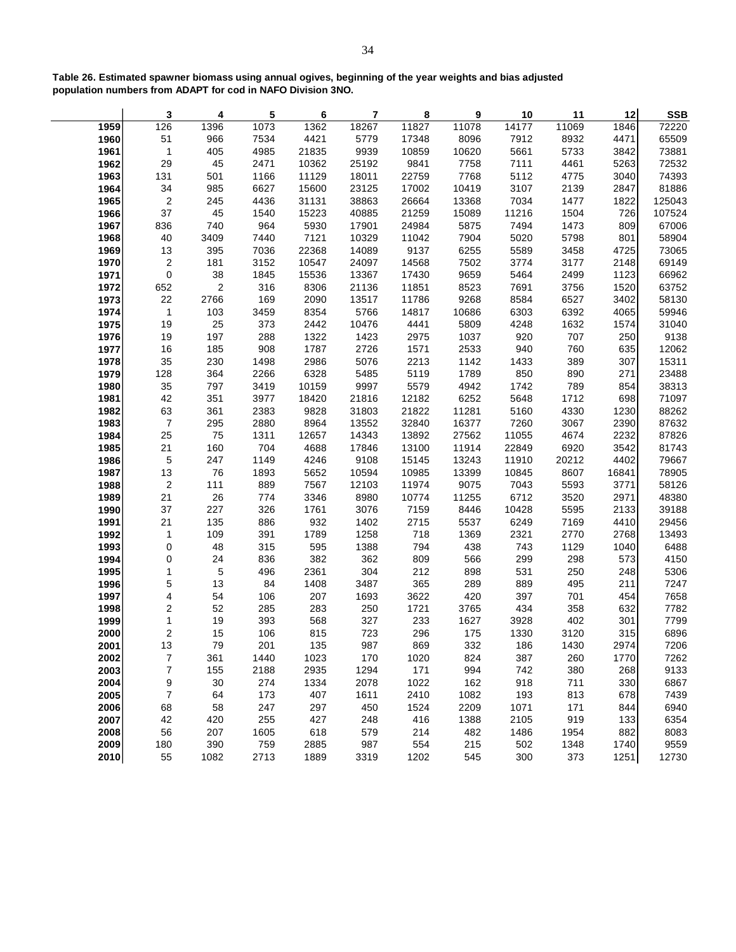|      | 3                       | 4          | 5    | 6     | 7     | 8     | 9     | 10    | 11    | 12    | <b>SSB</b> |
|------|-------------------------|------------|------|-------|-------|-------|-------|-------|-------|-------|------------|
| 1959 | 126                     | 1396       | 1073 | 1362  | 18267 | 11827 | 11078 | 14177 | 11069 | 1846  | 72220      |
| 1960 | 51                      | 966        | 7534 | 4421  | 5779  | 17348 | 8096  | 7912  | 8932  | 4471  | 65509      |
| 1961 | $\mathbf{1}$            | 405        | 4985 | 21835 | 9939  | 10859 | 10620 | 5661  | 5733  | 3842  | 73881      |
| 1962 | 29                      | 45         | 2471 | 10362 | 25192 | 9841  | 7758  | 7111  | 4461  | 5263  | 72532      |
| 1963 | 131                     | 501        | 1166 | 11129 | 18011 | 22759 | 7768  | 5112  | 4775  | 3040  | 74393      |
| 1964 | 34                      | 985        | 6627 | 15600 | 23125 | 17002 | 10419 | 3107  | 2139  | 2847  | 81886      |
| 1965 | $\overline{2}$          | 245        | 4436 | 31131 | 38863 | 26664 | 13368 | 7034  | 1477  | 1822  | 125043     |
| 1966 | 37                      | 45         | 1540 | 15223 | 40885 | 21259 | 15089 | 11216 | 1504  | 726   | 107524     |
| 1967 | 836                     | 740        | 964  | 5930  | 17901 | 24984 | 5875  | 7494  | 1473  | 809   | 67006      |
| 1968 | 40                      | 3409       | 7440 | 7121  | 10329 | 11042 | 7904  | 5020  | 5798  | 801   | 58904      |
| 1969 | 13                      | 395        | 7036 | 22368 | 14089 | 9137  | 6255  | 5589  | 3458  | 4725  | 73065      |
| 1970 | $\sqrt{2}$              | 181        | 3152 | 10547 | 24097 | 14568 | 7502  | 3774  | 3177  | 2148  | 69149      |
| 1971 | $\mathbf 0$             | 38         | 1845 | 15536 | 13367 | 17430 | 9659  | 5464  | 2499  | 1123  | 66962      |
| 1972 | 652                     | $\sqrt{2}$ | 316  | 8306  | 21136 | 11851 | 8523  | 7691  | 3756  | 1520  | 63752      |
| 1973 | 22                      | 2766       | 169  | 2090  | 13517 | 11786 | 9268  | 8584  | 6527  | 3402  | 58130      |
| 1974 | $\mathbf{1}$            | 103        | 3459 | 8354  | 5766  | 14817 | 10686 | 6303  | 6392  | 4065  | 59946      |
| 1975 | 19                      | 25         | 373  | 2442  | 10476 | 4441  | 5809  | 4248  | 1632  | 1574  | 31040      |
| 1976 | 19                      | 197        | 288  | 1322  | 1423  | 2975  | 1037  | 920   | 707   | 250   | 9138       |
| 1977 | 16                      | 185        | 908  | 1787  | 2726  | 1571  | 2533  | 940   | 760   | 635   | 12062      |
| 1978 | 35                      | 230        | 1498 | 2986  | 5076  | 2213  | 1142  | 1433  | 389   | 307   | 15311      |
| 1979 | 128                     | 364        | 2266 | 6328  | 5485  | 5119  | 1789  | 850   | 890   | 271   | 23488      |
| 1980 | 35                      | 797        | 3419 | 10159 | 9997  | 5579  | 4942  | 1742  | 789   | 854   | 38313      |
| 1981 | 42                      | 351        | 3977 | 18420 | 21816 | 12182 | 6252  | 5648  | 1712  | 698   | 71097      |
| 1982 | 63                      | 361        | 2383 | 9828  | 31803 | 21822 | 11281 | 5160  | 4330  | 1230  | 88262      |
| 1983 | $\overline{7}$          | 295        | 2880 | 8964  | 13552 | 32840 | 16377 | 7260  | 3067  | 2390  | 87632      |
| 1984 | 25                      | 75         | 1311 | 12657 | 14343 | 13892 | 27562 | 11055 | 4674  | 2232  | 87826      |
| 1985 | 21                      | 160        | 704  | 4688  | 17846 | 13100 | 11914 | 22849 | 6920  | 3542  | 81743      |
| 1986 | $\sqrt{5}$              | 247        | 1149 | 4246  | 9108  | 15145 | 13243 | 11910 | 20212 | 4402  | 79667      |
| 1987 | 13                      | 76         | 1893 | 5652  | 10594 | 10985 | 13399 | 10845 | 8607  | 16841 | 78905      |
| 1988 | $\sqrt{2}$              | 111        | 889  | 7567  | 12103 | 11974 | 9075  | 7043  | 5593  | 3771  | 58126      |
| 1989 | 21                      | 26         | 774  | 3346  | 8980  | 10774 | 11255 | 6712  | 3520  | 2971  | 48380      |
| 1990 | 37                      | 227        | 326  | 1761  | 3076  | 7159  | 8446  | 10428 | 5595  | 2133  | 39188      |
| 1991 | 21                      | 135        | 886  | 932   | 1402  | 2715  | 5537  | 6249  | 7169  | 4410  | 29456      |
| 1992 | $\mathbf{1}$            | 109        | 391  | 1789  | 1258  | 718   | 1369  | 2321  | 2770  | 2768  | 13493      |
| 1993 | 0                       | 48         | 315  | 595   | 1388  | 794   | 438   | 743   | 1129  | 1040  | 6488       |
| 1994 | 0                       | 24         | 836  | 382   | 362   | 809   | 566   | 299   | 298   | 573   | 4150       |
| 1995 | $\mathbf{1}$            | $\sqrt{5}$ | 496  | 2361  | 304   | 212   | 898   | 531   | 250   | 248   | 5306       |
| 1996 | 5                       | 13         | 84   | 1408  | 3487  | 365   | 289   | 889   | 495   | 211   | 7247       |
| 1997 | $\overline{4}$          | 54         | 106  | 207   | 1693  | 3622  | 420   | 397   | 701   | 454   | 7658       |
| 1998 | $\overline{\mathbf{c}}$ | 52         | 285  | 283   | 250   | 1721  | 3765  | 434   | 358   | 632   | 7782       |
| 1999 | 1                       | 19         | 393  | 568   | 327   | 233   | 1627  | 3928  | 402   | 301   | 7799       |
| 2000 | 2                       | 15         | 106  | 815   | 723   | 296   | 175   | 1330  | 3120  | 315   | 6896       |
| 2001 | 13                      | 79         | 201  | 135   | 987   | 869   | 332   | 186   | 1430  | 2974  | 7206       |
| 2002 | $\boldsymbol{7}$        | 361        | 1440 | 1023  | 170   | 1020  | 824   | 387   | 260   | 1770  | 7262       |
| 2003 | $\boldsymbol{7}$        | 155        | 2188 | 2935  | 1294  | 171   | 994   | 742   | 380   | 268   | 9133       |
| 2004 | 9                       | 30         | 274  | 1334  | 2078  | 1022  | 162   | 918   | 711   | 330   | 6867       |
| 2005 | $\boldsymbol{7}$        | 64         | 173  | 407   | 1611  | 2410  | 1082  | 193   | 813   | 678   | 7439       |
| 2006 | 68                      | 58         | 247  | 297   | 450   | 1524  | 2209  | 1071  | 171   | 844   | 6940       |
| 2007 | 42                      | 420        | 255  | 427   | 248   | 416   | 1388  | 2105  | 919   | 133   | 6354       |
| 2008 | 56                      | 207        | 1605 | 618   | 579   | 214   | 482   | 1486  | 1954  | 882   | 8083       |
| 2009 | 180                     | 390        | 759  | 2885  | 987   | 554   | 215   | 502   | 1348  | 1740  | 9559       |
| 2010 | 55                      | 1082       | 2713 | 1889  | 3319  | 1202  | 545   | 300   | 373   | 1251  | 12730      |

**Table 26. Estimated spawner biomass using annual ogives, beginning of the year weights and bias adjusted population numbers from ADAPT for cod in NAFO Division 3NO.**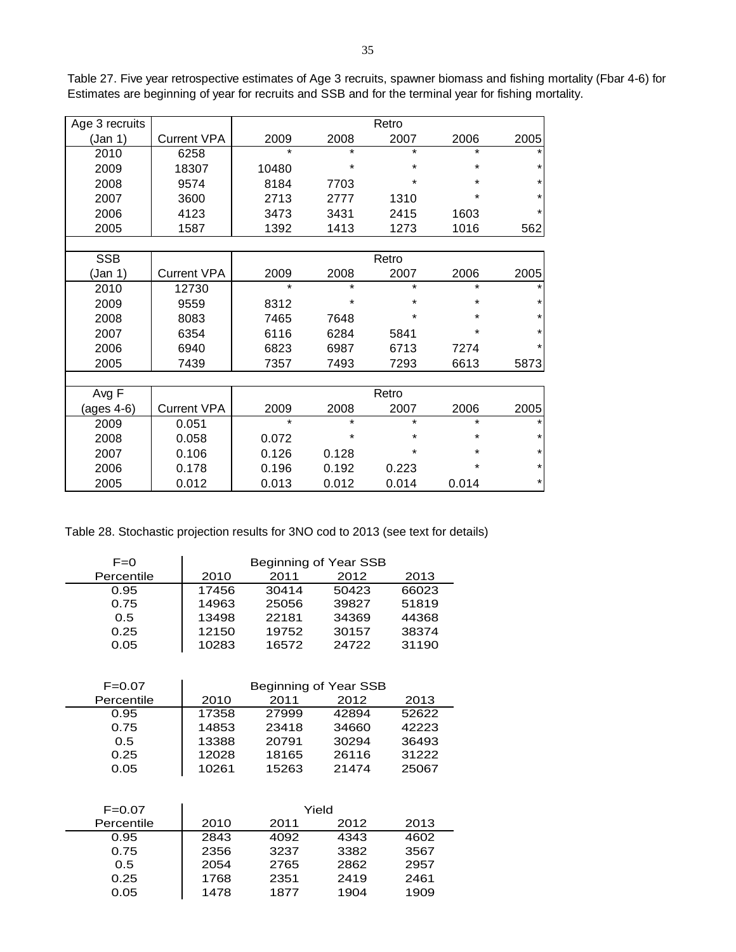| Age 3 recruits |                    |         |         | Retro   |         |         |
|----------------|--------------------|---------|---------|---------|---------|---------|
| (Jan 1)        | <b>Current VPA</b> | 2009    | 2008    | 2007    | 2006    | 2005    |
| 2010           | 6258               | $\star$ | $\star$ | $\star$ | $\star$ |         |
| 2009           | 18307              | 10480   | *       | $\star$ | *       |         |
| 2008           | 9574               | 8184    | 7703    | $\star$ | *       |         |
| 2007           | 3600               | 2713    | 2777    | 1310    | ¥       |         |
| 2006           | 4123               | 3473    | 3431    | 2415    | 1603    | $\star$ |
| 2005           | 1587               | 1392    | 1413    | 1273    | 1016    | 562     |
|                |                    |         |         |         |         |         |
| <b>SSB</b>     |                    |         |         | Retro   |         |         |
| (Jan 1)        | <b>Current VPA</b> | 2009    | 2008    | 2007    | 2006    | 2005    |
| 2010           | 12730              | $\star$ | $\star$ | $\star$ | $\star$ |         |
| 2009           | 9559               | 8312    | $\star$ | $\star$ | *       |         |
| 2008           | 8083               | 7465    | 7648    | $\star$ | *       | $\star$ |
| 2007           | 6354               | 6116    | 6284    | 5841    | $\star$ |         |
| 2006           | 6940               | 6823    | 6987    | 6713    | 7274    |         |
| 2005           | 7439               | 7357    | 7493    | 7293    | 6613    | 5873    |
|                |                    |         |         |         |         |         |
| Avg F          |                    |         |         | Retro   |         |         |
| (ages 4-6)     | <b>Current VPA</b> | 2009    | 2008    | 2007    | 2006    | 2005    |
| 2009           | 0.051              | $\star$ | $\star$ | $\star$ | $\star$ |         |
| 2008           | 0.058              | 0.072   | *       | $\star$ | *       |         |
| 2007           | 0.106              | 0.126   | 0.128   | $\star$ | *       | $\star$ |
| 2006           | 0.178              | 0.196   | 0.192   | 0.223   | *       | $\star$ |

2005 0.012 0.013 0.012 0.014 0.014 \*

Table 27. Five year retrospective estimates of Age 3 recruits, spawner biomass and fishing mortality (Fbar 4-6) for Estimates are beginning of year for recruits and SSB and for the terminal year for fishing mortality.

Table 28. Stochastic projection results for 3NO cod to 2013 (see text for details)

| $F=0$      | Beginning of Year SSB |                       |       |       |  |  |  |  |
|------------|-----------------------|-----------------------|-------|-------|--|--|--|--|
| Percentile | 2010                  | 2011                  | 2012  | 2013  |  |  |  |  |
| 0.95       | 17456                 | 30414                 | 50423 | 66023 |  |  |  |  |
| 0.75       | 14963                 | 25056                 | 39827 | 51819 |  |  |  |  |
| 0.5        | 13498                 | 22181                 | 34369 | 44368 |  |  |  |  |
| 0.25       | 12150                 | 19752                 | 30157 | 38374 |  |  |  |  |
| 0.05       | 10283                 | 16572                 | 24722 | 31190 |  |  |  |  |
|            |                       |                       |       |       |  |  |  |  |
|            |                       |                       |       |       |  |  |  |  |
| $F = 0.07$ |                       | Beginning of Year SSB |       |       |  |  |  |  |
| Percentile | 2010                  | 2011                  | 2012  | 2013  |  |  |  |  |
| 0.95       | 17358                 | 27999                 | 42894 | 52622 |  |  |  |  |
| 0.75       | 14853                 | 23418                 | 34660 | 42223 |  |  |  |  |
| 0.5        | 13388                 | 20791                 | 30294 | 36493 |  |  |  |  |
| 0.25       | 12028                 | 18165                 | 26116 | 31222 |  |  |  |  |
| 0.05       | 10261                 | 15263                 | 21474 | 25067 |  |  |  |  |
|            |                       |                       |       |       |  |  |  |  |
|            |                       |                       |       |       |  |  |  |  |
| $F = 0.07$ |                       | Yield                 |       |       |  |  |  |  |
| Percentile | 2010                  | 2011                  | 2012  | 2013  |  |  |  |  |
| 0.95       | 2843                  | 4092                  | 4343  | 4602  |  |  |  |  |
| 0.75       | 2356                  | 3237                  | 3382  | 3567  |  |  |  |  |
| 0.5        | 2054                  | 2765                  | 2862  | 2957  |  |  |  |  |
| 0.25       | 1768                  | 2351                  | 2419  | 2461  |  |  |  |  |

0.05 1478 1877 1904 1909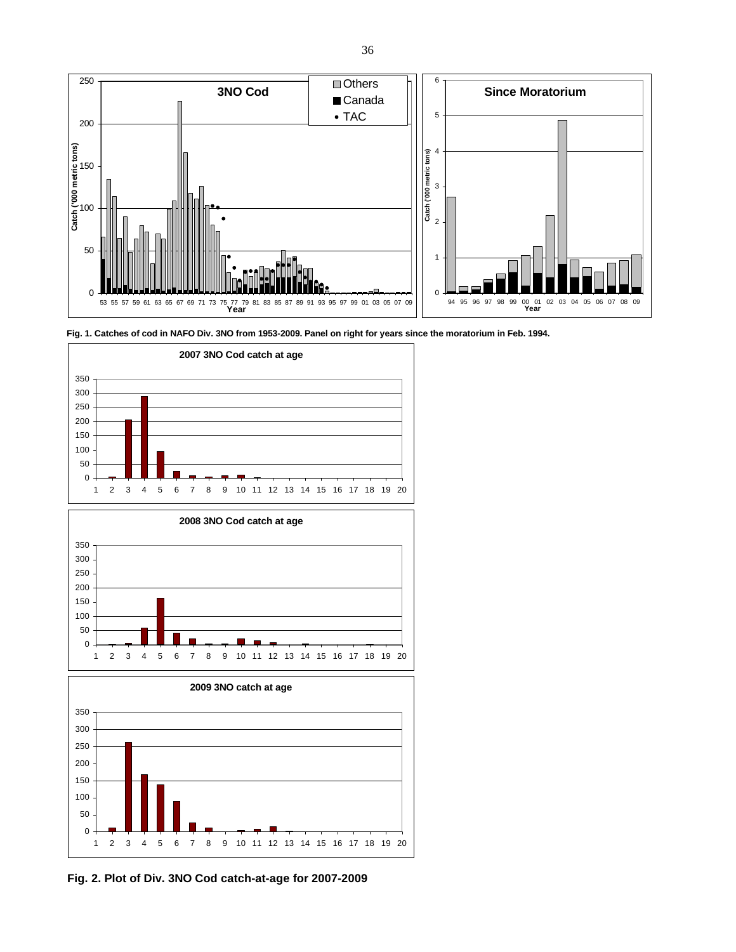









**Fig. 2. Plot of Div. 3NO Cod catch-at-age for 2007-2009**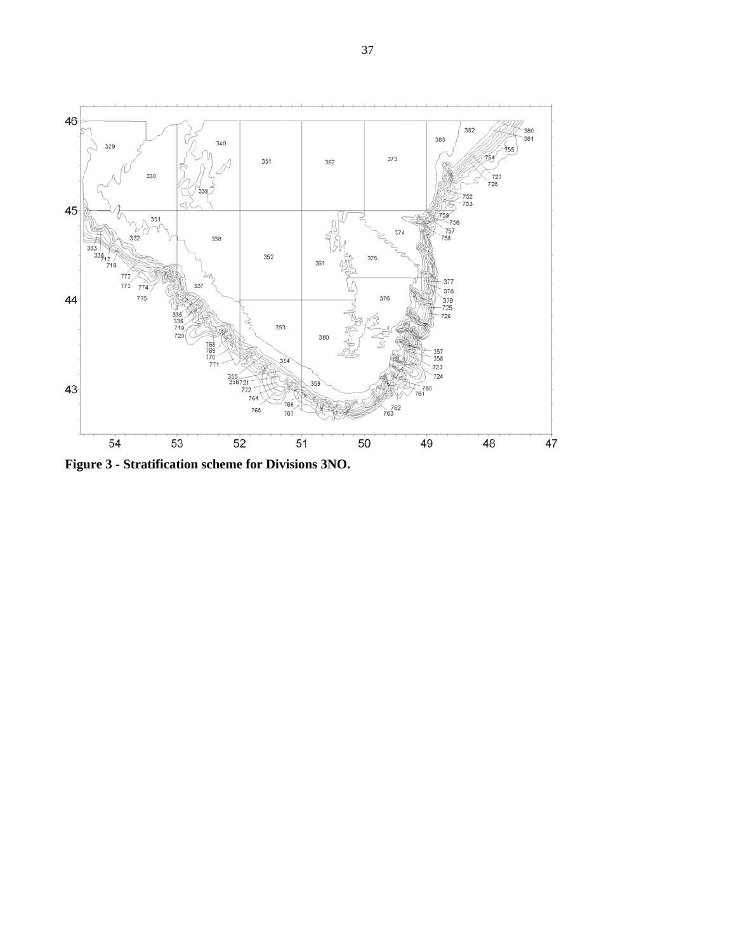

**Figure 3 - Stratification scheme for Divisions 3NO.**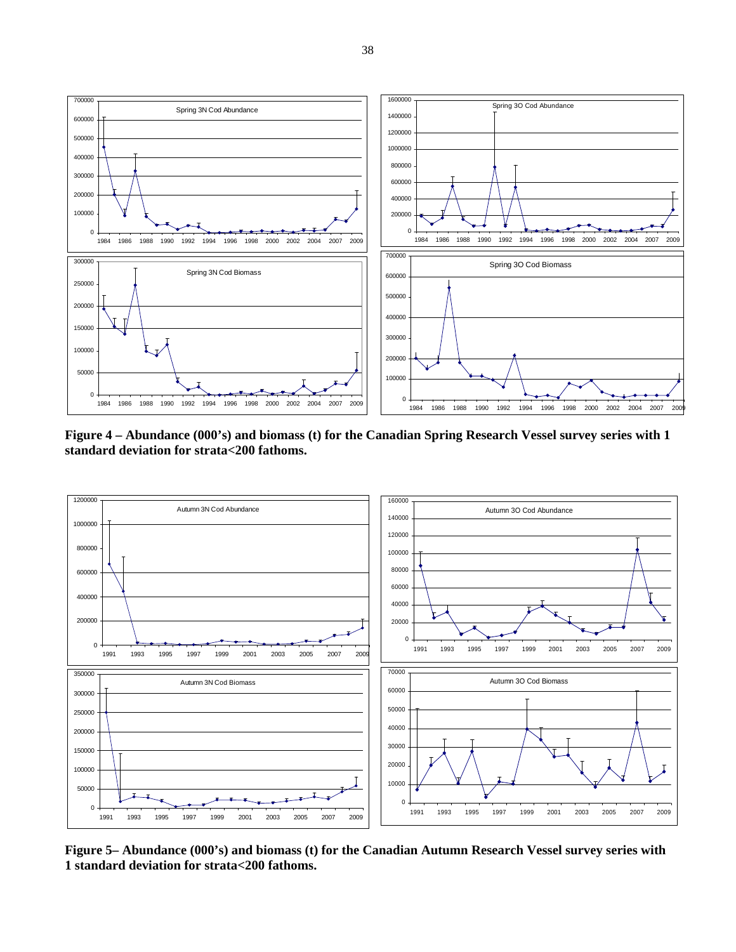

**Figure 4 – Abundance (000's) and biomass (t) for the Canadian Spring Research Vessel survey series with 1 standard deviation for strata<200 fathoms.** 



**Figure 5– Abundance (000's) and biomass (t) for the Canadian Autumn Research Vessel survey series with 1 standard deviation for strata<200 fathoms.**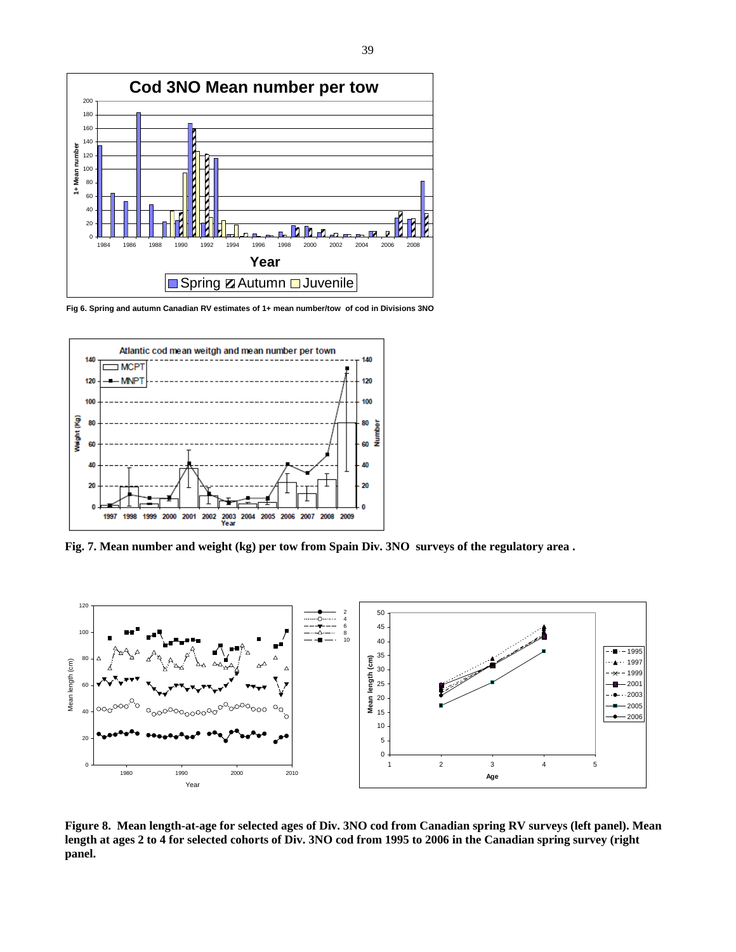

**Fig 6. Spring and autumn Canadian RV estimates of 1+ mean number/tow of cod in Divisions 3NO**



**Fig. 7. Mean number and weight (kg) per tow from Spain Div. 3NO surveys of the regulatory area .** 



**Figure 8. Mean length-at-age for selected ages of Div. 3NO cod from Canadian spring RV surveys (left panel). Mean length at ages 2 to 4 for selected cohorts of Div. 3NO cod from 1995 to 2006 in the Canadian spring survey (right panel.**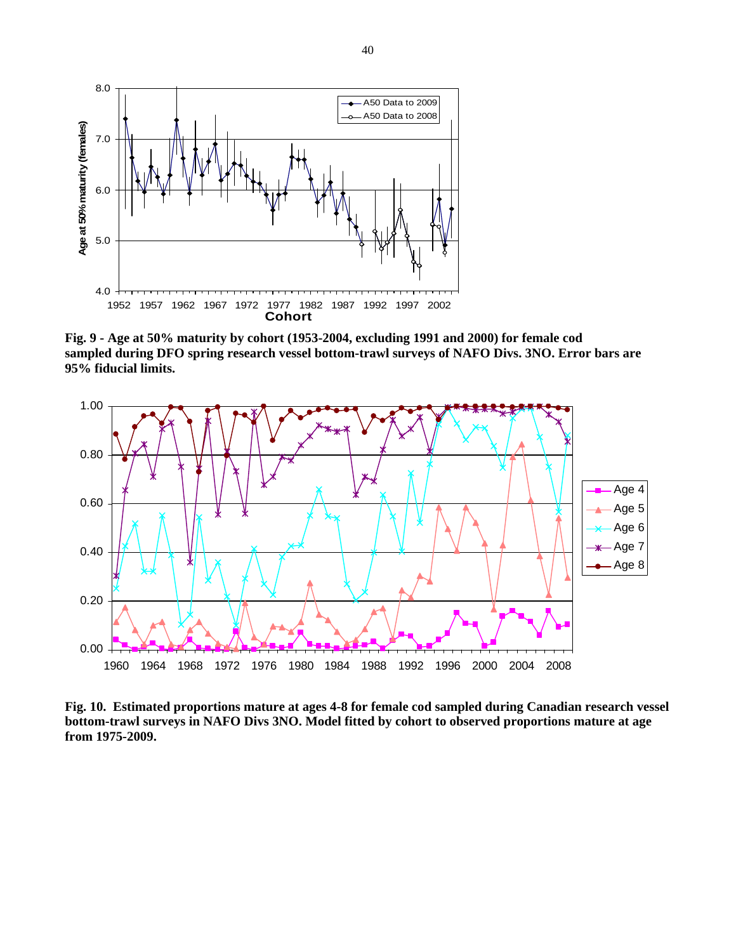

**Fig. 9 - Age at 50% maturity by cohort (1953-2004, excluding 1991 and 2000) for female cod sampled during DFO spring research vessel bottom-trawl surveys of NAFO Divs. 3NO. Error bars are 95% fiducial limits.** 



**Fig. 10. Estimated proportions mature at ages 4-8 for female cod sampled during Canadian research vessel bottom-trawl surveys in NAFO Divs 3NO. Model fitted by cohort to observed proportions mature at age from 1975-2009.**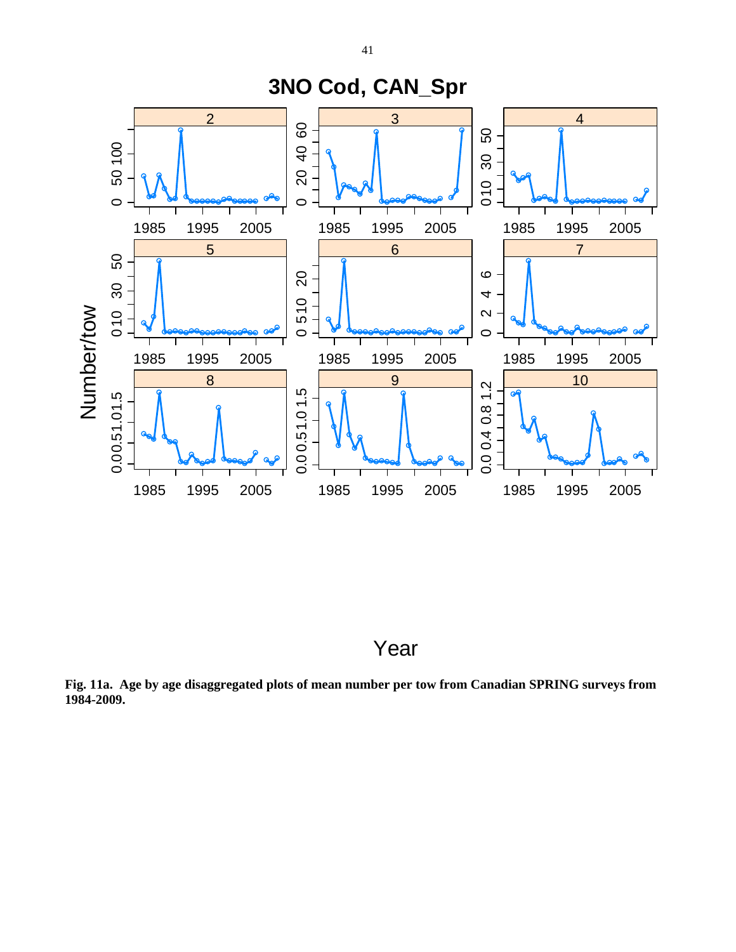

Year

**Fig. 11a. Age by age disaggregated plots of mean number per tow from Canadian SPRING surveys from 1984-2009.**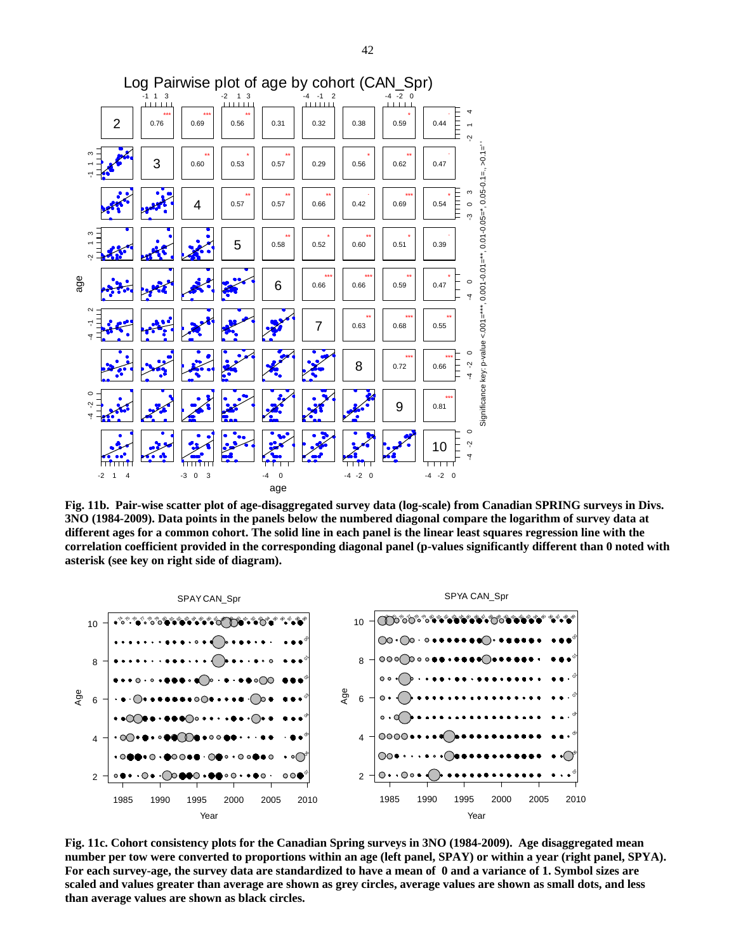

**Fig. 11b. Pair-wise scatter plot of age-disaggregated survey data (log-scale) from Canadian SPRING surveys in Divs. 3NO (1984-2009). Data points in the panels below the numbered diagonal compare the logarithm of survey data at different ages for a common cohort. The solid line in each panel is the linear least squares regression line with the correlation coefficient provided in the corresponding diagonal panel (p-values significantly different than 0 noted with asterisk (see key on right side of diagram).** 



**Fig. 11c. Cohort consistency plots for the Canadian Spring surveys in 3NO (1984-2009). Age disaggregated mean number per tow were converted to proportions within an age (left panel, SPAY) or within a year (right panel, SPYA). For each survey-age, the survey data are standardized to have a mean of 0 and a variance of 1. Symbol sizes are scaled and values greater than average are shown as grey circles, average values are shown as small dots, and less than average values are shown as black circles.**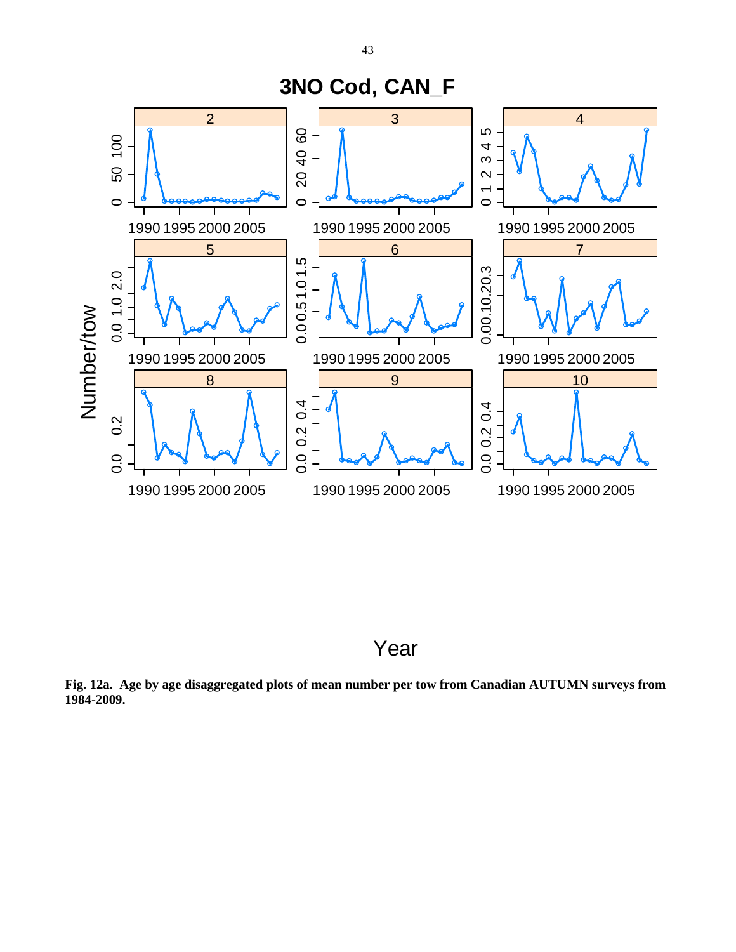



**Fig. 12a. Age by age disaggregated plots of mean number per tow from Canadian AUTUMN surveys from 1984-2009.**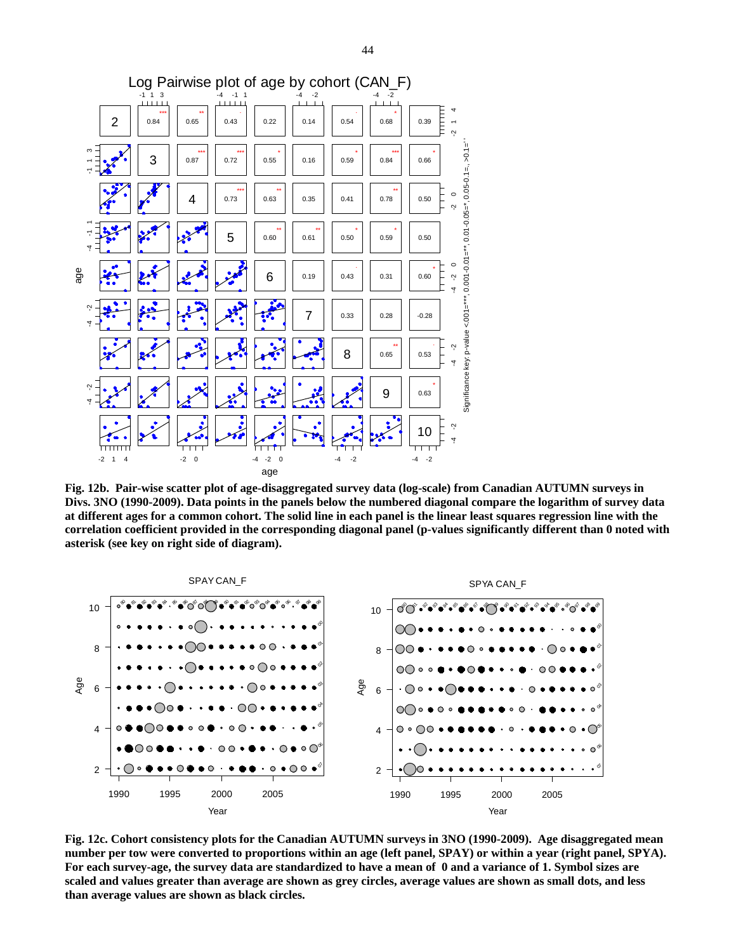

**Fig. 12b. Pair-wise scatter plot of age-disaggregated survey data (log-scale) from Canadian AUTUMN surveys in Divs. 3NO (1990-2009). Data points in the panels below the numbered diagonal compare the logarithm of survey data at different ages for a common cohort. The solid line in each panel is the linear least squares regression line with the correlation coefficient provided in the corresponding diagonal panel (p-values significantly different than 0 noted with asterisk (see key on right side of diagram).** 



**Fig. 12c. Cohort consistency plots for the Canadian AUTUMN surveys in 3NO (1990-2009). Age disaggregated mean number per tow were converted to proportions within an age (left panel, SPAY) or within a year (right panel, SPYA). For each survey-age, the survey data are standardized to have a mean of 0 and a variance of 1. Symbol sizes are scaled and values greater than average are shown as grey circles, average values are shown as small dots, and less than average values are shown as black circles.**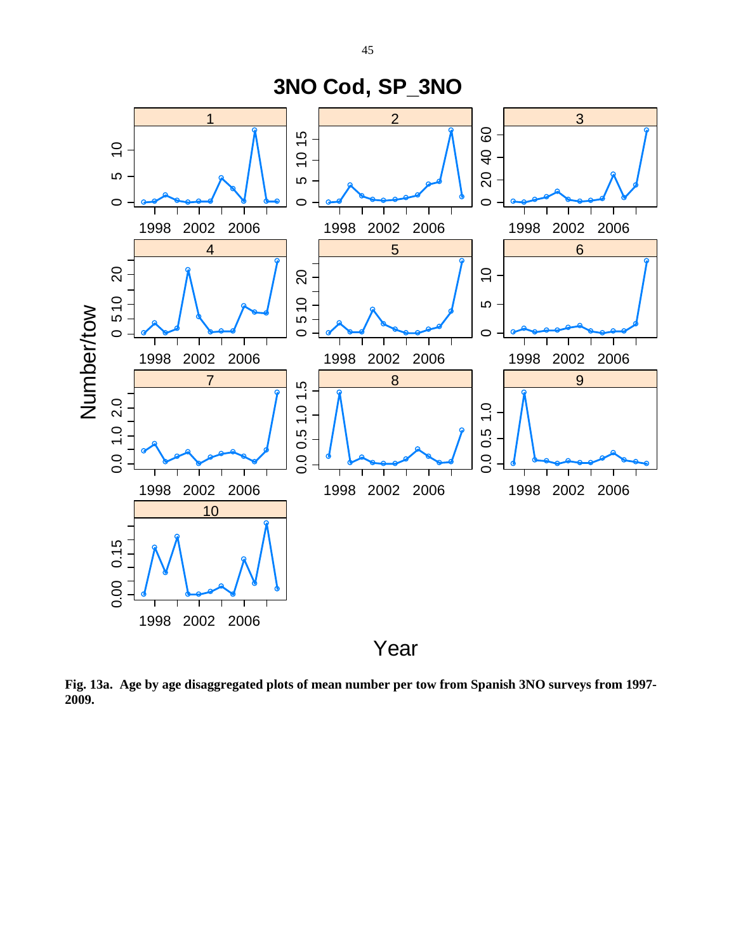

**Fig. 13a. Age by age disaggregated plots of mean number per tow from Spanish 3NO surveys from 1997- 2009.**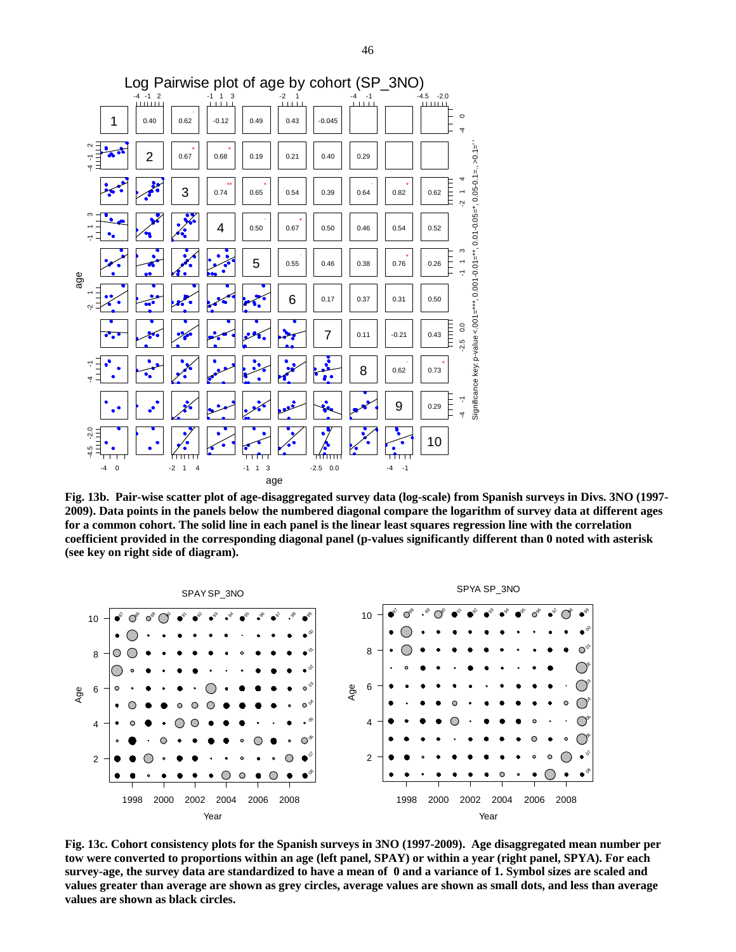

**Fig. 13b. Pair-wise scatter plot of age-disaggregated survey data (log-scale) from Spanish surveys in Divs. 3NO (1997- 2009). Data points in the panels below the numbered diagonal compare the logarithm of survey data at different ages for a common cohort. The solid line in each panel is the linear least squares regression line with the correlation coefficient provided in the corresponding diagonal panel (p-values significantly different than 0 noted with asterisk (see key on right side of diagram).** 



**Fig. 13c. Cohort consistency plots for the Spanish surveys in 3NO (1997-2009). Age disaggregated mean number per tow were converted to proportions within an age (left panel, SPAY) or within a year (right panel, SPYA). For each survey-age, the survey data are standardized to have a mean of 0 and a variance of 1. Symbol sizes are scaled and values greater than average are shown as grey circles, average values are shown as small dots, and less than average values are shown as black circles.**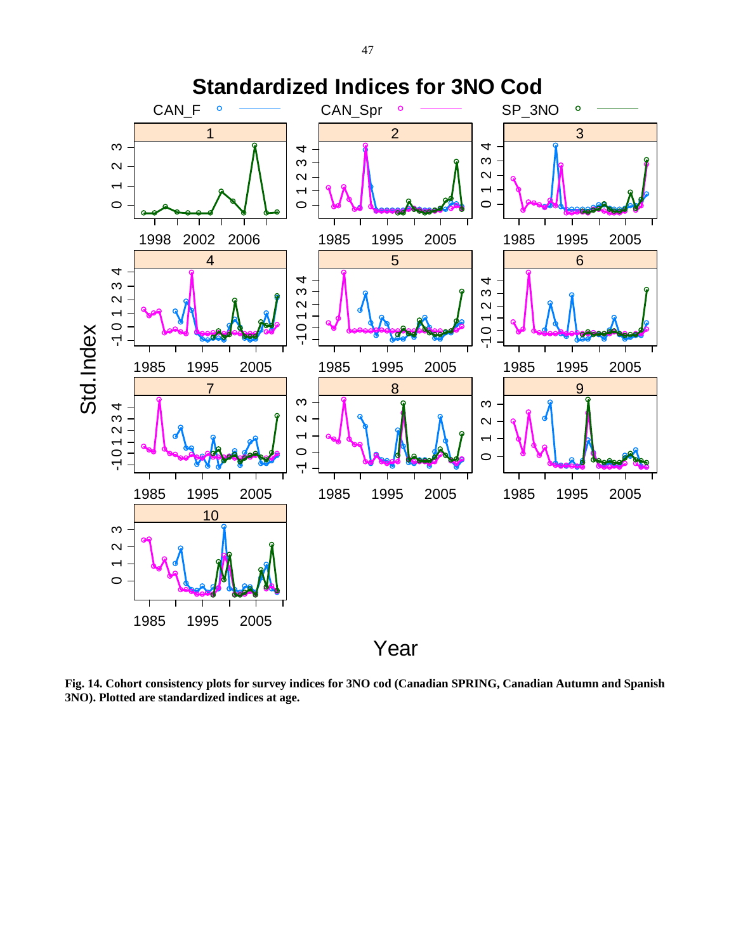

**Fig. 14. Cohort consistency plots for survey indices for 3NO cod (Canadian SPRING, Canadian Autumn and Spanish 3NO). Plotted are standardized indices at age.**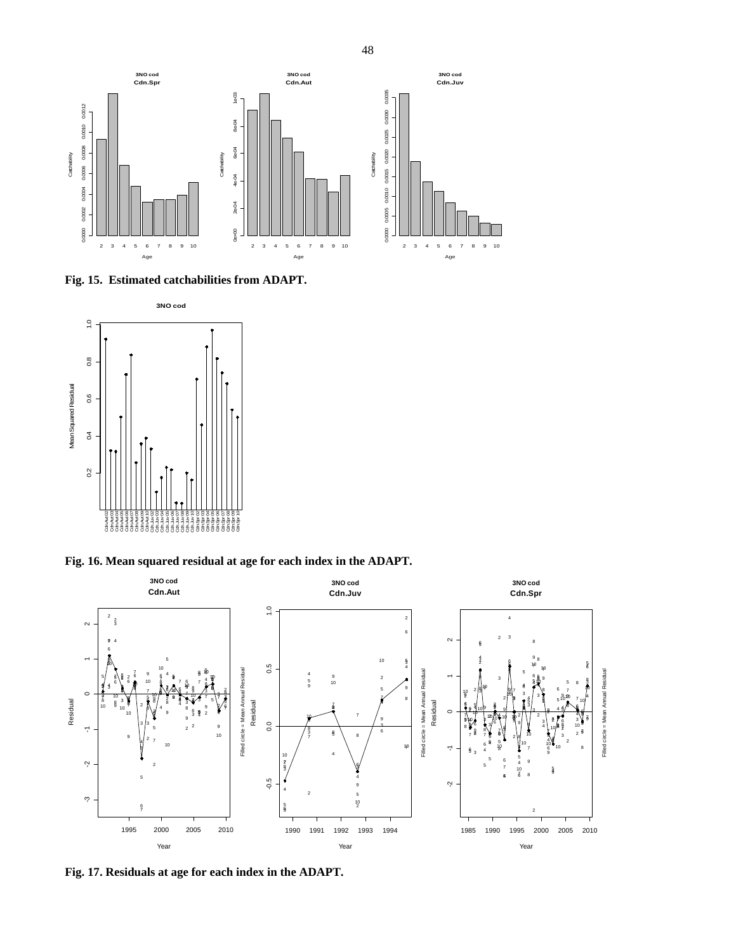

**Fig. 15. Estimated catchabilities from ADAPT.** 



**Fig. 16. Mean squared residual at age for each index in the ADAPT.** 



**Fig. 17. Residuals at age for each index in the ADAPT.**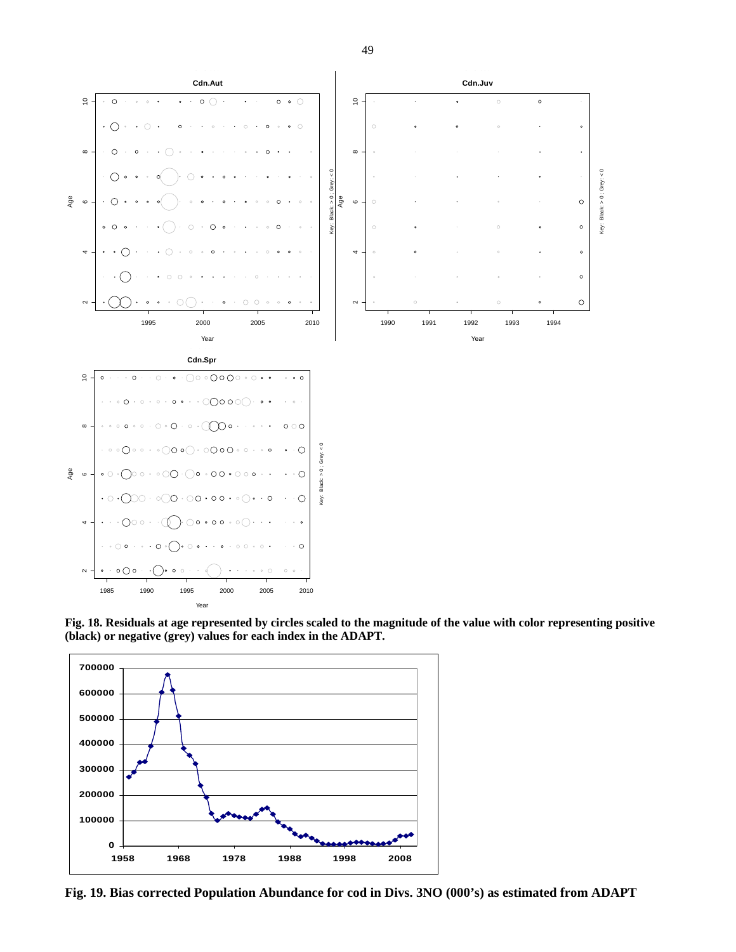

**Fig. 18. Residuals at age represented by circles scaled to the magnitude of the value with color representing positive (black) or negative (grey) values for each index in the ADAPT.** 



**Fig. 19. Bias corrected Population Abundance for cod in Divs. 3NO (000's) as estimated from ADAPT** 

49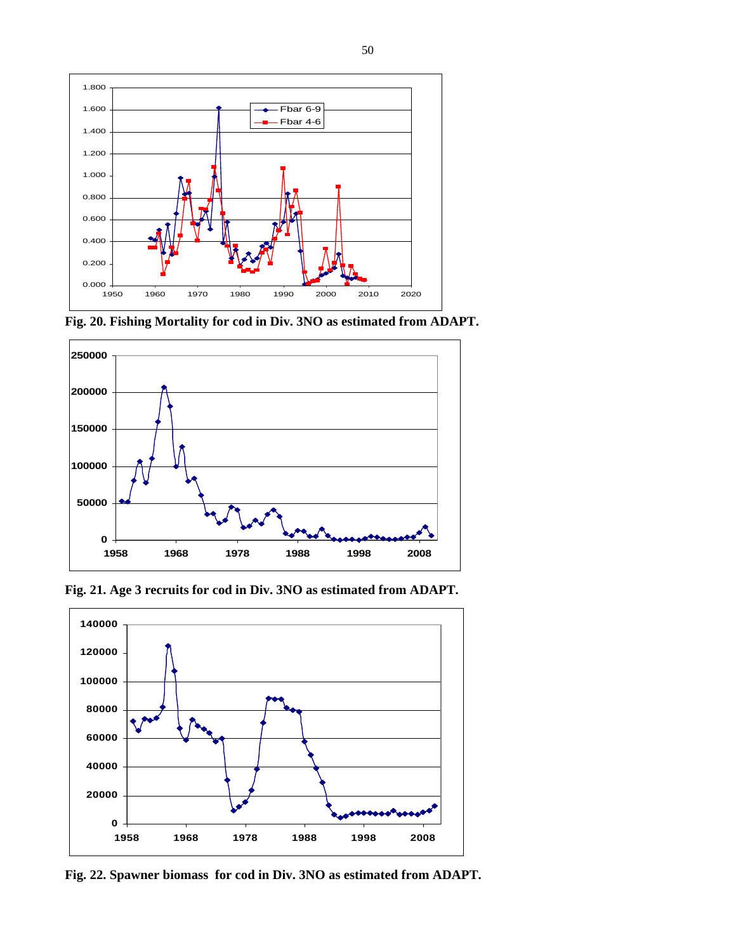

**Fig. 20. Fishing Mortality for cod in Div. 3NO as estimated from ADAPT.** 



**Fig. 21. Age 3 recruits for cod in Div. 3NO as estimated from ADAPT.** 



**Fig. 22. Spawner biomass for cod in Div. 3NO as estimated from ADAPT.**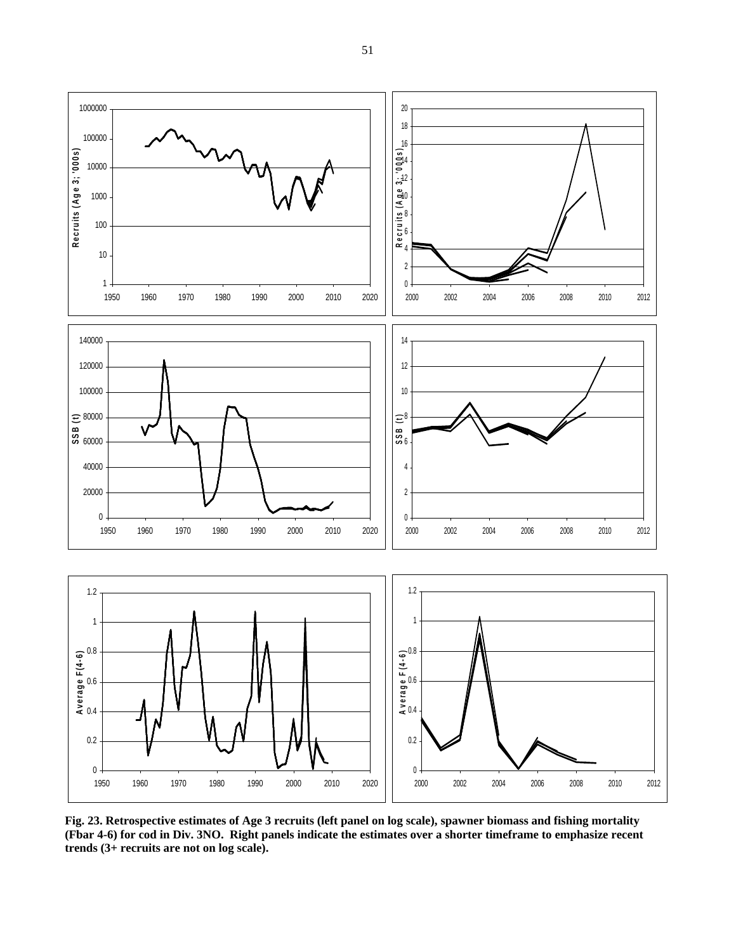

**Fig. 23. Retrospective estimates of Age 3 recruits (left panel on log scale), spawner biomass and fishing mortality (Fbar 4-6) for cod in Div. 3NO. Right panels indicate the estimates over a shorter timeframe to emphasize recent trends (3+ recruits are not on log scale).**